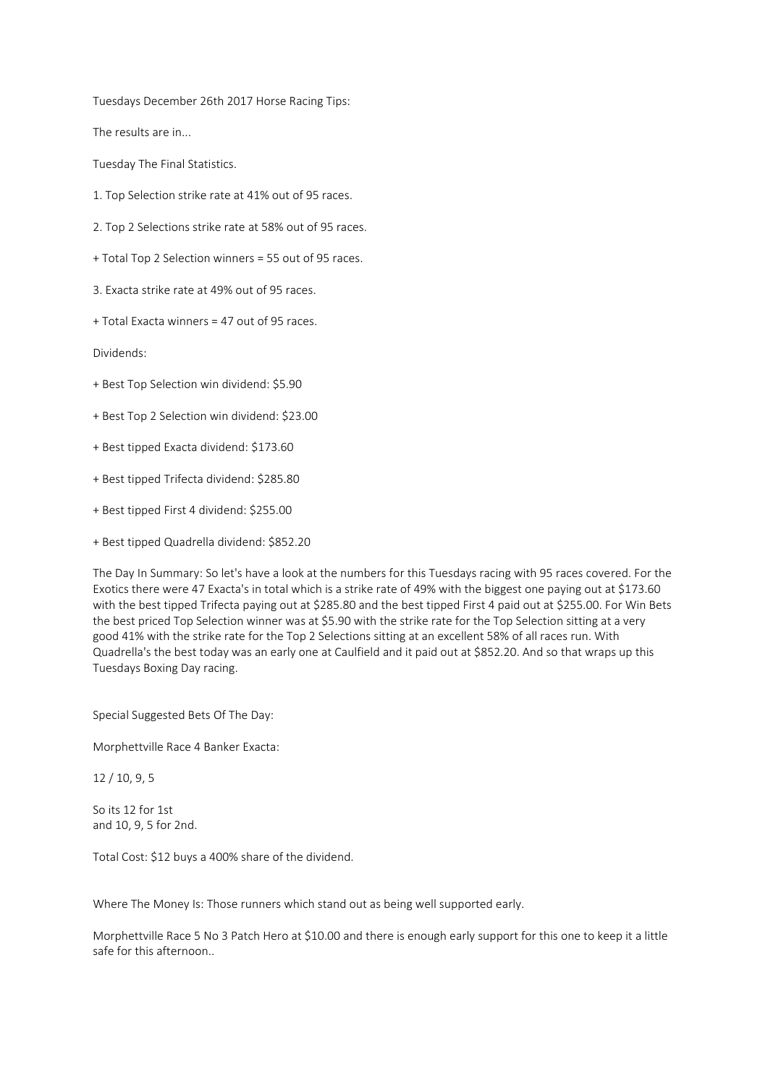Tuesdays December 26th 2017 Horse Racing Tips:

The results are in...

Tuesday The Final Statistics.

- 1. Top Selection strike rate at 41% out of 95 races.
- 2. Top 2 Selections strike rate at 58% out of 95 races.
- + Total Top 2 Selection winners = 55 out of 95 races.
- 3. Exacta strike rate at 49% out of 95 races.
- + Total Exacta winners = 47 out of 95 races.

Dividends:

- + Best Top Selection win dividend: \$5.90
- + Best Top 2 Selection win dividend: \$23.00
- + Best tipped Exacta dividend: \$173.60
- + Best tipped Trifecta dividend: \$285.80
- + Best tipped First 4 dividend: \$255.00
- + Best tipped Quadrella dividend: \$852.20

The Day In Summary: So let's have a look at the numbers for this Tuesdays racing with 95 races covered. For the Exotics there were 47 Exacta's in total which is a strike rate of 49% with the biggest one paying out at \$173.60 with the best tipped Trifecta paying out at \$285.80 and the best tipped First 4 paid out at \$255.00. For Win Bets the best priced Top Selection winner was at \$5.90 with the strike rate for the Top Selection sitting at a very good 41% with the strike rate for the Top 2 Selections sitting at an excellent 58% of all races run. With Quadrella's the best today was an early one at Caulfield and it paid out at \$852.20. And so that wraps up this Tuesdays Boxing Day racing.

Special Suggested Bets Of The Day:

Morphettville Race 4 Banker Exacta:

12 / 10, 9, 5

So its 12 for 1st and 10, 9, 5 for 2nd.

Total Cost: \$12 buys a 400% share of the dividend.

Where The Money Is: Those runners which stand out as being well supported early.

Morphettville Race 5 No 3 Patch Hero at \$10.00 and there is enough early support for this one to keep it a little safe for this afternoon..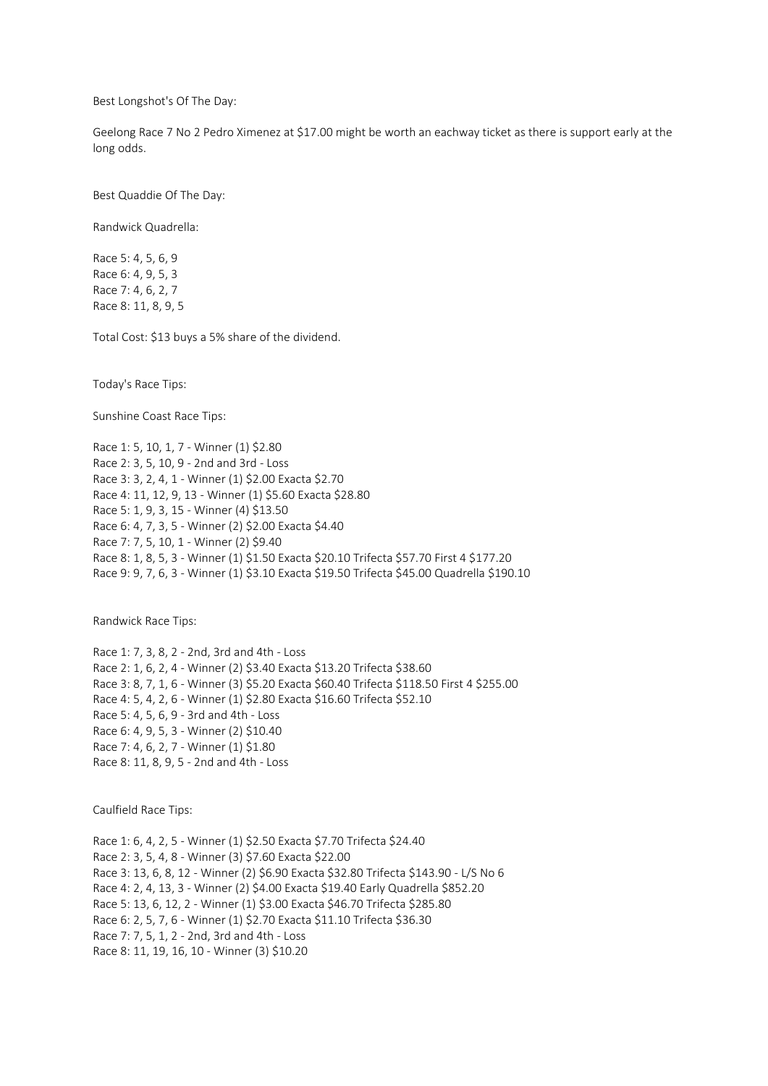Best Longshot's Of The Day:

Geelong Race 7 No 2 Pedro Ximenez at \$17.00 might be worth an eachway ticket as there is support early at the long odds.

Best Quaddie Of The Day:

Randwick Quadrella:

Race 5: 4, 5, 6, 9 Race 6: 4, 9, 5, 3 Race 7: 4, 6, 2, 7 Race 8: 11, 8, 9, 5

Total Cost: \$13 buys a 5% share of the dividend.

Today's Race Tips:

Sunshine Coast Race Tips:

Race 1: 5, 10, 1, 7 - Winner (1) \$2.80 Race 2: 3, 5, 10, 9 - 2nd and 3rd - Loss Race 3: 3, 2, 4, 1 - Winner (1) \$2.00 Exacta \$2.70 Race 4: 11, 12, 9, 13 - Winner (1) \$5.60 Exacta \$28.80 Race 5: 1, 9, 3, 15 - Winner (4) \$13.50 Race 6: 4, 7, 3, 5 - Winner (2) \$2.00 Exacta \$4.40 Race 7: 7, 5, 10, 1 - Winner (2) \$9.40 Race 8: 1, 8, 5, 3 - Winner (1) \$1.50 Exacta \$20.10 Trifecta \$57.70 First 4 \$177.20 Race 9: 9, 7, 6, 3 - Winner (1) \$3.10 Exacta \$19.50 Trifecta \$45.00 Quadrella \$190.10

Randwick Race Tips:

Race 1: 7, 3, 8, 2 - 2nd, 3rd and 4th - Loss Race 2: 1, 6, 2, 4 - Winner (2) \$3.40 Exacta \$13.20 Trifecta \$38.60 Race 3: 8, 7, 1, 6 - Winner (3) \$5.20 Exacta \$60.40 Trifecta \$118.50 First 4 \$255.00 Race 4: 5, 4, 2, 6 - Winner (1) \$2.80 Exacta \$16.60 Trifecta \$52.10 Race 5: 4, 5, 6, 9 - 3rd and 4th - Loss Race 6: 4, 9, 5, 3 - Winner (2) \$10.40 Race 7: 4, 6, 2, 7 - Winner (1) \$1.80 Race 8: 11, 8, 9, 5 - 2nd and 4th - Loss

Caulfield Race Tips:

Race 1: 6, 4, 2, 5 - Winner (1) \$2.50 Exacta \$7.70 Trifecta \$24.40 Race 2: 3, 5, 4, 8 - Winner (3) \$7.60 Exacta \$22.00 Race 3: 13, 6, 8, 12 - Winner (2) \$6.90 Exacta \$32.80 Trifecta \$143.90 - L/S No 6 Race 4: 2, 4, 13, 3 - Winner (2) \$4.00 Exacta \$19.40 Early Quadrella \$852.20 Race 5: 13, 6, 12, 2 - Winner (1) \$3.00 Exacta \$46.70 Trifecta \$285.80 Race 6: 2, 5, 7, 6 - Winner (1) \$2.70 Exacta \$11.10 Trifecta \$36.30 Race 7: 7, 5, 1, 2 - 2nd, 3rd and 4th - Loss Race 8: 11, 19, 16, 10 - Winner (3) \$10.20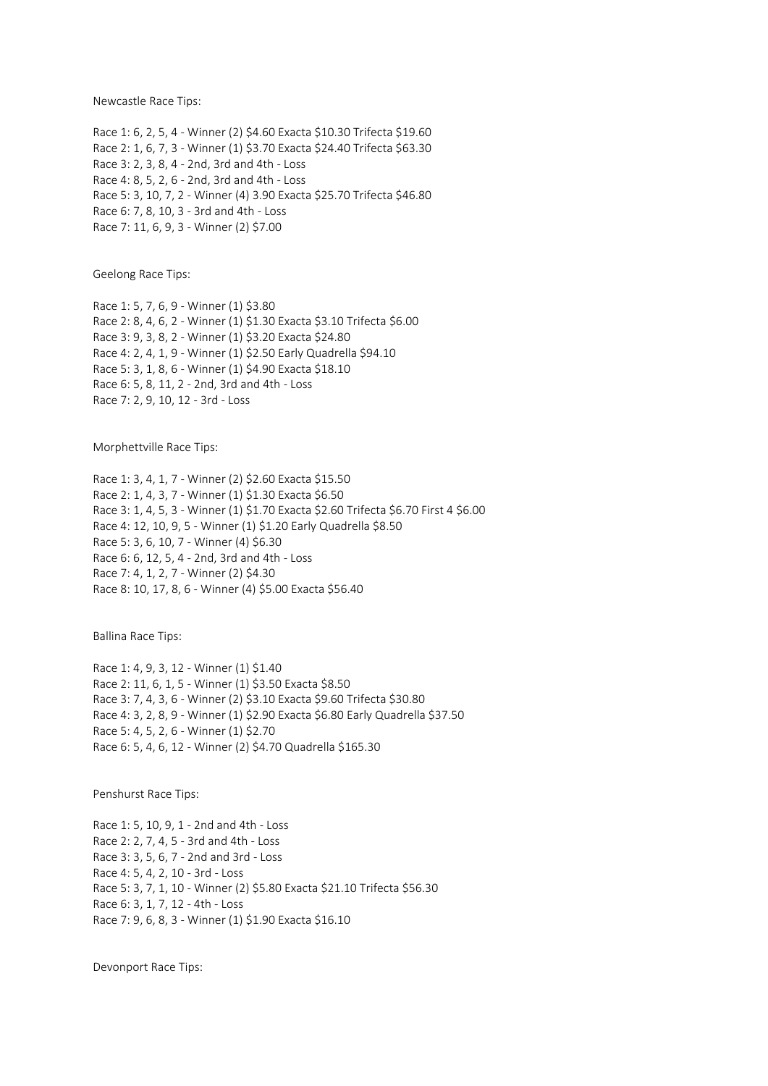Newcastle Race Tips:

Race 1: 6, 2, 5, 4 - Winner (2) \$4.60 Exacta \$10.30 Trifecta \$19.60 Race 2: 1, 6, 7, 3 - Winner (1) \$3.70 Exacta \$24.40 Trifecta \$63.30 Race 3: 2, 3, 8, 4 - 2nd, 3rd and 4th - Loss Race 4: 8, 5, 2, 6 - 2nd, 3rd and 4th - Loss Race 5: 3, 10, 7, 2 - Winner (4) 3.90 Exacta \$25.70 Trifecta \$46.80 Race 6: 7, 8, 10, 3 - 3rd and 4th - Loss Race 7: 11, 6, 9, 3 - Winner (2) \$7.00

Geelong Race Tips:

Race 1: 5, 7, 6, 9 - Winner (1) \$3.80 Race 2: 8, 4, 6, 2 - Winner (1) \$1.30 Exacta \$3.10 Trifecta \$6.00 Race 3: 9, 3, 8, 2 - Winner (1) \$3.20 Exacta \$24.80 Race 4: 2, 4, 1, 9 - Winner (1) \$2.50 Early Quadrella \$94.10 Race 5: 3, 1, 8, 6 - Winner (1) \$4.90 Exacta \$18.10 Race 6: 5, 8, 11, 2 - 2nd, 3rd and 4th - Loss Race 7: 2, 9, 10, 12 - 3rd - Loss

Morphettville Race Tips:

Race 1: 3, 4, 1, 7 - Winner (2) \$2.60 Exacta \$15.50 Race 2: 1, 4, 3, 7 - Winner (1) \$1.30 Exacta \$6.50 Race 3: 1, 4, 5, 3 - Winner (1) \$1.70 Exacta \$2.60 Trifecta \$6.70 First 4 \$6.00 Race 4: 12, 10, 9, 5 - Winner (1) \$1.20 Early Quadrella \$8.50 Race 5: 3, 6, 10, 7 - Winner (4) \$6.30 Race 6: 6, 12, 5, 4 - 2nd, 3rd and 4th - Loss Race 7: 4, 1, 2, 7 - Winner (2) \$4.30 Race 8: 10, 17, 8, 6 - Winner (4) \$5.00 Exacta \$56.40

Ballina Race Tips:

Race 1: 4, 9, 3, 12 - Winner (1) \$1.40 Race 2: 11, 6, 1, 5 - Winner (1) \$3.50 Exacta \$8.50 Race 3: 7, 4, 3, 6 - Winner (2) \$3.10 Exacta \$9.60 Trifecta \$30.80 Race 4: 3, 2, 8, 9 - Winner (1) \$2.90 Exacta \$6.80 Early Quadrella \$37.50 Race 5: 4, 5, 2, 6 - Winner (1) \$2.70 Race 6: 5, 4, 6, 12 - Winner (2) \$4.70 Quadrella \$165.30

Penshurst Race Tips:

Race 1: 5, 10, 9, 1 - 2nd and 4th - Loss Race 2: 2, 7, 4, 5 - 3rd and 4th - Loss Race 3: 3, 5, 6, 7 - 2nd and 3rd - Loss Race 4: 5, 4, 2, 10 - 3rd - Loss Race 5: 3, 7, 1, 10 - Winner (2) \$5.80 Exacta \$21.10 Trifecta \$56.30 Race 6: 3, 1, 7, 12 - 4th - Loss Race 7: 9, 6, 8, 3 - Winner (1) \$1.90 Exacta \$16.10

Devonport Race Tips: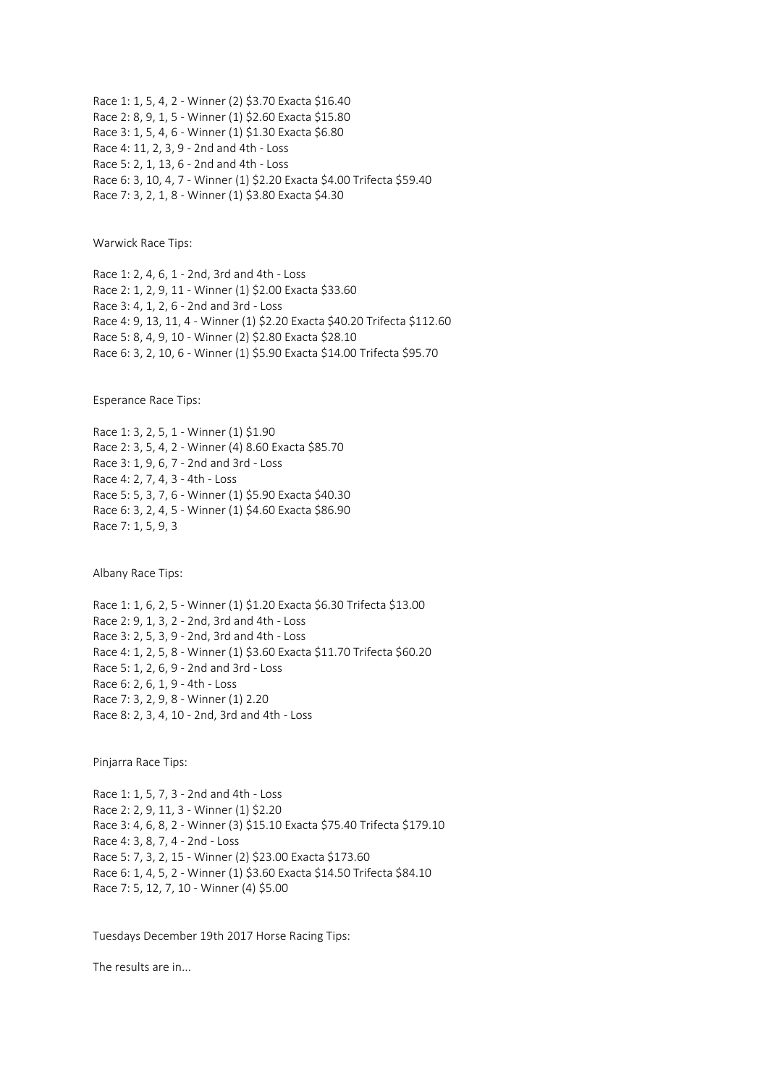Race 1: 1, 5, 4, 2 - Winner (2) \$3.70 Exacta \$16.40 Race 2: 8, 9, 1, 5 - Winner (1) \$2.60 Exacta \$15.80 Race 3: 1, 5, 4, 6 - Winner (1) \$1.30 Exacta \$6.80 Race 4: 11, 2, 3, 9 - 2nd and 4th - Loss Race 5: 2, 1, 13, 6 - 2nd and 4th - Loss Race 6: 3, 10, 4, 7 - Winner (1) \$2.20 Exacta \$4.00 Trifecta \$59.40 Race 7: 3, 2, 1, 8 - Winner (1) \$3.80 Exacta \$4.30

Warwick Race Tips:

Race 1: 2, 4, 6, 1 - 2nd, 3rd and 4th - Loss Race 2: 1, 2, 9, 11 - Winner (1) \$2.00 Exacta \$33.60 Race 3: 4, 1, 2, 6 - 2nd and 3rd - Loss Race 4: 9, 13, 11, 4 - Winner (1) \$2.20 Exacta \$40.20 Trifecta \$112.60 Race 5: 8, 4, 9, 10 - Winner (2) \$2.80 Exacta \$28.10 Race 6: 3, 2, 10, 6 - Winner (1) \$5.90 Exacta \$14.00 Trifecta \$95.70

Esperance Race Tips:

Race 1: 3, 2, 5, 1 - Winner (1) \$1.90 Race 2: 3, 5, 4, 2 - Winner (4) 8.60 Exacta \$85.70 Race 3: 1, 9, 6, 7 - 2nd and 3rd - Loss Race 4: 2, 7, 4, 3 - 4th - Loss Race 5: 5, 3, 7, 6 - Winner (1) \$5.90 Exacta \$40.30 Race 6: 3, 2, 4, 5 - Winner (1) \$4.60 Exacta \$86.90 Race 7: 1, 5, 9, 3

Albany Race Tips:

Race 1: 1, 6, 2, 5 - Winner (1) \$1.20 Exacta \$6.30 Trifecta \$13.00 Race 2: 9, 1, 3, 2 - 2nd, 3rd and 4th - Loss Race 3: 2, 5, 3, 9 - 2nd, 3rd and 4th - Loss Race 4: 1, 2, 5, 8 - Winner (1) \$3.60 Exacta \$11.70 Trifecta \$60.20 Race 5: 1, 2, 6, 9 - 2nd and 3rd - Loss Race 6: 2, 6, 1, 9 - 4th - Loss Race 7: 3, 2, 9, 8 - Winner (1) 2.20 Race 8: 2, 3, 4, 10 - 2nd, 3rd and 4th - Loss

Pinjarra Race Tips:

Race 1: 1, 5, 7, 3 - 2nd and 4th - Loss Race 2: 2, 9, 11, 3 - Winner (1) \$2.20 Race 3: 4, 6, 8, 2 - Winner (3) \$15.10 Exacta \$75.40 Trifecta \$179.10 Race 4: 3, 8, 7, 4 - 2nd - Loss Race 5: 7, 3, 2, 15 - Winner (2) \$23.00 Exacta \$173.60 Race 6: 1, 4, 5, 2 - Winner (1) \$3.60 Exacta \$14.50 Trifecta \$84.10 Race 7: 5, 12, 7, 10 - Winner (4) \$5.00

Tuesdays December 19th 2017 Horse Racing Tips:

The results are in...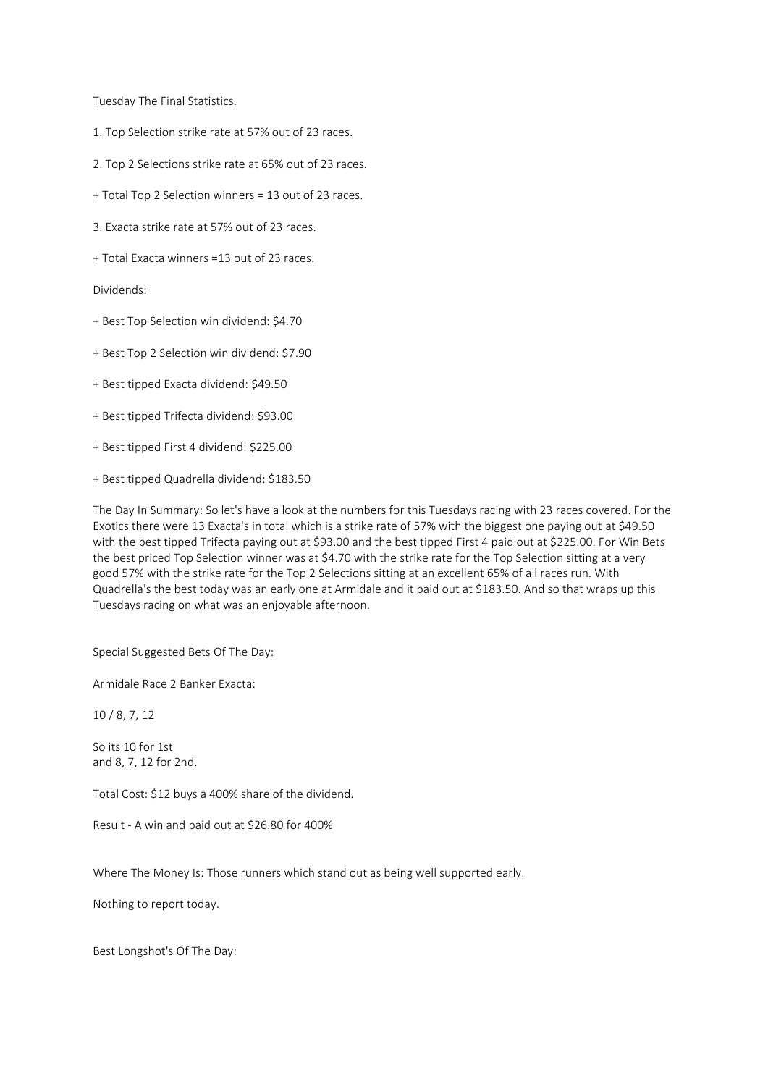Tuesday The Final Statistics.

- 1. Top Selection strike rate at 57% out of 23 races.
- 2. Top 2 Selections strike rate at 65% out of 23 races.
- + Total Top 2 Selection winners = 13 out of 23 races.
- 3. Exacta strike rate at 57% out of 23 races.
- + Total Exacta winners =13 out of 23 races.

Dividends:

- + Best Top Selection win dividend: \$4.70
- + Best Top 2 Selection win dividend: \$7.90
- + Best tipped Exacta dividend: \$49.50
- + Best tipped Trifecta dividend: \$93.00
- + Best tipped First 4 dividend: \$225.00
- + Best tipped Quadrella dividend: \$183.50

The Day In Summary: So let's have a look at the numbers for this Tuesdays racing with 23 races covered. For the Exotics there were 13 Exacta's in total which is a strike rate of 57% with the biggest one paying out at \$49.50 with the best tipped Trifecta paying out at \$93.00 and the best tipped First 4 paid out at \$225.00. For Win Bets the best priced Top Selection winner was at \$4.70 with the strike rate for the Top Selection sitting at a very good 57% with the strike rate for the Top 2 Selections sitting at an excellent 65% of all races run. With Quadrella's the best today was an early one at Armidale and it paid out at \$183.50. And so that wraps up this Tuesdays racing on what was an enjoyable afternoon.

Special Suggested Bets Of The Day:

Armidale Race 2 Banker Exacta:

10 / 8, 7, 12

So its 10 for 1st and 8, 7, 12 for 2nd.

Total Cost: \$12 buys a 400% share of the dividend.

Result - A win and paid out at \$26.80 for 400%

Where The Money Is: Those runners which stand out as being well supported early.

Nothing to report today.

Best Longshot's Of The Day: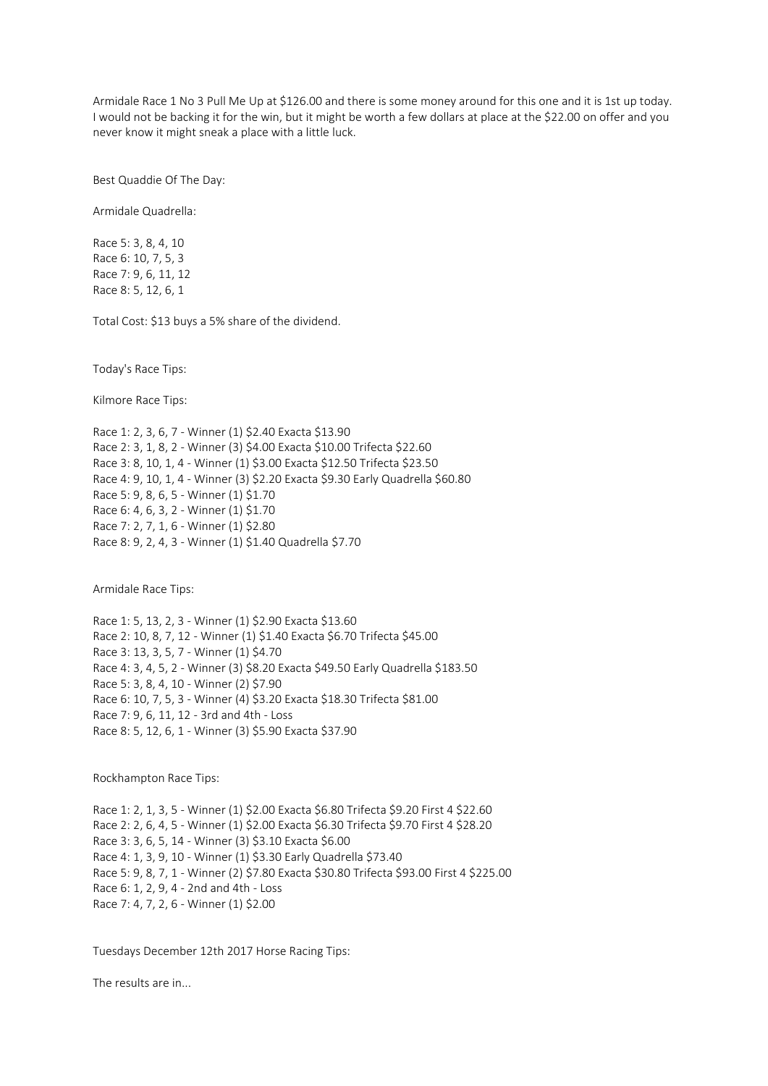Armidale Race 1 No 3 Pull Me Up at \$126.00 and there is some money around for this one and it is 1st up today. I would not be backing it for the win, but it might be worth a few dollars at place at the \$22.00 on offer and you never know it might sneak a place with a little luck.

Best Quaddie Of The Day:

Armidale Quadrella:

Race 5: 3, 8, 4, 10 Race 6: 10, 7, 5, 3 Race 7: 9, 6, 11, 12 Race 8: 5, 12, 6, 1

Total Cost: \$13 buys a 5% share of the dividend.

Today's Race Tips:

Kilmore Race Tips:

Race 1: 2, 3, 6, 7 - Winner (1) \$2.40 Exacta \$13.90 Race 2: 3, 1, 8, 2 - Winner (3) \$4.00 Exacta \$10.00 Trifecta \$22.60 Race 3: 8, 10, 1, 4 - Winner (1) \$3.00 Exacta \$12.50 Trifecta \$23.50 Race 4: 9, 10, 1, 4 - Winner (3) \$2.20 Exacta \$9.30 Early Quadrella \$60.80 Race 5: 9, 8, 6, 5 - Winner (1) \$1.70 Race 6: 4, 6, 3, 2 - Winner (1) \$1.70 Race 7: 2, 7, 1, 6 - Winner (1) \$2.80 Race 8: 9, 2, 4, 3 - Winner (1) \$1.40 Quadrella \$7.70

Armidale Race Tips:

Race 1: 5, 13, 2, 3 - Winner (1) \$2.90 Exacta \$13.60 Race 2: 10, 8, 7, 12 - Winner (1) \$1.40 Exacta \$6.70 Trifecta \$45.00 Race 3: 13, 3, 5, 7 - Winner (1) \$4.70 Race 4: 3, 4, 5, 2 - Winner (3) \$8.20 Exacta \$49.50 Early Quadrella \$183.50 Race 5: 3, 8, 4, 10 - Winner (2) \$7.90 Race 6: 10, 7, 5, 3 - Winner (4) \$3.20 Exacta \$18.30 Trifecta \$81.00 Race 7: 9, 6, 11, 12 - 3rd and 4th - Loss Race 8: 5, 12, 6, 1 - Winner (3) \$5.90 Exacta \$37.90

Rockhampton Race Tips:

Race 1: 2, 1, 3, 5 - Winner (1) \$2.00 Exacta \$6.80 Trifecta \$9.20 First 4 \$22.60 Race 2: 2, 6, 4, 5 - Winner (1) \$2.00 Exacta \$6.30 Trifecta \$9.70 First 4 \$28.20 Race 3: 3, 6, 5, 14 - Winner (3) \$3.10 Exacta \$6.00 Race 4: 1, 3, 9, 10 - Winner (1) \$3.30 Early Quadrella \$73.40 Race 5: 9, 8, 7, 1 - Winner (2) \$7.80 Exacta \$30.80 Trifecta \$93.00 First 4 \$225.00 Race 6: 1, 2, 9, 4 - 2nd and 4th - Loss Race 7: 4, 7, 2, 6 - Winner (1) \$2.00

Tuesdays December 12th 2017 Horse Racing Tips:

The results are in...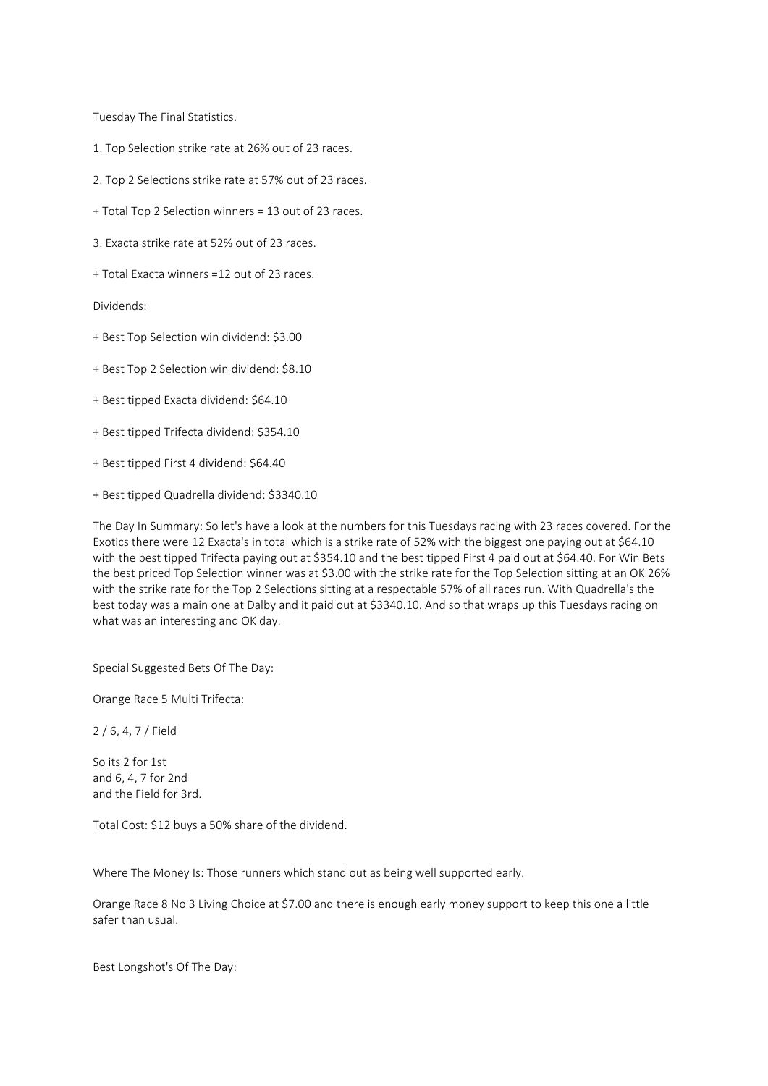Tuesday The Final Statistics.

- 1. Top Selection strike rate at 26% out of 23 races.
- 2. Top 2 Selections strike rate at 57% out of 23 races.
- + Total Top 2 Selection winners = 13 out of 23 races.
- 3. Exacta strike rate at 52% out of 23 races.
- + Total Exacta winners =12 out of 23 races.

Dividends:

- + Best Top Selection win dividend: \$3.00
- + Best Top 2 Selection win dividend: \$8.10
- + Best tipped Exacta dividend: \$64.10
- + Best tipped Trifecta dividend: \$354.10
- + Best tipped First 4 dividend: \$64.40
- + Best tipped Quadrella dividend: \$3340.10

The Day In Summary: So let's have a look at the numbers for this Tuesdays racing with 23 races covered. For the Exotics there were 12 Exacta's in total which is a strike rate of 52% with the biggest one paying out at \$64.10 with the best tipped Trifecta paying out at \$354.10 and the best tipped First 4 paid out at \$64.40. For Win Bets the best priced Top Selection winner was at \$3.00 with the strike rate for the Top Selection sitting at an OK 26% with the strike rate for the Top 2 Selections sitting at a respectable 57% of all races run. With Quadrella's the best today was a main one at Dalby and it paid out at \$3340.10. And so that wraps up this Tuesdays racing on what was an interesting and OK day.

Special Suggested Bets Of The Day:

Orange Race 5 Multi Trifecta:

2 / 6, 4, 7 / Field

So its 2 for 1st and 6, 4, 7 for 2nd and the Field for 3rd.

Total Cost: \$12 buys a 50% share of the dividend.

Where The Money Is: Those runners which stand out as being well supported early.

Orange Race 8 No 3 Living Choice at \$7.00 and there is enough early money support to keep this one a little safer than usual.

Best Longshot's Of The Day: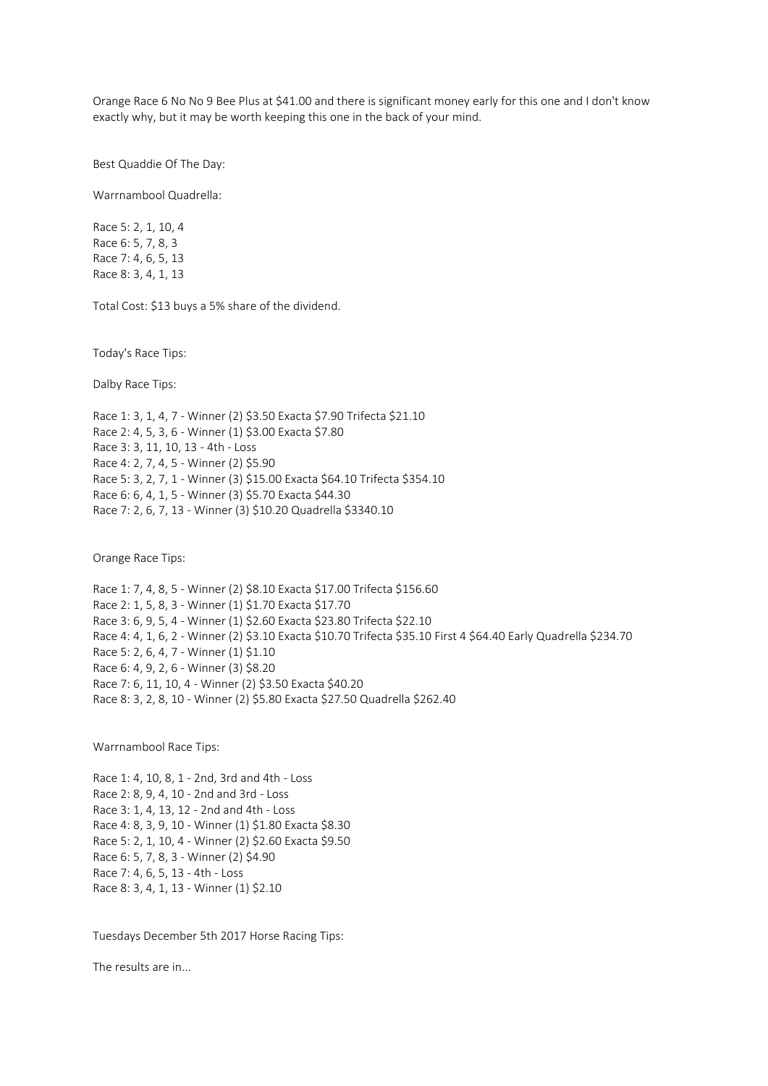Orange Race 6 No No 9 Bee Plus at \$41.00 and there is significant money early for this one and I don't know exactly why, but it may be worth keeping this one in the back of your mind.

Best Quaddie Of The Day:

Warrnambool Quadrella:

Race 5: 2, 1, 10, 4 Race 6: 5, 7, 8, 3 Race 7: 4, 6, 5, 13 Race 8: 3, 4, 1, 13

Total Cost: \$13 buys a 5% share of the dividend.

Today's Race Tips:

Dalby Race Tips:

Race 1: 3, 1, 4, 7 - Winner (2) \$3.50 Exacta \$7.90 Trifecta \$21.10 Race 2: 4, 5, 3, 6 - Winner (1) \$3.00 Exacta \$7.80 Race 3: 3, 11, 10, 13 - 4th - Loss Race 4: 2, 7, 4, 5 - Winner (2) \$5.90 Race 5: 3, 2, 7, 1 - Winner (3) \$15.00 Exacta \$64.10 Trifecta \$354.10 Race 6: 6, 4, 1, 5 - Winner (3) \$5.70 Exacta \$44.30 Race 7: 2, 6, 7, 13 - Winner (3) \$10.20 Quadrella \$3340.10

Orange Race Tips:

Race 1: 7, 4, 8, 5 - Winner (2) \$8.10 Exacta \$17.00 Trifecta \$156.60 Race 2: 1, 5, 8, 3 - Winner (1) \$1.70 Exacta \$17.70 Race 3: 6, 9, 5, 4 - Winner (1) \$2.60 Exacta \$23.80 Trifecta \$22.10 Race 4: 4, 1, 6, 2 - Winner (2) \$3.10 Exacta \$10.70 Trifecta \$35.10 First 4 \$64.40 Early Quadrella \$234.70 Race 5: 2, 6, 4, 7 - Winner (1) \$1.10 Race 6: 4, 9, 2, 6 - Winner (3) \$8.20 Race 7: 6, 11, 10, 4 - Winner (2) \$3.50 Exacta \$40.20 Race 8: 3, 2, 8, 10 - Winner (2) \$5.80 Exacta \$27.50 Quadrella \$262.40

Warrnambool Race Tips:

Race 1: 4, 10, 8, 1 - 2nd, 3rd and 4th - Loss Race 2: 8, 9, 4, 10 - 2nd and 3rd - Loss Race 3: 1, 4, 13, 12 - 2nd and 4th - Loss Race 4: 8, 3, 9, 10 - Winner (1) \$1.80 Exacta \$8.30 Race 5: 2, 1, 10, 4 - Winner (2) \$2.60 Exacta \$9.50 Race 6: 5, 7, 8, 3 - Winner (2) \$4.90 Race 7: 4, 6, 5, 13 - 4th - Loss Race 8: 3, 4, 1, 13 - Winner (1) \$2.10

Tuesdays December 5th 2017 Horse Racing Tips:

The results are in...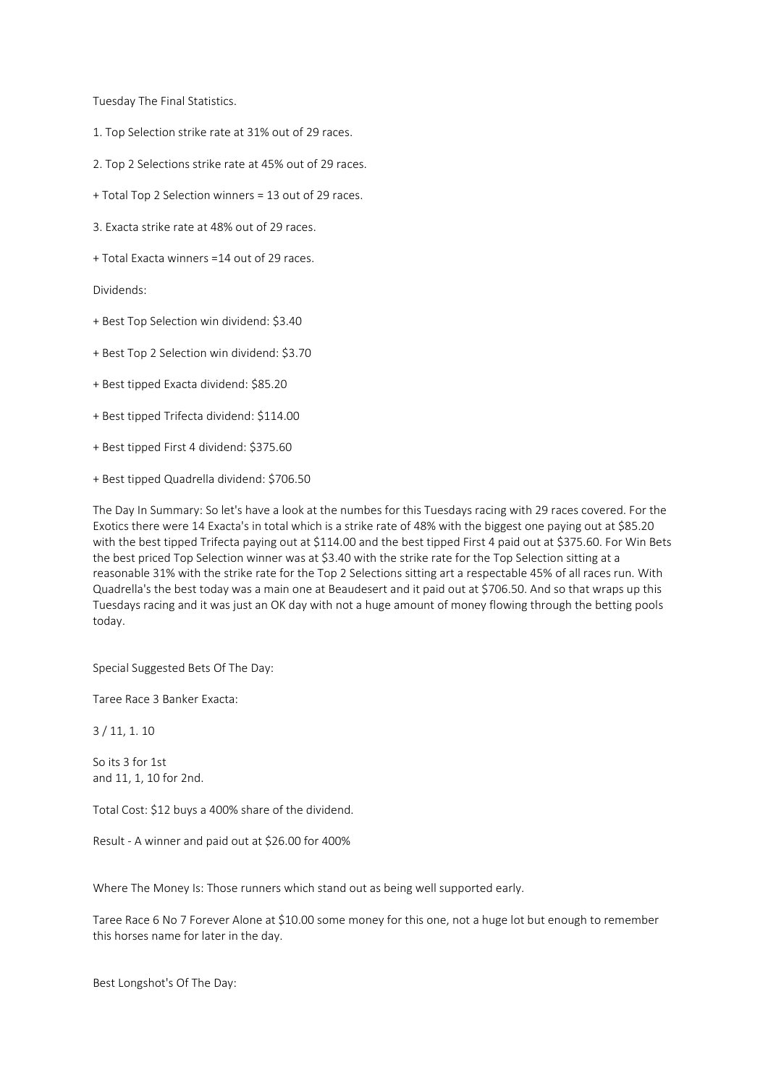Tuesday The Final Statistics.

- 1. Top Selection strike rate at 31% out of 29 races.
- 2. Top 2 Selections strike rate at 45% out of 29 races.
- + Total Top 2 Selection winners = 13 out of 29 races.
- 3. Exacta strike rate at 48% out of 29 races.
- + Total Exacta winners =14 out of 29 races.

Dividends:

- + Best Top Selection win dividend: \$3.40
- + Best Top 2 Selection win dividend: \$3.70
- + Best tipped Exacta dividend: \$85.20
- + Best tipped Trifecta dividend: \$114.00
- + Best tipped First 4 dividend: \$375.60
- + Best tipped Quadrella dividend: \$706.50

The Day In Summary: So let's have a look at the numbes for this Tuesdays racing with 29 races covered. For the Exotics there were 14 Exacta's in total which is a strike rate of 48% with the biggest one paying out at \$85.20 with the best tipped Trifecta paying out at \$114.00 and the best tipped First 4 paid out at \$375.60. For Win Bets the best priced Top Selection winner was at \$3.40 with the strike rate for the Top Selection sitting at a reasonable 31% with the strike rate for the Top 2 Selections sitting art a respectable 45% of all races run. With Quadrella's the best today was a main one at Beaudesert and it paid out at \$706.50. And so that wraps up this Tuesdays racing and it was just an OK day with not a huge amount of money flowing through the betting pools today.

Special Suggested Bets Of The Day:

Taree Race 3 Banker Exacta:

3 / 11, 1. 10

So its 3 for 1st and 11, 1, 10 for 2nd.

Total Cost: \$12 buys a 400% share of the dividend.

Result - A winner and paid out at \$26.00 for 400%

Where The Money Is: Those runners which stand out as being well supported early.

Taree Race 6 No 7 Forever Alone at \$10.00 some money for this one, not a huge lot but enough to remember this horses name for later in the day.

Best Longshot's Of The Day: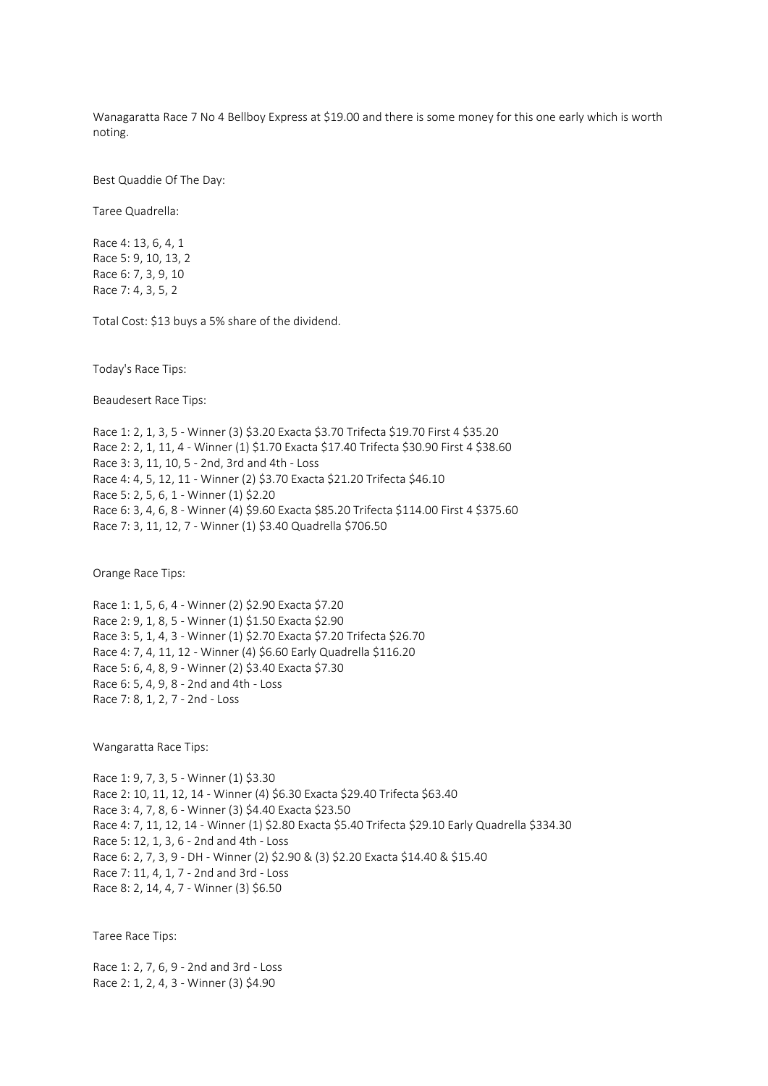Wanagaratta Race 7 No 4 Bellboy Express at \$19.00 and there is some money for this one early which is worth noting.

Best Quaddie Of The Day:

Taree Quadrella:

Race 4: 13, 6, 4, 1 Race 5: 9, 10, 13, 2 Race 6: 7, 3, 9, 10 Race 7: 4, 3, 5, 2

Total Cost: \$13 buys a 5% share of the dividend.

Today's Race Tips:

Beaudesert Race Tips:

Race 1: 2, 1, 3, 5 - Winner (3) \$3.20 Exacta \$3.70 Trifecta \$19.70 First 4 \$35.20 Race 2: 2, 1, 11, 4 - Winner (1) \$1.70 Exacta \$17.40 Trifecta \$30.90 First 4 \$38.60 Race 3: 3, 11, 10, 5 - 2nd, 3rd and 4th - Loss Race 4: 4, 5, 12, 11 - Winner (2) \$3.70 Exacta \$21.20 Trifecta \$46.10 Race 5: 2, 5, 6, 1 - Winner (1) \$2.20 Race 6: 3, 4, 6, 8 - Winner (4) \$9.60 Exacta \$85.20 Trifecta \$114.00 First 4 \$375.60 Race 7: 3, 11, 12, 7 - Winner (1) \$3.40 Quadrella \$706.50

Orange Race Tips:

Race 1: 1, 5, 6, 4 - Winner (2) \$2.90 Exacta \$7.20 Race 2: 9, 1, 8, 5 - Winner (1) \$1.50 Exacta \$2.90 Race 3: 5, 1, 4, 3 - Winner (1) \$2.70 Exacta \$7.20 Trifecta \$26.70 Race 4: 7, 4, 11, 12 - Winner (4) \$6.60 Early Quadrella \$116.20 Race 5: 6, 4, 8, 9 - Winner (2) \$3.40 Exacta \$7.30 Race 6: 5, 4, 9, 8 - 2nd and 4th - Loss Race 7: 8, 1, 2, 7 - 2nd - Loss

Wangaratta Race Tips:

Race 1: 9, 7, 3, 5 - Winner (1) \$3.30 Race 2: 10, 11, 12, 14 - Winner (4) \$6.30 Exacta \$29.40 Trifecta \$63.40 Race 3: 4, 7, 8, 6 - Winner (3) \$4.40 Exacta \$23.50 Race 4: 7, 11, 12, 14 - Winner (1) \$2.80 Exacta \$5.40 Trifecta \$29.10 Early Quadrella \$334.30 Race 5: 12, 1, 3, 6 - 2nd and 4th - Loss Race 6: 2, 7, 3, 9 - DH - Winner (2) \$2.90 & (3) \$2.20 Exacta \$14.40 & \$15.40 Race 7: 11, 4, 1, 7 - 2nd and 3rd - Loss Race 8: 2, 14, 4, 7 - Winner (3) \$6.50

Taree Race Tips:

Race 1: 2, 7, 6, 9 - 2nd and 3rd - Loss Race 2: 1, 2, 4, 3 - Winner (3) \$4.90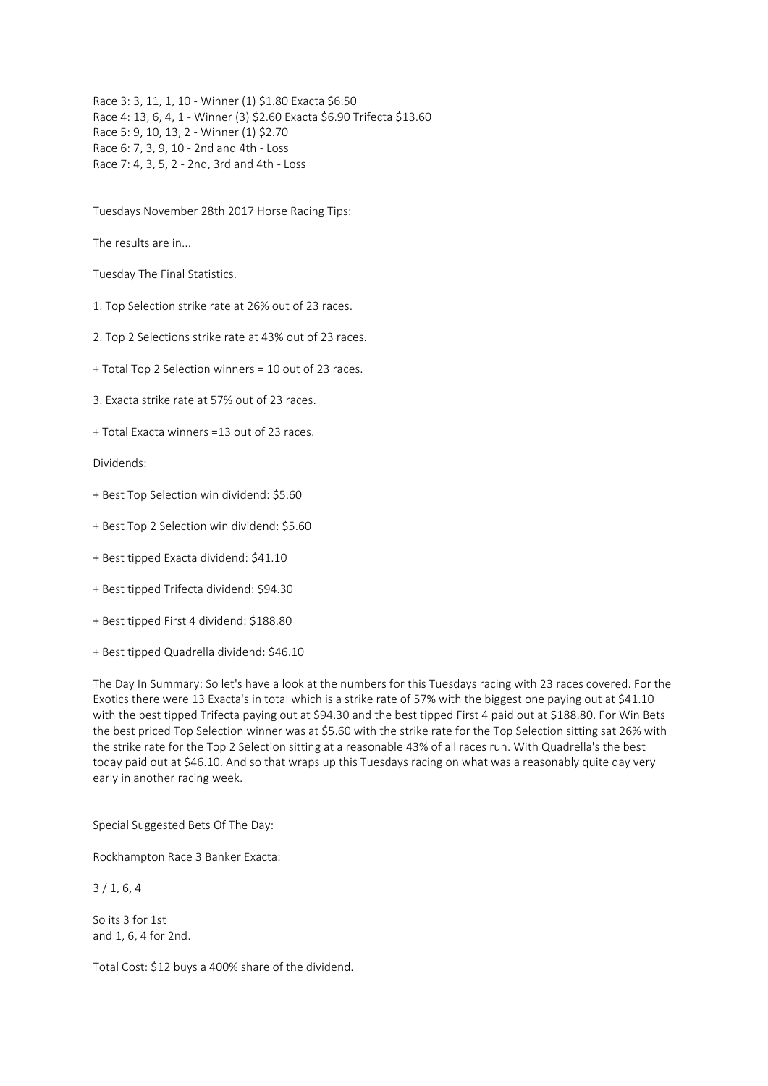Race 3: 3, 11, 1, 10 - Winner (1) \$1.80 Exacta \$6.50 Race 4: 13, 6, 4, 1 - Winner (3) \$2.60 Exacta \$6.90 Trifecta \$13.60 Race 5: 9, 10, 13, 2 - Winner (1) \$2.70 Race 6: 7, 3, 9, 10 - 2nd and 4th - Loss Race 7: 4, 3, 5, 2 - 2nd, 3rd and 4th - Loss

Tuesdays November 28th 2017 Horse Racing Tips:

The results are in...

Tuesday The Final Statistics.

1. Top Selection strike rate at 26% out of 23 races.

2. Top 2 Selections strike rate at 43% out of 23 races.

+ Total Top 2 Selection winners = 10 out of 23 races.

3. Exacta strike rate at 57% out of 23 races.

+ Total Exacta winners =13 out of 23 races.

Dividends:

- + Best Top Selection win dividend: \$5.60
- + Best Top 2 Selection win dividend: \$5.60
- + Best tipped Exacta dividend: \$41.10
- + Best tipped Trifecta dividend: \$94.30
- + Best tipped First 4 dividend: \$188.80
- + Best tipped Quadrella dividend: \$46.10

The Day In Summary: So let's have a look at the numbers for this Tuesdays racing with 23 races covered. For the Exotics there were 13 Exacta's in total which is a strike rate of 57% with the biggest one paying out at \$41.10 with the best tipped Trifecta paying out at \$94.30 and the best tipped First 4 paid out at \$188.80. For Win Bets the best priced Top Selection winner was at \$5.60 with the strike rate for the Top Selection sitting sat 26% with the strike rate for the Top 2 Selection sitting at a reasonable 43% of all races run. With Quadrella's the best today paid out at \$46.10. And so that wraps up this Tuesdays racing on what was a reasonably quite day very early in another racing week.

Special Suggested Bets Of The Day:

Rockhampton Race 3 Banker Exacta:

3 / 1, 6, 4

So its 3 for 1st and 1, 6, 4 for 2nd.

Total Cost: \$12 buys a 400% share of the dividend.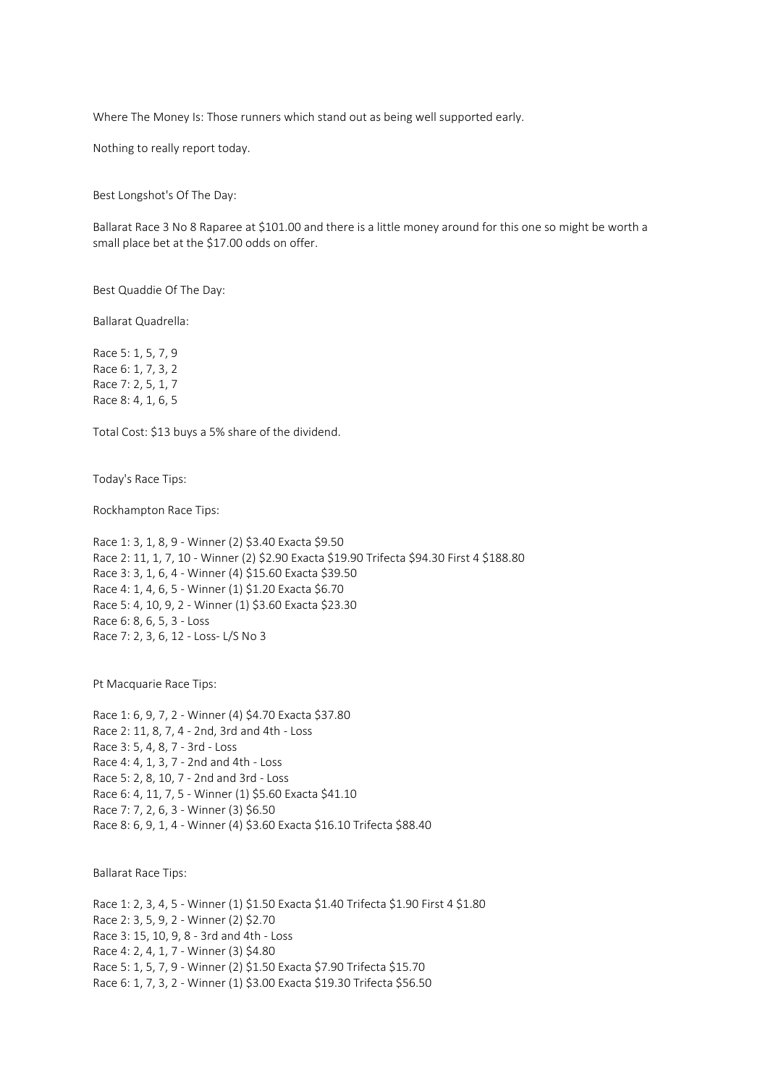Where The Money Is: Those runners which stand out as being well supported early.

Nothing to really report today.

Best Longshot's Of The Day:

Ballarat Race 3 No 8 Raparee at \$101.00 and there is a little money around for this one so might be worth a small place bet at the \$17.00 odds on offer.

Best Quaddie Of The Day:

Ballarat Quadrella:

Race 5: 1, 5, 7, 9 Race 6: 1, 7, 3, 2 Race 7: 2, 5, 1, 7 Race 8: 4, 1, 6, 5

Total Cost: \$13 buys a 5% share of the dividend.

Today's Race Tips:

Rockhampton Race Tips:

Race 1: 3, 1, 8, 9 - Winner (2) \$3.40 Exacta \$9.50 Race 2: 11, 1, 7, 10 - Winner (2) \$2.90 Exacta \$19.90 Trifecta \$94.30 First 4 \$188.80 Race 3: 3, 1, 6, 4 - Winner (4) \$15.60 Exacta \$39.50 Race 4: 1, 4, 6, 5 - Winner (1) \$1.20 Exacta \$6.70 Race 5: 4, 10, 9, 2 - Winner (1) \$3.60 Exacta \$23.30 Race 6: 8, 6, 5, 3 - Loss Race 7: 2, 3, 6, 12 - Loss- L/S No 3

Pt Macquarie Race Tips:

Race 1: 6, 9, 7, 2 - Winner (4) \$4.70 Exacta \$37.80 Race 2: 11, 8, 7, 4 - 2nd, 3rd and 4th - Loss Race 3: 5, 4, 8, 7 - 3rd - Loss Race 4: 4, 1, 3, 7 - 2nd and 4th - Loss Race 5: 2, 8, 10, 7 - 2nd and 3rd - Loss Race 6: 4, 11, 7, 5 - Winner (1) \$5.60 Exacta \$41.10 Race 7: 7, 2, 6, 3 - Winner (3) \$6.50 Race 8: 6, 9, 1, 4 - Winner (4) \$3.60 Exacta \$16.10 Trifecta \$88.40

Ballarat Race Tips:

Race 1: 2, 3, 4, 5 - Winner (1) \$1.50 Exacta \$1.40 Trifecta \$1.90 First 4 \$1.80 Race 2: 3, 5, 9, 2 - Winner (2) \$2.70 Race 3: 15, 10, 9, 8 - 3rd and 4th - Loss Race 4: 2, 4, 1, 7 - Winner (3) \$4.80 Race 5: 1, 5, 7, 9 - Winner (2) \$1.50 Exacta \$7.90 Trifecta \$15.70 Race 6: 1, 7, 3, 2 - Winner (1) \$3.00 Exacta \$19.30 Trifecta \$56.50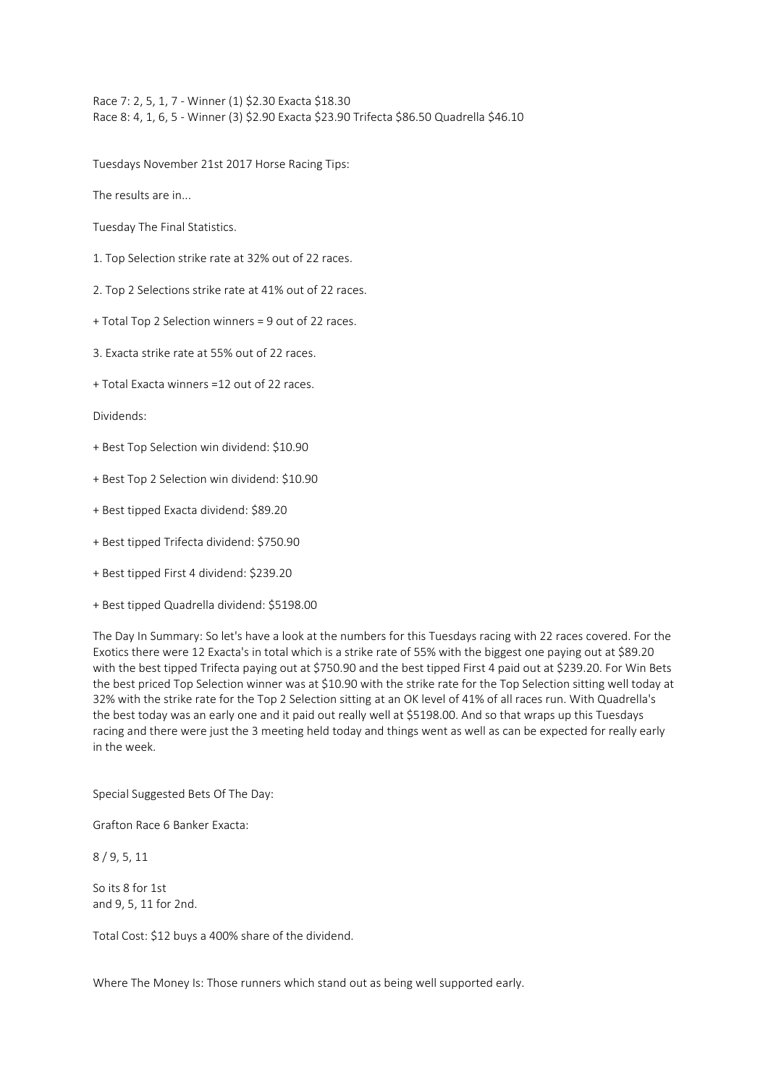Race 7: 2, 5, 1, 7 - Winner (1) \$2.30 Exacta \$18.30 Race 8: 4, 1, 6, 5 - Winner (3) \$2.90 Exacta \$23.90 Trifecta \$86.50 Quadrella \$46.10

Tuesdays November 21st 2017 Horse Racing Tips:

The results are in...

Tuesday The Final Statistics.

- 1. Top Selection strike rate at 32% out of 22 races.
- 2. Top 2 Selections strike rate at 41% out of 22 races.
- + Total Top 2 Selection winners = 9 out of 22 races.
- 3. Exacta strike rate at 55% out of 22 races.
- + Total Exacta winners =12 out of 22 races.

Dividends:

- + Best Top Selection win dividend: \$10.90
- + Best Top 2 Selection win dividend: \$10.90
- + Best tipped Exacta dividend: \$89.20
- + Best tipped Trifecta dividend: \$750.90
- + Best tipped First 4 dividend: \$239.20
- + Best tipped Quadrella dividend: \$5198.00

The Day In Summary: So let's have a look at the numbers for this Tuesdays racing with 22 races covered. For the Exotics there were 12 Exacta's in total which is a strike rate of 55% with the biggest one paying out at \$89.20 with the best tipped Trifecta paying out at \$750.90 and the best tipped First 4 paid out at \$239.20. For Win Bets the best priced Top Selection winner was at \$10.90 with the strike rate for the Top Selection sitting well today at 32% with the strike rate for the Top 2 Selection sitting at an OK level of 41% of all races run. With Quadrella's the best today was an early one and it paid out really well at \$5198.00. And so that wraps up this Tuesdays racing and there were just the 3 meeting held today and things went as well as can be expected for really early in the week.

Special Suggested Bets Of The Day:

Grafton Race 6 Banker Exacta:

8 / 9, 5, 11

So its 8 for 1st and 9, 5, 11 for 2nd.

Total Cost: \$12 buys a 400% share of the dividend.

Where The Money Is: Those runners which stand out as being well supported early.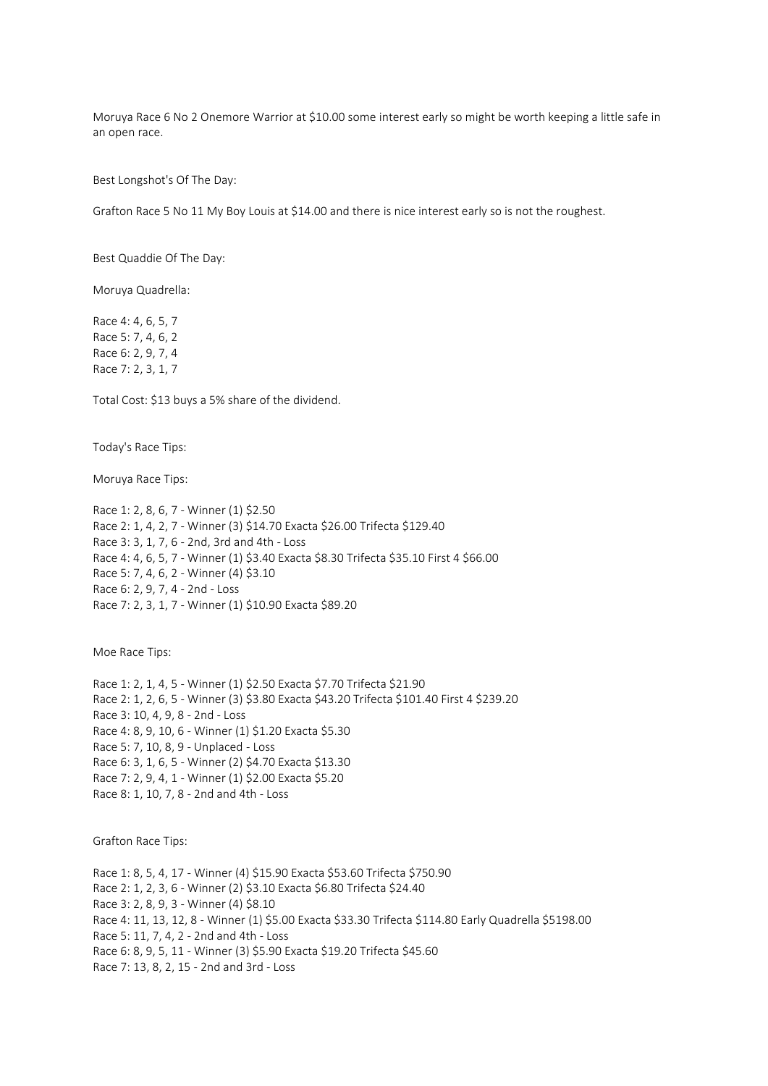Moruya Race 6 No 2 Onemore Warrior at \$10.00 some interest early so might be worth keeping a little safe in an open race.

Best Longshot's Of The Day:

Grafton Race 5 No 11 My Boy Louis at \$14.00 and there is nice interest early so is not the roughest.

Best Quaddie Of The Day:

Moruya Quadrella:

Race 4: 4, 6, 5, 7 Race 5: 7, 4, 6, 2 Race 6: 2, 9, 7, 4 Race 7: 2, 3, 1, 7

Total Cost: \$13 buys a 5% share of the dividend.

Today's Race Tips:

Moruya Race Tips:

Race 1: 2, 8, 6, 7 - Winner (1) \$2.50 Race 2: 1, 4, 2, 7 - Winner (3) \$14.70 Exacta \$26.00 Trifecta \$129.40 Race 3: 3, 1, 7, 6 - 2nd, 3rd and 4th - Loss Race 4: 4, 6, 5, 7 - Winner (1) \$3.40 Exacta \$8.30 Trifecta \$35.10 First 4 \$66.00 Race 5: 7, 4, 6, 2 - Winner (4) \$3.10 Race 6: 2, 9, 7, 4 - 2nd - Loss Race 7: 2, 3, 1, 7 - Winner (1) \$10.90 Exacta \$89.20

Moe Race Tips:

Race 1: 2, 1, 4, 5 - Winner (1) \$2.50 Exacta \$7.70 Trifecta \$21.90 Race 2: 1, 2, 6, 5 - Winner (3) \$3.80 Exacta \$43.20 Trifecta \$101.40 First 4 \$239.20 Race 3: 10, 4, 9, 8 - 2nd - Loss Race 4: 8, 9, 10, 6 - Winner (1) \$1.20 Exacta \$5.30 Race 5: 7, 10, 8, 9 - Unplaced - Loss Race 6: 3, 1, 6, 5 - Winner (2) \$4.70 Exacta \$13.30 Race 7: 2, 9, 4, 1 - Winner (1) \$2.00 Exacta \$5.20 Race 8: 1, 10, 7, 8 - 2nd and 4th - Loss

Grafton Race Tips:

Race 1: 8, 5, 4, 17 - Winner (4) \$15.90 Exacta \$53.60 Trifecta \$750.90 Race 2: 1, 2, 3, 6 - Winner (2) \$3.10 Exacta \$6.80 Trifecta \$24.40 Race 3: 2, 8, 9, 3 - Winner (4) \$8.10 Race 4: 11, 13, 12, 8 - Winner (1) \$5.00 Exacta \$33.30 Trifecta \$114.80 Early Quadrella \$5198.00 Race 5: 11, 7, 4, 2 - 2nd and 4th - Loss Race 6: 8, 9, 5, 11 - Winner (3) \$5.90 Exacta \$19.20 Trifecta \$45.60 Race 7: 13, 8, 2, 15 - 2nd and 3rd - Loss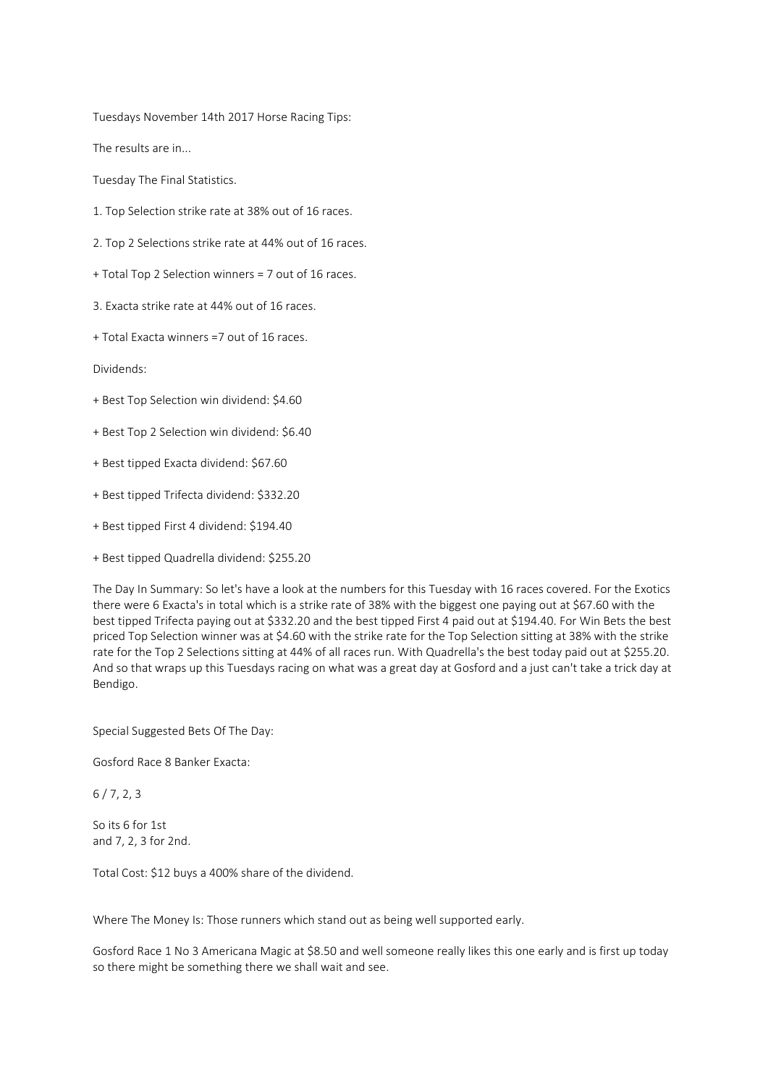Tuesdays November 14th 2017 Horse Racing Tips:

The results are in...

Tuesday The Final Statistics.

- 1. Top Selection strike rate at 38% out of 16 races.
- 2. Top 2 Selections strike rate at 44% out of 16 races.
- + Total Top 2 Selection winners = 7 out of 16 races.
- 3. Exacta strike rate at 44% out of 16 races.
- + Total Exacta winners =7 out of 16 races.

Dividends:

- + Best Top Selection win dividend: \$4.60
- + Best Top 2 Selection win dividend: \$6.40
- + Best tipped Exacta dividend: \$67.60
- + Best tipped Trifecta dividend: \$332.20
- + Best tipped First 4 dividend: \$194.40
- + Best tipped Quadrella dividend: \$255.20

The Day In Summary: So let's have a look at the numbers for this Tuesday with 16 races covered. For the Exotics there were 6 Exacta's in total which is a strike rate of 38% with the biggest one paying out at \$67.60 with the best tipped Trifecta paying out at \$332.20 and the best tipped First 4 paid out at \$194.40. For Win Bets the best priced Top Selection winner was at \$4.60 with the strike rate for the Top Selection sitting at 38% with the strike rate for the Top 2 Selections sitting at 44% of all races run. With Quadrella's the best today paid out at \$255.20. And so that wraps up this Tuesdays racing on what was a great day at Gosford and a just can't take a trick day at Bendigo.

Special Suggested Bets Of The Day:

Gosford Race 8 Banker Exacta:

 $6/7, 2, 3$ 

So its 6 for 1st and 7, 2, 3 for 2nd.

Total Cost: \$12 buys a 400% share of the dividend.

Where The Money Is: Those runners which stand out as being well supported early.

Gosford Race 1 No 3 Americana Magic at \$8.50 and well someone really likes this one early and is first up today so there might be something there we shall wait and see.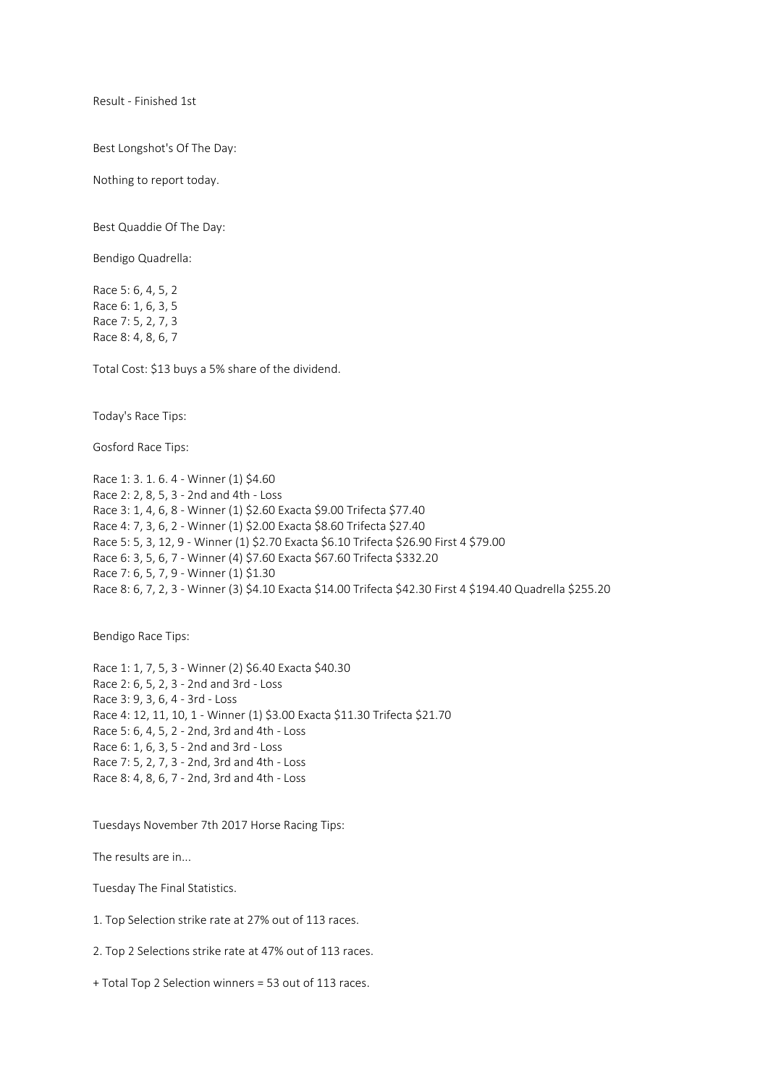Result - Finished 1st

Best Longshot's Of The Day:

Nothing to report today.

Best Quaddie Of The Day:

Bendigo Quadrella:

Race 5: 6, 4, 5, 2 Race 6: 1, 6, 3, 5 Race 7: 5, 2, 7, 3 Race 8: 4, 8, 6, 7

Total Cost: \$13 buys a 5% share of the dividend.

Today's Race Tips:

Gosford Race Tips:

Race 1: 3. 1. 6. 4 - Winner (1) \$4.60 Race 2: 2, 8, 5, 3 - 2nd and 4th - Loss Race 3: 1, 4, 6, 8 - Winner (1) \$2.60 Exacta \$9.00 Trifecta \$77.40 Race 4: 7, 3, 6, 2 - Winner (1) \$2.00 Exacta \$8.60 Trifecta \$27.40 Race 5: 5, 3, 12, 9 - Winner (1) \$2.70 Exacta \$6.10 Trifecta \$26.90 First 4 \$79.00 Race 6: 3, 5, 6, 7 - Winner (4) \$7.60 Exacta \$67.60 Trifecta \$332.20 Race 7: 6, 5, 7, 9 - Winner (1) \$1.30 Race 8: 6, 7, 2, 3 - Winner (3) \$4.10 Exacta \$14.00 Trifecta \$42.30 First 4 \$194.40 Quadrella \$255.20

Bendigo Race Tips:

Race 1: 1, 7, 5, 3 - Winner (2) \$6.40 Exacta \$40.30 Race 2: 6, 5, 2, 3 - 2nd and 3rd - Loss Race 3: 9, 3, 6, 4 - 3rd - Loss Race 4: 12, 11, 10, 1 - Winner (1) \$3.00 Exacta \$11.30 Trifecta \$21.70 Race 5: 6, 4, 5, 2 - 2nd, 3rd and 4th - Loss Race 6: 1, 6, 3, 5 - 2nd and 3rd - Loss Race 7: 5, 2, 7, 3 - 2nd, 3rd and 4th - Loss Race 8: 4, 8, 6, 7 - 2nd, 3rd and 4th - Loss

Tuesdays November 7th 2017 Horse Racing Tips:

The results are in...

Tuesday The Final Statistics.

1. Top Selection strike rate at 27% out of 113 races.

2. Top 2 Selections strike rate at 47% out of 113 races.

+ Total Top 2 Selection winners = 53 out of 113 races.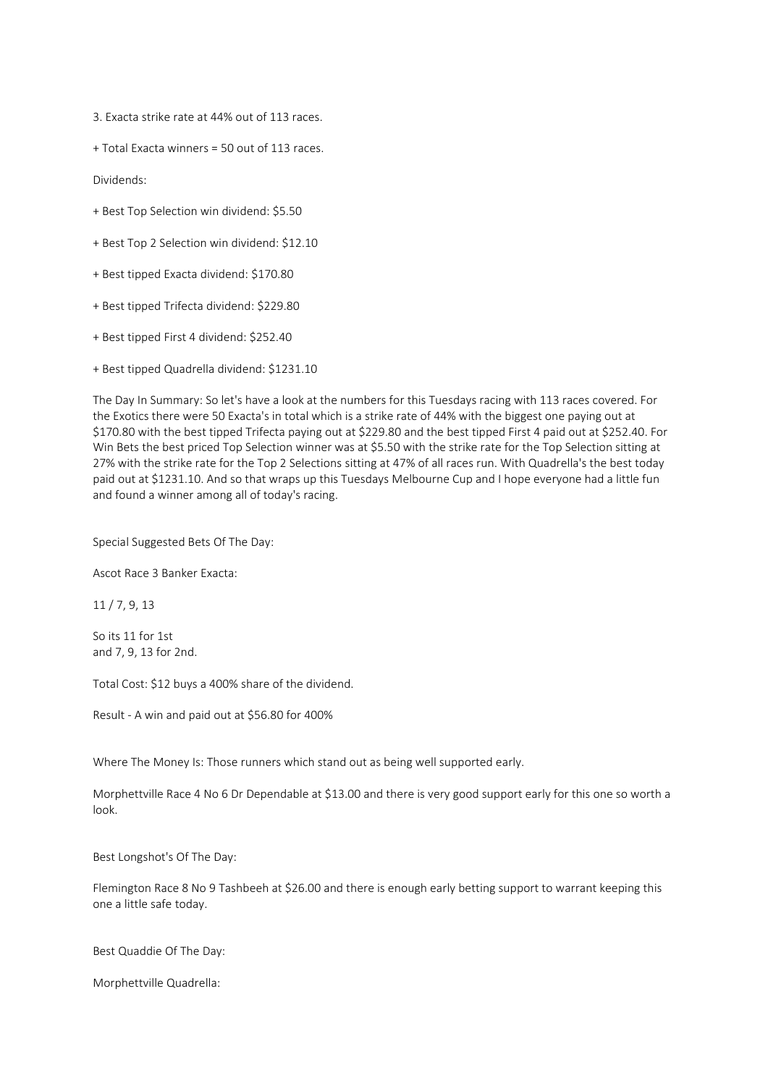3. Exacta strike rate at 44% out of 113 races.

+ Total Exacta winners = 50 out of 113 races.

Dividends:

- + Best Top Selection win dividend: \$5.50
- + Best Top 2 Selection win dividend: \$12.10
- + Best tipped Exacta dividend: \$170.80
- + Best tipped Trifecta dividend: \$229.80
- + Best tipped First 4 dividend: \$252.40
- + Best tipped Quadrella dividend: \$1231.10

The Day In Summary: So let's have a look at the numbers for this Tuesdays racing with 113 races covered. For the Exotics there were 50 Exacta's in total which is a strike rate of 44% with the biggest one paying out at \$170.80 with the best tipped Trifecta paying out at \$229.80 and the best tipped First 4 paid out at \$252.40. For Win Bets the best priced Top Selection winner was at \$5.50 with the strike rate for the Top Selection sitting at 27% with the strike rate for the Top 2 Selections sitting at 47% of all races run. With Quadrella's the best today paid out at \$1231.10. And so that wraps up this Tuesdays Melbourne Cup and I hope everyone had a little fun and found a winner among all of today's racing.

Special Suggested Bets Of The Day:

Ascot Race 3 Banker Exacta:

11 / 7, 9, 13

So its 11 for 1st and 7, 9, 13 for 2nd.

Total Cost: \$12 buys a 400% share of the dividend.

Result - A win and paid out at \$56.80 for 400%

Where The Money Is: Those runners which stand out as being well supported early.

Morphettville Race 4 No 6 Dr Dependable at \$13.00 and there is very good support early for this one so worth a look.

Best Longshot's Of The Day:

Flemington Race 8 No 9 Tashbeeh at \$26.00 and there is enough early betting support to warrant keeping this one a little safe today.

Best Quaddie Of The Day:

Morphettville Quadrella: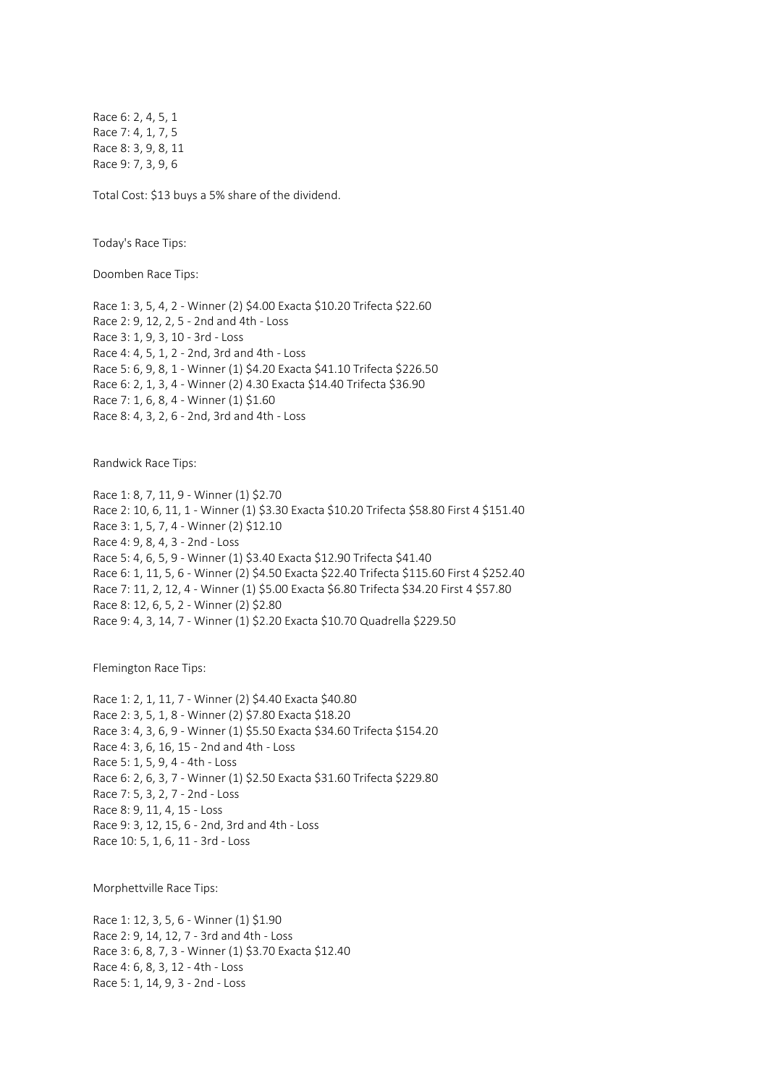Race 6: 2, 4, 5, 1 Race 7: 4, 1, 7, 5 Race 8: 3, 9, 8, 11 Race 9: 7, 3, 9, 6

Total Cost: \$13 buys a 5% share of the dividend.

Today's Race Tips:

Doomben Race Tips:

Race 1: 3, 5, 4, 2 - Winner (2) \$4.00 Exacta \$10.20 Trifecta \$22.60 Race 2: 9, 12, 2, 5 - 2nd and 4th - Loss Race 3: 1, 9, 3, 10 - 3rd - Loss Race 4: 4, 5, 1, 2 - 2nd, 3rd and 4th - Loss Race 5: 6, 9, 8, 1 - Winner (1) \$4.20 Exacta \$41.10 Trifecta \$226.50 Race 6: 2, 1, 3, 4 - Winner (2) 4.30 Exacta \$14.40 Trifecta \$36.90 Race 7: 1, 6, 8, 4 - Winner (1) \$1.60 Race 8: 4, 3, 2, 6 - 2nd, 3rd and 4th - Loss

Randwick Race Tips:

Race 1: 8, 7, 11, 9 - Winner (1) \$2.70 Race 2: 10, 6, 11, 1 - Winner (1) \$3.30 Exacta \$10.20 Trifecta \$58.80 First 4 \$151.40 Race 3: 1, 5, 7, 4 - Winner (2) \$12.10 Race 4: 9, 8, 4, 3 - 2nd - Loss Race 5: 4, 6, 5, 9 - Winner (1) \$3.40 Exacta \$12.90 Trifecta \$41.40 Race 6: 1, 11, 5, 6 - Winner (2) \$4.50 Exacta \$22.40 Trifecta \$115.60 First 4 \$252.40 Race 7: 11, 2, 12, 4 - Winner (1) \$5.00 Exacta \$6.80 Trifecta \$34.20 First 4 \$57.80 Race 8: 12, 6, 5, 2 - Winner (2) \$2.80 Race 9: 4, 3, 14, 7 - Winner (1) \$2.20 Exacta \$10.70 Quadrella \$229.50

Flemington Race Tips:

Race 1: 2, 1, 11, 7 - Winner (2) \$4.40 Exacta \$40.80 Race 2: 3, 5, 1, 8 - Winner (2) \$7.80 Exacta \$18.20 Race 3: 4, 3, 6, 9 - Winner (1) \$5.50 Exacta \$34.60 Trifecta \$154.20 Race 4: 3, 6, 16, 15 - 2nd and 4th - Loss Race 5: 1, 5, 9, 4 - 4th - Loss Race 6: 2, 6, 3, 7 - Winner (1) \$2.50 Exacta \$31.60 Trifecta \$229.80 Race 7: 5, 3, 2, 7 - 2nd - Loss Race 8: 9, 11, 4, 15 - Loss Race 9: 3, 12, 15, 6 - 2nd, 3rd and 4th - Loss Race 10: 5, 1, 6, 11 - 3rd - Loss

Morphettville Race Tips:

Race 1: 12, 3, 5, 6 - Winner (1) \$1.90 Race 2: 9, 14, 12, 7 - 3rd and 4th - Loss Race 3: 6, 8, 7, 3 - Winner (1) \$3.70 Exacta \$12.40 Race 4: 6, 8, 3, 12 - 4th - Loss Race 5: 1, 14, 9, 3 - 2nd - Loss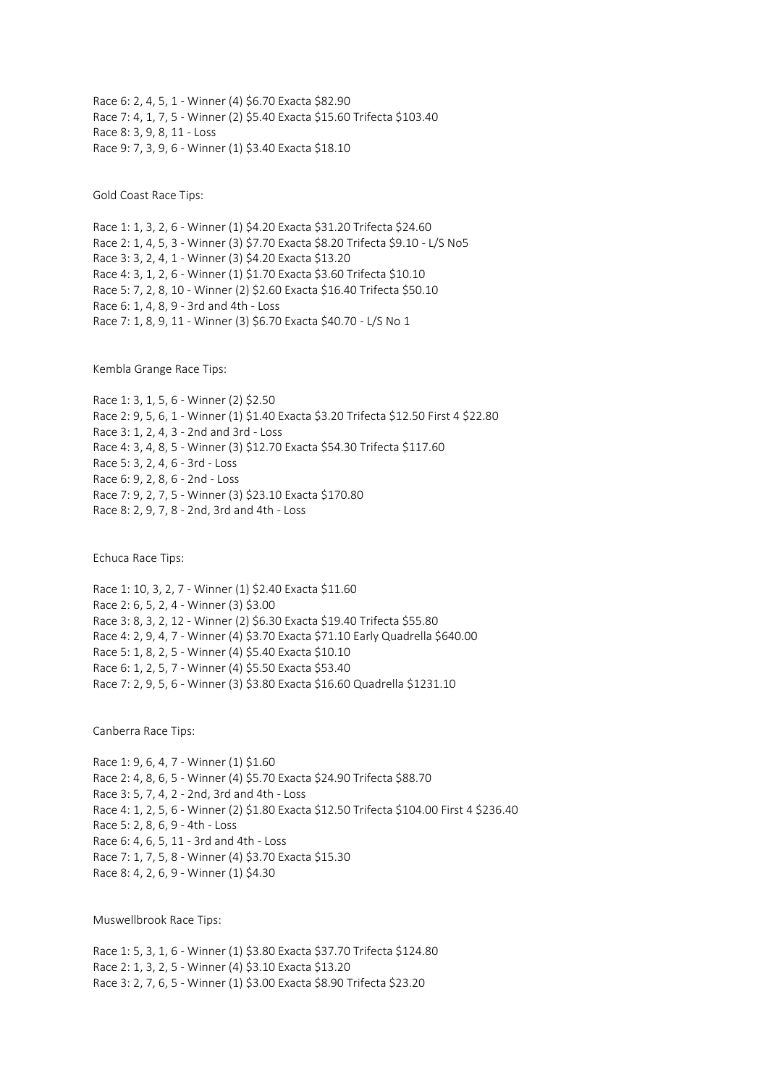Race 6: 2, 4, 5, 1 - Winner (4) \$6.70 Exacta \$82.90 Race 7: 4, 1, 7, 5 - Winner (2) \$5.40 Exacta \$15.60 Trifecta \$103.40 Race 8: 3, 9, 8, 11 - Loss Race 9: 7, 3, 9, 6 - Winner (1) \$3.40 Exacta \$18.10

Gold Coast Race Tips:

Race 1: 1, 3, 2, 6 - Winner (1) \$4.20 Exacta \$31.20 Trifecta \$24.60 Race 2: 1, 4, 5, 3 - Winner (3) \$7.70 Exacta \$8.20 Trifecta \$9.10 - L/S No5 Race 3: 3, 2, 4, 1 - Winner (3) \$4.20 Exacta \$13.20 Race 4: 3, 1, 2, 6 - Winner (1) \$1.70 Exacta \$3.60 Trifecta \$10.10 Race 5: 7, 2, 8, 10 - Winner (2) \$2.60 Exacta \$16.40 Trifecta \$50.10 Race 6: 1, 4, 8, 9 - 3rd and 4th - Loss Race 7: 1, 8, 9, 11 - Winner (3) \$6.70 Exacta \$40.70 - L/S No 1

Kembla Grange Race Tips:

Race 1: 3, 1, 5, 6 - Winner (2) \$2.50 Race 2: 9, 5, 6, 1 - Winner (1) \$1.40 Exacta \$3.20 Trifecta \$12.50 First 4 \$22.80 Race 3: 1, 2, 4, 3 - 2nd and 3rd - Loss Race 4: 3, 4, 8, 5 - Winner (3) \$12.70 Exacta \$54.30 Trifecta \$117.60 Race 5: 3, 2, 4, 6 - 3rd - Loss Race 6: 9, 2, 8, 6 - 2nd - Loss Race 7: 9, 2, 7, 5 - Winner (3) \$23.10 Exacta \$170.80 Race 8: 2, 9, 7, 8 - 2nd, 3rd and 4th - Loss

Echuca Race Tips:

Race 1: 10, 3, 2, 7 - Winner (1) \$2.40 Exacta \$11.60 Race 2: 6, 5, 2, 4 - Winner (3) \$3.00 Race 3: 8, 3, 2, 12 - Winner (2) \$6.30 Exacta \$19.40 Trifecta \$55.80 Race 4: 2, 9, 4, 7 - Winner (4) \$3.70 Exacta \$71.10 Early Quadrella \$640.00 Race 5: 1, 8, 2, 5 - Winner (4) \$5.40 Exacta \$10.10 Race 6: 1, 2, 5, 7 - Winner (4) \$5.50 Exacta \$53.40 Race 7: 2, 9, 5, 6 - Winner (3) \$3.80 Exacta \$16.60 Quadrella \$1231.10

Canberra Race Tips:

Race 1: 9, 6, 4, 7 - Winner (1) \$1.60 Race 2: 4, 8, 6, 5 - Winner (4) \$5.70 Exacta \$24.90 Trifecta \$88.70 Race 3: 5, 7, 4, 2 - 2nd, 3rd and 4th - Loss Race 4: 1, 2, 5, 6 - Winner (2) \$1.80 Exacta \$12.50 Trifecta \$104.00 First 4 \$236.40 Race 5: 2, 8, 6, 9 - 4th - Loss Race 6: 4, 6, 5, 11 - 3rd and 4th - Loss Race 7: 1, 7, 5, 8 - Winner (4) \$3.70 Exacta \$15.30 Race 8: 4, 2, 6, 9 - Winner (1) \$4.30

Muswellbrook Race Tips:

Race 1: 5, 3, 1, 6 - Winner (1) \$3.80 Exacta \$37.70 Trifecta \$124.80 Race 2: 1, 3, 2, 5 - Winner (4) \$3.10 Exacta \$13.20 Race 3: 2, 7, 6, 5 - Winner (1) \$3.00 Exacta \$8.90 Trifecta \$23.20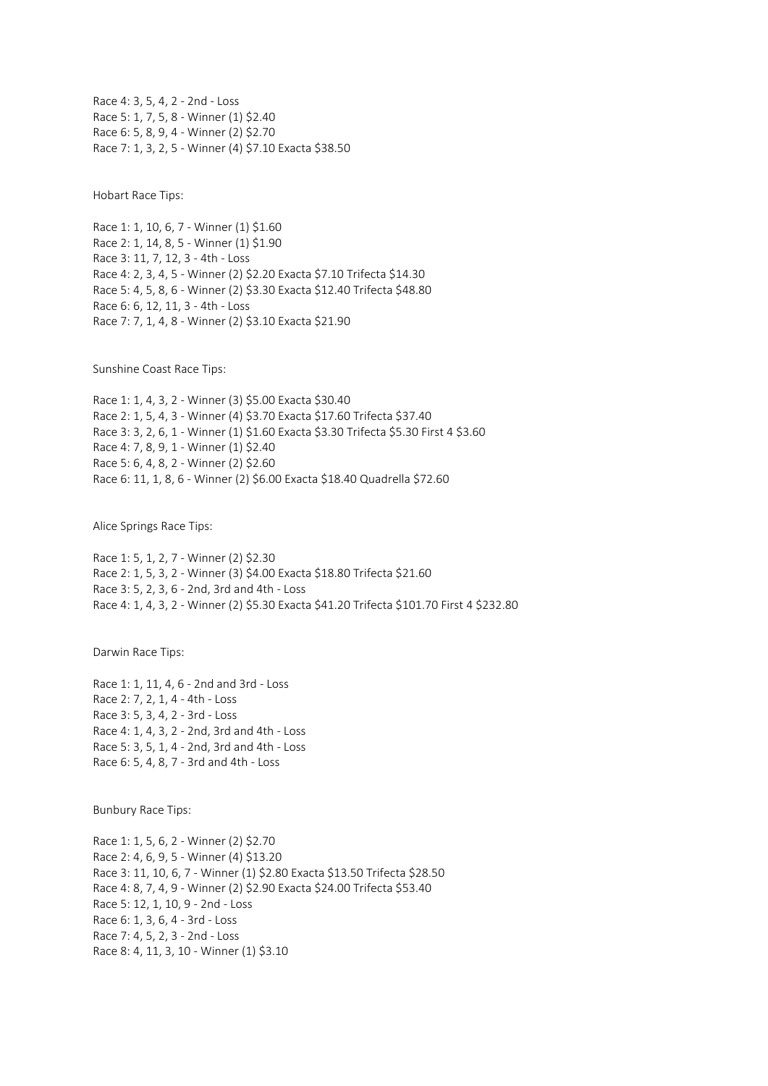Race 4: 3, 5, 4, 2 - 2nd - Loss Race 5: 1, 7, 5, 8 - Winner (1) \$2.40 Race 6: 5, 8, 9, 4 - Winner (2) \$2.70 Race 7: 1, 3, 2, 5 - Winner (4) \$7.10 Exacta \$38.50

Hobart Race Tips:

Race 1: 1, 10, 6, 7 - Winner (1) \$1.60 Race 2: 1, 14, 8, 5 - Winner (1) \$1.90 Race 3: 11, 7, 12, 3 - 4th - Loss Race 4: 2, 3, 4, 5 - Winner (2) \$2.20 Exacta \$7.10 Trifecta \$14.30 Race 5: 4, 5, 8, 6 - Winner (2) \$3.30 Exacta \$12.40 Trifecta \$48.80 Race 6: 6, 12, 11, 3 - 4th - Loss Race 7: 7, 1, 4, 8 - Winner (2) \$3.10 Exacta \$21.90

Sunshine Coast Race Tips:

Race 1: 1, 4, 3, 2 - Winner (3) \$5.00 Exacta \$30.40 Race 2: 1, 5, 4, 3 - Winner (4) \$3.70 Exacta \$17.60 Trifecta \$37.40 Race 3: 3, 2, 6, 1 - Winner (1) \$1.60 Exacta \$3.30 Trifecta \$5.30 First 4 \$3.60 Race 4: 7, 8, 9, 1 - Winner (1) \$2.40 Race 5: 6, 4, 8, 2 - Winner (2) \$2.60 Race 6: 11, 1, 8, 6 - Winner (2) \$6.00 Exacta \$18.40 Quadrella \$72.60

Alice Springs Race Tips:

Race 1: 5, 1, 2, 7 - Winner (2) \$2.30 Race 2: 1, 5, 3, 2 - Winner (3) \$4.00 Exacta \$18.80 Trifecta \$21.60 Race 3: 5, 2, 3, 6 - 2nd, 3rd and 4th - Loss Race 4: 1, 4, 3, 2 - Winner (2) \$5.30 Exacta \$41.20 Trifecta \$101.70 First 4 \$232.80

Darwin Race Tips:

Race 1: 1, 11, 4, 6 - 2nd and 3rd - Loss Race 2: 7, 2, 1, 4 - 4th - Loss Race 3: 5, 3, 4, 2 - 3rd - Loss Race 4: 1, 4, 3, 2 - 2nd, 3rd and 4th - Loss Race 5: 3, 5, 1, 4 - 2nd, 3rd and 4th - Loss Race 6: 5, 4, 8, 7 - 3rd and 4th - Loss

Bunbury Race Tips:

Race 1: 1, 5, 6, 2 - Winner (2) \$2.70 Race 2: 4, 6, 9, 5 - Winner (4) \$13.20 Race 3: 11, 10, 6, 7 - Winner (1) \$2.80 Exacta \$13.50 Trifecta \$28.50 Race 4: 8, 7, 4, 9 - Winner (2) \$2.90 Exacta \$24.00 Trifecta \$53.40 Race 5: 12, 1, 10, 9 - 2nd - Loss Race 6: 1, 3, 6, 4 - 3rd - Loss Race 7: 4, 5, 2, 3 - 2nd - Loss Race 8: 4, 11, 3, 10 - Winner (1) \$3.10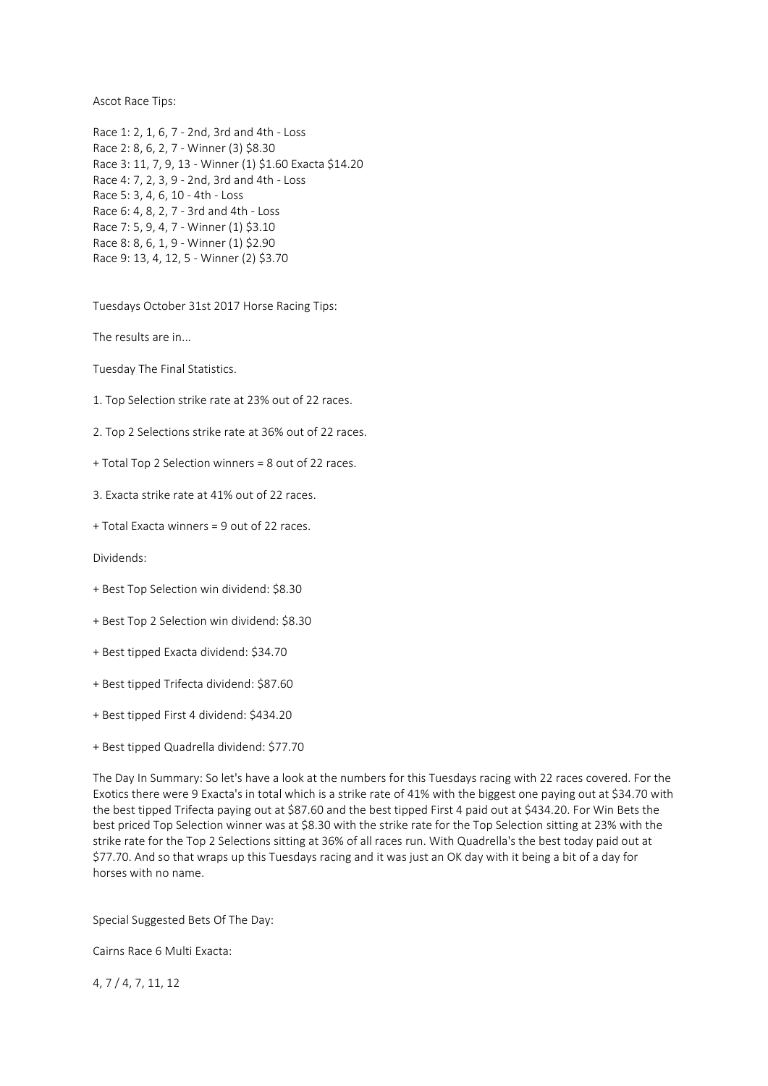Ascot Race Tips:

Race 1: 2, 1, 6, 7 - 2nd, 3rd and 4th - Loss Race 2: 8, 6, 2, 7 - Winner (3) \$8.30 Race 3: 11, 7, 9, 13 - Winner (1) \$1.60 Exacta \$14.20 Race 4: 7, 2, 3, 9 - 2nd, 3rd and 4th - Loss Race 5: 3, 4, 6, 10 - 4th - Loss Race 6: 4, 8, 2, 7 - 3rd and 4th - Loss Race 7: 5, 9, 4, 7 - Winner (1) \$3.10 Race 8: 8, 6, 1, 9 - Winner (1) \$2.90 Race 9: 13, 4, 12, 5 - Winner (2) \$3.70

Tuesdays October 31st 2017 Horse Racing Tips:

The results are in...

Tuesday The Final Statistics.

1. Top Selection strike rate at 23% out of 22 races.

2. Top 2 Selections strike rate at 36% out of 22 races.

+ Total Top 2 Selection winners = 8 out of 22 races.

3. Exacta strike rate at 41% out of 22 races.

+ Total Exacta winners = 9 out of 22 races.

Dividends:

- + Best Top Selection win dividend: \$8.30
- + Best Top 2 Selection win dividend: \$8.30
- + Best tipped Exacta dividend: \$34.70
- + Best tipped Trifecta dividend: \$87.60
- + Best tipped First 4 dividend: \$434.20
- + Best tipped Quadrella dividend: \$77.70

The Day In Summary: So let's have a look at the numbers for this Tuesdays racing with 22 races covered. For the Exotics there were 9 Exacta's in total which is a strike rate of 41% with the biggest one paying out at \$34.70 with the best tipped Trifecta paying out at \$87.60 and the best tipped First 4 paid out at \$434.20. For Win Bets the best priced Top Selection winner was at \$8.30 with the strike rate for the Top Selection sitting at 23% with the strike rate for the Top 2 Selections sitting at 36% of all races run. With Quadrella's the best today paid out at \$77.70. And so that wraps up this Tuesdays racing and it was just an OK day with it being a bit of a day for horses with no name.

Special Suggested Bets Of The Day:

Cairns Race 6 Multi Exacta:

4, 7 / 4, 7, 11, 12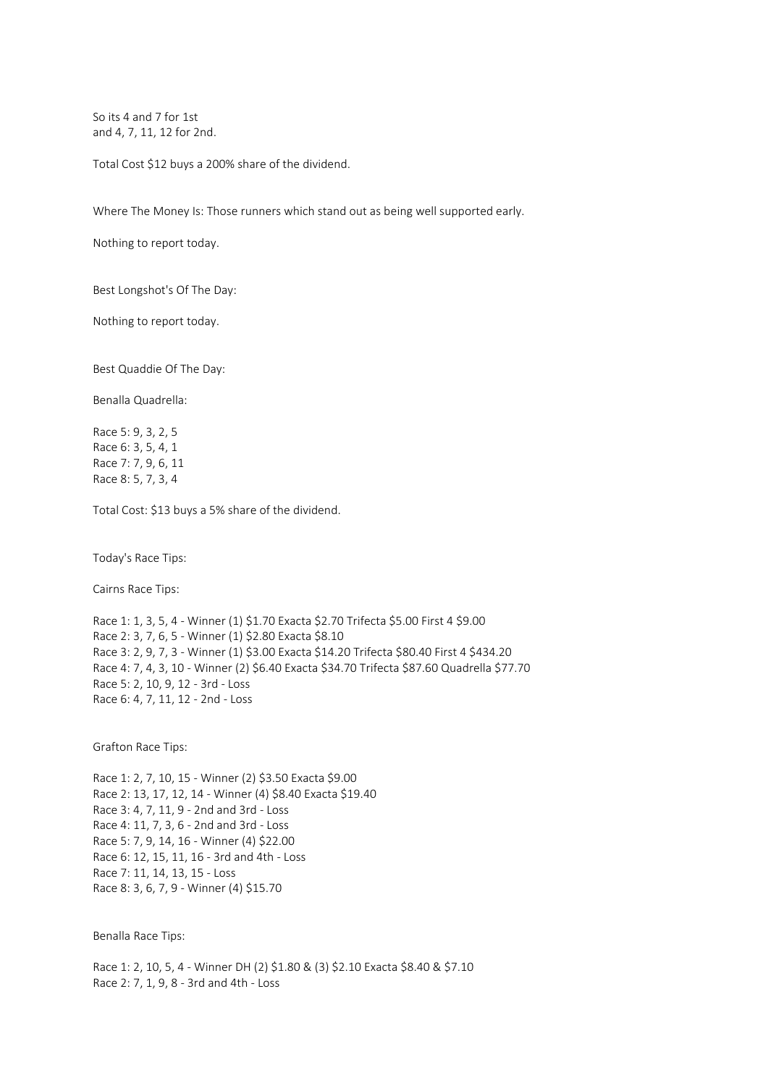So its 4 and 7 for 1st and 4, 7, 11, 12 for 2nd.

Total Cost \$12 buys a 200% share of the dividend.

Where The Money Is: Those runners which stand out as being well supported early.

Nothing to report today.

Best Longshot's Of The Day:

Nothing to report today.

Best Quaddie Of The Day:

Benalla Quadrella:

Race 5: 9, 3, 2, 5 Race 6: 3, 5, 4, 1 Race 7: 7, 9, 6, 11 Race 8: 5, 7, 3, 4

Total Cost: \$13 buys a 5% share of the dividend.

Today's Race Tips:

Cairns Race Tips:

Race 1: 1, 3, 5, 4 - Winner (1) \$1.70 Exacta \$2.70 Trifecta \$5.00 First 4 \$9.00 Race 2: 3, 7, 6, 5 - Winner (1) \$2.80 Exacta \$8.10 Race 3: 2, 9, 7, 3 - Winner (1) \$3.00 Exacta \$14.20 Trifecta \$80.40 First 4 \$434.20 Race 4: 7, 4, 3, 10 - Winner (2) \$6.40 Exacta \$34.70 Trifecta \$87.60 Quadrella \$77.70 Race 5: 2, 10, 9, 12 - 3rd - Loss Race 6: 4, 7, 11, 12 - 2nd - Loss

Grafton Race Tips:

Race 1: 2, 7, 10, 15 - Winner (2) \$3.50 Exacta \$9.00 Race 2: 13, 17, 12, 14 - Winner (4) \$8.40 Exacta \$19.40 Race 3: 4, 7, 11, 9 - 2nd and 3rd - Loss Race 4: 11, 7, 3, 6 - 2nd and 3rd - Loss Race 5: 7, 9, 14, 16 - Winner (4) \$22.00 Race 6: 12, 15, 11, 16 - 3rd and 4th - Loss Race 7: 11, 14, 13, 15 - Loss Race 8: 3, 6, 7, 9 - Winner (4) \$15.70

Benalla Race Tips:

Race 1: 2, 10, 5, 4 - Winner DH (2) \$1.80 & (3) \$2.10 Exacta \$8.40 & \$7.10 Race 2: 7, 1, 9, 8 - 3rd and 4th - Loss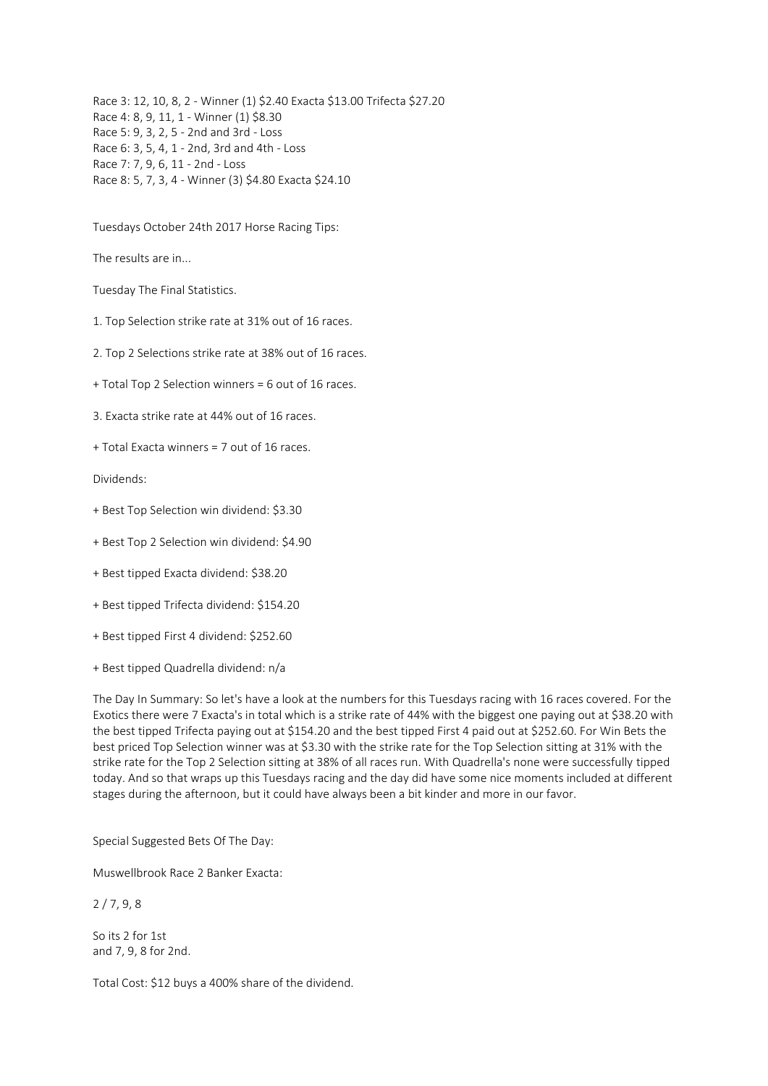Race 3: 12, 10, 8, 2 - Winner (1) \$2.40 Exacta \$13.00 Trifecta \$27.20 Race 4: 8, 9, 11, 1 - Winner (1) \$8.30 Race 5: 9, 3, 2, 5 - 2nd and 3rd - Loss Race 6: 3, 5, 4, 1 - 2nd, 3rd and 4th - Loss Race 7: 7, 9, 6, 11 - 2nd - Loss Race 8: 5, 7, 3, 4 - Winner (3) \$4.80 Exacta \$24.10

Tuesdays October 24th 2017 Horse Racing Tips:

The results are in...

Tuesday The Final Statistics.

1. Top Selection strike rate at 31% out of 16 races.

2. Top 2 Selections strike rate at 38% out of 16 races.

+ Total Top 2 Selection winners = 6 out of 16 races.

3. Exacta strike rate at 44% out of 16 races.

+ Total Exacta winners = 7 out of 16 races.

Dividends:

+ Best Top Selection win dividend: \$3.30

+ Best Top 2 Selection win dividend: \$4.90

+ Best tipped Exacta dividend: \$38.20

+ Best tipped Trifecta dividend: \$154.20

+ Best tipped First 4 dividend: \$252.60

+ Best tipped Quadrella dividend: n/a

The Day In Summary: So let's have a look at the numbers for this Tuesdays racing with 16 races covered. For the Exotics there were 7 Exacta's in total which is a strike rate of 44% with the biggest one paying out at \$38.20 with the best tipped Trifecta paying out at \$154.20 and the best tipped First 4 paid out at \$252.60. For Win Bets the best priced Top Selection winner was at \$3.30 with the strike rate for the Top Selection sitting at 31% with the strike rate for the Top 2 Selection sitting at 38% of all races run. With Quadrella's none were successfully tipped today. And so that wraps up this Tuesdays racing and the day did have some nice moments included at different stages during the afternoon, but it could have always been a bit kinder and more in our favor.

Special Suggested Bets Of The Day:

Muswellbrook Race 2 Banker Exacta:

2 / 7, 9, 8

So its 2 for 1st and 7, 9, 8 for 2nd.

Total Cost: \$12 buys a 400% share of the dividend.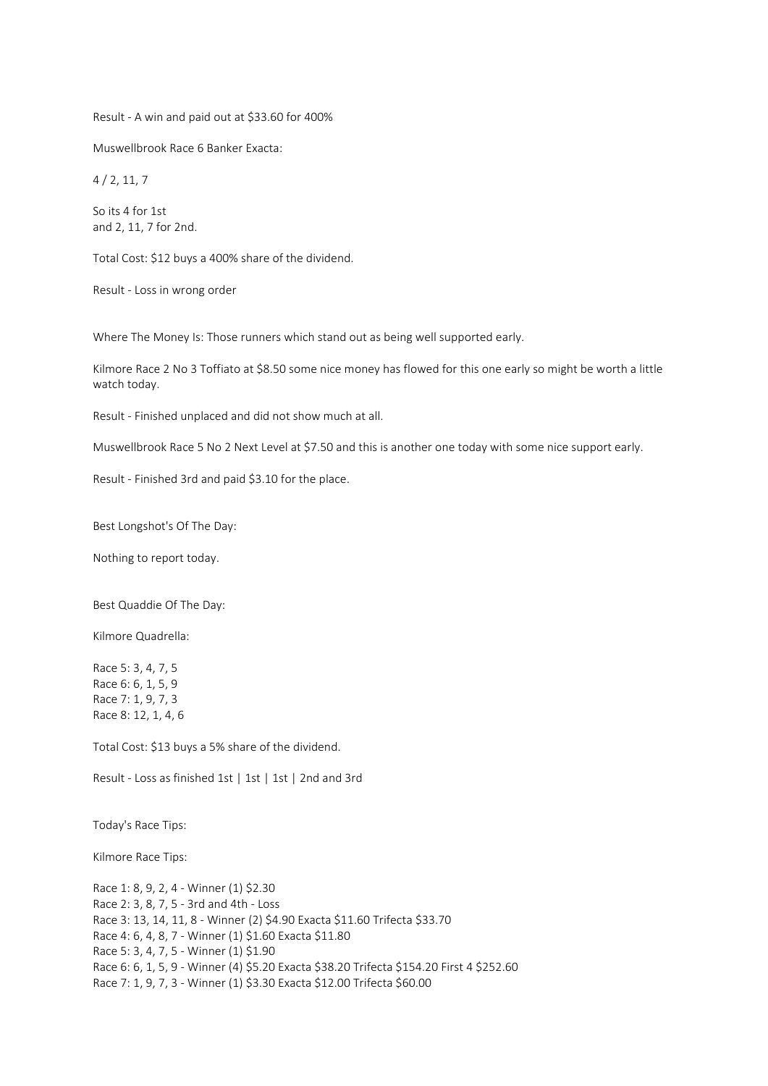Result - A win and paid out at \$33.60 for 400%

Muswellbrook Race 6 Banker Exacta:

4 / 2, 11, 7

So its 4 for 1st and 2, 11, 7 for 2nd.

Total Cost: \$12 buys a 400% share of the dividend.

Result - Loss in wrong order

Where The Money Is: Those runners which stand out as being well supported early.

Kilmore Race 2 No 3 Toffiato at \$8.50 some nice money has flowed for this one early so might be worth a little watch today.

Result - Finished unplaced and did not show much at all.

Muswellbrook Race 5 No 2 Next Level at \$7.50 and this is another one today with some nice support early.

Result - Finished 3rd and paid \$3.10 for the place.

Best Longshot's Of The Day:

Nothing to report today.

Best Quaddie Of The Day:

Kilmore Quadrella:

Race 5: 3, 4, 7, 5 Race 6: 6, 1, 5, 9 Race 7: 1, 9, 7, 3 Race 8: 12, 1, 4, 6

Total Cost: \$13 buys a 5% share of the dividend.

Result - Loss as finished 1st | 1st | 1st | 2nd and 3rd

Today's Race Tips:

Kilmore Race Tips:

Race 1: 8, 9, 2, 4 - Winner (1) \$2.30 Race 2: 3, 8, 7, 5 - 3rd and 4th - Loss Race 3: 13, 14, 11, 8 - Winner (2) \$4.90 Exacta \$11.60 Trifecta \$33.70 Race 4: 6, 4, 8, 7 - Winner (1) \$1.60 Exacta \$11.80 Race 5: 3, 4, 7, 5 - Winner (1) \$1.90 Race 6: 6, 1, 5, 9 - Winner (4) \$5.20 Exacta \$38.20 Trifecta \$154.20 First 4 \$252.60 Race 7: 1, 9, 7, 3 - Winner (1) \$3.30 Exacta \$12.00 Trifecta \$60.00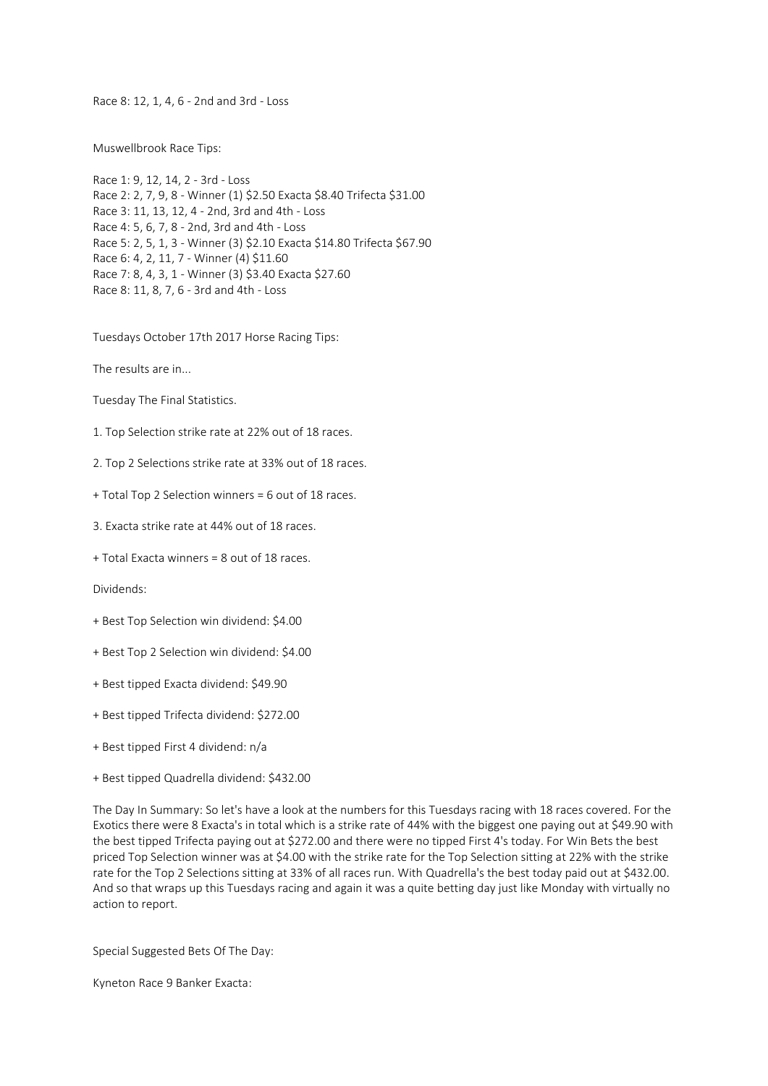Race 8: 12, 1, 4, 6 - 2nd and 3rd - Loss

Muswellbrook Race Tips:

Race 1: 9, 12, 14, 2 - 3rd - Loss Race 2: 2, 7, 9, 8 - Winner (1) \$2.50 Exacta \$8.40 Trifecta \$31.00 Race 3: 11, 13, 12, 4 - 2nd, 3rd and 4th - Loss Race 4: 5, 6, 7, 8 - 2nd, 3rd and 4th - Loss Race 5: 2, 5, 1, 3 - Winner (3) \$2.10 Exacta \$14.80 Trifecta \$67.90 Race 6: 4, 2, 11, 7 - Winner (4) \$11.60 Race 7: 8, 4, 3, 1 - Winner (3) \$3.40 Exacta \$27.60 Race 8: 11, 8, 7, 6 - 3rd and 4th - Loss

Tuesdays October 17th 2017 Horse Racing Tips:

The results are in...

Tuesday The Final Statistics.

1. Top Selection strike rate at 22% out of 18 races.

2. Top 2 Selections strike rate at 33% out of 18 races.

+ Total Top 2 Selection winners = 6 out of 18 races.

3. Exacta strike rate at 44% out of 18 races.

+ Total Exacta winners = 8 out of 18 races.

Dividends:

+ Best Top Selection win dividend: \$4.00

+ Best Top 2 Selection win dividend: \$4.00

+ Best tipped Exacta dividend: \$49.90

+ Best tipped Trifecta dividend: \$272.00

+ Best tipped First 4 dividend: n/a

+ Best tipped Quadrella dividend: \$432.00

The Day In Summary: So let's have a look at the numbers for this Tuesdays racing with 18 races covered. For the Exotics there were 8 Exacta's in total which is a strike rate of 44% with the biggest one paying out at \$49.90 with the best tipped Trifecta paying out at \$272.00 and there were no tipped First 4's today. For Win Bets the best priced Top Selection winner was at \$4.00 with the strike rate for the Top Selection sitting at 22% with the strike rate for the Top 2 Selections sitting at 33% of all races run. With Quadrella's the best today paid out at \$432.00. And so that wraps up this Tuesdays racing and again it was a quite betting day just like Monday with virtually no action to report.

Special Suggested Bets Of The Day:

Kyneton Race 9 Banker Exacta: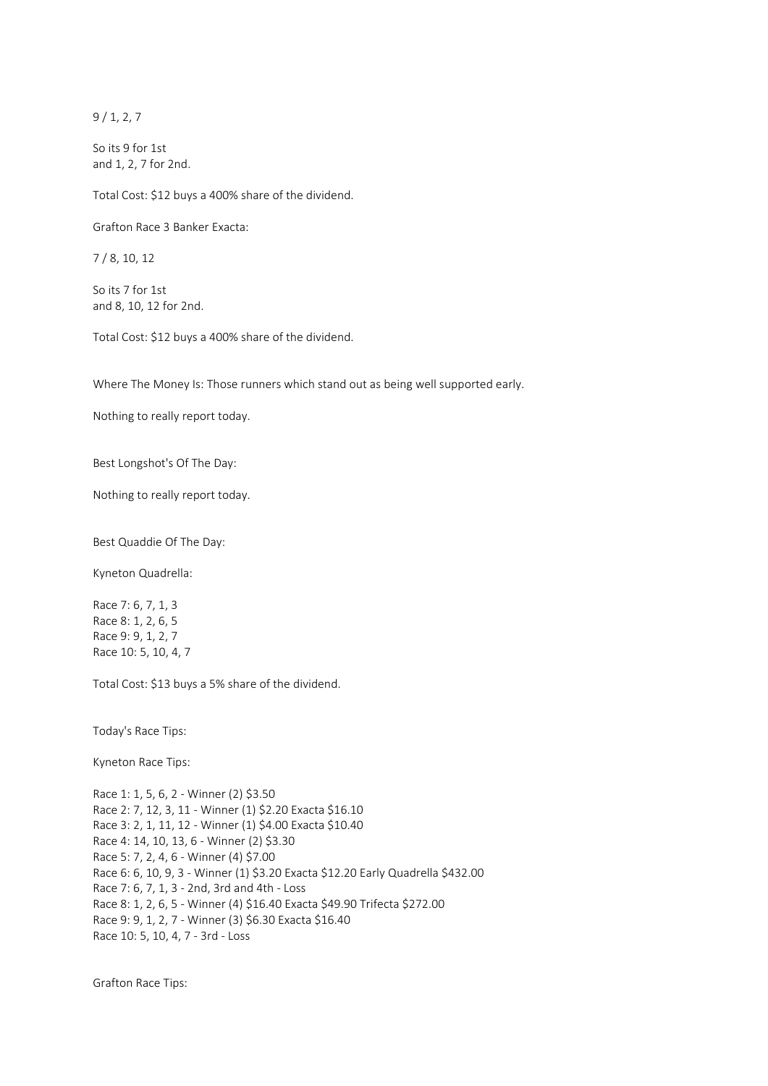9 / 1, 2, 7

So its 9 for 1st and 1, 2, 7 for 2nd.

Total Cost: \$12 buys a 400% share of the dividend.

Grafton Race 3 Banker Exacta:

7 / 8, 10, 12

So its 7 for 1st and 8, 10, 12 for 2nd.

Total Cost: \$12 buys a 400% share of the dividend.

Where The Money Is: Those runners which stand out as being well supported early.

Nothing to really report today.

Best Longshot's Of The Day:

Nothing to really report today.

Best Quaddie Of The Day:

Kyneton Quadrella:

Race 7: 6, 7, 1, 3 Race 8: 1, 2, 6, 5 Race 9: 9, 1, 2, 7 Race 10: 5, 10, 4, 7

Total Cost: \$13 buys a 5% share of the dividend.

Today's Race Tips:

Kyneton Race Tips:

Race 1: 1, 5, 6, 2 - Winner (2) \$3.50 Race 2: 7, 12, 3, 11 - Winner (1) \$2.20 Exacta \$16.10 Race 3: 2, 1, 11, 12 - Winner (1) \$4.00 Exacta \$10.40 Race 4: 14, 10, 13, 6 - Winner (2) \$3.30 Race 5: 7, 2, 4, 6 - Winner (4) \$7.00 Race 6: 6, 10, 9, 3 - Winner (1) \$3.20 Exacta \$12.20 Early Quadrella \$432.00 Race 7: 6, 7, 1, 3 - 2nd, 3rd and 4th - Loss Race 8: 1, 2, 6, 5 - Winner (4) \$16.40 Exacta \$49.90 Trifecta \$272.00 Race 9: 9, 1, 2, 7 - Winner (3) \$6.30 Exacta \$16.40 Race 10: 5, 10, 4, 7 - 3rd - Loss

Grafton Race Tips: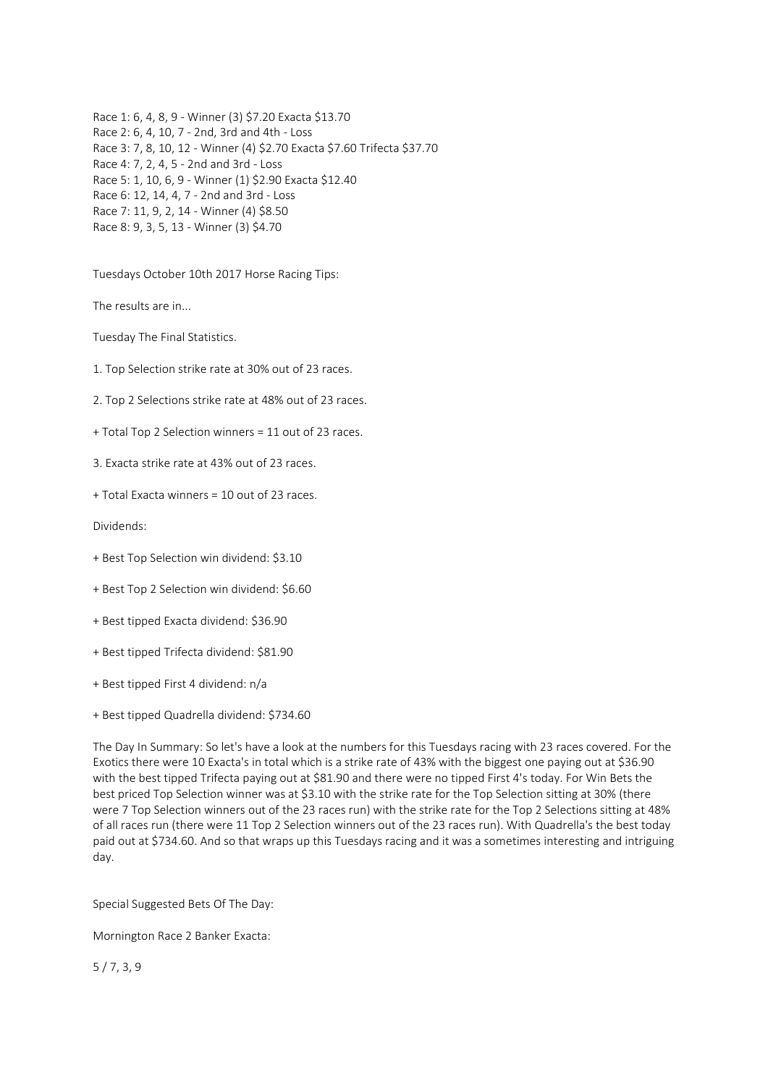Race 1: 6, 4, 8, 9 - Winner (3) \$7.20 Exacta \$13.70 Race 2: 6, 4, 10, 7 - 2nd, 3rd and 4th - Loss Race 3: 7, 8, 10, 12 - Winner (4) \$2.70 Exacta \$7.60 Trifecta \$37.70 Race 4: 7, 2, 4, 5 - 2nd and 3rd - Loss Race 5: 1, 10, 6, 9 - Winner (1) \$2.90 Exacta \$12.40 Race 6: 12, 14, 4, 7 - 2nd and 3rd - Loss Race 7: 11, 9, 2, 14 - Winner (4) \$8.50 Race 8: 9, 3, 5, 13 - Winner (3) \$4.70

Tuesdays October 10th 2017 Horse Racing Tips:

The results are in...

Tuesday The Final Statistics.

1. Top Selection strike rate at 30% out of 23 races.

2. Top 2 Selections strike rate at 48% out of 23 races.

+ Total Top 2 Selection winners = 11 out of 23 races.

3. Exacta strike rate at 43% out of 23 races.

+ Total Exacta winners = 10 out of 23 races.

Dividends:

- + Best Top Selection win dividend: \$3.10
- + Best Top 2 Selection win dividend: \$6.60
- + Best tipped Exacta dividend: \$36.90
- + Best tipped Trifecta dividend: \$81.90
- + Best tipped First 4 dividend: n/a
- + Best tipped Quadrella dividend: \$734.60

The Day In Summary: So let's have a look at the numbers for this Tuesdays racing with 23 races covered. For the Exotics there were 10 Exacta's in total which is a strike rate of 43% with the biggest one paying out at \$36.90 with the best tipped Trifecta paying out at \$81.90 and there were no tipped First 4's today. For Win Bets the best priced Top Selection winner was at \$3.10 with the strike rate for the Top Selection sitting at 30% (there were 7 Top Selection winners out of the 23 races run) with the strike rate for the Top 2 Selections sitting at 48% of all races run (there were 11 Top 2 Selection winners out of the 23 races run). With Quadrella's the best today paid out at \$734.60. And so that wraps up this Tuesdays racing and it was a sometimes interesting and intriguing day.

Special Suggested Bets Of The Day:

Mornington Race 2 Banker Exacta:

5 / 7, 3, 9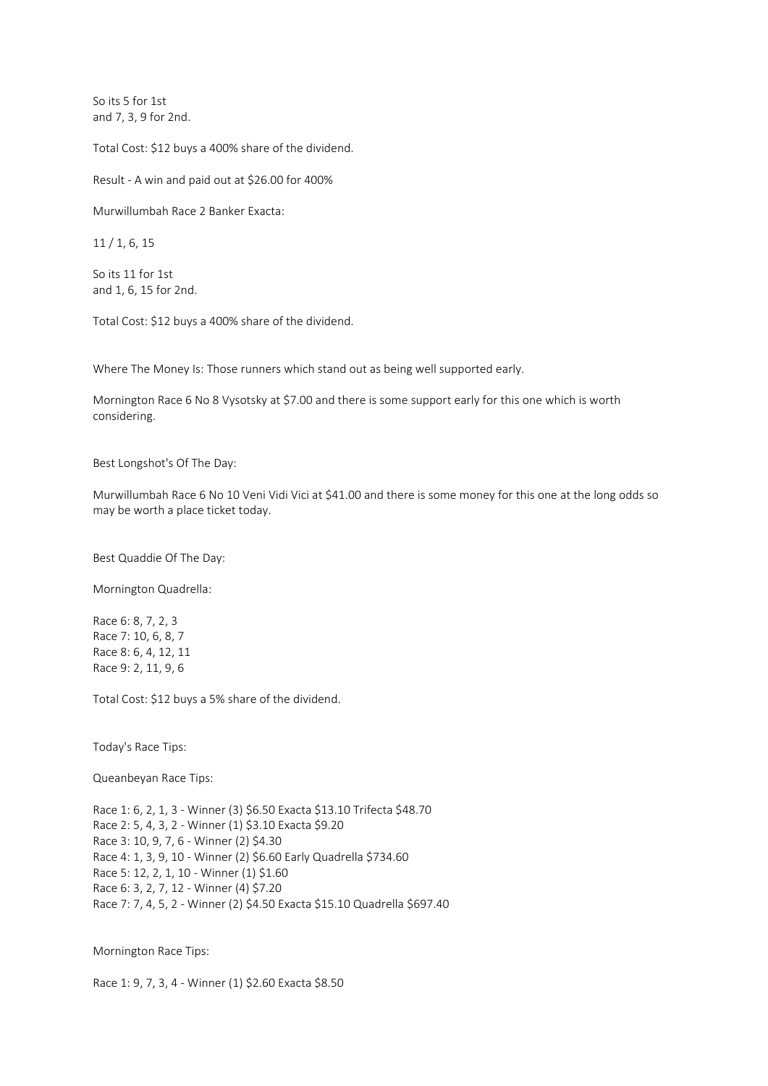So its 5 for 1st and 7, 3, 9 for 2nd.

Total Cost: \$12 buys a 400% share of the dividend.

Result - A win and paid out at \$26.00 for 400%

Murwillumbah Race 2 Banker Exacta:

11 / 1, 6, 15

So its 11 for 1st and 1, 6, 15 for 2nd.

Total Cost: \$12 buys a 400% share of the dividend.

Where The Money Is: Those runners which stand out as being well supported early.

Mornington Race 6 No 8 Vysotsky at \$7.00 and there is some support early for this one which is worth considering.

Best Longshot's Of The Day:

Murwillumbah Race 6 No 10 Veni Vidi Vici at \$41.00 and there is some money for this one at the long odds so may be worth a place ticket today.

Best Quaddie Of The Day:

Mornington Quadrella:

Race 6: 8, 7, 2, 3 Race 7: 10, 6, 8, 7 Race 8: 6, 4, 12, 11 Race 9: 2, 11, 9, 6

Total Cost: \$12 buys a 5% share of the dividend.

Today's Race Tips:

Queanbeyan Race Tips:

Race 1: 6, 2, 1, 3 - Winner (3) \$6.50 Exacta \$13.10 Trifecta \$48.70 Race 2: 5, 4, 3, 2 - Winner (1) \$3.10 Exacta \$9.20 Race 3: 10, 9, 7, 6 - Winner (2) \$4.30 Race 4: 1, 3, 9, 10 - Winner (2) \$6.60 Early Quadrella \$734.60 Race 5: 12, 2, 1, 10 - Winner (1) \$1.60 Race 6: 3, 2, 7, 12 - Winner (4) \$7.20 Race 7: 7, 4, 5, 2 - Winner (2) \$4.50 Exacta \$15.10 Quadrella \$697.40

Mornington Race Tips:

Race 1: 9, 7, 3, 4 - Winner (1) \$2.60 Exacta \$8.50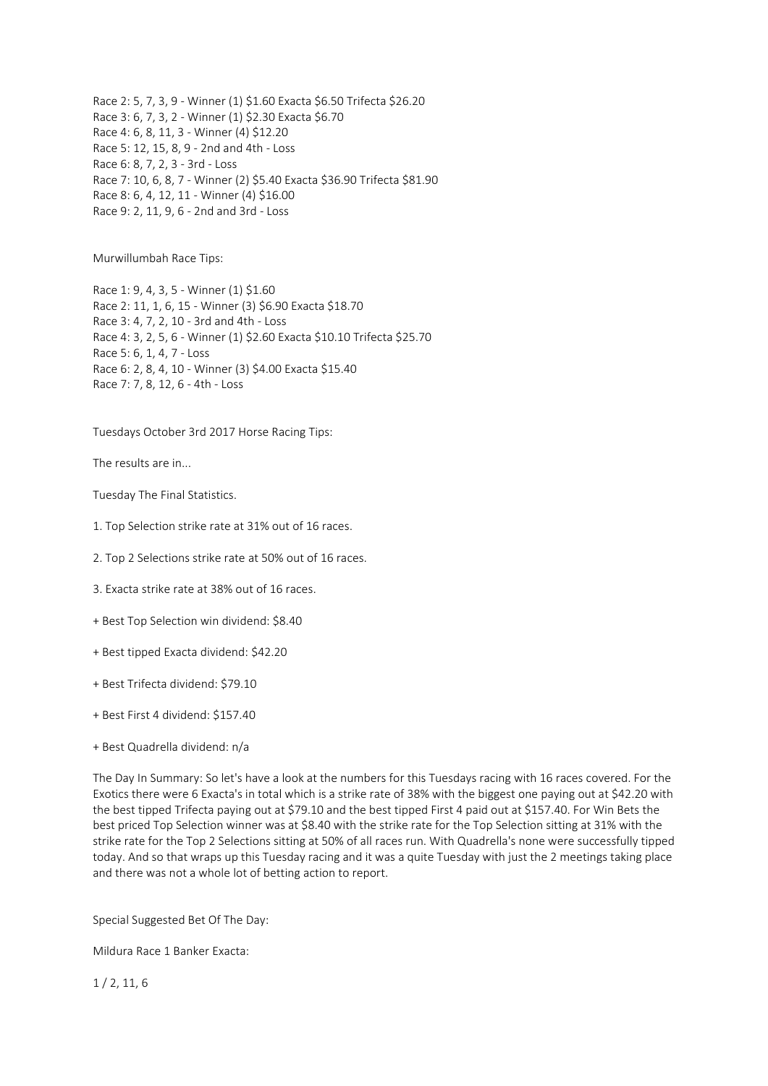Race 2: 5, 7, 3, 9 - Winner (1) \$1.60 Exacta \$6.50 Trifecta \$26.20 Race 3: 6, 7, 3, 2 - Winner (1) \$2.30 Exacta \$6.70 Race 4: 6, 8, 11, 3 - Winner (4) \$12.20 Race 5: 12, 15, 8, 9 - 2nd and 4th - Loss Race 6: 8, 7, 2, 3 - 3rd - Loss Race 7: 10, 6, 8, 7 - Winner (2) \$5.40 Exacta \$36.90 Trifecta \$81.90 Race 8: 6, 4, 12, 11 - Winner (4) \$16.00 Race 9: 2, 11, 9, 6 - 2nd and 3rd - Loss

Murwillumbah Race Tips:

Race 1: 9, 4, 3, 5 - Winner (1) \$1.60 Race 2: 11, 1, 6, 15 - Winner (3) \$6.90 Exacta \$18.70 Race 3: 4, 7, 2, 10 - 3rd and 4th - Loss Race 4: 3, 2, 5, 6 - Winner (1) \$2.60 Exacta \$10.10 Trifecta \$25.70 Race 5: 6, 1, 4, 7 - Loss Race 6: 2, 8, 4, 10 - Winner (3) \$4.00 Exacta \$15.40 Race 7: 7, 8, 12, 6 - 4th - Loss

Tuesdays October 3rd 2017 Horse Racing Tips:

The results are in...

Tuesday The Final Statistics.

1. Top Selection strike rate at 31% out of 16 races.

2. Top 2 Selections strike rate at 50% out of 16 races.

3. Exacta strike rate at 38% out of 16 races.

+ Best Top Selection win dividend: \$8.40

+ Best tipped Exacta dividend: \$42.20

+ Best Trifecta dividend: \$79.10

+ Best First 4 dividend: \$157.40

+ Best Quadrella dividend: n/a

The Day In Summary: So let's have a look at the numbers for this Tuesdays racing with 16 races covered. For the Exotics there were 6 Exacta's in total which is a strike rate of 38% with the biggest one paying out at \$42.20 with the best tipped Trifecta paying out at \$79.10 and the best tipped First 4 paid out at \$157.40. For Win Bets the best priced Top Selection winner was at \$8.40 with the strike rate for the Top Selection sitting at 31% with the strike rate for the Top 2 Selections sitting at 50% of all races run. With Quadrella's none were successfully tipped today. And so that wraps up this Tuesday racing and it was a quite Tuesday with just the 2 meetings taking place and there was not a whole lot of betting action to report.

Special Suggested Bet Of The Day:

Mildura Race 1 Banker Exacta:

1 / 2, 11, 6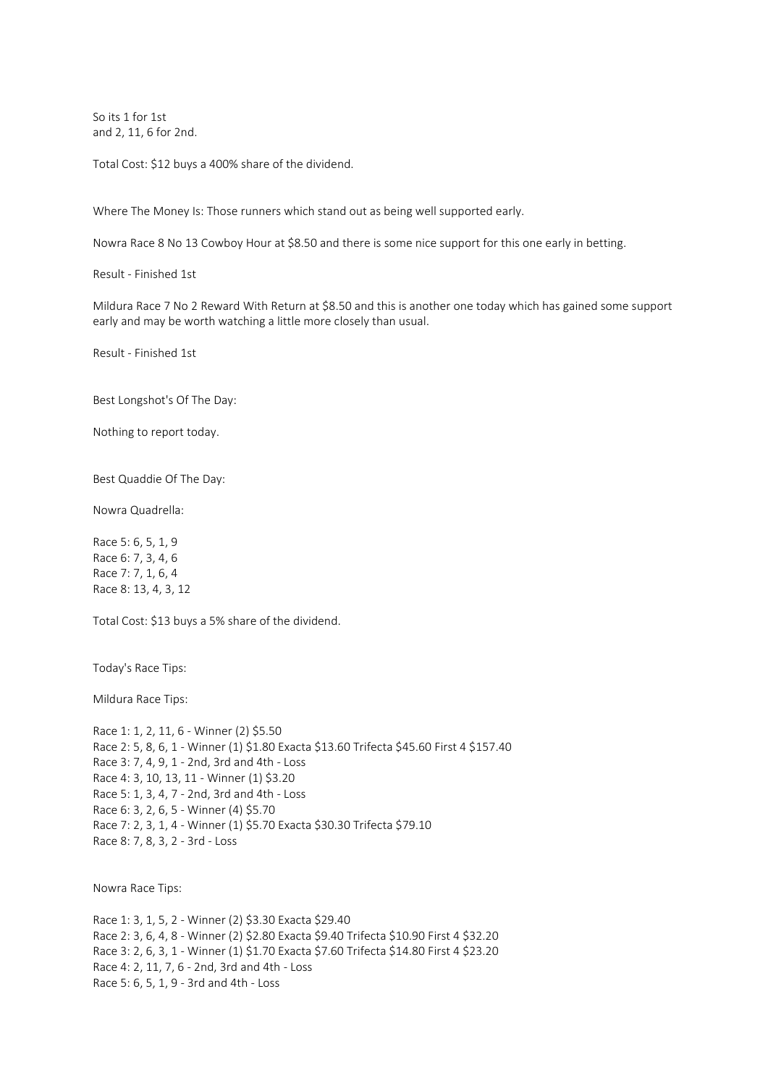So its 1 for 1st and 2, 11, 6 for 2nd.

Total Cost: \$12 buys a 400% share of the dividend.

Where The Money Is: Those runners which stand out as being well supported early.

Nowra Race 8 No 13 Cowboy Hour at \$8.50 and there is some nice support for this one early in betting.

Result - Finished 1st

Mildura Race 7 No 2 Reward With Return at \$8.50 and this is another one today which has gained some support early and may be worth watching a little more closely than usual.

Result - Finished 1st

Best Longshot's Of The Day:

Nothing to report today.

Best Quaddie Of The Day:

Nowra Quadrella:

Race 5: 6, 5, 1, 9 Race 6: 7, 3, 4, 6 Race 7: 7, 1, 6, 4 Race 8: 13, 4, 3, 12

Total Cost: \$13 buys a 5% share of the dividend.

Today's Race Tips:

Mildura Race Tips:

Race 1: 1, 2, 11, 6 - Winner (2) \$5.50 Race 2: 5, 8, 6, 1 - Winner (1) \$1.80 Exacta \$13.60 Trifecta \$45.60 First 4 \$157.40 Race 3: 7, 4, 9, 1 - 2nd, 3rd and 4th - Loss Race 4: 3, 10, 13, 11 - Winner (1) \$3.20 Race 5: 1, 3, 4, 7 - 2nd, 3rd and 4th - Loss Race 6: 3, 2, 6, 5 - Winner (4) \$5.70 Race 7: 2, 3, 1, 4 - Winner (1) \$5.70 Exacta \$30.30 Trifecta \$79.10 Race 8: 7, 8, 3, 2 - 3rd - Loss

Nowra Race Tips:

Race 1: 3, 1, 5, 2 - Winner (2) \$3.30 Exacta \$29.40 Race 2: 3, 6, 4, 8 - Winner (2) \$2.80 Exacta \$9.40 Trifecta \$10.90 First 4 \$32.20 Race 3: 2, 6, 3, 1 - Winner (1) \$1.70 Exacta \$7.60 Trifecta \$14.80 First 4 \$23.20 Race 4: 2, 11, 7, 6 - 2nd, 3rd and 4th - Loss Race 5: 6, 5, 1, 9 - 3rd and 4th - Loss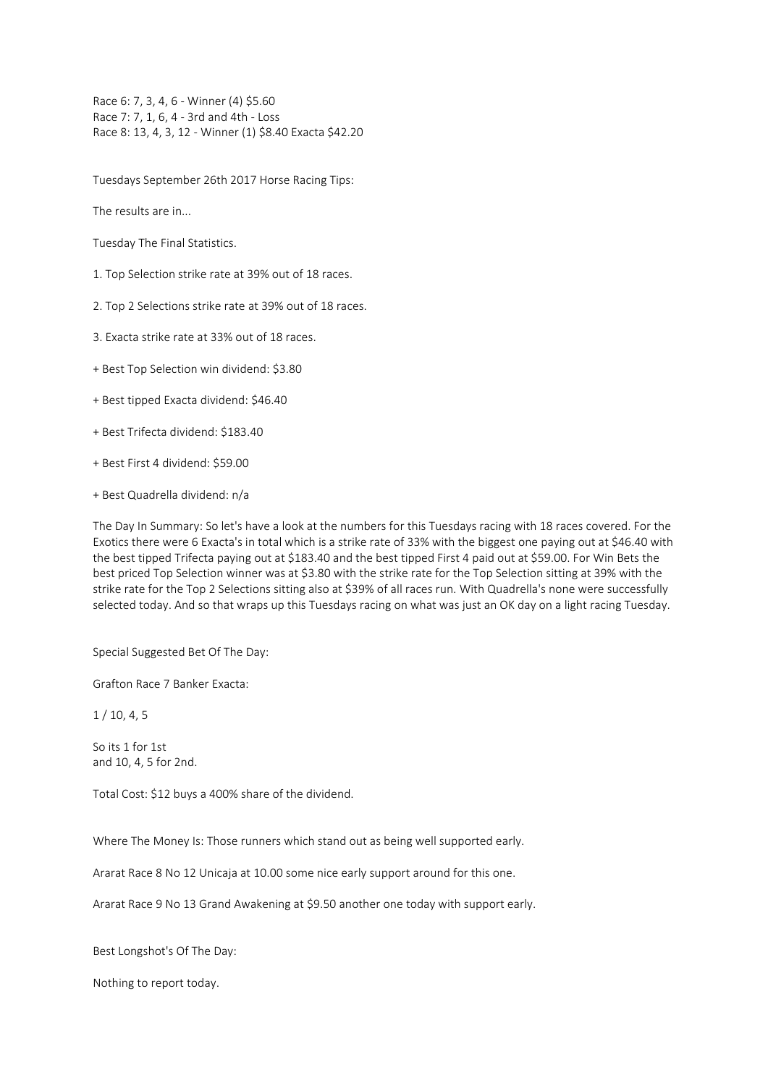Race 6: 7, 3, 4, 6 - Winner (4) \$5.60 Race 7: 7, 1, 6, 4 - 3rd and 4th - Loss Race 8: 13, 4, 3, 12 - Winner (1) \$8.40 Exacta \$42.20

Tuesdays September 26th 2017 Horse Racing Tips:

The results are in...

Tuesday The Final Statistics.

1. Top Selection strike rate at 39% out of 18 races.

2. Top 2 Selections strike rate at 39% out of 18 races.

3. Exacta strike rate at 33% out of 18 races.

+ Best Top Selection win dividend: \$3.80

+ Best tipped Exacta dividend: \$46.40

+ Best Trifecta dividend: \$183.40

+ Best First 4 dividend: \$59.00

+ Best Quadrella dividend: n/a

The Day In Summary: So let's have a look at the numbers for this Tuesdays racing with 18 races covered. For the Exotics there were 6 Exacta's in total which is a strike rate of 33% with the biggest one paying out at \$46.40 with the best tipped Trifecta paying out at \$183.40 and the best tipped First 4 paid out at \$59.00. For Win Bets the best priced Top Selection winner was at \$3.80 with the strike rate for the Top Selection sitting at 39% with the strike rate for the Top 2 Selections sitting also at \$39% of all races run. With Quadrella's none were successfully selected today. And so that wraps up this Tuesdays racing on what was just an OK day on a light racing Tuesday.

Special Suggested Bet Of The Day:

Grafton Race 7 Banker Exacta:

1 / 10, 4, 5

So its 1 for 1st and 10, 4, 5 for 2nd.

Total Cost: \$12 buys a 400% share of the dividend.

Where The Money Is: Those runners which stand out as being well supported early.

Ararat Race 8 No 12 Unicaja at 10.00 some nice early support around for this one.

Ararat Race 9 No 13 Grand Awakening at \$9.50 another one today with support early.

Best Longshot's Of The Day:

Nothing to report today.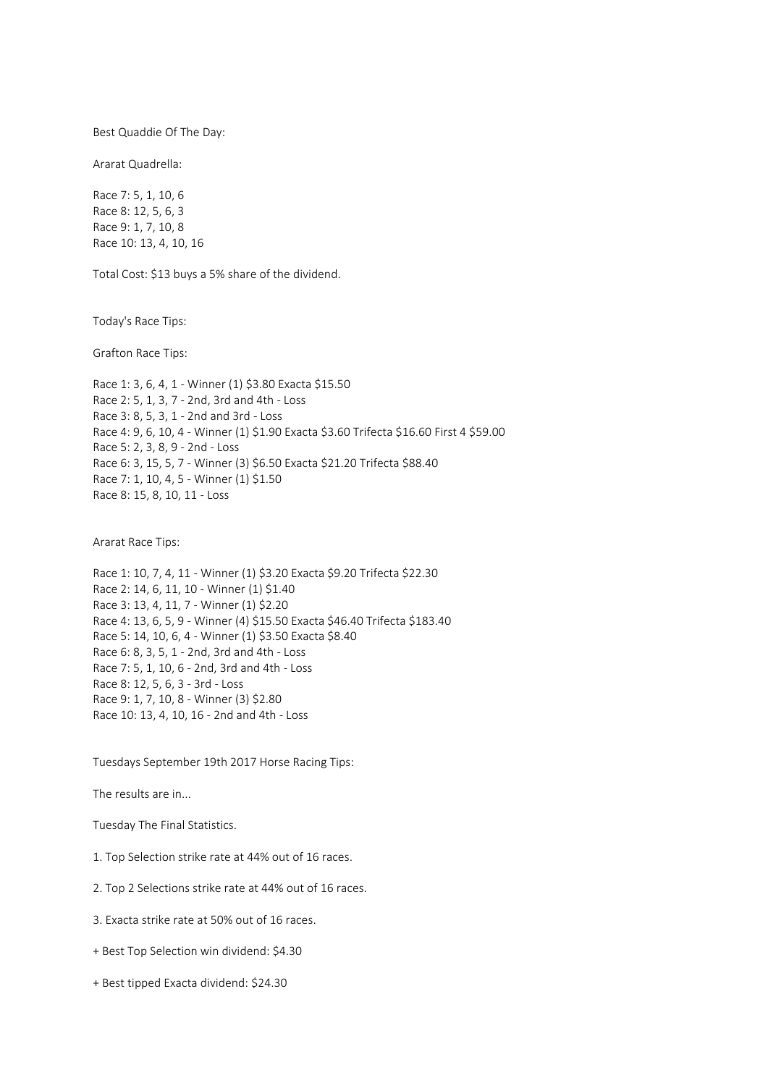Best Quaddie Of The Day:

Ararat Quadrella:

Race 7: 5, 1, 10, 6 Race 8: 12, 5, 6, 3 Race 9: 1, 7, 10, 8 Race 10: 13, 4, 10, 16

Total Cost: \$13 buys a 5% share of the dividend.

Today's Race Tips:

Grafton Race Tips:

Race 1: 3, 6, 4, 1 - Winner (1) \$3.80 Exacta \$15.50 Race 2: 5, 1, 3, 7 - 2nd, 3rd and 4th - Loss Race 3: 8, 5, 3, 1 - 2nd and 3rd - Loss Race 4: 9, 6, 10, 4 - Winner (1) \$1.90 Exacta \$3.60 Trifecta \$16.60 First 4 \$59.00 Race 5: 2, 3, 8, 9 - 2nd - Loss Race 6: 3, 15, 5, 7 - Winner (3) \$6.50 Exacta \$21.20 Trifecta \$88.40 Race 7: 1, 10, 4, 5 - Winner (1) \$1.50 Race 8: 15, 8, 10, 11 - Loss

Ararat Race Tips:

Race 1: 10, 7, 4, 11 - Winner (1) \$3.20 Exacta \$9.20 Trifecta \$22.30 Race 2: 14, 6, 11, 10 - Winner (1) \$1.40 Race 3: 13, 4, 11, 7 - Winner (1) \$2.20 Race 4: 13, 6, 5, 9 - Winner (4) \$15.50 Exacta \$46.40 Trifecta \$183.40 Race 5: 14, 10, 6, 4 - Winner (1) \$3.50 Exacta \$8.40 Race 6: 8, 3, 5, 1 - 2nd, 3rd and 4th - Loss Race 7: 5, 1, 10, 6 - 2nd, 3rd and 4th - Loss Race 8: 12, 5, 6, 3 - 3rd - Loss Race 9: 1, 7, 10, 8 - Winner (3) \$2.80 Race 10: 13, 4, 10, 16 - 2nd and 4th - Loss

Tuesdays September 19th 2017 Horse Racing Tips:

The results are in...

Tuesday The Final Statistics.

1. Top Selection strike rate at 44% out of 16 races.

2. Top 2 Selections strike rate at 44% out of 16 races.

3. Exacta strike rate at 50% out of 16 races.

+ Best Top Selection win dividend: \$4.30

+ Best tipped Exacta dividend: \$24.30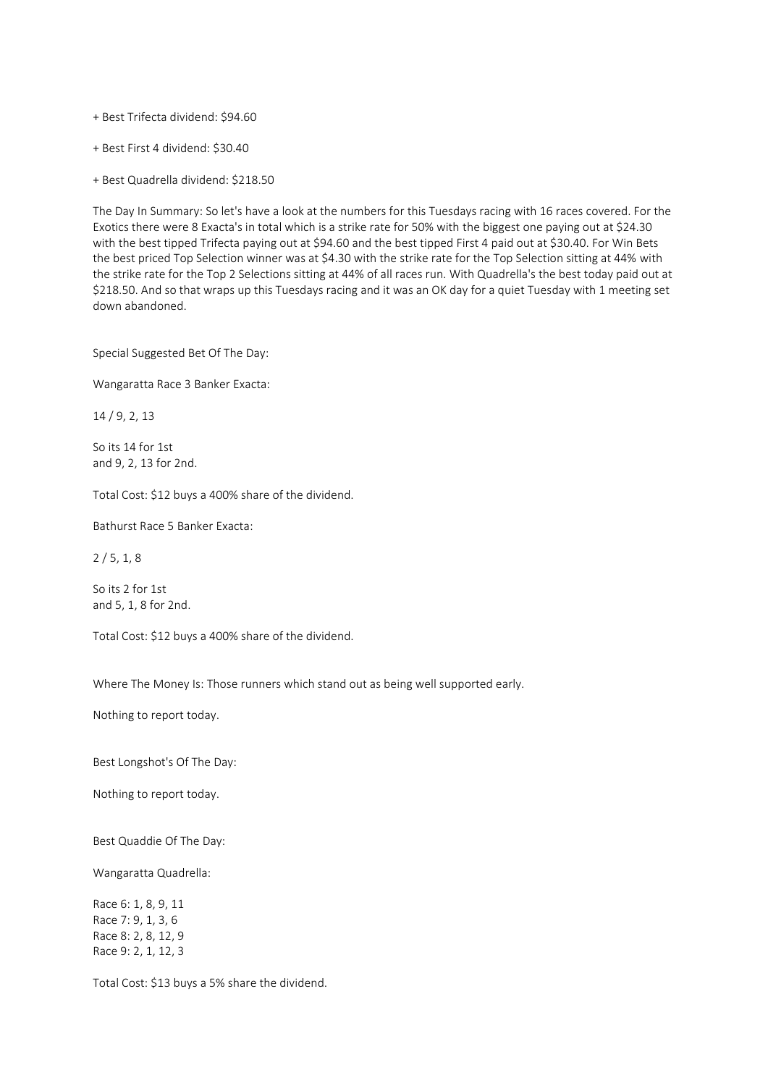+ Best Trifecta dividend: \$94.60

+ Best First 4 dividend: \$30.40

+ Best Quadrella dividend: \$218.50

The Day In Summary: So let's have a look at the numbers for this Tuesdays racing with 16 races covered. For the Exotics there were 8 Exacta's in total which is a strike rate for 50% with the biggest one paying out at \$24.30 with the best tipped Trifecta paying out at \$94.60 and the best tipped First 4 paid out at \$30.40. For Win Bets the best priced Top Selection winner was at \$4.30 with the strike rate for the Top Selection sitting at 44% with the strike rate for the Top 2 Selections sitting at 44% of all races run. With Quadrella's the best today paid out at \$218.50. And so that wraps up this Tuesdays racing and it was an OK day for a quiet Tuesday with 1 meeting set down abandoned.

Special Suggested Bet Of The Day:

Wangaratta Race 3 Banker Exacta:

14 / 9, 2, 13

So its 14 for 1st and 9, 2, 13 for 2nd.

Total Cost: \$12 buys a 400% share of the dividend.

Bathurst Race 5 Banker Exacta:

 $2/5, 1, 8$ 

So its 2 for 1st and 5, 1, 8 for 2nd.

Total Cost: \$12 buys a 400% share of the dividend.

Where The Money Is: Those runners which stand out as being well supported early.

Nothing to report today.

Best Longshot's Of The Day:

Nothing to report today.

Best Quaddie Of The Day:

Wangaratta Quadrella:

Race 6: 1, 8, 9, 11 Race 7: 9, 1, 3, 6 Race 8: 2, 8, 12, 9 Race 9: 2, 1, 12, 3

Total Cost: \$13 buys a 5% share the dividend.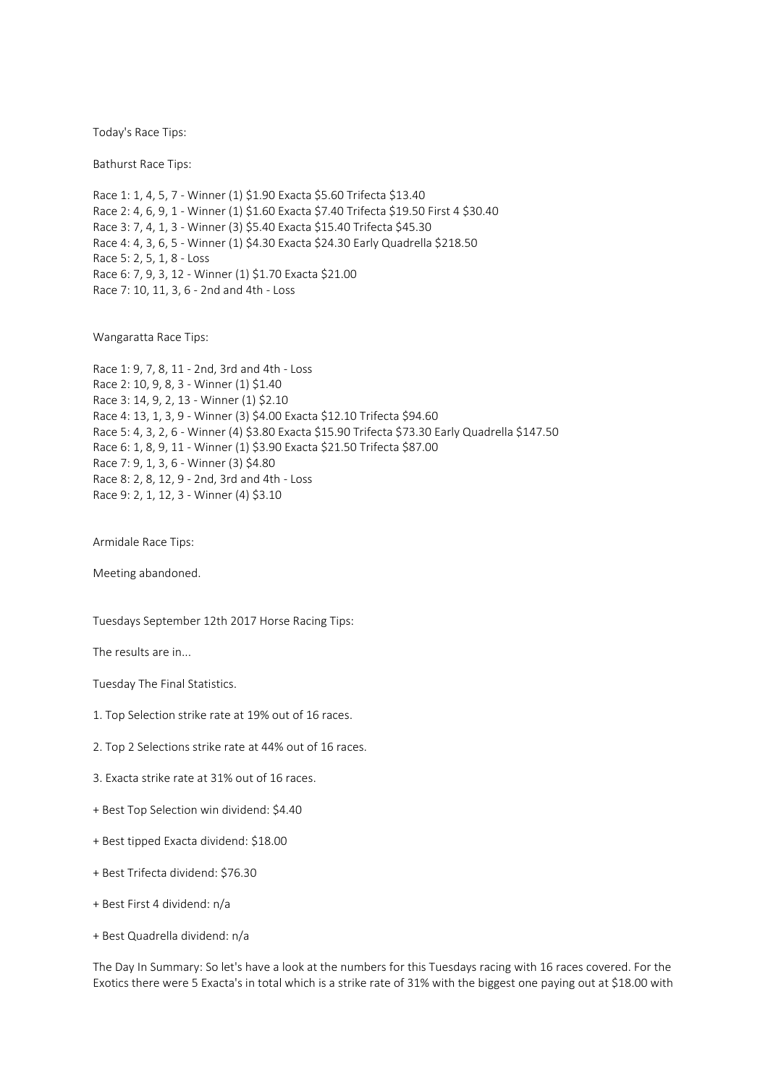Today's Race Tips:

Bathurst Race Tips:

Race 1: 1, 4, 5, 7 - Winner (1) \$1.90 Exacta \$5.60 Trifecta \$13.40 Race 2: 4, 6, 9, 1 - Winner (1) \$1.60 Exacta \$7.40 Trifecta \$19.50 First 4 \$30.40 Race 3: 7, 4, 1, 3 - Winner (3) \$5.40 Exacta \$15.40 Trifecta \$45.30 Race 4: 4, 3, 6, 5 - Winner (1) \$4.30 Exacta \$24.30 Early Quadrella \$218.50 Race 5: 2, 5, 1, 8 - Loss Race 6: 7, 9, 3, 12 - Winner (1) \$1.70 Exacta \$21.00 Race 7: 10, 11, 3, 6 - 2nd and 4th - Loss

Wangaratta Race Tips:

Race 1: 9, 7, 8, 11 - 2nd, 3rd and 4th - Loss Race 2: 10, 9, 8, 3 - Winner (1) \$1.40 Race 3: 14, 9, 2, 13 - Winner (1) \$2.10 Race 4: 13, 1, 3, 9 - Winner (3) \$4.00 Exacta \$12.10 Trifecta \$94.60 Race 5: 4, 3, 2, 6 - Winner (4) \$3.80 Exacta \$15.90 Trifecta \$73.30 Early Quadrella \$147.50 Race 6: 1, 8, 9, 11 - Winner (1) \$3.90 Exacta \$21.50 Trifecta \$87.00 Race 7: 9, 1, 3, 6 - Winner (3) \$4.80 Race 8: 2, 8, 12, 9 - 2nd, 3rd and 4th - Loss Race 9: 2, 1, 12, 3 - Winner (4) \$3.10

Armidale Race Tips:

Meeting abandoned.

Tuesdays September 12th 2017 Horse Racing Tips:

The results are in...

Tuesday The Final Statistics.

- 1. Top Selection strike rate at 19% out of 16 races.
- 2. Top 2 Selections strike rate at 44% out of 16 races.
- 3. Exacta strike rate at 31% out of 16 races.
- + Best Top Selection win dividend: \$4.40
- + Best tipped Exacta dividend: \$18.00
- + Best Trifecta dividend: \$76.30
- + Best First 4 dividend: n/a
- + Best Quadrella dividend: n/a

The Day In Summary: So let's have a look at the numbers for this Tuesdays racing with 16 races covered. For the Exotics there were 5 Exacta's in total which is a strike rate of 31% with the biggest one paying out at \$18.00 with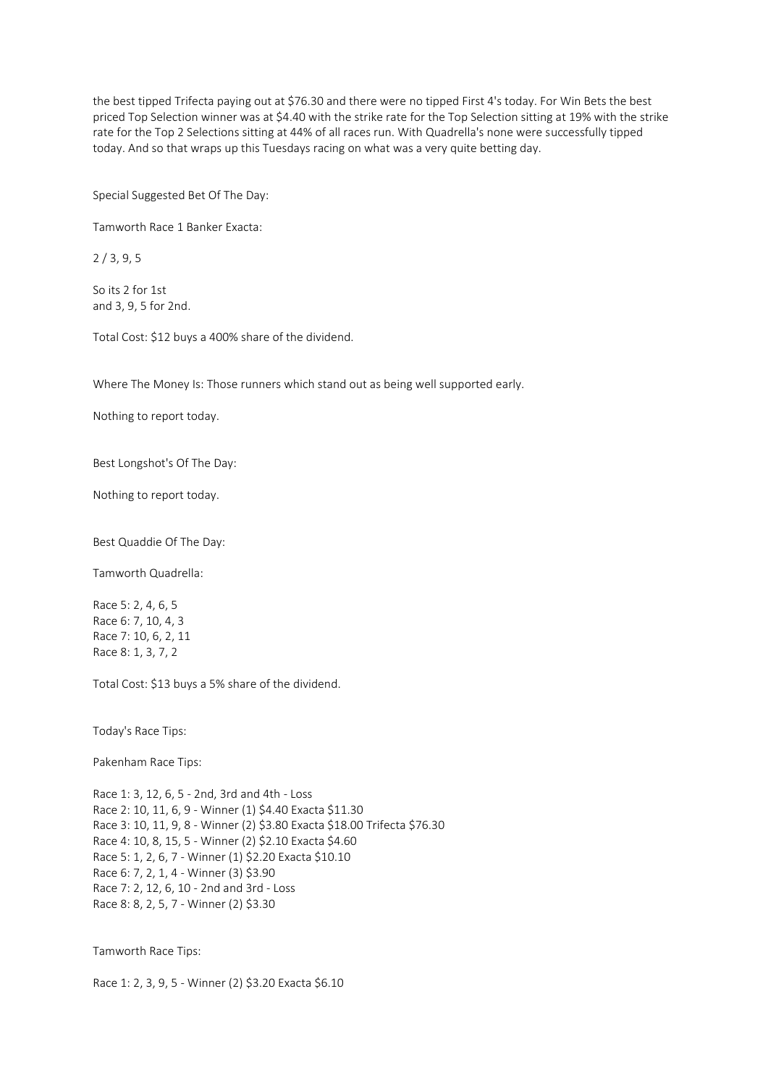the best tipped Trifecta paying out at \$76.30 and there were no tipped First 4's today. For Win Bets the best priced Top Selection winner was at \$4.40 with the strike rate for the Top Selection sitting at 19% with the strike rate for the Top 2 Selections sitting at 44% of all races run. With Quadrella's none were successfully tipped today. And so that wraps up this Tuesdays racing on what was a very quite betting day.

Special Suggested Bet Of The Day:

Tamworth Race 1 Banker Exacta:

2 / 3, 9, 5

So its 2 for 1st and 3, 9, 5 for 2nd.

Total Cost: \$12 buys a 400% share of the dividend.

Where The Money Is: Those runners which stand out as being well supported early.

Nothing to report today.

Best Longshot's Of The Day:

Nothing to report today.

Best Quaddie Of The Day:

Tamworth Quadrella:

Race 5: 2, 4, 6, 5 Race 6: 7, 10, 4, 3 Race 7: 10, 6, 2, 11 Race 8: 1, 3, 7, 2

Total Cost: \$13 buys a 5% share of the dividend.

Today's Race Tips:

Pakenham Race Tips:

Race 1: 3, 12, 6, 5 - 2nd, 3rd and 4th - Loss Race 2: 10, 11, 6, 9 - Winner (1) \$4.40 Exacta \$11.30 Race 3: 10, 11, 9, 8 - Winner (2) \$3.80 Exacta \$18.00 Trifecta \$76.30 Race 4: 10, 8, 15, 5 - Winner (2) \$2.10 Exacta \$4.60 Race 5: 1, 2, 6, 7 - Winner (1) \$2.20 Exacta \$10.10 Race 6: 7, 2, 1, 4 - Winner (3) \$3.90 Race 7: 2, 12, 6, 10 - 2nd and 3rd - Loss Race 8: 8, 2, 5, 7 - Winner (2) \$3.30

Tamworth Race Tips:

Race 1: 2, 3, 9, 5 - Winner (2) \$3.20 Exacta \$6.10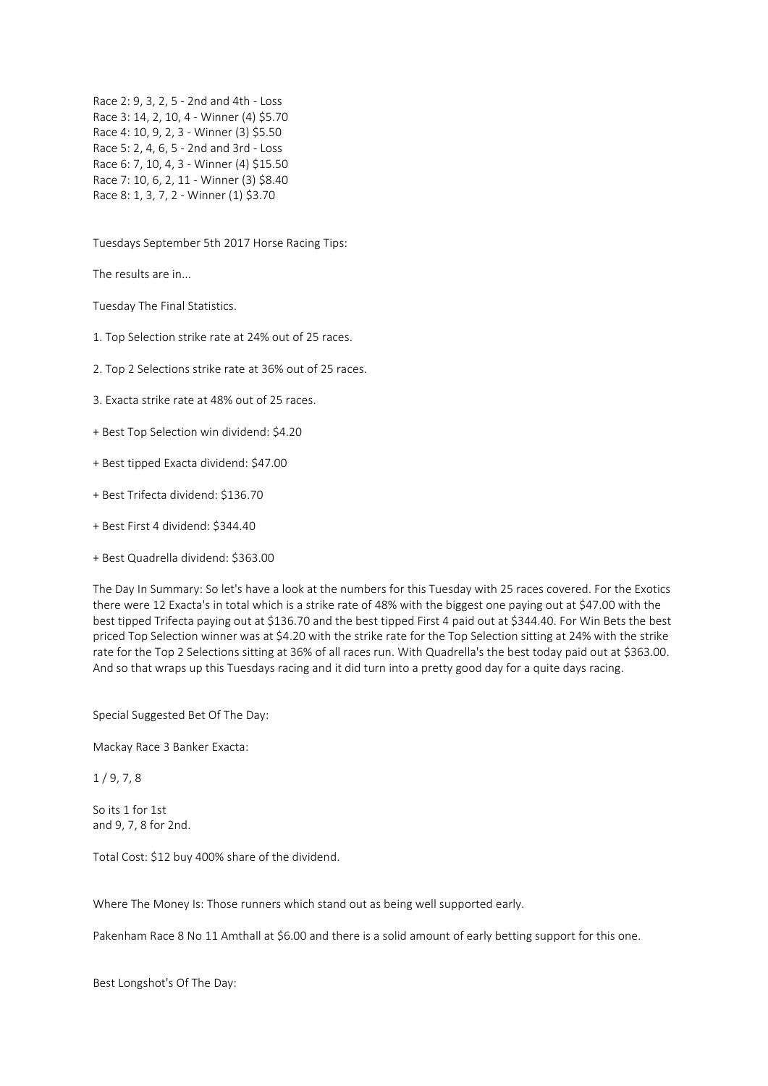Race 2: 9, 3, 2, 5 - 2nd and 4th - Loss Race 3: 14, 2, 10, 4 - Winner (4) \$5.70 Race 4: 10, 9, 2, 3 - Winner (3) \$5.50 Race 5: 2, 4, 6, 5 - 2nd and 3rd - Loss Race 6: 7, 10, 4, 3 - Winner (4) \$15.50 Race 7: 10, 6, 2, 11 - Winner (3) \$8.40 Race 8: 1, 3, 7, 2 - Winner (1) \$3.70

Tuesdays September 5th 2017 Horse Racing Tips:

The results are in...

Tuesday The Final Statistics.

1. Top Selection strike rate at 24% out of 25 races.

2. Top 2 Selections strike rate at 36% out of 25 races.

3. Exacta strike rate at 48% out of 25 races.

+ Best Top Selection win dividend: \$4.20

- + Best tipped Exacta dividend: \$47.00
- + Best Trifecta dividend: \$136.70
- + Best First 4 dividend: \$344.40
- + Best Quadrella dividend: \$363.00

The Day In Summary: So let's have a look at the numbers for this Tuesday with 25 races covered. For the Exotics there were 12 Exacta's in total which is a strike rate of 48% with the biggest one paying out at \$47.00 with the best tipped Trifecta paying out at \$136.70 and the best tipped First 4 paid out at \$344.40. For Win Bets the best priced Top Selection winner was at \$4.20 with the strike rate for the Top Selection sitting at 24% with the strike rate for the Top 2 Selections sitting at 36% of all races run. With Quadrella's the best today paid out at \$363.00. And so that wraps up this Tuesdays racing and it did turn into a pretty good day for a quite days racing.

Special Suggested Bet Of The Day:

Mackay Race 3 Banker Exacta:

 $1/9, 7, 8$ 

So its 1 for 1st and 9, 7, 8 for 2nd.

Total Cost: \$12 buy 400% share of the dividend.

Where The Money Is: Those runners which stand out as being well supported early.

Pakenham Race 8 No 11 Amthall at \$6.00 and there is a solid amount of early betting support for this one.

Best Longshot's Of The Day: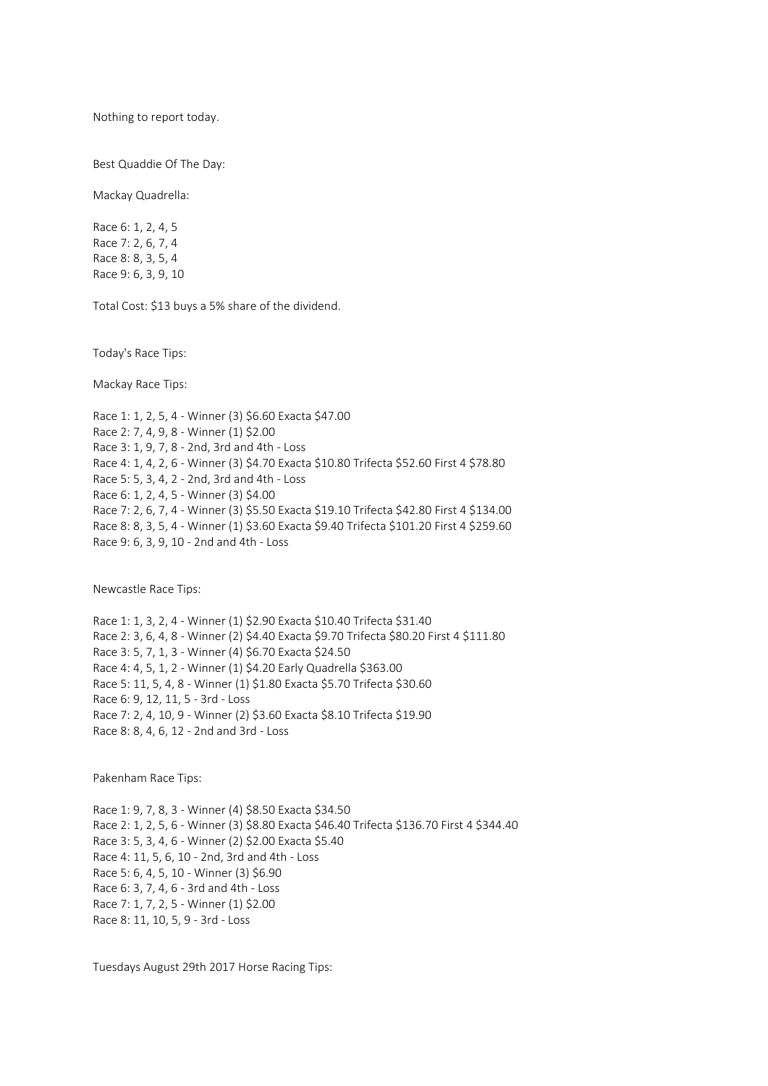Nothing to report today.

Best Quaddie Of The Day:

Mackay Quadrella:

Race 6: 1, 2, 4, 5 Race 7: 2, 6, 7, 4 Race 8: 8, 3, 5, 4 Race 9: 6, 3, 9, 10

Total Cost: \$13 buys a 5% share of the dividend.

Today's Race Tips:

Mackay Race Tips:

Race 1: 1, 2, 5, 4 - Winner (3) \$6.60 Exacta \$47.00 Race 2: 7, 4, 9, 8 - Winner (1) \$2.00 Race 3: 1, 9, 7, 8 - 2nd, 3rd and 4th - Loss Race 4: 1, 4, 2, 6 - Winner (3) \$4.70 Exacta \$10.80 Trifecta \$52.60 First 4 \$78.80 Race 5: 5, 3, 4, 2 - 2nd, 3rd and 4th - Loss Race 6: 1, 2, 4, 5 - Winner (3) \$4.00 Race 7: 2, 6, 7, 4 - Winner (3) \$5.50 Exacta \$19.10 Trifecta \$42.80 First 4 \$134.00 Race 8: 8, 3, 5, 4 - Winner (1) \$3.60 Exacta \$9.40 Trifecta \$101.20 First 4 \$259.60 Race 9: 6, 3, 9, 10 - 2nd and 4th - Loss

Newcastle Race Tips:

Race 1: 1, 3, 2, 4 - Winner (1) \$2.90 Exacta \$10.40 Trifecta \$31.40 Race 2: 3, 6, 4, 8 - Winner (2) \$4.40 Exacta \$9.70 Trifecta \$80.20 First 4 \$111.80 Race 3: 5, 7, 1, 3 - Winner (4) \$6.70 Exacta \$24.50 Race 4: 4, 5, 1, 2 - Winner (1) \$4.20 Early Quadrella \$363.00 Race 5: 11, 5, 4, 8 - Winner (1) \$1.80 Exacta \$5.70 Trifecta \$30.60 Race 6: 9, 12, 11, 5 - 3rd - Loss Race 7: 2, 4, 10, 9 - Winner (2) \$3.60 Exacta \$8.10 Trifecta \$19.90 Race 8: 8, 4, 6, 12 - 2nd and 3rd - Loss

Pakenham Race Tips:

Race 1: 9, 7, 8, 3 - Winner (4) \$8.50 Exacta \$34.50 Race 2: 1, 2, 5, 6 - Winner (3) \$8.80 Exacta \$46.40 Trifecta \$136.70 First 4 \$344.40 Race 3: 5, 3, 4, 6 - Winner (2) \$2.00 Exacta \$5.40 Race 4: 11, 5, 6, 10 - 2nd, 3rd and 4th - Loss Race 5: 6, 4, 5, 10 - Winner (3) \$6.90 Race 6: 3, 7, 4, 6 - 3rd and 4th - Loss Race 7: 1, 7, 2, 5 - Winner (1) \$2.00 Race 8: 11, 10, 5, 9 - 3rd - Loss

Tuesdays August 29th 2017 Horse Racing Tips: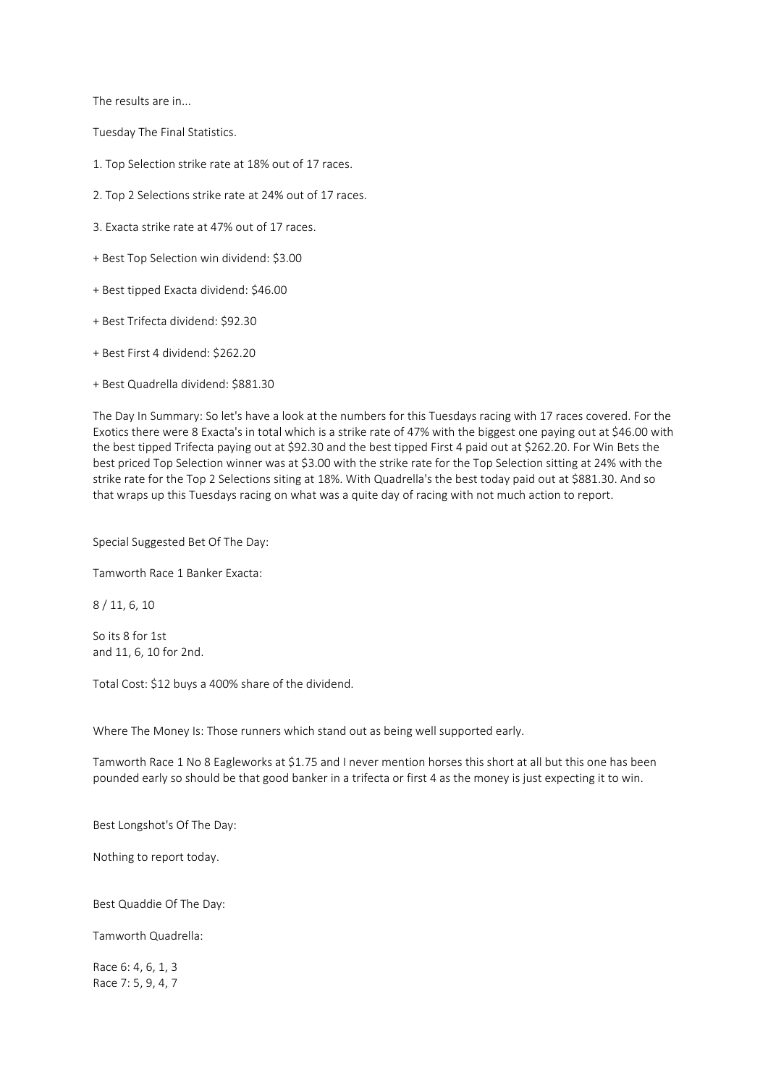The results are in...

Tuesday The Final Statistics.

- 1. Top Selection strike rate at 18% out of 17 races.
- 2. Top 2 Selections strike rate at 24% out of 17 races.
- 3. Exacta strike rate at 47% out of 17 races.
- + Best Top Selection win dividend: \$3.00
- + Best tipped Exacta dividend: \$46.00
- + Best Trifecta dividend: \$92.30
- + Best First 4 dividend: \$262.20
- + Best Quadrella dividend: \$881.30

The Day In Summary: So let's have a look at the numbers for this Tuesdays racing with 17 races covered. For the Exotics there were 8 Exacta's in total which is a strike rate of 47% with the biggest one paying out at \$46.00 with the best tipped Trifecta paying out at \$92.30 and the best tipped First 4 paid out at \$262.20. For Win Bets the best priced Top Selection winner was at \$3.00 with the strike rate for the Top Selection sitting at 24% with the strike rate for the Top 2 Selections siting at 18%. With Quadrella's the best today paid out at \$881.30. And so that wraps up this Tuesdays racing on what was a quite day of racing with not much action to report.

Special Suggested Bet Of The Day:

Tamworth Race 1 Banker Exacta:

8 / 11, 6, 10

So its 8 for 1st and 11, 6, 10 for 2nd.

Total Cost: \$12 buys a 400% share of the dividend.

Where The Money Is: Those runners which stand out as being well supported early.

Tamworth Race 1 No 8 Eagleworks at \$1.75 and I never mention horses this short at all but this one has been pounded early so should be that good banker in a trifecta or first 4 as the money is just expecting it to win.

Best Longshot's Of The Day:

Nothing to report today.

Best Quaddie Of The Day:

Tamworth Quadrella:

Race 6: 4, 6, 1, 3 Race 7: 5, 9, 4, 7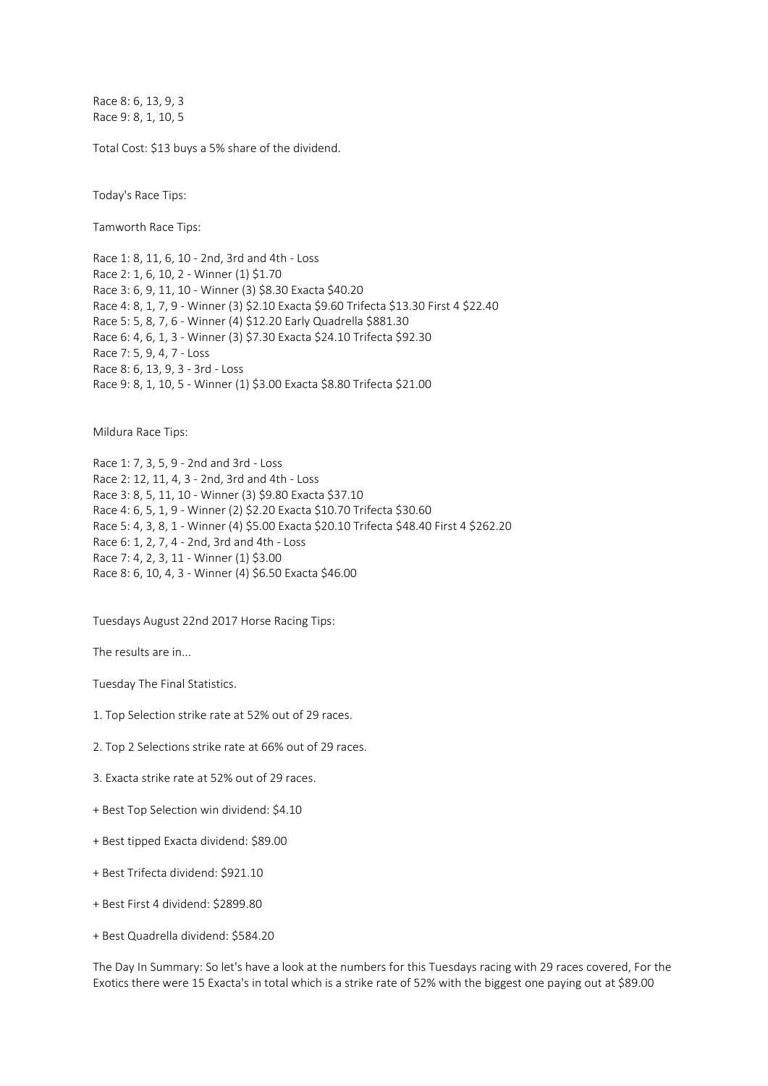Race 8: 6, 13, 9, 3 Race 9: 8, 1, 10, 5

Total Cost: \$13 buys a 5% share of the dividend.

Today's Race Tips:

Tamworth Race Tips:

Race 1: 8, 11, 6, 10 - 2nd, 3rd and 4th - Loss Race 2: 1, 6, 10, 2 - Winner (1) \$1.70 Race 3: 6, 9, 11, 10 - Winner (3) \$8.30 Exacta \$40.20 Race 4: 8, 1, 7, 9 - Winner (3) \$2.10 Exacta \$9.60 Trifecta \$13.30 First 4 \$22.40 Race 5: 5, 8, 7, 6 - Winner (4) \$12.20 Early Quadrella \$881.30 Race 6: 4, 6, 1, 3 - Winner (3) \$7.30 Exacta \$24.10 Trifecta \$92.30 Race 7: 5, 9, 4, 7 - Loss Race 8: 6, 13, 9, 3 - 3rd - Loss Race 9: 8, 1, 10, 5 - Winner (1) \$3.00 Exacta \$8.80 Trifecta \$21.00

Mildura Race Tips:

Race 1: 7, 3, 5, 9 - 2nd and 3rd - Loss Race 2: 12, 11, 4, 3 - 2nd, 3rd and 4th - Loss Race 3: 8, 5, 11, 10 - Winner (3) \$9.80 Exacta \$37.10 Race 4: 6, 5, 1, 9 - Winner (2) \$2.20 Exacta \$10.70 Trifecta \$30.60 Race 5: 4, 3, 8, 1 - Winner (4) \$5.00 Exacta \$20.10 Trifecta \$48.40 First 4 \$262.20 Race 6: 1, 2, 7, 4 - 2nd, 3rd and 4th - Loss Race 7: 4, 2, 3, 11 - Winner (1) \$3.00 Race 8: 6, 10, 4, 3 - Winner (4) \$6.50 Exacta \$46.00

Tuesdays August 22nd 2017 Horse Racing Tips:

The results are in...

Tuesday The Final Statistics.

- 1. Top Selection strike rate at 52% out of 29 races.
- 2. Top 2 Selections strike rate at 66% out of 29 races.
- 3. Exacta strike rate at 52% out of 29 races.
- + Best Top Selection win dividend: \$4.10
- + Best tipped Exacta dividend: \$89.00
- + Best Trifecta dividend: \$921.10
- + Best First 4 dividend: \$2899.80
- + Best Quadrella dividend: \$584.20

The Day In Summary: So let's have a look at the numbers for this Tuesdays racing with 29 races covered, For the Exotics there were 15 Exacta's in total which is a strike rate of 52% with the biggest one paying out at \$89.00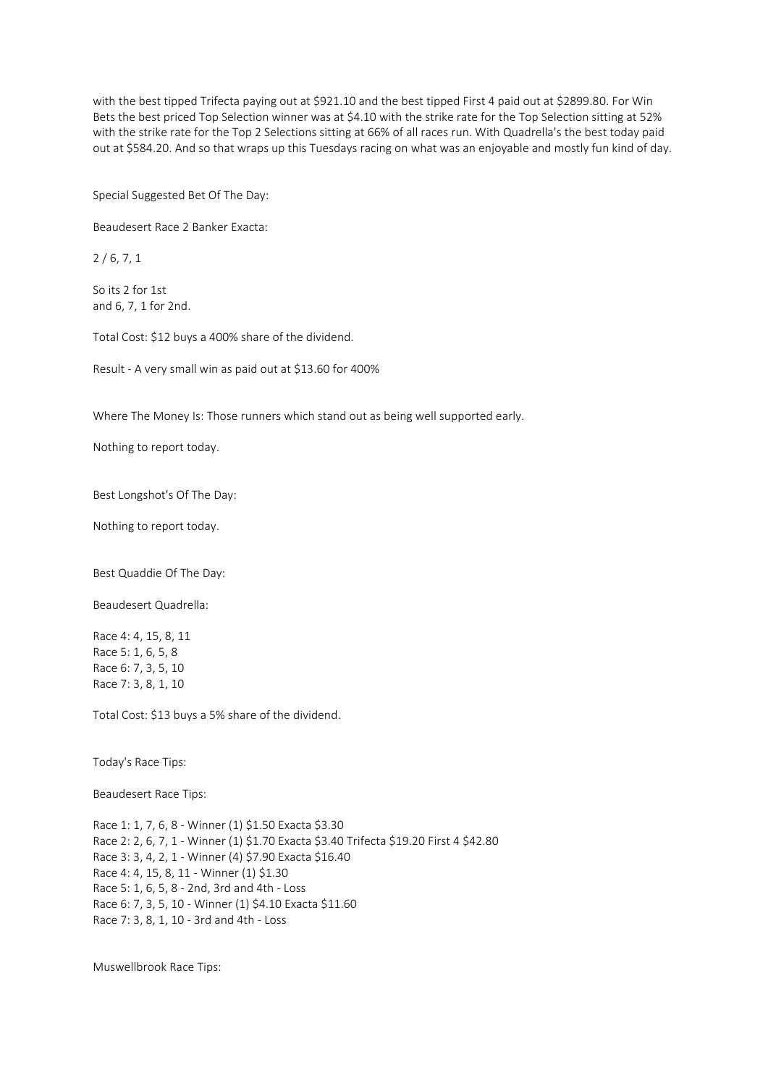with the best tipped Trifecta paying out at \$921.10 and the best tipped First 4 paid out at \$2899.80. For Win Bets the best priced Top Selection winner was at \$4.10 with the strike rate for the Top Selection sitting at 52% with the strike rate for the Top 2 Selections sitting at 66% of all races run. With Quadrella's the best today paid out at \$584.20. And so that wraps up this Tuesdays racing on what was an enjoyable and mostly fun kind of day.

Special Suggested Bet Of The Day:

Beaudesert Race 2 Banker Exacta:

2 / 6, 7, 1

So its 2 for 1st and 6, 7, 1 for 2nd.

Total Cost: \$12 buys a 400% share of the dividend.

Result - A very small win as paid out at \$13.60 for 400%

Where The Money Is: Those runners which stand out as being well supported early.

Nothing to report today.

Best Longshot's Of The Day:

Nothing to report today.

Best Quaddie Of The Day:

Beaudesert Quadrella:

Race 4: 4, 15, 8, 11 Race 5: 1, 6, 5, 8 Race 6: 7, 3, 5, 10 Race 7: 3, 8, 1, 10

Total Cost: \$13 buys a 5% share of the dividend.

Today's Race Tips:

Beaudesert Race Tips:

Race 1: 1, 7, 6, 8 - Winner (1) \$1.50 Exacta \$3.30 Race 2: 2, 6, 7, 1 - Winner (1) \$1.70 Exacta \$3.40 Trifecta \$19.20 First 4 \$42.80 Race 3: 3, 4, 2, 1 - Winner (4) \$7.90 Exacta \$16.40 Race 4: 4, 15, 8, 11 - Winner (1) \$1.30 Race 5: 1, 6, 5, 8 - 2nd, 3rd and 4th - Loss Race 6: 7, 3, 5, 10 - Winner (1) \$4.10 Exacta \$11.60 Race 7: 3, 8, 1, 10 - 3rd and 4th - Loss

Muswellbrook Race Tips: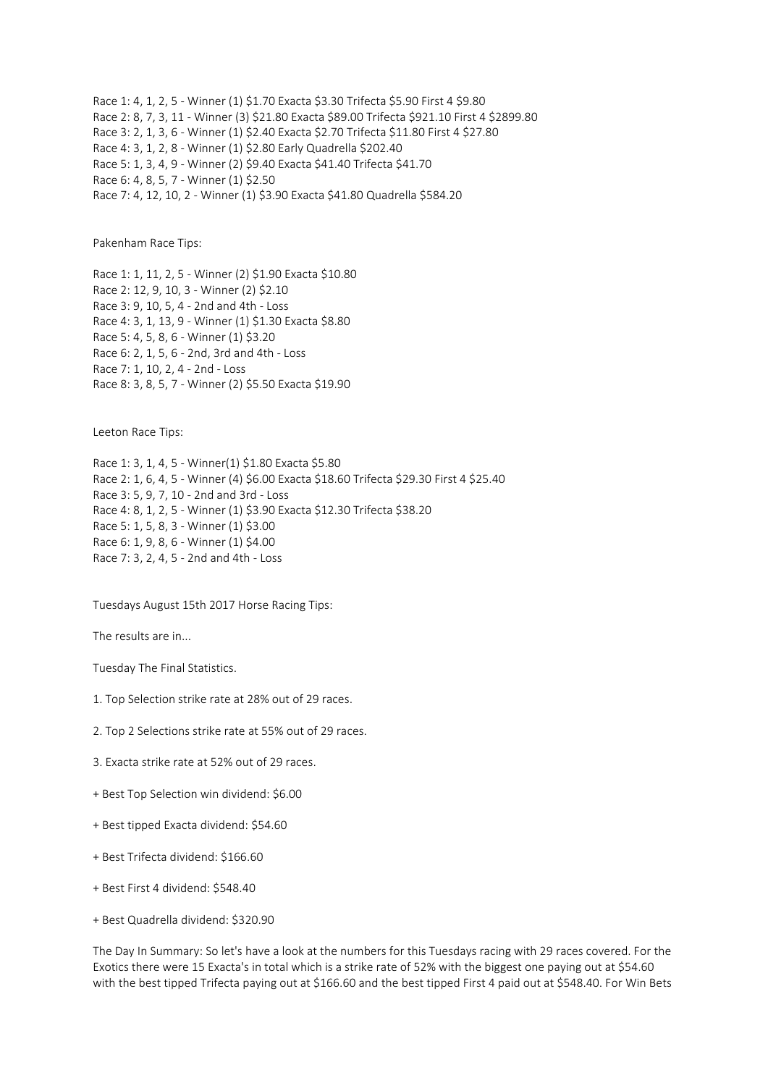Race 1: 4, 1, 2, 5 - Winner (1) \$1.70 Exacta \$3.30 Trifecta \$5.90 First 4 \$9.80 Race 2: 8, 7, 3, 11 - Winner (3) \$21.80 Exacta \$89.00 Trifecta \$921.10 First 4 \$2899.80 Race 3: 2, 1, 3, 6 - Winner (1) \$2.40 Exacta \$2.70 Trifecta \$11.80 First 4 \$27.80 Race 4: 3, 1, 2, 8 - Winner (1) \$2.80 Early Quadrella \$202.40 Race 5: 1, 3, 4, 9 - Winner (2) \$9.40 Exacta \$41.40 Trifecta \$41.70 Race 6: 4, 8, 5, 7 - Winner (1) \$2.50 Race 7: 4, 12, 10, 2 - Winner (1) \$3.90 Exacta \$41.80 Quadrella \$584.20

Pakenham Race Tips:

Race 1: 1, 11, 2, 5 - Winner (2) \$1.90 Exacta \$10.80 Race 2: 12, 9, 10, 3 - Winner (2) \$2.10 Race 3: 9, 10, 5, 4 - 2nd and 4th - Loss Race 4: 3, 1, 13, 9 - Winner (1) \$1.30 Exacta \$8.80 Race 5: 4, 5, 8, 6 - Winner (1) \$3.20 Race 6: 2, 1, 5, 6 - 2nd, 3rd and 4th - Loss Race 7: 1, 10, 2, 4 - 2nd - Loss Race 8: 3, 8, 5, 7 - Winner (2) \$5.50 Exacta \$19.90

Leeton Race Tips:

Race 1: 3, 1, 4, 5 - Winner(1) \$1.80 Exacta \$5.80 Race 2: 1, 6, 4, 5 - Winner (4) \$6.00 Exacta \$18.60 Trifecta \$29.30 First 4 \$25.40 Race 3: 5, 9, 7, 10 - 2nd and 3rd - Loss Race 4: 8, 1, 2, 5 - Winner (1) \$3.90 Exacta \$12.30 Trifecta \$38.20 Race 5: 1, 5, 8, 3 - Winner (1) \$3.00 Race 6: 1, 9, 8, 6 - Winner (1) \$4.00 Race 7: 3, 2, 4, 5 - 2nd and 4th - Loss

Tuesdays August 15th 2017 Horse Racing Tips:

The results are in...

Tuesday The Final Statistics.

- 1. Top Selection strike rate at 28% out of 29 races.
- 2. Top 2 Selections strike rate at 55% out of 29 races.
- 3. Exacta strike rate at 52% out of 29 races.
- + Best Top Selection win dividend: \$6.00
- + Best tipped Exacta dividend: \$54.60
- + Best Trifecta dividend: \$166.60
- + Best First 4 dividend: \$548.40
- + Best Quadrella dividend: \$320.90

The Day In Summary: So let's have a look at the numbers for this Tuesdays racing with 29 races covered. For the Exotics there were 15 Exacta's in total which is a strike rate of 52% with the biggest one paying out at \$54.60 with the best tipped Trifecta paying out at \$166.60 and the best tipped First 4 paid out at \$548.40. For Win Bets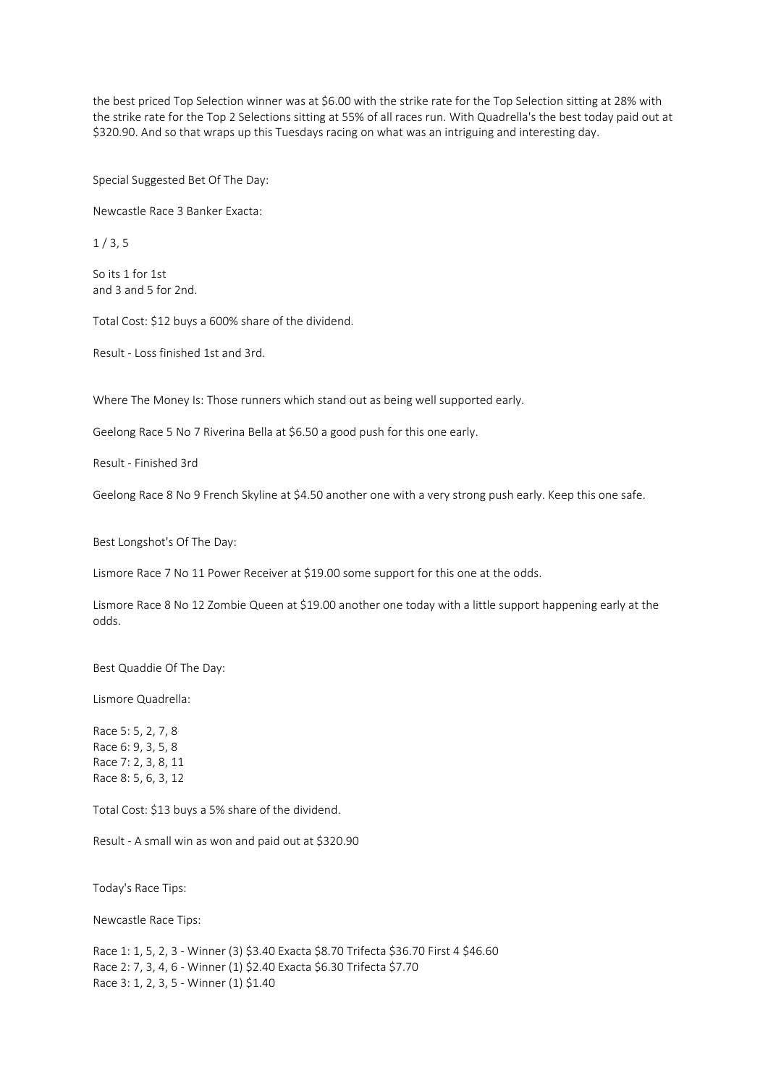the best priced Top Selection winner was at \$6.00 with the strike rate for the Top Selection sitting at 28% with the strike rate for the Top 2 Selections sitting at 55% of all races run. With Quadrella's the best today paid out at \$320.90. And so that wraps up this Tuesdays racing on what was an intriguing and interesting day.

Special Suggested Bet Of The Day:

Newcastle Race 3 Banker Exacta:

 $1/3.5$ 

So its 1 for 1st and 3 and 5 for 2nd.

Total Cost: \$12 buys a 600% share of the dividend.

Result - Loss finished 1st and 3rd.

Where The Money Is: Those runners which stand out as being well supported early.

Geelong Race 5 No 7 Riverina Bella at \$6.50 a good push for this one early.

Result - Finished 3rd

Geelong Race 8 No 9 French Skyline at \$4.50 another one with a very strong push early. Keep this one safe.

Best Longshot's Of The Day:

Lismore Race 7 No 11 Power Receiver at \$19.00 some support for this one at the odds.

Lismore Race 8 No 12 Zombie Queen at \$19.00 another one today with a little support happening early at the odds.

Best Quaddie Of The Day:

Lismore Quadrella:

Race 5: 5, 2, 7, 8 Race 6: 9, 3, 5, 8 Race 7: 2, 3, 8, 11 Race 8: 5, 6, 3, 12

Total Cost: \$13 buys a 5% share of the dividend.

Result - A small win as won and paid out at \$320.90

Today's Race Tips:

Newcastle Race Tips:

Race 1: 1, 5, 2, 3 - Winner (3) \$3.40 Exacta \$8.70 Trifecta \$36.70 First 4 \$46.60 Race 2: 7, 3, 4, 6 - Winner (1) \$2.40 Exacta \$6.30 Trifecta \$7.70 Race 3: 1, 2, 3, 5 - Winner (1) \$1.40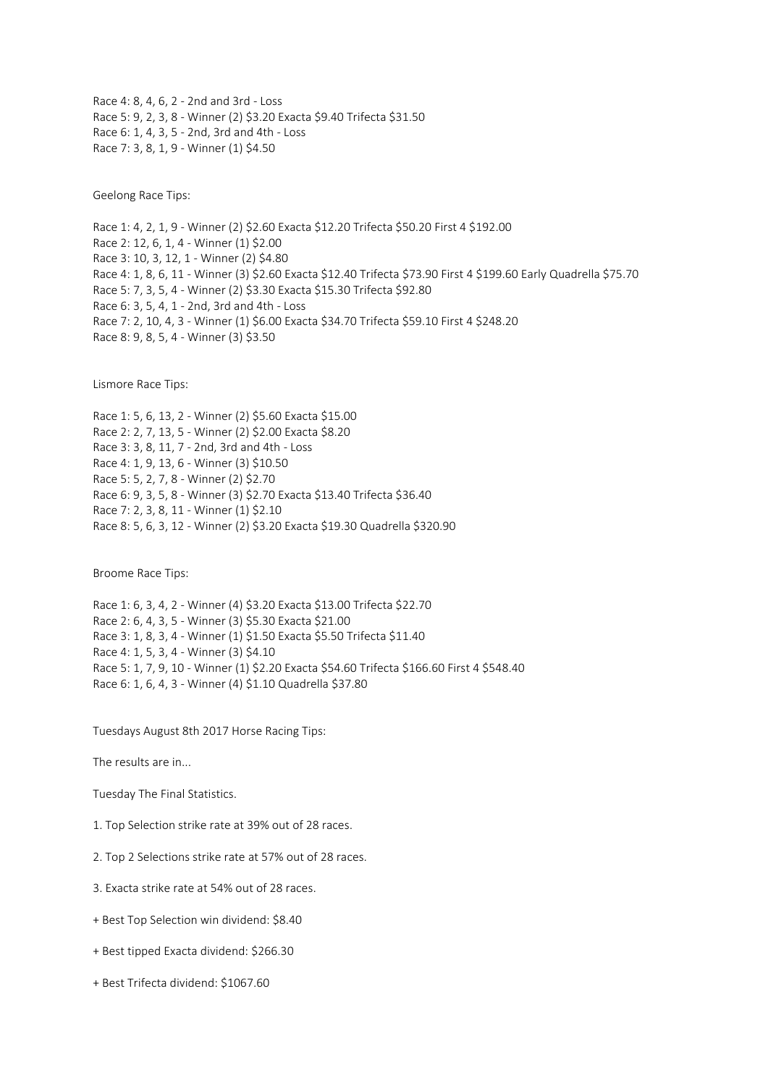Race 4: 8, 4, 6, 2 - 2nd and 3rd - Loss Race 5: 9, 2, 3, 8 - Winner (2) \$3.20 Exacta \$9.40 Trifecta \$31.50 Race 6: 1, 4, 3, 5 - 2nd, 3rd and 4th - Loss Race 7: 3, 8, 1, 9 - Winner (1) \$4.50

Geelong Race Tips:

Race 1: 4, 2, 1, 9 - Winner (2) \$2.60 Exacta \$12.20 Trifecta \$50.20 First 4 \$192.00 Race 2: 12, 6, 1, 4 - Winner (1) \$2.00 Race 3: 10, 3, 12, 1 - Winner (2) \$4.80 Race 4: 1, 8, 6, 11 - Winner (3) \$2.60 Exacta \$12.40 Trifecta \$73.90 First 4 \$199.60 Early Quadrella \$75.70 Race 5: 7, 3, 5, 4 - Winner (2) \$3.30 Exacta \$15.30 Trifecta \$92.80 Race 6: 3, 5, 4, 1 - 2nd, 3rd and 4th - Loss Race 7: 2, 10, 4, 3 - Winner (1) \$6.00 Exacta \$34.70 Trifecta \$59.10 First 4 \$248.20 Race 8: 9, 8, 5, 4 - Winner (3) \$3.50

Lismore Race Tips:

Race 1: 5, 6, 13, 2 - Winner (2) \$5.60 Exacta \$15.00 Race 2: 2, 7, 13, 5 - Winner (2) \$2.00 Exacta \$8.20 Race 3: 3, 8, 11, 7 - 2nd, 3rd and 4th - Loss Race 4: 1, 9, 13, 6 - Winner (3) \$10.50 Race 5: 5, 2, 7, 8 - Winner (2) \$2.70 Race 6: 9, 3, 5, 8 - Winner (3) \$2.70 Exacta \$13.40 Trifecta \$36.40 Race 7: 2, 3, 8, 11 - Winner (1) \$2.10 Race 8: 5, 6, 3, 12 - Winner (2) \$3.20 Exacta \$19.30 Quadrella \$320.90

Broome Race Tips:

Race 1: 6, 3, 4, 2 - Winner (4) \$3.20 Exacta \$13.00 Trifecta \$22.70 Race 2: 6, 4, 3, 5 - Winner (3) \$5.30 Exacta \$21.00 Race 3: 1, 8, 3, 4 - Winner (1) \$1.50 Exacta \$5.50 Trifecta \$11.40 Race 4: 1, 5, 3, 4 - Winner (3) \$4.10 Race 5: 1, 7, 9, 10 - Winner (1) \$2.20 Exacta \$54.60 Trifecta \$166.60 First 4 \$548.40 Race 6: 1, 6, 4, 3 - Winner (4) \$1.10 Quadrella \$37.80

Tuesdays August 8th 2017 Horse Racing Tips:

The results are in...

Tuesday The Final Statistics.

1. Top Selection strike rate at 39% out of 28 races.

2. Top 2 Selections strike rate at 57% out of 28 races.

3. Exacta strike rate at 54% out of 28 races.

+ Best Top Selection win dividend: \$8.40

+ Best tipped Exacta dividend: \$266.30

+ Best Trifecta dividend: \$1067.60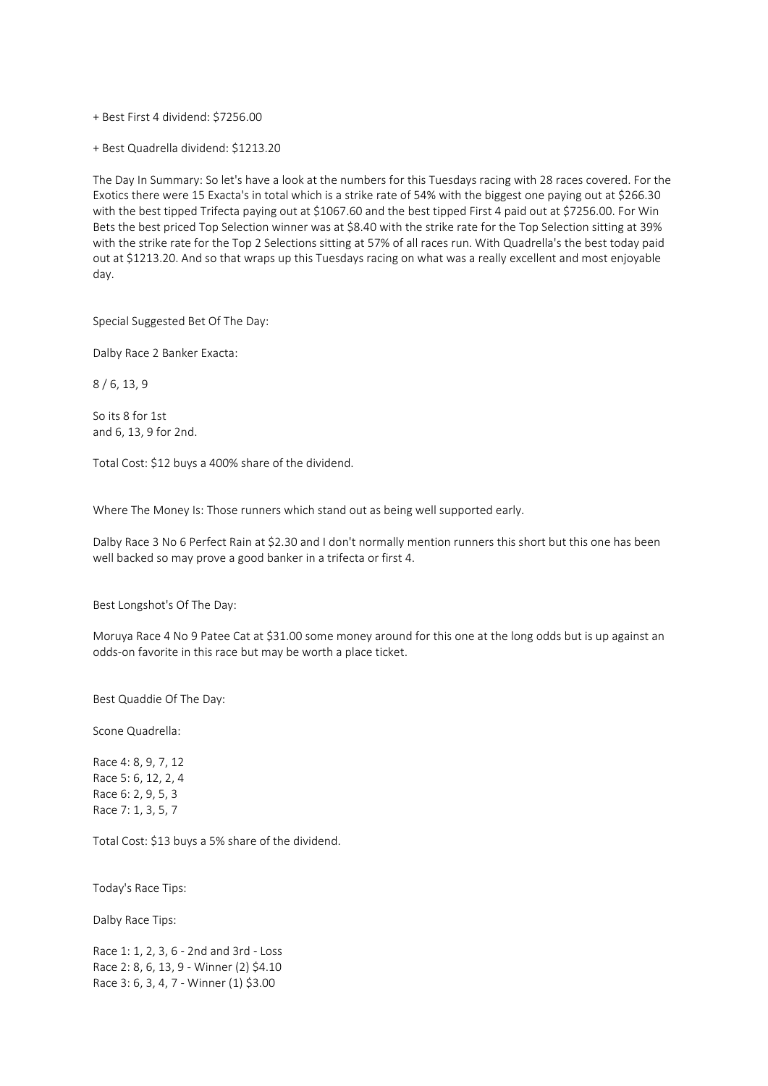+ Best First 4 dividend: \$7256.00

+ Best Quadrella dividend: \$1213.20

The Day In Summary: So let's have a look at the numbers for this Tuesdays racing with 28 races covered. For the Exotics there were 15 Exacta's in total which is a strike rate of 54% with the biggest one paying out at \$266.30 with the best tipped Trifecta paying out at \$1067.60 and the best tipped First 4 paid out at \$7256.00. For Win Bets the best priced Top Selection winner was at \$8.40 with the strike rate for the Top Selection sitting at 39% with the strike rate for the Top 2 Selections sitting at 57% of all races run. With Quadrella's the best today paid out at \$1213.20. And so that wraps up this Tuesdays racing on what was a really excellent and most enjoyable day.

Special Suggested Bet Of The Day:

Dalby Race 2 Banker Exacta:

8 / 6, 13, 9

So its 8 for 1st and 6, 13, 9 for 2nd.

Total Cost: \$12 buys a 400% share of the dividend.

Where The Money Is: Those runners which stand out as being well supported early.

Dalby Race 3 No 6 Perfect Rain at \$2.30 and I don't normally mention runners this short but this one has been well backed so may prove a good banker in a trifecta or first 4.

Best Longshot's Of The Day:

Moruya Race 4 No 9 Patee Cat at \$31.00 some money around for this one at the long odds but is up against an odds-on favorite in this race but may be worth a place ticket.

Best Quaddie Of The Day:

Scone Quadrella:

Race 4: 8, 9, 7, 12 Race 5: 6, 12, 2, 4 Race 6: 2, 9, 5, 3 Race 7: 1, 3, 5, 7

Total Cost: \$13 buys a 5% share of the dividend.

Today's Race Tips:

Dalby Race Tips:

Race 1: 1, 2, 3, 6 - 2nd and 3rd - Loss Race 2: 8, 6, 13, 9 - Winner (2) \$4.10 Race 3: 6, 3, 4, 7 - Winner (1) \$3.00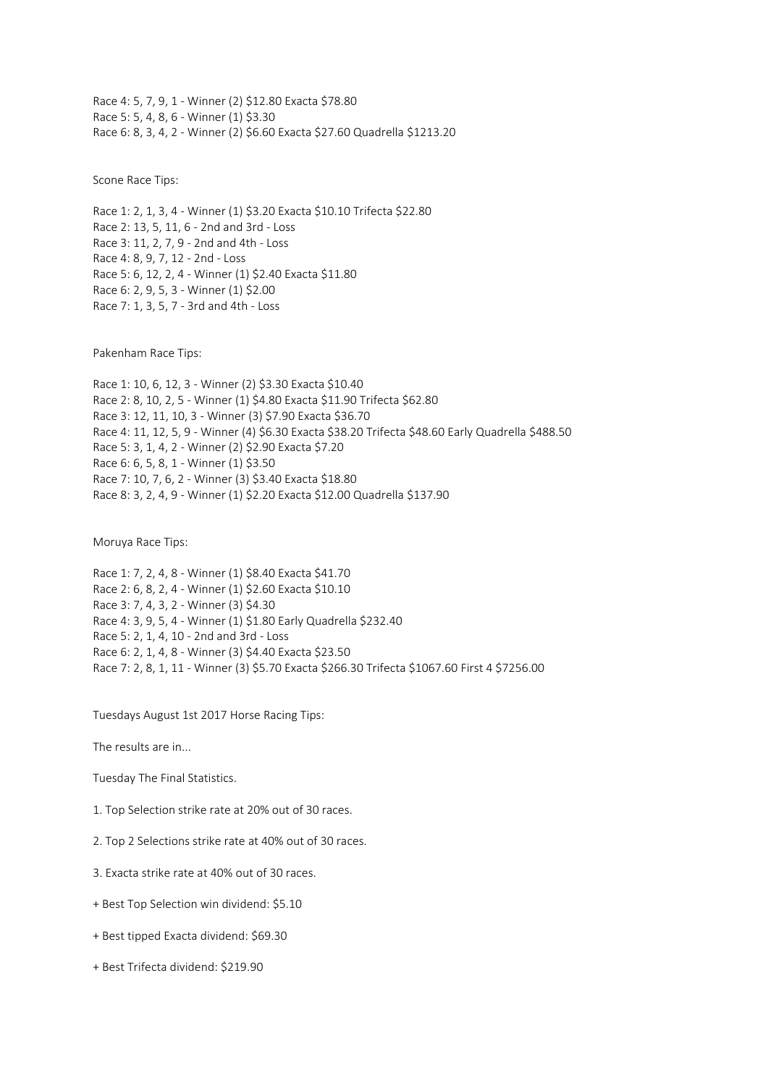Race 4: 5, 7, 9, 1 - Winner (2) \$12.80 Exacta \$78.80 Race 5: 5, 4, 8, 6 - Winner (1) \$3.30 Race 6: 8, 3, 4, 2 - Winner (2) \$6.60 Exacta \$27.60 Quadrella \$1213.20

Scone Race Tips:

Race 1: 2, 1, 3, 4 - Winner (1) \$3.20 Exacta \$10.10 Trifecta \$22.80 Race 2: 13, 5, 11, 6 - 2nd and 3rd - Loss Race 3: 11, 2, 7, 9 - 2nd and 4th - Loss Race 4: 8, 9, 7, 12 - 2nd - Loss Race 5: 6, 12, 2, 4 - Winner (1) \$2.40 Exacta \$11.80 Race 6: 2, 9, 5, 3 - Winner (1) \$2.00 Race 7: 1, 3, 5, 7 - 3rd and 4th - Loss

Pakenham Race Tips:

Race 1: 10, 6, 12, 3 - Winner (2) \$3.30 Exacta \$10.40 Race 2: 8, 10, 2, 5 - Winner (1) \$4.80 Exacta \$11.90 Trifecta \$62.80 Race 3: 12, 11, 10, 3 - Winner (3) \$7.90 Exacta \$36.70 Race 4: 11, 12, 5, 9 - Winner (4) \$6.30 Exacta \$38.20 Trifecta \$48.60 Early Quadrella \$488.50 Race 5: 3, 1, 4, 2 - Winner (2) \$2.90 Exacta \$7.20 Race 6: 6, 5, 8, 1 - Winner (1) \$3.50 Race 7: 10, 7, 6, 2 - Winner (3) \$3.40 Exacta \$18.80 Race 8: 3, 2, 4, 9 - Winner (1) \$2.20 Exacta \$12.00 Quadrella \$137.90

Moruya Race Tips:

Race 1: 7, 2, 4, 8 - Winner (1) \$8.40 Exacta \$41.70 Race 2: 6, 8, 2, 4 - Winner (1) \$2.60 Exacta \$10.10 Race 3: 7, 4, 3, 2 - Winner (3) \$4.30 Race 4: 3, 9, 5, 4 - Winner (1) \$1.80 Early Quadrella \$232.40 Race 5: 2, 1, 4, 10 - 2nd and 3rd - Loss Race 6: 2, 1, 4, 8 - Winner (3) \$4.40 Exacta \$23.50 Race 7: 2, 8, 1, 11 - Winner (3) \$5.70 Exacta \$266.30 Trifecta \$1067.60 First 4 \$7256.00

Tuesdays August 1st 2017 Horse Racing Tips:

The results are in...

- Tuesday The Final Statistics.
- 1. Top Selection strike rate at 20% out of 30 races.
- 2. Top 2 Selections strike rate at 40% out of 30 races.
- 3. Exacta strike rate at 40% out of 30 races.
- + Best Top Selection win dividend: \$5.10
- + Best tipped Exacta dividend: \$69.30
- + Best Trifecta dividend: \$219.90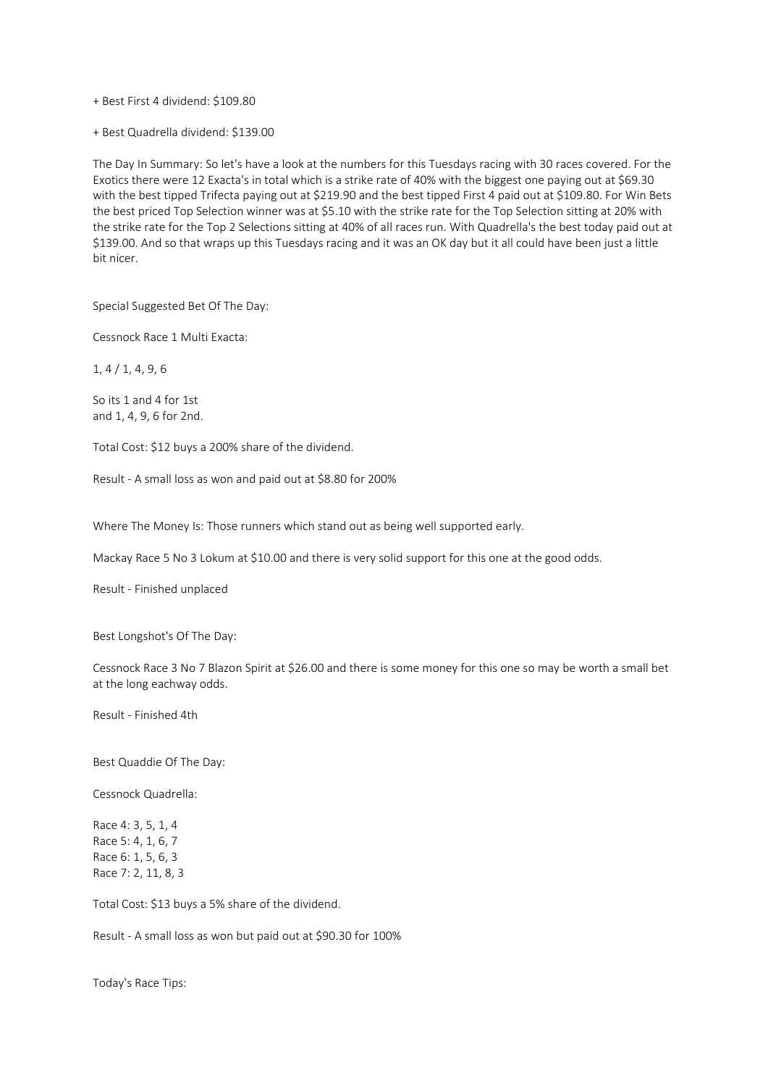+ Best First 4 dividend: \$109.80

+ Best Quadrella dividend: \$139.00

The Day In Summary: So let's have a look at the numbers for this Tuesdays racing with 30 races covered. For the Exotics there were 12 Exacta's in total which is a strike rate of 40% with the biggest one paying out at \$69.30 with the best tipped Trifecta paying out at \$219.90 and the best tipped First 4 paid out at \$109.80. For Win Bets the best priced Top Selection winner was at \$5.10 with the strike rate for the Top Selection sitting at 20% with the strike rate for the Top 2 Selections sitting at 40% of all races run. With Quadrella's the best today paid out at \$139.00. And so that wraps up this Tuesdays racing and it was an OK day but it all could have been just a little bit nicer.

Special Suggested Bet Of The Day:

Cessnock Race 1 Multi Exacta:

1, 4 / 1, 4, 9, 6

So its 1 and 4 for 1st and 1, 4, 9, 6 for 2nd.

Total Cost: \$12 buys a 200% share of the dividend.

Result - A small loss as won and paid out at \$8.80 for 200%

Where The Money Is: Those runners which stand out as being well supported early.

Mackay Race 5 No 3 Lokum at \$10.00 and there is very solid support for this one at the good odds.

Result - Finished unplaced

Best Longshot's Of The Day:

Cessnock Race 3 No 7 Blazon Spirit at \$26.00 and there is some money for this one so may be worth a small bet at the long eachway odds.

Result - Finished 4th

Best Quaddie Of The Day:

Cessnock Quadrella:

Race 4: 3, 5, 1, 4 Race 5: 4, 1, 6, 7 Race 6: 1, 5, 6, 3 Race 7: 2, 11, 8, 3

Total Cost: \$13 buys a 5% share of the dividend.

Result - A small loss as won but paid out at \$90.30 for 100%

Today's Race Tips: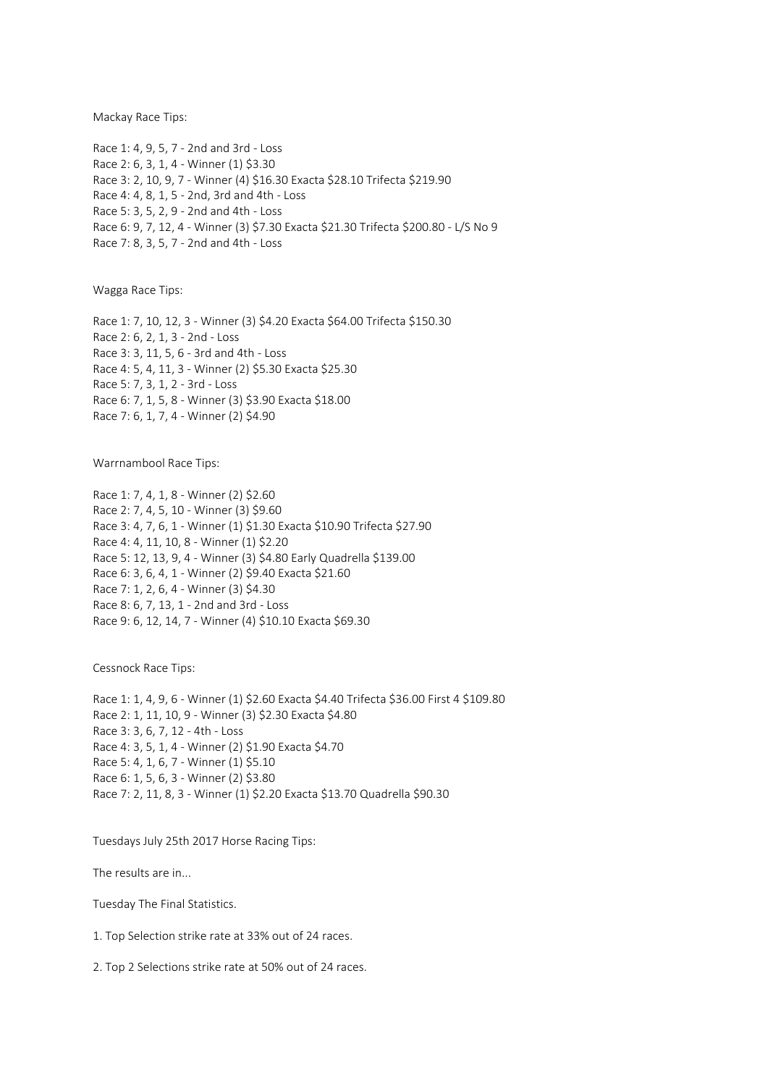Mackay Race Tips:

Race 1: 4, 9, 5, 7 - 2nd and 3rd - Loss Race 2: 6, 3, 1, 4 - Winner (1) \$3.30 Race 3: 2, 10, 9, 7 - Winner (4) \$16.30 Exacta \$28.10 Trifecta \$219.90 Race 4: 4, 8, 1, 5 - 2nd, 3rd and 4th - Loss Race 5: 3, 5, 2, 9 - 2nd and 4th - Loss Race 6: 9, 7, 12, 4 - Winner (3) \$7.30 Exacta \$21.30 Trifecta \$200.80 - L/S No 9 Race 7: 8, 3, 5, 7 - 2nd and 4th - Loss

Wagga Race Tips:

Race 1: 7, 10, 12, 3 - Winner (3) \$4.20 Exacta \$64.00 Trifecta \$150.30 Race 2: 6, 2, 1, 3 - 2nd - Loss Race 3: 3, 11, 5, 6 - 3rd and 4th - Loss Race 4: 5, 4, 11, 3 - Winner (2) \$5.30 Exacta \$25.30 Race 5: 7, 3, 1, 2 - 3rd - Loss Race 6: 7, 1, 5, 8 - Winner (3) \$3.90 Exacta \$18.00 Race 7: 6, 1, 7, 4 - Winner (2) \$4.90

Warrnambool Race Tips:

Race 1: 7, 4, 1, 8 - Winner (2) \$2.60 Race 2: 7, 4, 5, 10 - Winner (3) \$9.60 Race 3: 4, 7, 6, 1 - Winner (1) \$1.30 Exacta \$10.90 Trifecta \$27.90 Race 4: 4, 11, 10, 8 - Winner (1) \$2.20 Race 5: 12, 13, 9, 4 - Winner (3) \$4.80 Early Quadrella \$139.00 Race 6: 3, 6, 4, 1 - Winner (2) \$9.40 Exacta \$21.60 Race 7: 1, 2, 6, 4 - Winner (3) \$4.30 Race 8: 6, 7, 13, 1 - 2nd and 3rd - Loss Race 9: 6, 12, 14, 7 - Winner (4) \$10.10 Exacta \$69.30

Cessnock Race Tips:

Race 1: 1, 4, 9, 6 - Winner (1) \$2.60 Exacta \$4.40 Trifecta \$36.00 First 4 \$109.80 Race 2: 1, 11, 10, 9 - Winner (3) \$2.30 Exacta \$4.80 Race 3: 3, 6, 7, 12 - 4th - Loss Race 4: 3, 5, 1, 4 - Winner (2) \$1.90 Exacta \$4.70 Race 5: 4, 1, 6, 7 - Winner (1) \$5.10 Race 6: 1, 5, 6, 3 - Winner (2) \$3.80 Race 7: 2, 11, 8, 3 - Winner (1) \$2.20 Exacta \$13.70 Quadrella \$90.30

Tuesdays July 25th 2017 Horse Racing Tips:

The results are in...

Tuesday The Final Statistics.

1. Top Selection strike rate at 33% out of 24 races.

2. Top 2 Selections strike rate at 50% out of 24 races.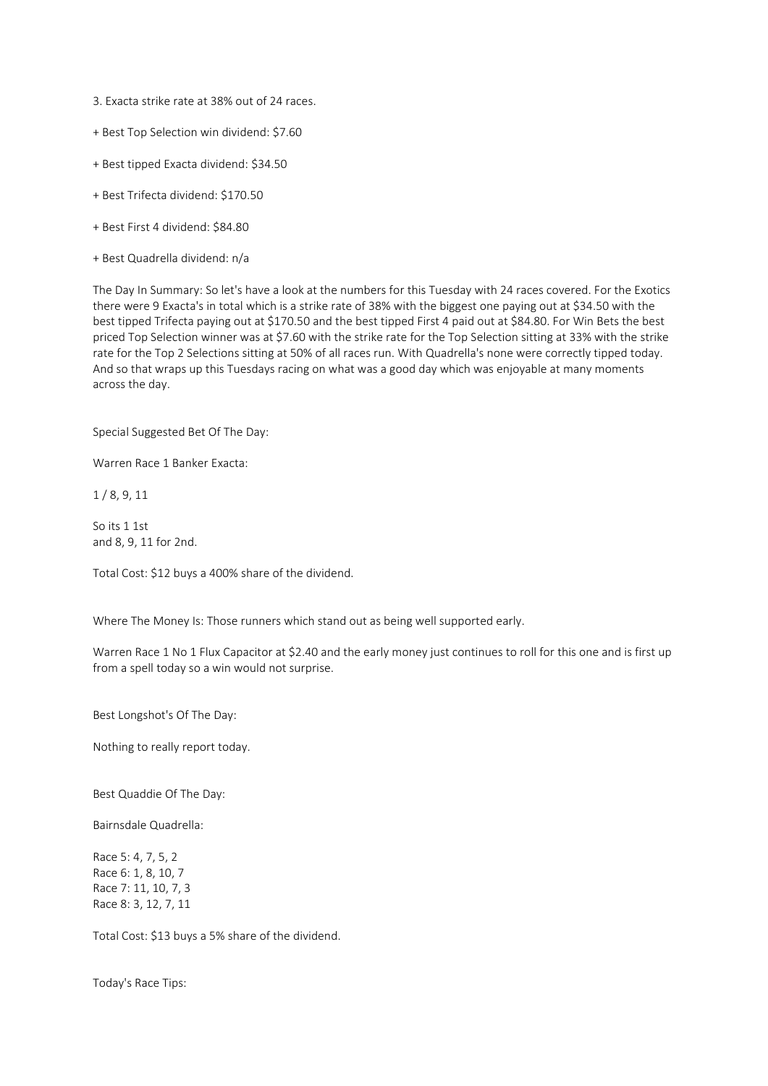- 3. Exacta strike rate at 38% out of 24 races.
- + Best Top Selection win dividend: \$7.60
- + Best tipped Exacta dividend: \$34.50
- + Best Trifecta dividend: \$170.50
- + Best First 4 dividend: \$84.80
- + Best Quadrella dividend: n/a

The Day In Summary: So let's have a look at the numbers for this Tuesday with 24 races covered. For the Exotics there were 9 Exacta's in total which is a strike rate of 38% with the biggest one paying out at \$34.50 with the best tipped Trifecta paying out at \$170.50 and the best tipped First 4 paid out at \$84.80. For Win Bets the best priced Top Selection winner was at \$7.60 with the strike rate for the Top Selection sitting at 33% with the strike rate for the Top 2 Selections sitting at 50% of all races run. With Quadrella's none were correctly tipped today. And so that wraps up this Tuesdays racing on what was a good day which was enjoyable at many moments across the day.

Special Suggested Bet Of The Day:

Warren Race 1 Banker Exacta:

1 / 8, 9, 11

So its 1 1st and 8, 9, 11 for 2nd.

Total Cost: \$12 buys a 400% share of the dividend.

Where The Money Is: Those runners which stand out as being well supported early.

Warren Race 1 No 1 Flux Capacitor at \$2.40 and the early money just continues to roll for this one and is first up from a spell today so a win would not surprise.

Best Longshot's Of The Day:

Nothing to really report today.

Best Quaddie Of The Day:

Bairnsdale Quadrella:

Race 5: 4, 7, 5, 2 Race 6: 1, 8, 10, 7 Race 7: 11, 10, 7, 3 Race 8: 3, 12, 7, 11

Total Cost: \$13 buys a 5% share of the dividend.

Today's Race Tips: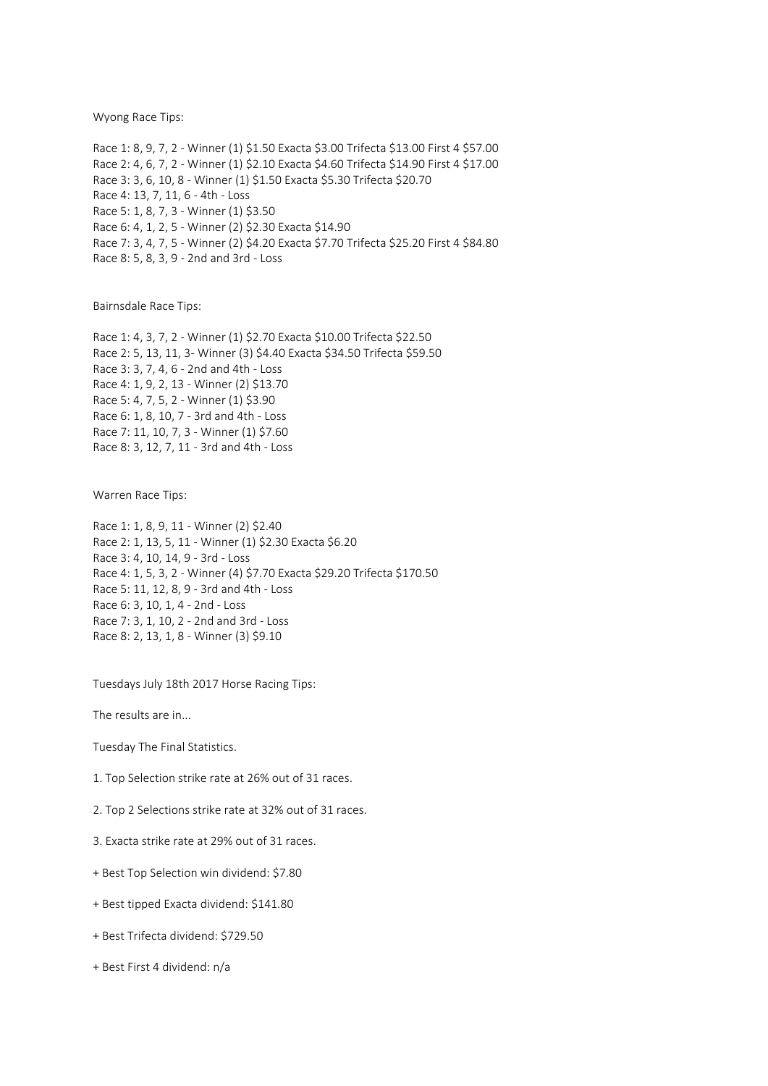Wyong Race Tips:

Race 1: 8, 9, 7, 2 - Winner (1) \$1.50 Exacta \$3.00 Trifecta \$13.00 First 4 \$57.00 Race 2: 4, 6, 7, 2 - Winner (1) \$2.10 Exacta \$4.60 Trifecta \$14.90 First 4 \$17.00 Race 3: 3, 6, 10, 8 - Winner (1) \$1.50 Exacta \$5.30 Trifecta \$20.70 Race 4: 13, 7, 11, 6 - 4th - Loss Race 5: 1, 8, 7, 3 - Winner (1) \$3.50 Race 6: 4, 1, 2, 5 - Winner (2) \$2.30 Exacta \$14.90 Race 7: 3, 4, 7, 5 - Winner (2) \$4.20 Exacta \$7.70 Trifecta \$25.20 First 4 \$84.80 Race 8: 5, 8, 3, 9 - 2nd and 3rd - Loss

Bairnsdale Race Tips:

Race 1: 4, 3, 7, 2 - Winner (1) \$2.70 Exacta \$10.00 Trifecta \$22.50 Race 2: 5, 13, 11, 3- Winner (3) \$4.40 Exacta \$34.50 Trifecta \$59.50 Race 3: 3, 7, 4, 6 - 2nd and 4th - Loss Race 4: 1, 9, 2, 13 - Winner (2) \$13.70 Race 5: 4, 7, 5, 2 - Winner (1) \$3.90 Race 6: 1, 8, 10, 7 - 3rd and 4th - Loss Race 7: 11, 10, 7, 3 - Winner (1) \$7.60 Race 8: 3, 12, 7, 11 - 3rd and 4th - Loss

Warren Race Tips:

Race 1: 1, 8, 9, 11 - Winner (2) \$2.40 Race 2: 1, 13, 5, 11 - Winner (1) \$2.30 Exacta \$6.20 Race 3: 4, 10, 14, 9 - 3rd - Loss Race 4: 1, 5, 3, 2 - Winner (4) \$7.70 Exacta \$29.20 Trifecta \$170.50 Race 5: 11, 12, 8, 9 - 3rd and 4th - Loss Race 6: 3, 10, 1, 4 - 2nd - Loss Race 7: 3, 1, 10, 2 - 2nd and 3rd - Loss Race 8: 2, 13, 1, 8 - Winner (3) \$9.10

Tuesdays July 18th 2017 Horse Racing Tips:

The results are in...

Tuesday The Final Statistics.

1. Top Selection strike rate at 26% out of 31 races.

2. Top 2 Selections strike rate at 32% out of 31 races.

3. Exacta strike rate at 29% out of 31 races.

+ Best Top Selection win dividend: \$7.80

- + Best tipped Exacta dividend: \$141.80
- + Best Trifecta dividend: \$729.50
- + Best First 4 dividend: n/a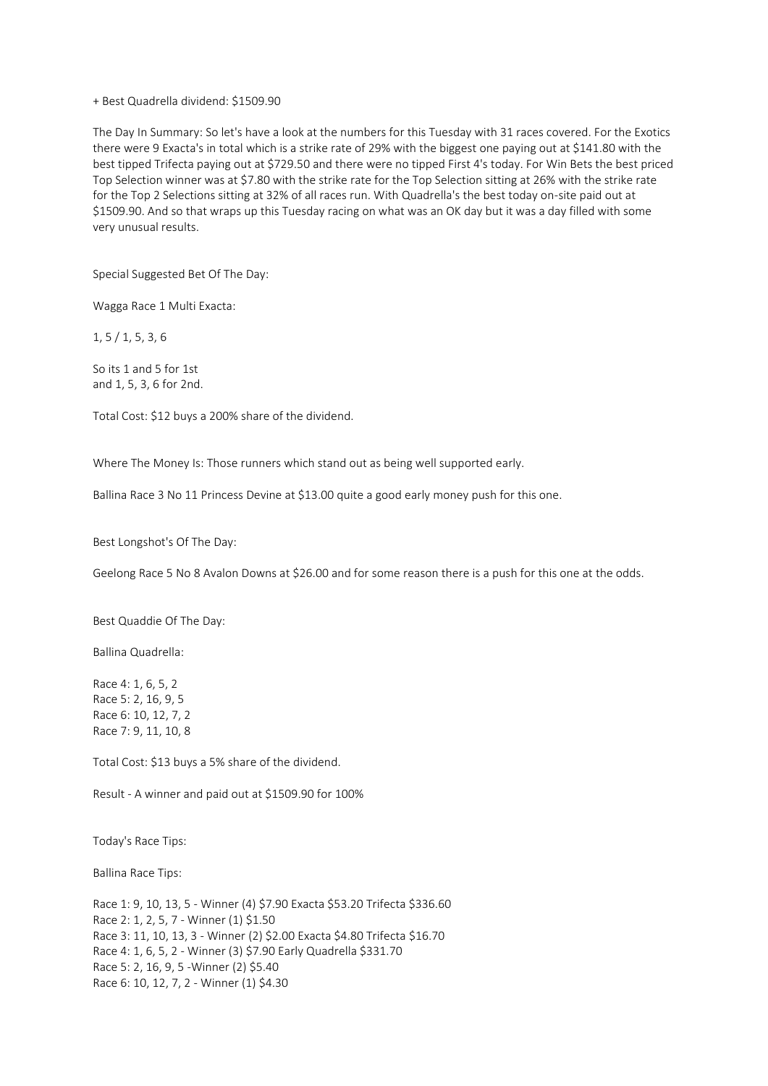## + Best Quadrella dividend: \$1509.90

The Day In Summary: So let's have a look at the numbers for this Tuesday with 31 races covered. For the Exotics there were 9 Exacta's in total which is a strike rate of 29% with the biggest one paying out at \$141.80 with the best tipped Trifecta paying out at \$729.50 and there were no tipped First 4's today. For Win Bets the best priced Top Selection winner was at \$7.80 with the strike rate for the Top Selection sitting at 26% with the strike rate for the Top 2 Selections sitting at 32% of all races run. With Quadrella's the best today on-site paid out at \$1509.90. And so that wraps up this Tuesday racing on what was an OK day but it was a day filled with some very unusual results.

Special Suggested Bet Of The Day:

Wagga Race 1 Multi Exacta:

1, 5 / 1, 5, 3, 6

So its 1 and 5 for 1st and 1, 5, 3, 6 for 2nd.

Total Cost: \$12 buys a 200% share of the dividend.

Where The Money Is: Those runners which stand out as being well supported early.

Ballina Race 3 No 11 Princess Devine at \$13.00 quite a good early money push for this one.

Best Longshot's Of The Day:

Geelong Race 5 No 8 Avalon Downs at \$26.00 and for some reason there is a push for this one at the odds.

Best Quaddie Of The Day:

Ballina Quadrella:

Race 4: 1, 6, 5, 2 Race 5: 2, 16, 9, 5 Race 6: 10, 12, 7, 2 Race 7: 9, 11, 10, 8

Total Cost: \$13 buys a 5% share of the dividend.

Result - A winner and paid out at \$1509.90 for 100%

Today's Race Tips:

Ballina Race Tips:

Race 1: 9, 10, 13, 5 - Winner (4) \$7.90 Exacta \$53.20 Trifecta \$336.60 Race 2: 1, 2, 5, 7 - Winner (1) \$1.50 Race 3: 11, 10, 13, 3 - Winner (2) \$2.00 Exacta \$4.80 Trifecta \$16.70 Race 4: 1, 6, 5, 2 - Winner (3) \$7.90 Early Quadrella \$331.70 Race 5: 2, 16, 9, 5 -Winner (2) \$5.40 Race 6: 10, 12, 7, 2 - Winner (1) \$4.30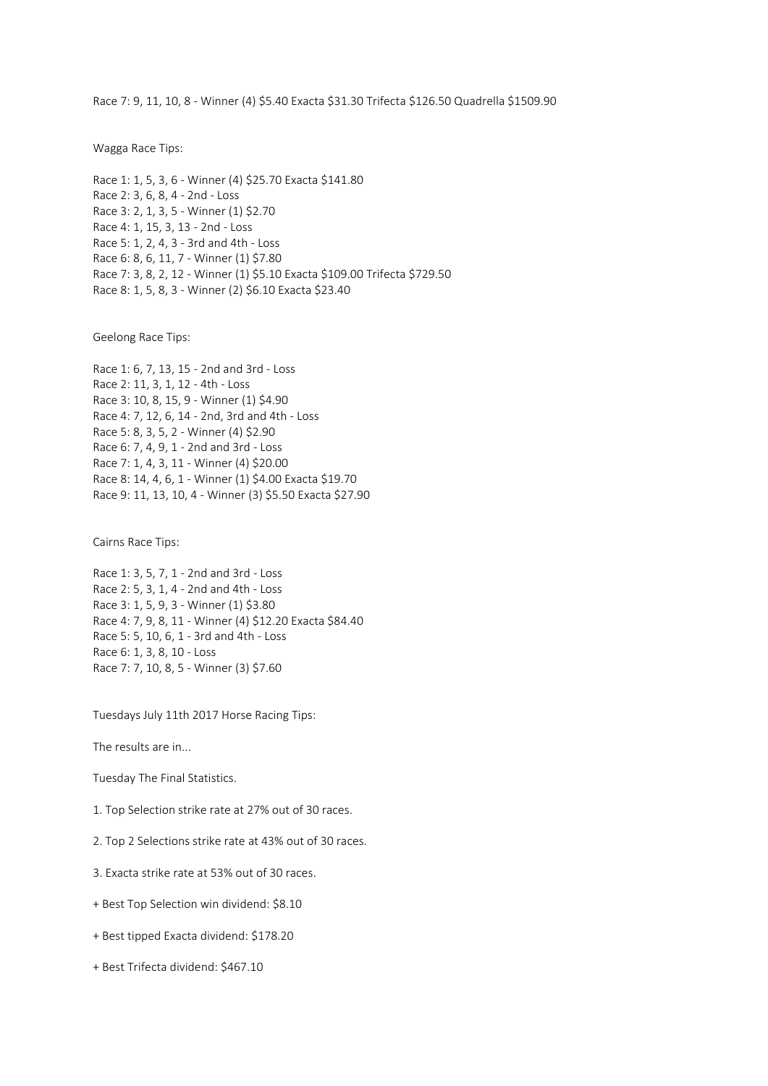Race 7: 9, 11, 10, 8 - Winner (4) \$5.40 Exacta \$31.30 Trifecta \$126.50 Quadrella \$1509.90

Wagga Race Tips:

Race 1: 1, 5, 3, 6 - Winner (4) \$25.70 Exacta \$141.80 Race 2: 3, 6, 8, 4 - 2nd - Loss Race 3: 2, 1, 3, 5 - Winner (1) \$2.70 Race 4: 1, 15, 3, 13 - 2nd - Loss Race 5: 1, 2, 4, 3 - 3rd and 4th - Loss Race 6: 8, 6, 11, 7 - Winner (1) \$7.80 Race 7: 3, 8, 2, 12 - Winner (1) \$5.10 Exacta \$109.00 Trifecta \$729.50 Race 8: 1, 5, 8, 3 - Winner (2) \$6.10 Exacta \$23.40

Geelong Race Tips:

Race 1: 6, 7, 13, 15 - 2nd and 3rd - Loss Race 2: 11, 3, 1, 12 - 4th - Loss Race 3: 10, 8, 15, 9 - Winner (1) \$4.90 Race 4: 7, 12, 6, 14 - 2nd, 3rd and 4th - Loss Race 5: 8, 3, 5, 2 - Winner (4) \$2.90 Race 6: 7, 4, 9, 1 - 2nd and 3rd - Loss Race 7: 1, 4, 3, 11 - Winner (4) \$20.00 Race 8: 14, 4, 6, 1 - Winner (1) \$4.00 Exacta \$19.70 Race 9: 11, 13, 10, 4 - Winner (3) \$5.50 Exacta \$27.90

Cairns Race Tips:

Race 1: 3, 5, 7, 1 - 2nd and 3rd - Loss Race 2: 5, 3, 1, 4 - 2nd and 4th - Loss Race 3: 1, 5, 9, 3 - Winner (1) \$3.80 Race 4: 7, 9, 8, 11 - Winner (4) \$12.20 Exacta \$84.40 Race 5: 5, 10, 6, 1 - 3rd and 4th - Loss Race 6: 1, 3, 8, 10 - Loss Race 7: 7, 10, 8, 5 - Winner (3) \$7.60

Tuesdays July 11th 2017 Horse Racing Tips:

The results are in...

Tuesday The Final Statistics.

1. Top Selection strike rate at 27% out of 30 races.

2. Top 2 Selections strike rate at 43% out of 30 races.

3. Exacta strike rate at 53% out of 30 races.

+ Best Top Selection win dividend: \$8.10

+ Best tipped Exacta dividend: \$178.20

+ Best Trifecta dividend: \$467.10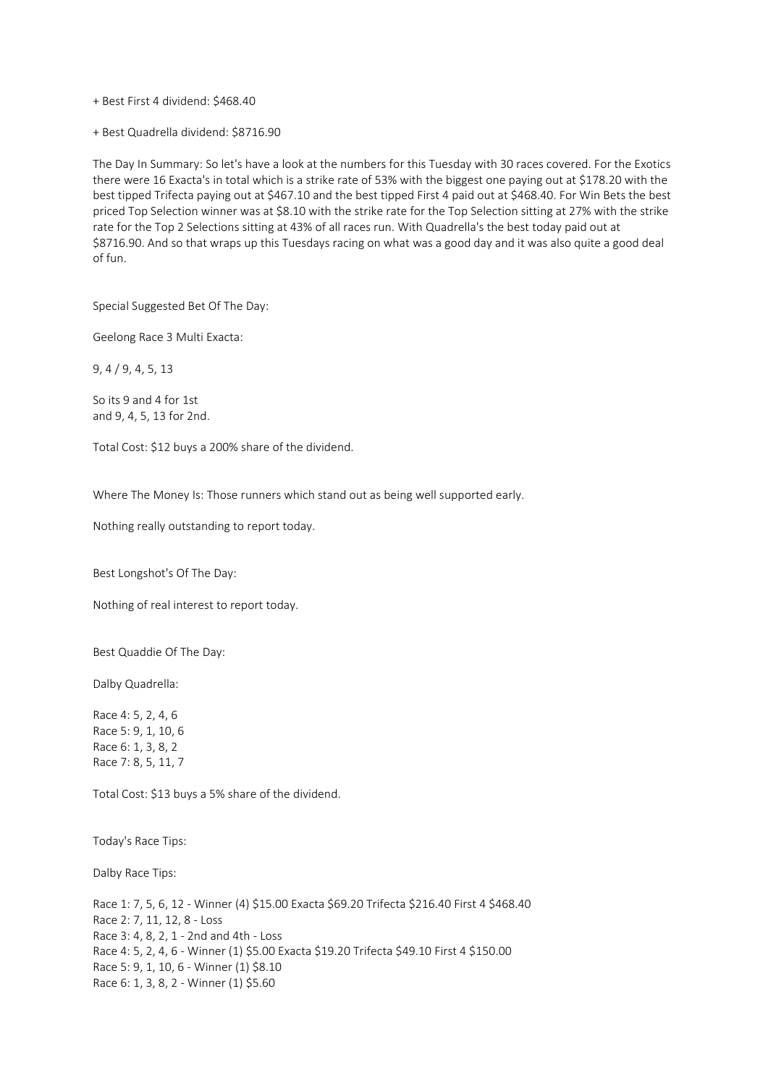+ Best First 4 dividend: \$468.40

+ Best Quadrella dividend: \$8716.90

The Day In Summary: So let's have a look at the numbers for this Tuesday with 30 races covered. For the Exotics there were 16 Exacta's in total which is a strike rate of 53% with the biggest one paying out at \$178.20 with the best tipped Trifecta paying out at \$467.10 and the best tipped First 4 paid out at \$468.40. For Win Bets the best priced Top Selection winner was at \$8.10 with the strike rate for the Top Selection sitting at 27% with the strike rate for the Top 2 Selections sitting at 43% of all races run. With Quadrella's the best today paid out at \$8716.90. And so that wraps up this Tuesdays racing on what was a good day and it was also quite a good deal of fun.

Special Suggested Bet Of The Day:

Geelong Race 3 Multi Exacta:

9, 4 / 9, 4, 5, 13

So its 9 and 4 for 1st and 9, 4, 5, 13 for 2nd.

Total Cost: \$12 buys a 200% share of the dividend.

Where The Money Is: Those runners which stand out as being well supported early.

Nothing really outstanding to report today.

Best Longshot's Of The Day:

Nothing of real interest to report today.

Best Quaddie Of The Day:

Dalby Quadrella:

Race 4: 5, 2, 4, 6 Race 5: 9, 1, 10, 6 Race 6: 1, 3, 8, 2 Race 7: 8, 5, 11, 7

Total Cost: \$13 buys a 5% share of the dividend.

Today's Race Tips:

Dalby Race Tips:

Race 1: 7, 5, 6, 12 - Winner (4) \$15.00 Exacta \$69.20 Trifecta \$216.40 First 4 \$468.40 Race 2: 7, 11, 12, 8 - Loss Race 3: 4, 8, 2, 1 - 2nd and 4th - Loss Race 4: 5, 2, 4, 6 - Winner (1) \$5.00 Exacta \$19.20 Trifecta \$49.10 First 4 \$150.00 Race 5: 9, 1, 10, 6 - Winner (1) \$8.10 Race 6: 1, 3, 8, 2 - Winner (1) \$5.60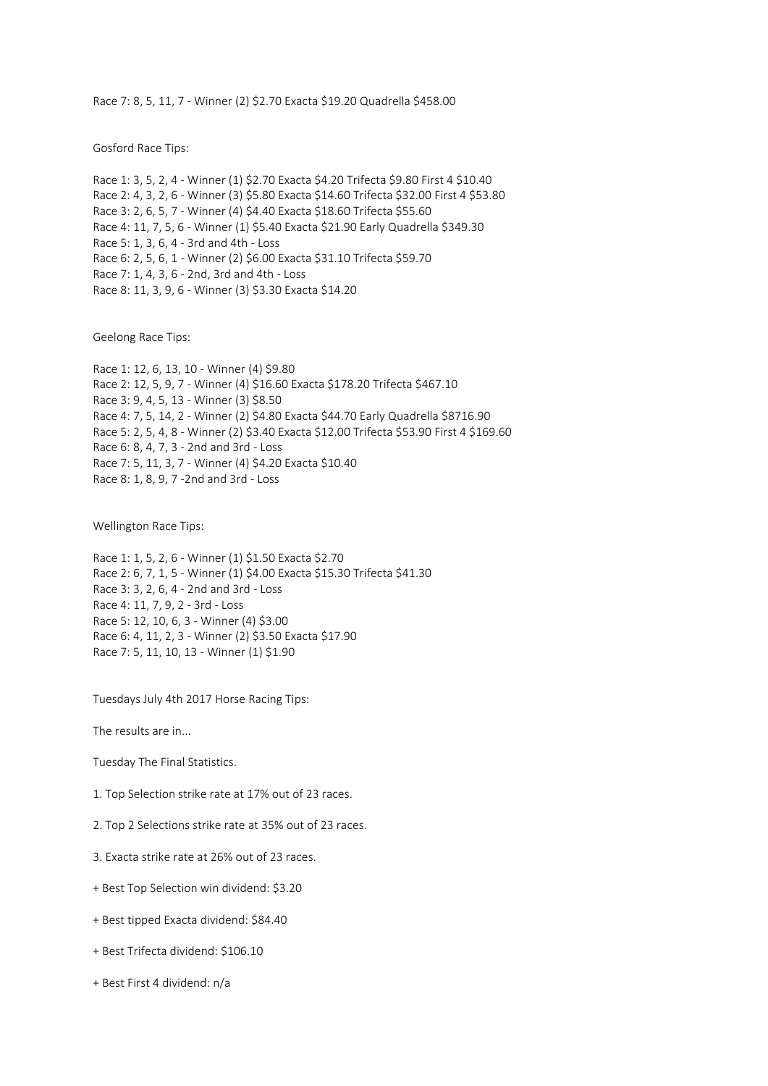Race 7: 8, 5, 11, 7 - Winner (2) \$2.70 Exacta \$19.20 Quadrella \$458.00

Gosford Race Tips:

Race 1: 3, 5, 2, 4 - Winner (1) \$2.70 Exacta \$4.20 Trifecta \$9.80 First 4 \$10.40 Race 2: 4, 3, 2, 6 - Winner (3) \$5.80 Exacta \$14.60 Trifecta \$32.00 First 4 \$53.80 Race 3: 2, 6, 5, 7 - Winner (4) \$4.40 Exacta \$18.60 Trifecta \$55.60 Race 4: 11, 7, 5, 6 - Winner (1) \$5.40 Exacta \$21.90 Early Quadrella \$349.30 Race 5: 1, 3, 6, 4 - 3rd and 4th - Loss Race 6: 2, 5, 6, 1 - Winner (2) \$6.00 Exacta \$31.10 Trifecta \$59.70 Race 7: 1, 4, 3, 6 - 2nd, 3rd and 4th - Loss Race 8: 11, 3, 9, 6 - Winner (3) \$3.30 Exacta \$14.20

Geelong Race Tips:

Race 1: 12, 6, 13, 10 - Winner (4) \$9.80 Race 2: 12, 5, 9, 7 - Winner (4) \$16.60 Exacta \$178.20 Trifecta \$467.10 Race 3: 9, 4, 5, 13 - Winner (3) \$8.50 Race 4: 7, 5, 14, 2 - Winner (2) \$4.80 Exacta \$44.70 Early Quadrella \$8716.90 Race 5: 2, 5, 4, 8 - Winner (2) \$3.40 Exacta \$12.00 Trifecta \$53.90 First 4 \$169.60 Race 6: 8, 4, 7, 3 - 2nd and 3rd - Loss Race 7: 5, 11, 3, 7 - Winner (4) \$4.20 Exacta \$10.40 Race 8: 1, 8, 9, 7 -2nd and 3rd - Loss

Wellington Race Tips:

Race 1: 1, 5, 2, 6 - Winner (1) \$1.50 Exacta \$2.70 Race 2: 6, 7, 1, 5 - Winner (1) \$4.00 Exacta \$15.30 Trifecta \$41.30 Race 3: 3, 2, 6, 4 - 2nd and 3rd - Loss Race 4: 11, 7, 9, 2 - 3rd - Loss Race 5: 12, 10, 6, 3 - Winner (4) \$3.00 Race 6: 4, 11, 2, 3 - Winner (2) \$3.50 Exacta \$17.90 Race 7: 5, 11, 10, 13 - Winner (1) \$1.90

Tuesdays July 4th 2017 Horse Racing Tips:

The results are in...

Tuesday The Final Statistics.

- 1. Top Selection strike rate at 17% out of 23 races.
- 2. Top 2 Selections strike rate at 35% out of 23 races.
- 3. Exacta strike rate at 26% out of 23 races.
- + Best Top Selection win dividend: \$3.20
- + Best tipped Exacta dividend: \$84.40
- + Best Trifecta dividend: \$106.10
- + Best First 4 dividend: n/a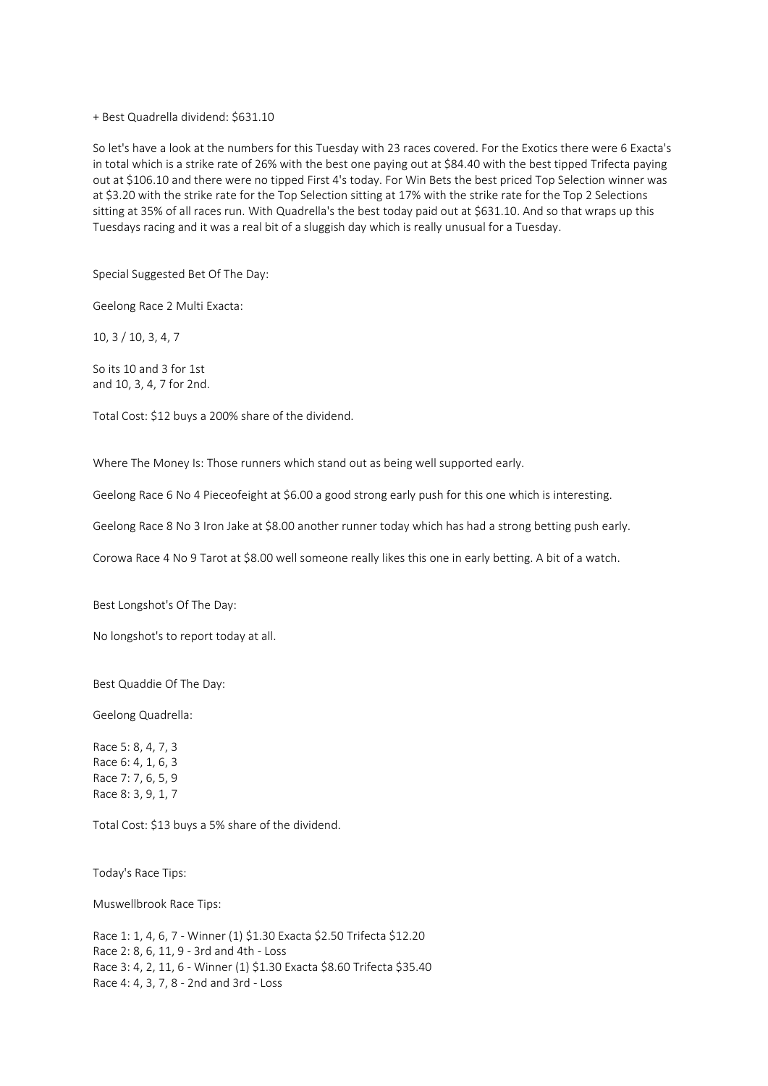+ Best Quadrella dividend: \$631.10

So let's have a look at the numbers for this Tuesday with 23 races covered. For the Exotics there were 6 Exacta's in total which is a strike rate of 26% with the best one paying out at \$84.40 with the best tipped Trifecta paying out at \$106.10 and there were no tipped First 4's today. For Win Bets the best priced Top Selection winner was at \$3.20 with the strike rate for the Top Selection sitting at 17% with the strike rate for the Top 2 Selections sitting at 35% of all races run. With Quadrella's the best today paid out at \$631.10. And so that wraps up this Tuesdays racing and it was a real bit of a sluggish day which is really unusual for a Tuesday.

Special Suggested Bet Of The Day:

Geelong Race 2 Multi Exacta:

10, 3 / 10, 3, 4, 7

So its 10 and 3 for 1st and 10, 3, 4, 7 for 2nd.

Total Cost: \$12 buys a 200% share of the dividend.

Where The Money Is: Those runners which stand out as being well supported early.

Geelong Race 6 No 4 Pieceofeight at \$6.00 a good strong early push for this one which is interesting.

Geelong Race 8 No 3 Iron Jake at \$8.00 another runner today which has had a strong betting push early.

Corowa Race 4 No 9 Tarot at \$8.00 well someone really likes this one in early betting. A bit of a watch.

Best Longshot's Of The Day:

No longshot's to report today at all.

Best Quaddie Of The Day:

Geelong Quadrella:

Race 5: 8, 4, 7, 3 Race 6: 4, 1, 6, 3 Race 7: 7, 6, 5, 9 Race 8: 3, 9, 1, 7

Total Cost: \$13 buys a 5% share of the dividend.

Today's Race Tips:

Muswellbrook Race Tips:

Race 1: 1, 4, 6, 7 - Winner (1) \$1.30 Exacta \$2.50 Trifecta \$12.20 Race 2: 8, 6, 11, 9 - 3rd and 4th - Loss Race 3: 4, 2, 11, 6 - Winner (1) \$1.30 Exacta \$8.60 Trifecta \$35.40 Race 4: 4, 3, 7, 8 - 2nd and 3rd - Loss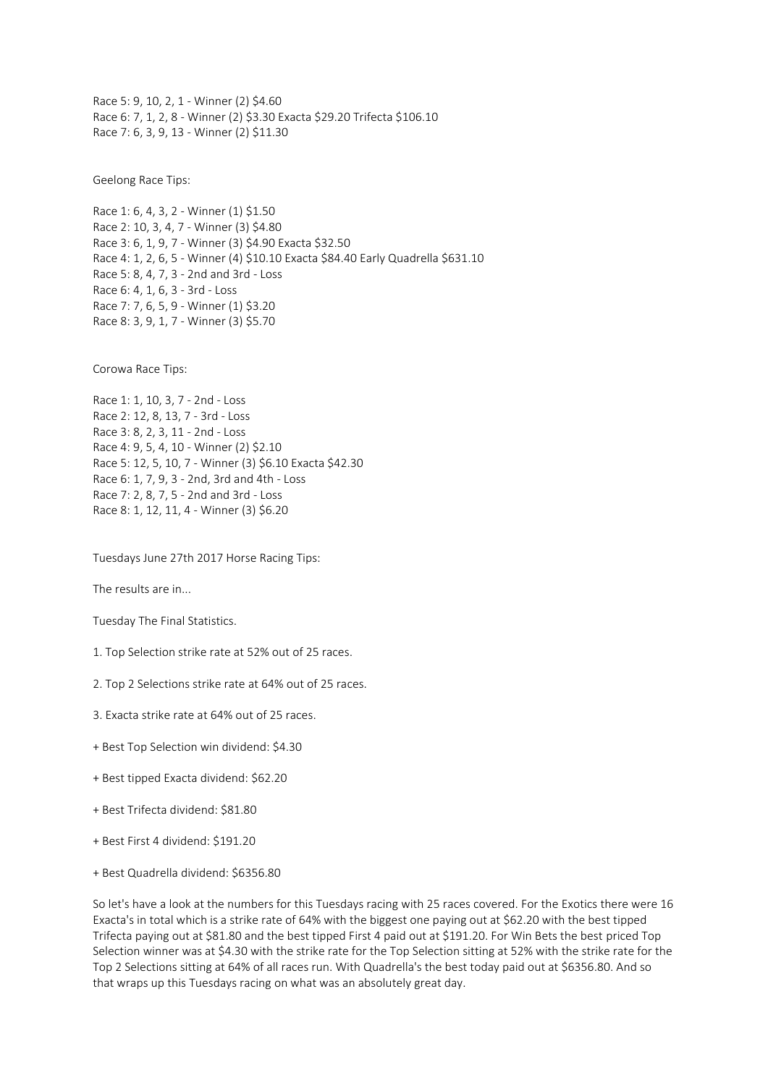Race 5: 9, 10, 2, 1 - Winner (2) \$4.60 Race 6: 7, 1, 2, 8 - Winner (2) \$3.30 Exacta \$29.20 Trifecta \$106.10 Race 7: 6, 3, 9, 13 - Winner (2) \$11.30

Geelong Race Tips:

Race 1: 6, 4, 3, 2 - Winner (1) \$1.50 Race 2: 10, 3, 4, 7 - Winner (3) \$4.80 Race 3: 6, 1, 9, 7 - Winner (3) \$4.90 Exacta \$32.50 Race 4: 1, 2, 6, 5 - Winner (4) \$10.10 Exacta \$84.40 Early Quadrella \$631.10 Race 5: 8, 4, 7, 3 - 2nd and 3rd - Loss Race 6: 4, 1, 6, 3 - 3rd - Loss Race 7: 7, 6, 5, 9 - Winner (1) \$3.20 Race 8: 3, 9, 1, 7 - Winner (3) \$5.70

Corowa Race Tips:

Race 1: 1, 10, 3, 7 - 2nd - Loss Race 2: 12, 8, 13, 7 - 3rd - Loss Race 3: 8, 2, 3, 11 - 2nd - Loss Race 4: 9, 5, 4, 10 - Winner (2) \$2.10 Race 5: 12, 5, 10, 7 - Winner (3) \$6.10 Exacta \$42.30 Race 6: 1, 7, 9, 3 - 2nd, 3rd and 4th - Loss Race 7: 2, 8, 7, 5 - 2nd and 3rd - Loss Race 8: 1, 12, 11, 4 - Winner (3) \$6.20

Tuesdays June 27th 2017 Horse Racing Tips:

The results are in...

Tuesday The Final Statistics.

- 1. Top Selection strike rate at 52% out of 25 races.
- 2. Top 2 Selections strike rate at 64% out of 25 races.
- 3. Exacta strike rate at 64% out of 25 races.
- + Best Top Selection win dividend: \$4.30
- + Best tipped Exacta dividend: \$62.20
- + Best Trifecta dividend: \$81.80
- + Best First 4 dividend: \$191.20
- + Best Quadrella dividend: \$6356.80

So let's have a look at the numbers for this Tuesdays racing with 25 races covered. For the Exotics there were 16 Exacta's in total which is a strike rate of 64% with the biggest one paying out at \$62.20 with the best tipped Trifecta paying out at \$81.80 and the best tipped First 4 paid out at \$191.20. For Win Bets the best priced Top Selection winner was at \$4.30 with the strike rate for the Top Selection sitting at 52% with the strike rate for the Top 2 Selections sitting at 64% of all races run. With Quadrella's the best today paid out at \$6356.80. And so that wraps up this Tuesdays racing on what was an absolutely great day.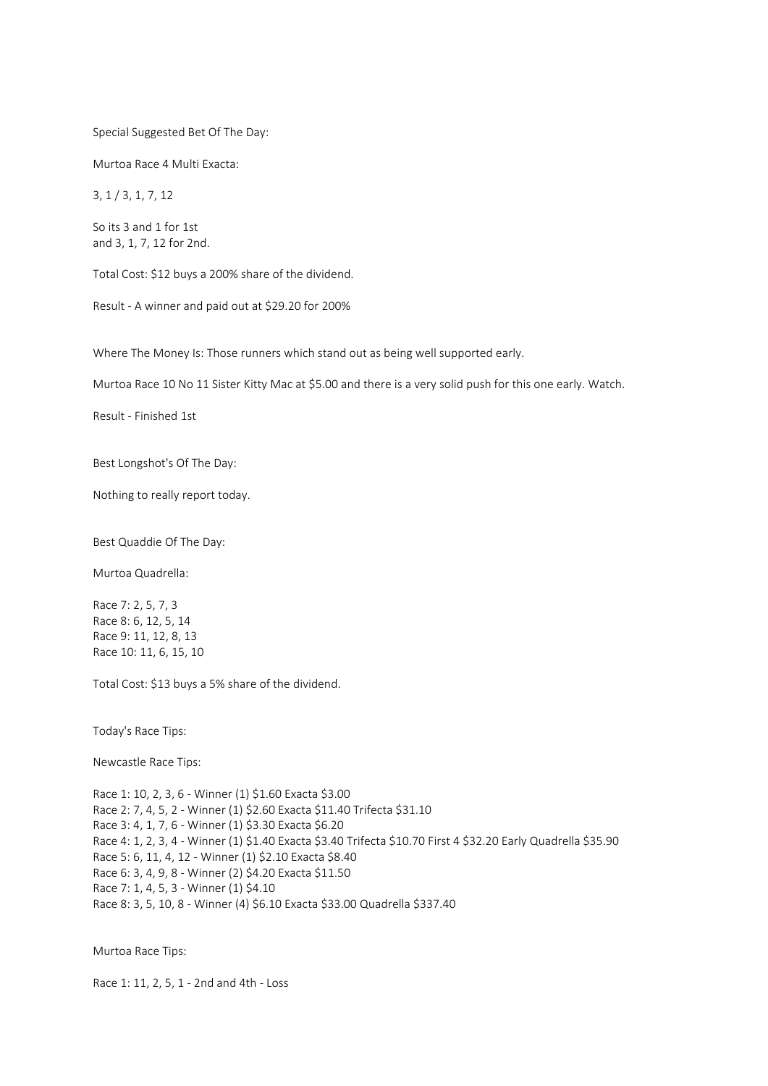## Special Suggested Bet Of The Day:

Murtoa Race 4 Multi Exacta:

3, 1 / 3, 1, 7, 12

So its 3 and 1 for 1st and 3, 1, 7, 12 for 2nd.

Total Cost: \$12 buys a 200% share of the dividend.

Result - A winner and paid out at \$29.20 for 200%

Where The Money Is: Those runners which stand out as being well supported early.

Murtoa Race 10 No 11 Sister Kitty Mac at \$5.00 and there is a very solid push for this one early. Watch.

Result - Finished 1st

Best Longshot's Of The Day:

Nothing to really report today.

Best Quaddie Of The Day:

Murtoa Quadrella:

Race 7: 2, 5, 7, 3 Race 8: 6, 12, 5, 14 Race 9: 11, 12, 8, 13 Race 10: 11, 6, 15, 10

Total Cost: \$13 buys a 5% share of the dividend.

Today's Race Tips:

Newcastle Race Tips:

Race 1: 10, 2, 3, 6 - Winner (1) \$1.60 Exacta \$3.00 Race 2: 7, 4, 5, 2 - Winner (1) \$2.60 Exacta \$11.40 Trifecta \$31.10 Race 3: 4, 1, 7, 6 - Winner (1) \$3.30 Exacta \$6.20 Race 4: 1, 2, 3, 4 - Winner (1) \$1.40 Exacta \$3.40 Trifecta \$10.70 First 4 \$32.20 Early Quadrella \$35.90 Race 5: 6, 11, 4, 12 - Winner (1) \$2.10 Exacta \$8.40 Race 6: 3, 4, 9, 8 - Winner (2) \$4.20 Exacta \$11.50 Race 7: 1, 4, 5, 3 - Winner (1) \$4.10 Race 8: 3, 5, 10, 8 - Winner (4) \$6.10 Exacta \$33.00 Quadrella \$337.40

Murtoa Race Tips:

Race 1: 11, 2, 5, 1 - 2nd and 4th - Loss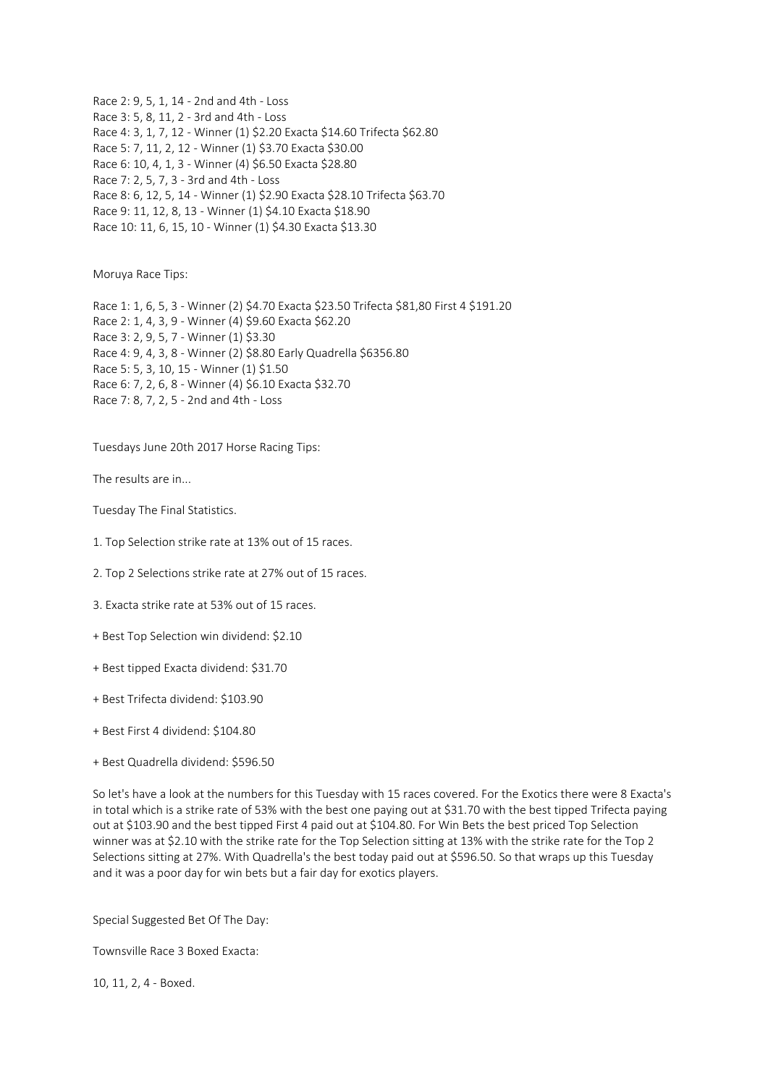Race 2: 9, 5, 1, 14 - 2nd and 4th - Loss Race 3: 5, 8, 11, 2 - 3rd and 4th - Loss Race 4: 3, 1, 7, 12 - Winner (1) \$2.20 Exacta \$14.60 Trifecta \$62.80 Race 5: 7, 11, 2, 12 - Winner (1) \$3.70 Exacta \$30.00 Race 6: 10, 4, 1, 3 - Winner (4) \$6.50 Exacta \$28.80 Race 7: 2, 5, 7, 3 - 3rd and 4th - Loss Race 8: 6, 12, 5, 14 - Winner (1) \$2.90 Exacta \$28.10 Trifecta \$63.70 Race 9: 11, 12, 8, 13 - Winner (1) \$4.10 Exacta \$18.90 Race 10: 11, 6, 15, 10 - Winner (1) \$4.30 Exacta \$13.30

Moruya Race Tips:

Race 1: 1, 6, 5, 3 - Winner (2) \$4.70 Exacta \$23.50 Trifecta \$81,80 First 4 \$191.20 Race 2: 1, 4, 3, 9 - Winner (4) \$9.60 Exacta \$62.20 Race 3: 2, 9, 5, 7 - Winner (1) \$3.30 Race 4: 9, 4, 3, 8 - Winner (2) \$8.80 Early Quadrella \$6356.80 Race 5: 5, 3, 10, 15 - Winner (1) \$1.50 Race 6: 7, 2, 6, 8 - Winner (4) \$6.10 Exacta \$32.70 Race 7: 8, 7, 2, 5 - 2nd and 4th - Loss

Tuesdays June 20th 2017 Horse Racing Tips:

The results are in...

Tuesday The Final Statistics.

- 1. Top Selection strike rate at 13% out of 15 races.
- 2. Top 2 Selections strike rate at 27% out of 15 races.
- 3. Exacta strike rate at 53% out of 15 races.
- + Best Top Selection win dividend: \$2.10
- + Best tipped Exacta dividend: \$31.70
- + Best Trifecta dividend: \$103.90
- + Best First 4 dividend: \$104.80
- + Best Quadrella dividend: \$596.50

So let's have a look at the numbers for this Tuesday with 15 races covered. For the Exotics there were 8 Exacta's in total which is a strike rate of 53% with the best one paying out at \$31.70 with the best tipped Trifecta paying out at \$103.90 and the best tipped First 4 paid out at \$104.80. For Win Bets the best priced Top Selection winner was at \$2.10 with the strike rate for the Top Selection sitting at 13% with the strike rate for the Top 2 Selections sitting at 27%. With Quadrella's the best today paid out at \$596.50. So that wraps up this Tuesday and it was a poor day for win bets but a fair day for exotics players.

Special Suggested Bet Of The Day:

Townsville Race 3 Boxed Exacta:

10, 11, 2, 4 - Boxed.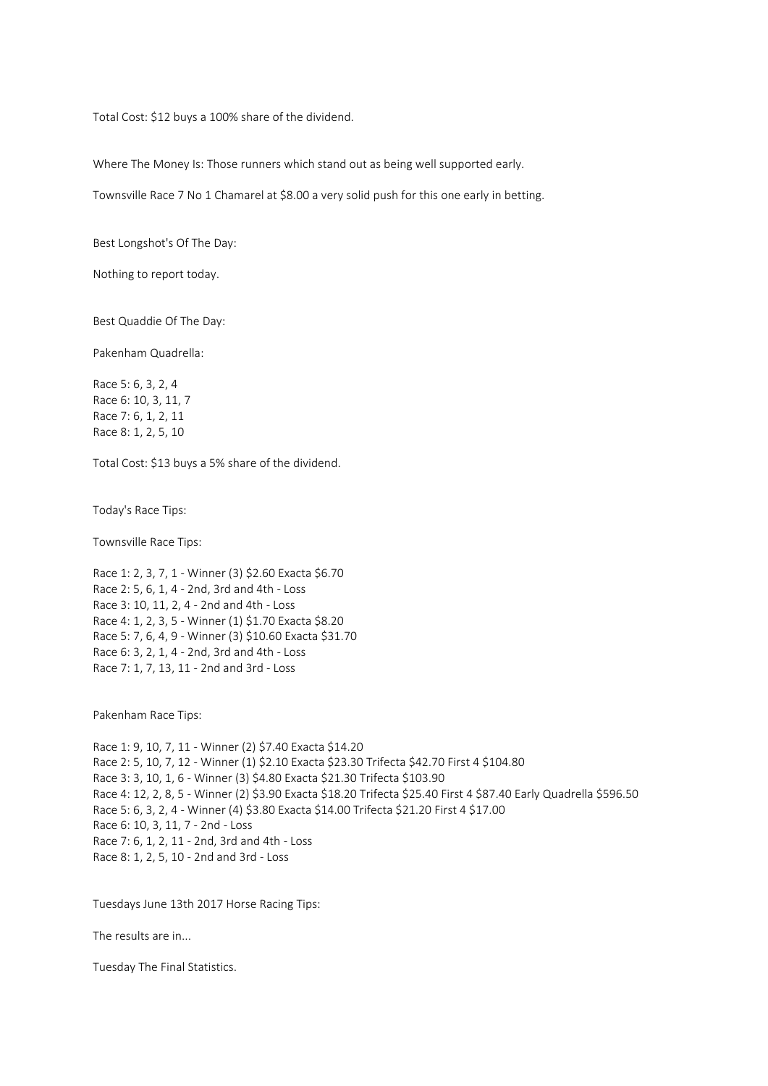Total Cost: \$12 buys a 100% share of the dividend.

Where The Money Is: Those runners which stand out as being well supported early.

Townsville Race 7 No 1 Chamarel at \$8.00 a very solid push for this one early in betting.

Best Longshot's Of The Day:

Nothing to report today.

Best Quaddie Of The Day:

Pakenham Quadrella:

Race 5: 6, 3, 2, 4 Race 6: 10, 3, 11, 7 Race 7: 6, 1, 2, 11 Race 8: 1, 2, 5, 10

Total Cost: \$13 buys a 5% share of the dividend.

Today's Race Tips:

Townsville Race Tips:

Race 1: 2, 3, 7, 1 - Winner (3) \$2.60 Exacta \$6.70 Race 2: 5, 6, 1, 4 - 2nd, 3rd and 4th - Loss Race 3: 10, 11, 2, 4 - 2nd and 4th - Loss Race 4: 1, 2, 3, 5 - Winner (1) \$1.70 Exacta \$8.20 Race 5: 7, 6, 4, 9 - Winner (3) \$10.60 Exacta \$31.70 Race 6: 3, 2, 1, 4 - 2nd, 3rd and 4th - Loss Race 7: 1, 7, 13, 11 - 2nd and 3rd - Loss

Pakenham Race Tips:

Race 1: 9, 10, 7, 11 - Winner (2) \$7.40 Exacta \$14.20 Race 2: 5, 10, 7, 12 - Winner (1) \$2.10 Exacta \$23.30 Trifecta \$42.70 First 4 \$104.80 Race 3: 3, 10, 1, 6 - Winner (3) \$4.80 Exacta \$21.30 Trifecta \$103.90 Race 4: 12, 2, 8, 5 - Winner (2) \$3.90 Exacta \$18.20 Trifecta \$25.40 First 4 \$87.40 Early Quadrella \$596.50 Race 5: 6, 3, 2, 4 - Winner (4) \$3.80 Exacta \$14.00 Trifecta \$21.20 First 4 \$17.00 Race 6: 10, 3, 11, 7 - 2nd - Loss Race 7: 6, 1, 2, 11 - 2nd, 3rd and 4th - Loss Race 8: 1, 2, 5, 10 - 2nd and 3rd - Loss

Tuesdays June 13th 2017 Horse Racing Tips:

The results are in...

Tuesday The Final Statistics.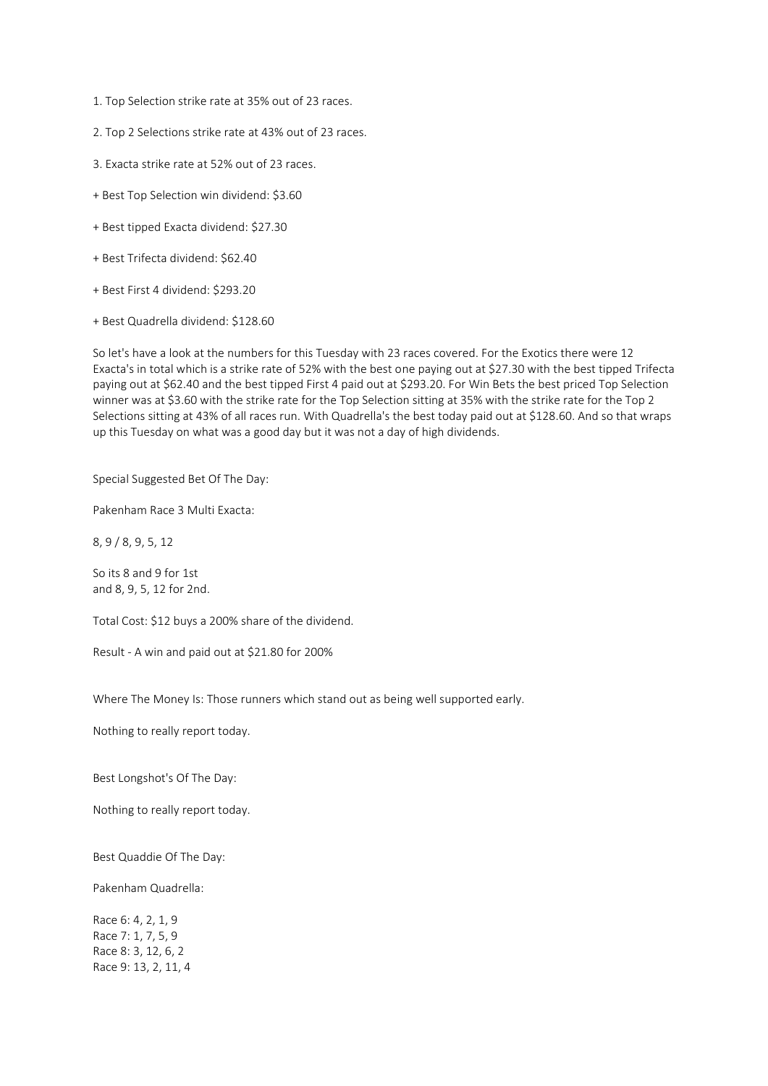- 1. Top Selection strike rate at 35% out of 23 races.
- 2. Top 2 Selections strike rate at 43% out of 23 races.
- 3. Exacta strike rate at 52% out of 23 races.
- + Best Top Selection win dividend: \$3.60
- + Best tipped Exacta dividend: \$27.30
- + Best Trifecta dividend: \$62.40
- + Best First 4 dividend: \$293.20
- + Best Quadrella dividend: \$128.60

So let's have a look at the numbers for this Tuesday with 23 races covered. For the Exotics there were 12 Exacta's in total which is a strike rate of 52% with the best one paying out at \$27.30 with the best tipped Trifecta paying out at \$62.40 and the best tipped First 4 paid out at \$293.20. For Win Bets the best priced Top Selection winner was at \$3.60 with the strike rate for the Top Selection sitting at 35% with the strike rate for the Top 2 Selections sitting at 43% of all races run. With Quadrella's the best today paid out at \$128.60. And so that wraps up this Tuesday on what was a good day but it was not a day of high dividends.

Special Suggested Bet Of The Day:

Pakenham Race 3 Multi Exacta:

8, 9 / 8, 9, 5, 12

So its 8 and 9 for 1st and 8, 9, 5, 12 for 2nd.

Total Cost: \$12 buys a 200% share of the dividend.

Result - A win and paid out at \$21.80 for 200%

Where The Money Is: Those runners which stand out as being well supported early.

Nothing to really report today.

Best Longshot's Of The Day:

Nothing to really report today.

Best Quaddie Of The Day:

Pakenham Quadrella:

Race 6: 4, 2, 1, 9 Race 7: 1, 7, 5, 9 Race 8: 3, 12, 6, 2 Race 9: 13, 2, 11, 4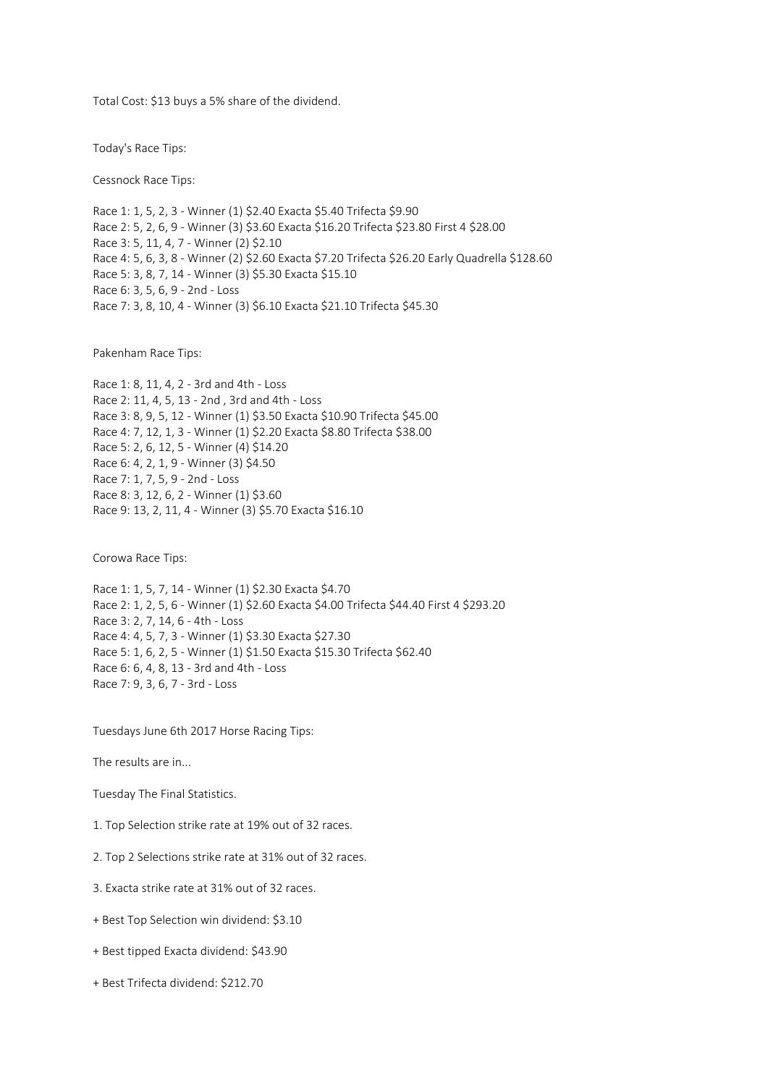Total Cost: \$13 buys a 5% share of the dividend.

Today's Race Tips:

Cessnock Race Tips:

Race 1: 1, 5, 2, 3 - Winner (1) \$2.40 Exacta \$5.40 Trifecta \$9.90 Race 2: 5, 2, 6, 9 - Winner (3) \$3.60 Exacta \$16.20 Trifecta \$23.80 First 4 \$28.00 Race 3: 5, 11, 4, 7 - Winner (2) \$2.10 Race 4: 5, 6, 3, 8 - Winner (2) \$2.60 Exacta \$7.20 Trifecta \$26.20 Early Quadrella \$128.60 Race 5: 3, 8, 7, 14 - Winner (3) \$5.30 Exacta \$15.10 Race 6: 3, 5, 6, 9 - 2nd - Loss Race 7: 3, 8, 10, 4 - Winner (3) \$6.10 Exacta \$21.10 Trifecta \$45.30

Pakenham Race Tips:

Race 1: 8, 11, 4, 2 - 3rd and 4th - Loss Race 2: 11, 4, 5, 13 - 2nd , 3rd and 4th - Loss Race 3: 8, 9, 5, 12 - Winner (1) \$3.50 Exacta \$10.90 Trifecta \$45.00 Race 4: 7, 12, 1, 3 - Winner (1) \$2.20 Exacta \$8.80 Trifecta \$38.00 Race 5: 2, 6, 12, 5 - Winner (4) \$14.20 Race 6: 4, 2, 1, 9 - Winner (3) \$4.50 Race 7: 1, 7, 5, 9 - 2nd - Loss Race 8: 3, 12, 6, 2 - Winner (1) \$3.60 Race 9: 13, 2, 11, 4 - Winner (3) \$5.70 Exacta \$16.10

Corowa Race Tips:

Race 1: 1, 5, 7, 14 - Winner (1) \$2.30 Exacta \$4.70 Race 2: 1, 2, 5, 6 - Winner (1) \$2.60 Exacta \$4.00 Trifecta \$44.40 First 4 \$293.20 Race 3: 2, 7, 14, 6 - 4th - Loss Race 4: 4, 5, 7, 3 - Winner (1) \$3.30 Exacta \$27.30 Race 5: 1, 6, 2, 5 - Winner (1) \$1.50 Exacta \$15.30 Trifecta \$62.40 Race 6: 6, 4, 8, 13 - 3rd and 4th - Loss Race 7: 9, 3, 6, 7 - 3rd - Loss

Tuesdays June 6th 2017 Horse Racing Tips:

The results are in...

Tuesday The Final Statistics.

1. Top Selection strike rate at 19% out of 32 races.

2. Top 2 Selections strike rate at 31% out of 32 races.

3. Exacta strike rate at 31% out of 32 races.

- + Best Top Selection win dividend: \$3.10
- + Best tipped Exacta dividend: \$43.90
- + Best Trifecta dividend: \$212.70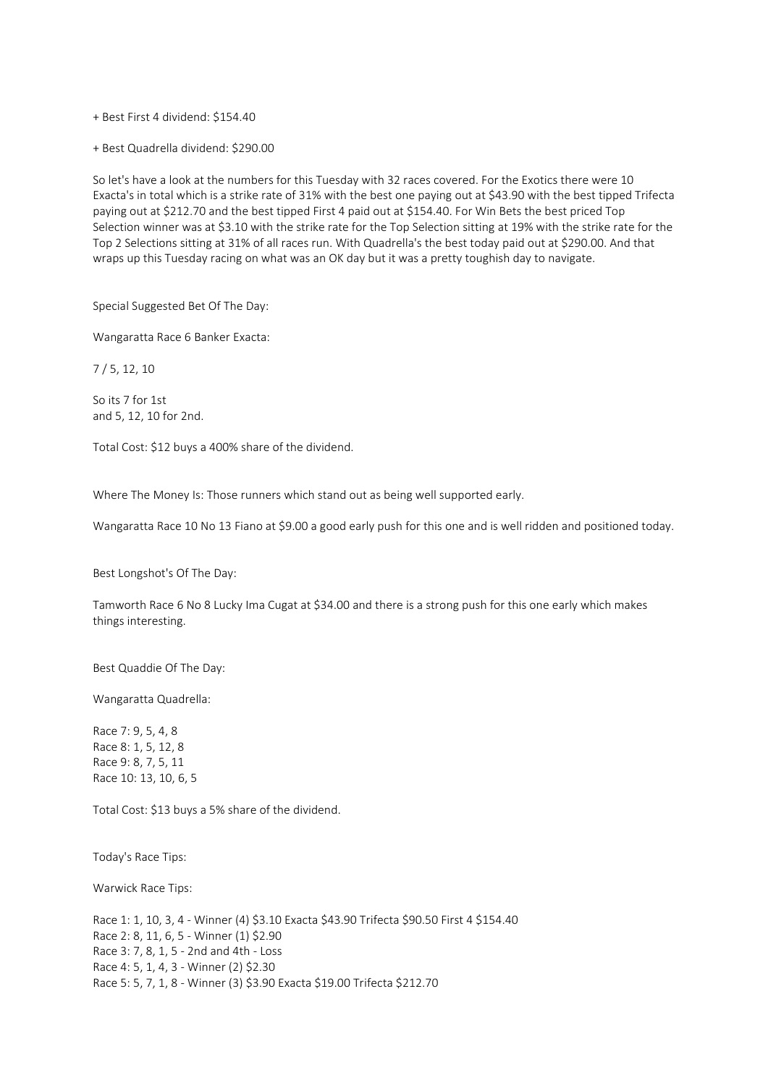+ Best First 4 dividend: \$154.40

+ Best Quadrella dividend: \$290.00

So let's have a look at the numbers for this Tuesday with 32 races covered. For the Exotics there were 10 Exacta's in total which is a strike rate of 31% with the best one paying out at \$43.90 with the best tipped Trifecta paying out at \$212.70 and the best tipped First 4 paid out at \$154.40. For Win Bets the best priced Top Selection winner was at \$3.10 with the strike rate for the Top Selection sitting at 19% with the strike rate for the Top 2 Selections sitting at 31% of all races run. With Quadrella's the best today paid out at \$290.00. And that wraps up this Tuesday racing on what was an OK day but it was a pretty toughish day to navigate.

Special Suggested Bet Of The Day:

Wangaratta Race 6 Banker Exacta:

7 / 5, 12, 10

So its 7 for 1st and 5, 12, 10 for 2nd.

Total Cost: \$12 buys a 400% share of the dividend.

Where The Money Is: Those runners which stand out as being well supported early.

Wangaratta Race 10 No 13 Fiano at \$9.00 a good early push for this one and is well ridden and positioned today.

Best Longshot's Of The Day:

Tamworth Race 6 No 8 Lucky Ima Cugat at \$34.00 and there is a strong push for this one early which makes things interesting.

Best Quaddie Of The Day:

Wangaratta Quadrella:

Race 7: 9, 5, 4, 8 Race 8: 1, 5, 12, 8 Race 9: 8, 7, 5, 11 Race 10: 13, 10, 6, 5

Total Cost: \$13 buys a 5% share of the dividend.

Today's Race Tips:

Warwick Race Tips:

Race 1: 1, 10, 3, 4 - Winner (4) \$3.10 Exacta \$43.90 Trifecta \$90.50 First 4 \$154.40 Race 2: 8, 11, 6, 5 - Winner (1) \$2.90 Race 3: 7, 8, 1, 5 - 2nd and 4th - Loss Race 4: 5, 1, 4, 3 - Winner (2) \$2.30 Race 5: 5, 7, 1, 8 - Winner (3) \$3.90 Exacta \$19.00 Trifecta \$212.70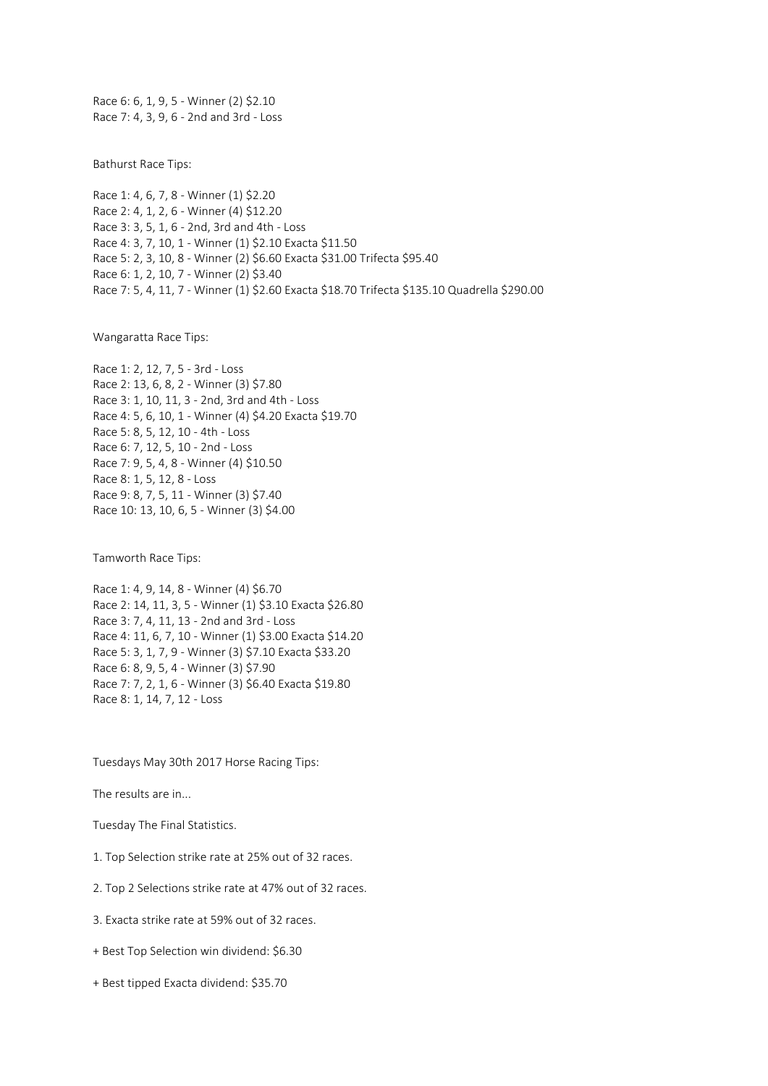Race 6: 6, 1, 9, 5 - Winner (2) \$2.10 Race 7: 4, 3, 9, 6 - 2nd and 3rd - Loss

Bathurst Race Tips:

Race 1: 4, 6, 7, 8 - Winner (1) \$2.20 Race 2: 4, 1, 2, 6 - Winner (4) \$12.20 Race 3: 3, 5, 1, 6 - 2nd, 3rd and 4th - Loss Race 4: 3, 7, 10, 1 - Winner (1) \$2.10 Exacta \$11.50 Race 5: 2, 3, 10, 8 - Winner (2) \$6.60 Exacta \$31.00 Trifecta \$95.40 Race 6: 1, 2, 10, 7 - Winner (2) \$3.40 Race 7: 5, 4, 11, 7 - Winner (1) \$2.60 Exacta \$18.70 Trifecta \$135.10 Quadrella \$290.00

Wangaratta Race Tips:

Race 1: 2, 12, 7, 5 - 3rd - Loss Race 2: 13, 6, 8, 2 - Winner (3) \$7.80 Race 3: 1, 10, 11, 3 - 2nd, 3rd and 4th - Loss Race 4: 5, 6, 10, 1 - Winner (4) \$4.20 Exacta \$19.70 Race 5: 8, 5, 12, 10 - 4th - Loss Race 6: 7, 12, 5, 10 - 2nd - Loss Race 7: 9, 5, 4, 8 - Winner (4) \$10.50 Race 8: 1, 5, 12, 8 - Loss Race 9: 8, 7, 5, 11 - Winner (3) \$7.40 Race 10: 13, 10, 6, 5 - Winner (3) \$4.00

Tamworth Race Tips:

Race 1: 4, 9, 14, 8 - Winner (4) \$6.70 Race 2: 14, 11, 3, 5 - Winner (1) \$3.10 Exacta \$26.80 Race 3: 7, 4, 11, 13 - 2nd and 3rd - Loss Race 4: 11, 6, 7, 10 - Winner (1) \$3.00 Exacta \$14.20 Race 5: 3, 1, 7, 9 - Winner (3) \$7.10 Exacta \$33.20 Race 6: 8, 9, 5, 4 - Winner (3) \$7.90 Race 7: 7, 2, 1, 6 - Winner (3) \$6.40 Exacta \$19.80 Race 8: 1, 14, 7, 12 - Loss

Tuesdays May 30th 2017 Horse Racing Tips:

The results are in...

Tuesday The Final Statistics.

- 1. Top Selection strike rate at 25% out of 32 races.
- 2. Top 2 Selections strike rate at 47% out of 32 races.
- 3. Exacta strike rate at 59% out of 32 races.
- + Best Top Selection win dividend: \$6.30
- + Best tipped Exacta dividend: \$35.70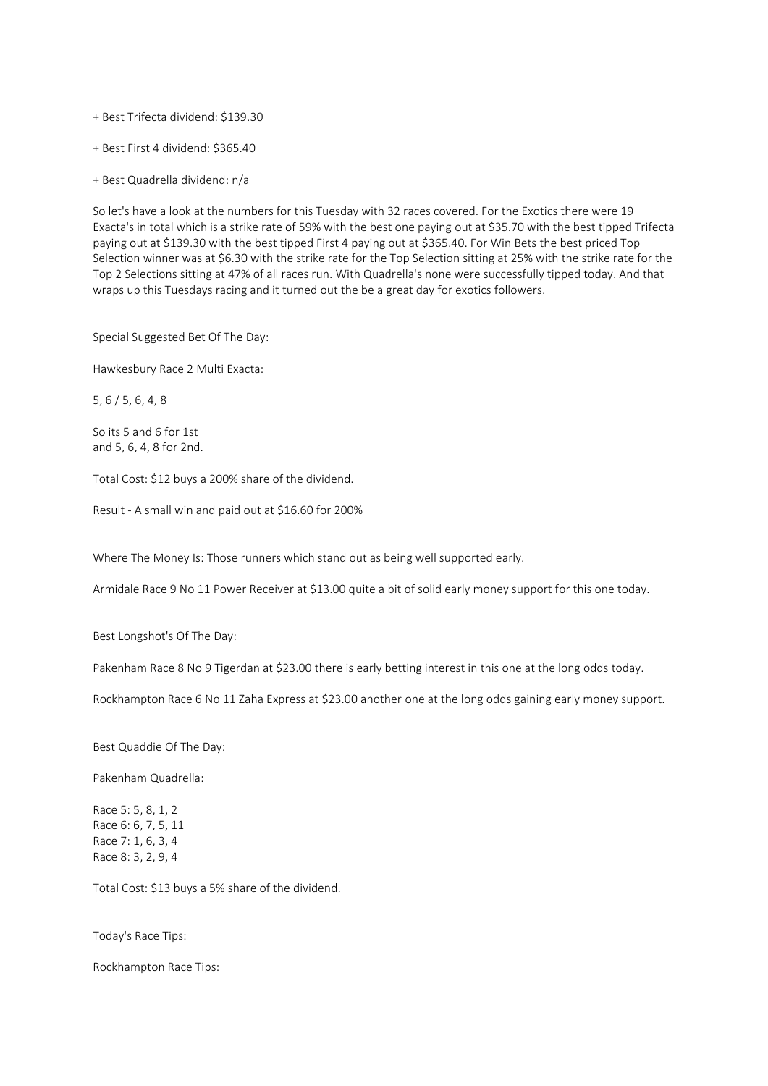+ Best Trifecta dividend: \$139.30

+ Best First 4 dividend: \$365.40

+ Best Quadrella dividend: n/a

So let's have a look at the numbers for this Tuesday with 32 races covered. For the Exotics there were 19 Exacta's in total which is a strike rate of 59% with the best one paying out at \$35.70 with the best tipped Trifecta paying out at \$139.30 with the best tipped First 4 paying out at \$365.40. For Win Bets the best priced Top Selection winner was at \$6.30 with the strike rate for the Top Selection sitting at 25% with the strike rate for the Top 2 Selections sitting at 47% of all races run. With Quadrella's none were successfully tipped today. And that wraps up this Tuesdays racing and it turned out the be a great day for exotics followers.

Special Suggested Bet Of The Day:

Hawkesbury Race 2 Multi Exacta:

5, 6 / 5, 6, 4, 8

So its 5 and 6 for 1st and 5, 6, 4, 8 for 2nd.

Total Cost: \$12 buys a 200% share of the dividend.

Result - A small win and paid out at \$16.60 for 200%

Where The Money Is: Those runners which stand out as being well supported early.

Armidale Race 9 No 11 Power Receiver at \$13.00 quite a bit of solid early money support for this one today.

Best Longshot's Of The Day:

Pakenham Race 8 No 9 Tigerdan at \$23.00 there is early betting interest in this one at the long odds today.

Rockhampton Race 6 No 11 Zaha Express at \$23.00 another one at the long odds gaining early money support.

Best Quaddie Of The Day:

Pakenham Quadrella:

Race 5: 5, 8, 1, 2 Race 6: 6, 7, 5, 11 Race 7: 1, 6, 3, 4 Race 8: 3, 2, 9, 4

Total Cost: \$13 buys a 5% share of the dividend.

Today's Race Tips:

Rockhampton Race Tips: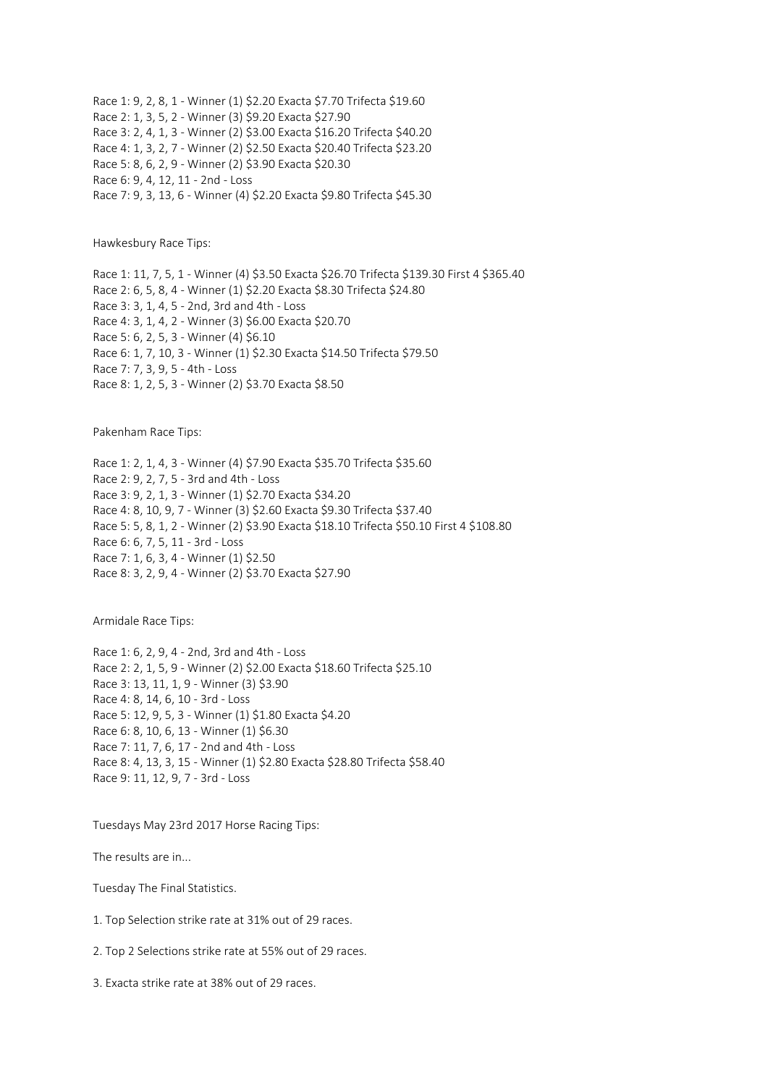Race 1: 9, 2, 8, 1 - Winner (1) \$2.20 Exacta \$7.70 Trifecta \$19.60 Race 2: 1, 3, 5, 2 - Winner (3) \$9.20 Exacta \$27.90 Race 3: 2, 4, 1, 3 - Winner (2) \$3.00 Exacta \$16.20 Trifecta \$40.20 Race 4: 1, 3, 2, 7 - Winner (2) \$2.50 Exacta \$20.40 Trifecta \$23.20 Race 5: 8, 6, 2, 9 - Winner (2) \$3.90 Exacta \$20.30 Race 6: 9, 4, 12, 11 - 2nd - Loss Race 7: 9, 3, 13, 6 - Winner (4) \$2.20 Exacta \$9.80 Trifecta \$45.30

Hawkesbury Race Tips:

Race 1: 11, 7, 5, 1 - Winner (4) \$3.50 Exacta \$26.70 Trifecta \$139.30 First 4 \$365.40 Race 2: 6, 5, 8, 4 - Winner (1) \$2.20 Exacta \$8.30 Trifecta \$24.80 Race 3: 3, 1, 4, 5 - 2nd, 3rd and 4th - Loss Race 4: 3, 1, 4, 2 - Winner (3) \$6.00 Exacta \$20.70 Race 5: 6, 2, 5, 3 - Winner (4) \$6.10 Race 6: 1, 7, 10, 3 - Winner (1) \$2.30 Exacta \$14.50 Trifecta \$79.50 Race 7: 7, 3, 9, 5 - 4th - Loss Race 8: 1, 2, 5, 3 - Winner (2) \$3.70 Exacta \$8.50

Pakenham Race Tips:

Race 1: 2, 1, 4, 3 - Winner (4) \$7.90 Exacta \$35.70 Trifecta \$35.60 Race 2: 9, 2, 7, 5 - 3rd and 4th - Loss Race 3: 9, 2, 1, 3 - Winner (1) \$2.70 Exacta \$34.20 Race 4: 8, 10, 9, 7 - Winner (3) \$2.60 Exacta \$9.30 Trifecta \$37.40 Race 5: 5, 8, 1, 2 - Winner (2) \$3.90 Exacta \$18.10 Trifecta \$50.10 First 4 \$108.80 Race 6: 6, 7, 5, 11 - 3rd - Loss Race 7: 1, 6, 3, 4 - Winner (1) \$2.50 Race 8: 3, 2, 9, 4 - Winner (2) \$3.70 Exacta \$27.90

Armidale Race Tips:

Race 1: 6, 2, 9, 4 - 2nd, 3rd and 4th - Loss Race 2: 2, 1, 5, 9 - Winner (2) \$2.00 Exacta \$18.60 Trifecta \$25.10 Race 3: 13, 11, 1, 9 - Winner (3) \$3.90 Race 4: 8, 14, 6, 10 - 3rd - Loss Race 5: 12, 9, 5, 3 - Winner (1) \$1.80 Exacta \$4.20 Race 6: 8, 10, 6, 13 - Winner (1) \$6.30 Race 7: 11, 7, 6, 17 - 2nd and 4th - Loss Race 8: 4, 13, 3, 15 - Winner (1) \$2.80 Exacta \$28.80 Trifecta \$58.40 Race 9: 11, 12, 9, 7 - 3rd - Loss

Tuesdays May 23rd 2017 Horse Racing Tips:

The results are in...

Tuesday The Final Statistics.

1. Top Selection strike rate at 31% out of 29 races.

2. Top 2 Selections strike rate at 55% out of 29 races.

3. Exacta strike rate at 38% out of 29 races.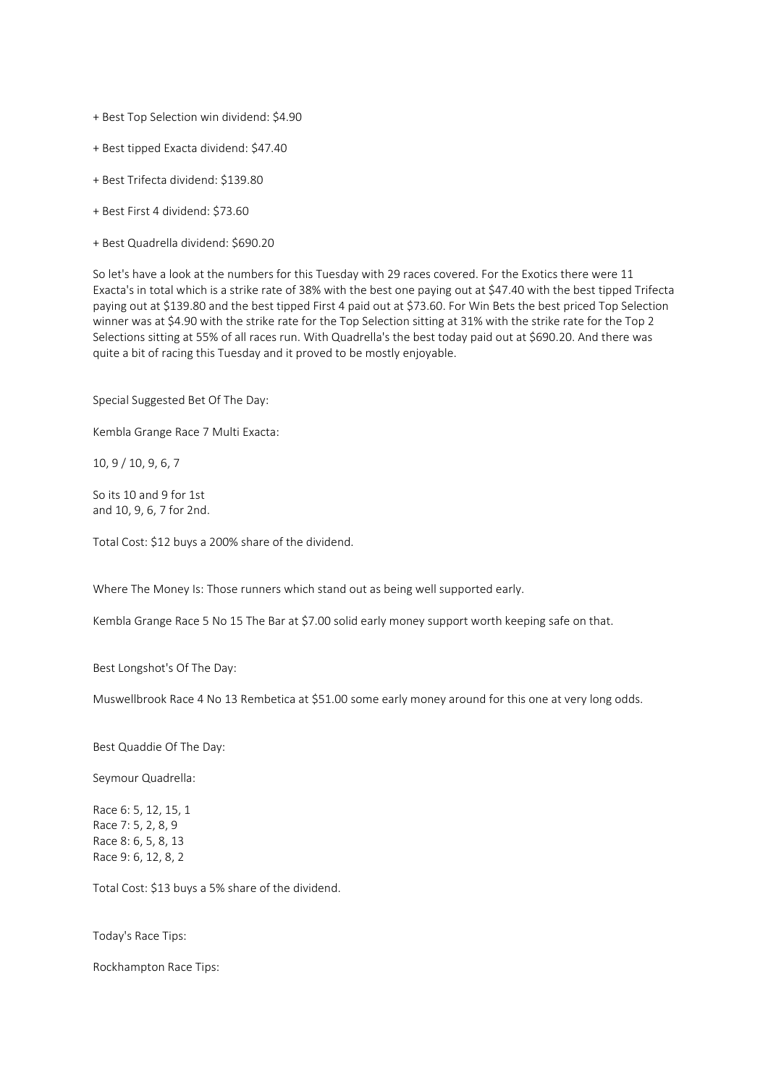- + Best Top Selection win dividend: \$4.90
- + Best tipped Exacta dividend: \$47.40
- + Best Trifecta dividend: \$139.80
- + Best First 4 dividend: \$73.60
- + Best Quadrella dividend: \$690.20

So let's have a look at the numbers for this Tuesday with 29 races covered. For the Exotics there were 11 Exacta's in total which is a strike rate of 38% with the best one paying out at \$47.40 with the best tipped Trifecta paying out at \$139.80 and the best tipped First 4 paid out at \$73.60. For Win Bets the best priced Top Selection winner was at \$4.90 with the strike rate for the Top Selection sitting at 31% with the strike rate for the Top 2 Selections sitting at 55% of all races run. With Quadrella's the best today paid out at \$690.20. And there was quite a bit of racing this Tuesday and it proved to be mostly enjoyable.

Special Suggested Bet Of The Day:

Kembla Grange Race 7 Multi Exacta:

10, 9 / 10, 9, 6, 7

So its 10 and 9 for 1st and 10, 9, 6, 7 for 2nd.

Total Cost: \$12 buys a 200% share of the dividend.

Where The Money Is: Those runners which stand out as being well supported early.

Kembla Grange Race 5 No 15 The Bar at \$7.00 solid early money support worth keeping safe on that.

Best Longshot's Of The Day:

Muswellbrook Race 4 No 13 Rembetica at \$51.00 some early money around for this one at very long odds.

Best Quaddie Of The Day:

Seymour Quadrella:

Race 6: 5, 12, 15, 1 Race 7: 5, 2, 8, 9 Race 8: 6, 5, 8, 13 Race 9: 6, 12, 8, 2

Total Cost: \$13 buys a 5% share of the dividend.

Today's Race Tips:

Rockhampton Race Tips: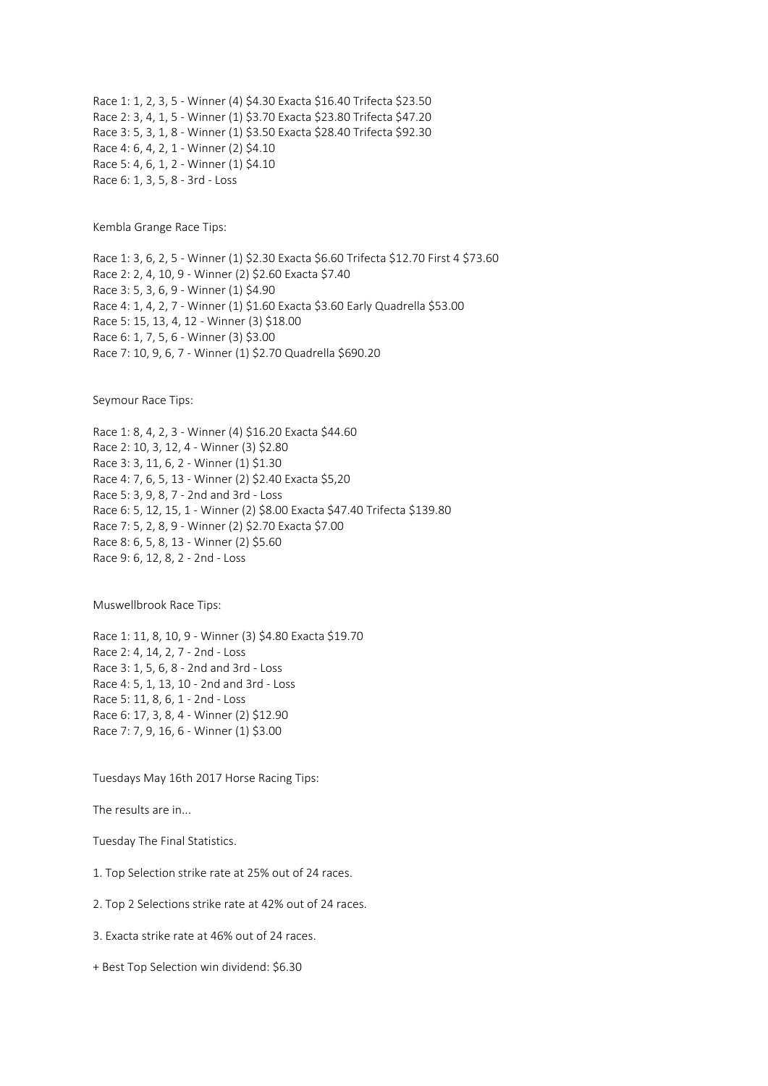Race 1: 1, 2, 3, 5 - Winner (4) \$4.30 Exacta \$16.40 Trifecta \$23.50 Race 2: 3, 4, 1, 5 - Winner (1) \$3.70 Exacta \$23.80 Trifecta \$47.20 Race 3: 5, 3, 1, 8 - Winner (1) \$3.50 Exacta \$28.40 Trifecta \$92.30 Race 4: 6, 4, 2, 1 - Winner (2) \$4.10 Race 5: 4, 6, 1, 2 - Winner (1) \$4.10 Race 6: 1, 3, 5, 8 - 3rd - Loss

Kembla Grange Race Tips:

Race 1: 3, 6, 2, 5 - Winner (1) \$2.30 Exacta \$6.60 Trifecta \$12.70 First 4 \$73.60 Race 2: 2, 4, 10, 9 - Winner (2) \$2.60 Exacta \$7.40 Race 3: 5, 3, 6, 9 - Winner (1) \$4.90 Race 4: 1, 4, 2, 7 - Winner (1) \$1.60 Exacta \$3.60 Early Quadrella \$53.00 Race 5: 15, 13, 4, 12 - Winner (3) \$18.00 Race 6: 1, 7, 5, 6 - Winner (3) \$3.00 Race 7: 10, 9, 6, 7 - Winner (1) \$2.70 Quadrella \$690.20

Seymour Race Tips:

Race 1: 8, 4, 2, 3 - Winner (4) \$16.20 Exacta \$44.60 Race 2: 10, 3, 12, 4 - Winner (3) \$2.80 Race 3: 3, 11, 6, 2 - Winner (1) \$1.30 Race 4: 7, 6, 5, 13 - Winner (2) \$2.40 Exacta \$5,20 Race 5: 3, 9, 8, 7 - 2nd and 3rd - Loss Race 6: 5, 12, 15, 1 - Winner (2) \$8.00 Exacta \$47.40 Trifecta \$139.80 Race 7: 5, 2, 8, 9 - Winner (2) \$2.70 Exacta \$7.00 Race 8: 6, 5, 8, 13 - Winner (2) \$5.60 Race 9: 6, 12, 8, 2 - 2nd - Loss

Muswellbrook Race Tips:

Race 1: 11, 8, 10, 9 - Winner (3) \$4.80 Exacta \$19.70 Race 2: 4, 14, 2, 7 - 2nd - Loss Race 3: 1, 5, 6, 8 - 2nd and 3rd - Loss Race 4: 5, 1, 13, 10 - 2nd and 3rd - Loss Race 5: 11, 8, 6, 1 - 2nd - Loss Race 6: 17, 3, 8, 4 - Winner (2) \$12.90 Race 7: 7, 9, 16, 6 - Winner (1) \$3.00

Tuesdays May 16th 2017 Horse Racing Tips:

The results are in...

Tuesday The Final Statistics.

1. Top Selection strike rate at 25% out of 24 races.

2. Top 2 Selections strike rate at 42% out of 24 races.

3. Exacta strike rate at 46% out of 24 races.

+ Best Top Selection win dividend: \$6.30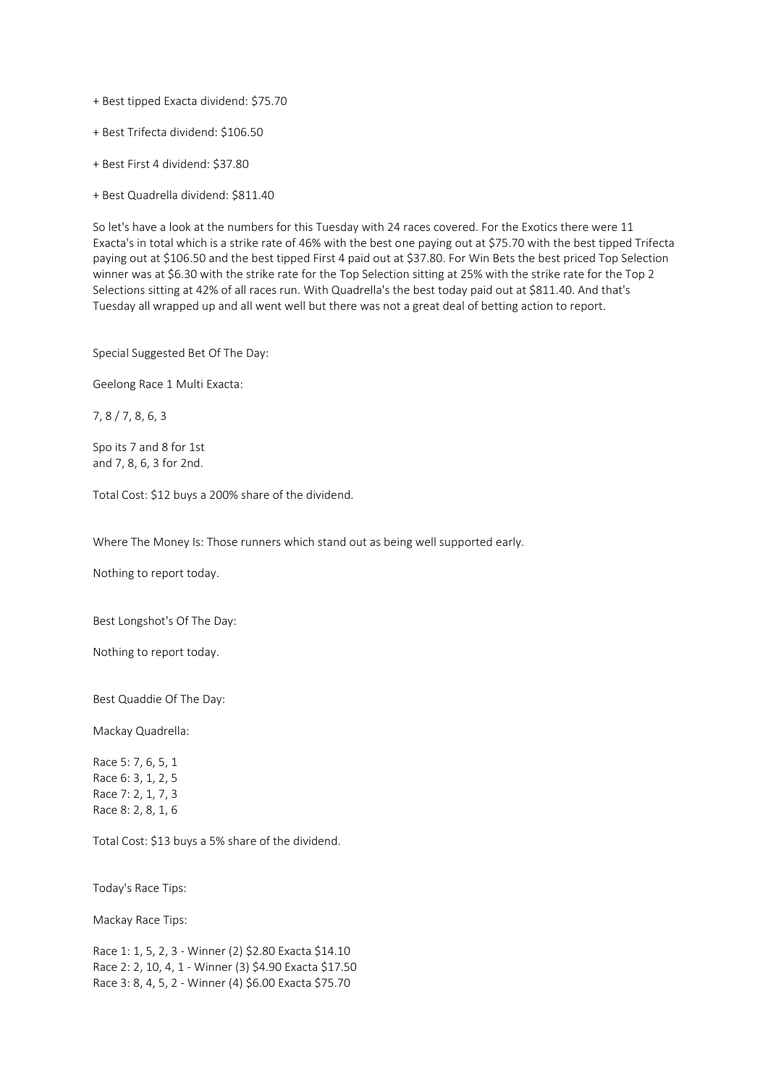+ Best tipped Exacta dividend: \$75.70

+ Best Trifecta dividend: \$106.50

+ Best First 4 dividend: \$37.80

+ Best Quadrella dividend: \$811.40

So let's have a look at the numbers for this Tuesday with 24 races covered. For the Exotics there were 11 Exacta's in total which is a strike rate of 46% with the best one paying out at \$75.70 with the best tipped Trifecta paying out at \$106.50 and the best tipped First 4 paid out at \$37.80. For Win Bets the best priced Top Selection winner was at \$6.30 with the strike rate for the Top Selection sitting at 25% with the strike rate for the Top 2 Selections sitting at 42% of all races run. With Quadrella's the best today paid out at \$811.40. And that's Tuesday all wrapped up and all went well but there was not a great deal of betting action to report.

Special Suggested Bet Of The Day:

Geelong Race 1 Multi Exacta:

7, 8 / 7, 8, 6, 3

Spo its 7 and 8 for 1st and 7, 8, 6, 3 for 2nd.

Total Cost: \$12 buys a 200% share of the dividend.

Where The Money Is: Those runners which stand out as being well supported early.

Nothing to report today.

Best Longshot's Of The Day:

Nothing to report today.

Best Quaddie Of The Day:

Mackay Quadrella:

Race 5: 7, 6, 5, 1 Race 6: 3, 1, 2, 5 Race 7: 2, 1, 7, 3 Race 8: 2, 8, 1, 6

Total Cost: \$13 buys a 5% share of the dividend.

Today's Race Tips:

Mackay Race Tips:

Race 1: 1, 5, 2, 3 - Winner (2) \$2.80 Exacta \$14.10 Race 2: 2, 10, 4, 1 - Winner (3) \$4.90 Exacta \$17.50 Race 3: 8, 4, 5, 2 - Winner (4) \$6.00 Exacta \$75.70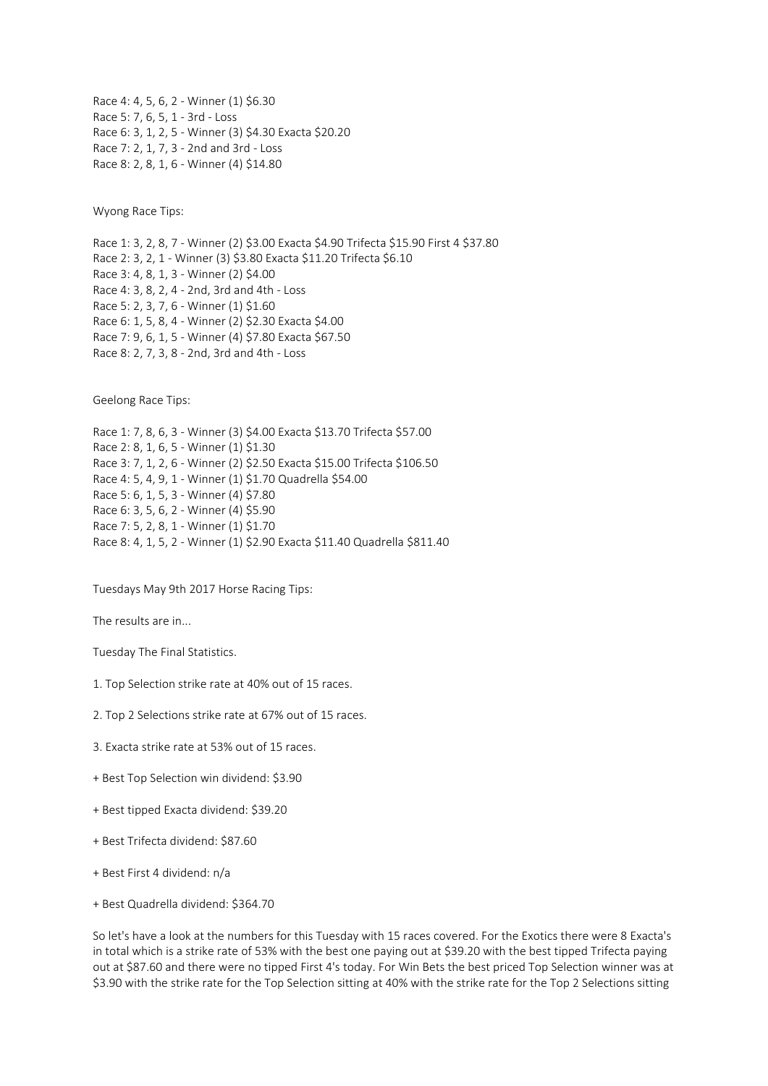Race 4: 4, 5, 6, 2 - Winner (1) \$6.30 Race 5: 7, 6, 5, 1 - 3rd - Loss Race 6: 3, 1, 2, 5 - Winner (3) \$4.30 Exacta \$20.20 Race 7: 2, 1, 7, 3 - 2nd and 3rd - Loss Race 8: 2, 8, 1, 6 - Winner (4) \$14.80

Wyong Race Tips:

Race 1: 3, 2, 8, 7 - Winner (2) \$3.00 Exacta \$4.90 Trifecta \$15.90 First 4 \$37.80 Race 2: 3, 2, 1 - Winner (3) \$3.80 Exacta \$11.20 Trifecta \$6.10 Race 3: 4, 8, 1, 3 - Winner (2) \$4.00 Race 4: 3, 8, 2, 4 - 2nd, 3rd and 4th - Loss Race 5: 2, 3, 7, 6 - Winner (1) \$1.60 Race 6: 1, 5, 8, 4 - Winner (2) \$2.30 Exacta \$4.00 Race 7: 9, 6, 1, 5 - Winner (4) \$7.80 Exacta \$67.50 Race 8: 2, 7, 3, 8 - 2nd, 3rd and 4th - Loss

Geelong Race Tips:

Race 1: 7, 8, 6, 3 - Winner (3) \$4.00 Exacta \$13.70 Trifecta \$57.00 Race 2: 8, 1, 6, 5 - Winner (1) \$1.30 Race 3: 7, 1, 2, 6 - Winner (2) \$2.50 Exacta \$15.00 Trifecta \$106.50 Race 4: 5, 4, 9, 1 - Winner (1) \$1.70 Quadrella \$54.00 Race 5: 6, 1, 5, 3 - Winner (4) \$7.80 Race 6: 3, 5, 6, 2 - Winner (4) \$5.90 Race 7: 5, 2, 8, 1 - Winner (1) \$1.70 Race 8: 4, 1, 5, 2 - Winner (1) \$2.90 Exacta \$11.40 Quadrella \$811.40

Tuesdays May 9th 2017 Horse Racing Tips:

The results are in...

Tuesday The Final Statistics.

- 1. Top Selection strike rate at 40% out of 15 races.
- 2. Top 2 Selections strike rate at 67% out of 15 races.
- 3. Exacta strike rate at 53% out of 15 races.
- + Best Top Selection win dividend: \$3.90
- + Best tipped Exacta dividend: \$39.20
- + Best Trifecta dividend: \$87.60
- + Best First 4 dividend: n/a
- + Best Quadrella dividend: \$364.70

So let's have a look at the numbers for this Tuesday with 15 races covered. For the Exotics there were 8 Exacta's in total which is a strike rate of 53% with the best one paying out at \$39.20 with the best tipped Trifecta paying out at \$87.60 and there were no tipped First 4's today. For Win Bets the best priced Top Selection winner was at \$3.90 with the strike rate for the Top Selection sitting at 40% with the strike rate for the Top 2 Selections sitting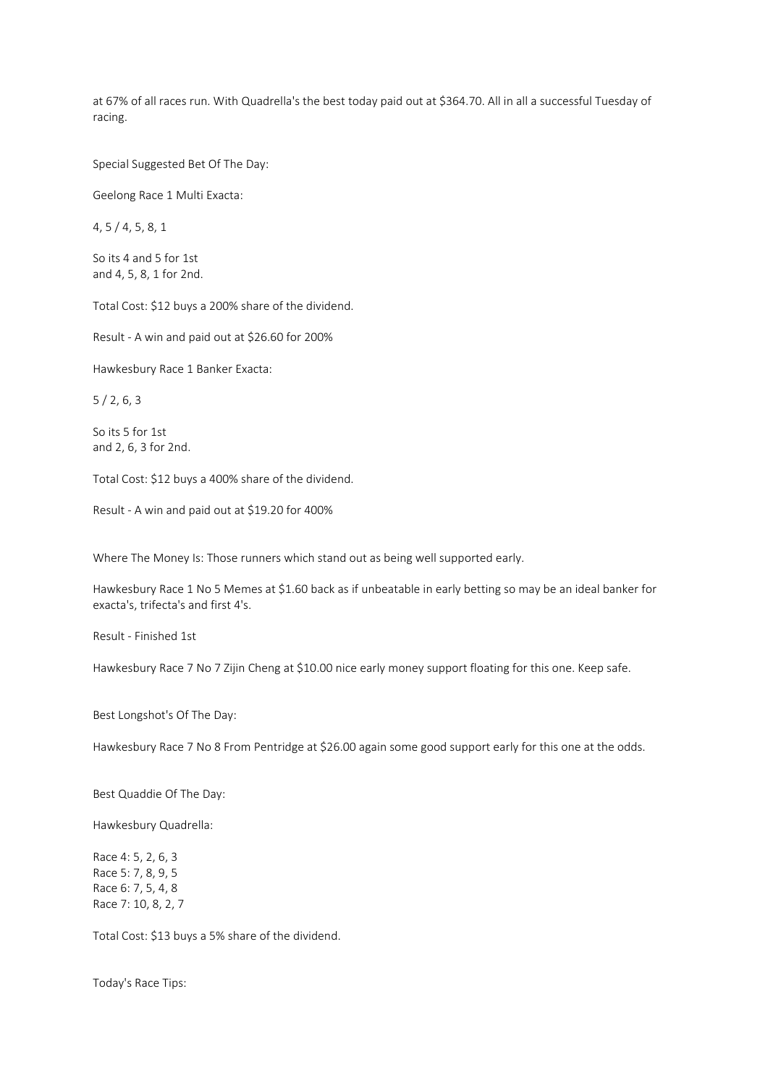at 67% of all races run. With Quadrella's the best today paid out at \$364.70. All in all a successful Tuesday of racing.

Special Suggested Bet Of The Day:

Geelong Race 1 Multi Exacta:

4, 5 / 4, 5, 8, 1

So its 4 and 5 for 1st and 4, 5, 8, 1 for 2nd.

Total Cost: \$12 buys a 200% share of the dividend.

Result - A win and paid out at \$26.60 for 200%

Hawkesbury Race 1 Banker Exacta:

5 / 2, 6, 3

So its 5 for 1st and 2, 6, 3 for 2nd.

Total Cost: \$12 buys a 400% share of the dividend.

Result - A win and paid out at \$19.20 for 400%

Where The Money Is: Those runners which stand out as being well supported early.

Hawkesbury Race 1 No 5 Memes at \$1.60 back as if unbeatable in early betting so may be an ideal banker for exacta's, trifecta's and first 4's.

Result - Finished 1st

Hawkesbury Race 7 No 7 Zijin Cheng at \$10.00 nice early money support floating for this one. Keep safe.

Best Longshot's Of The Day:

Hawkesbury Race 7 No 8 From Pentridge at \$26.00 again some good support early for this one at the odds.

Best Quaddie Of The Day:

Hawkesbury Quadrella:

Race 4: 5, 2, 6, 3 Race 5: 7, 8, 9, 5 Race 6: 7, 5, 4, 8 Race 7: 10, 8, 2, 7

Total Cost: \$13 buys a 5% share of the dividend.

Today's Race Tips: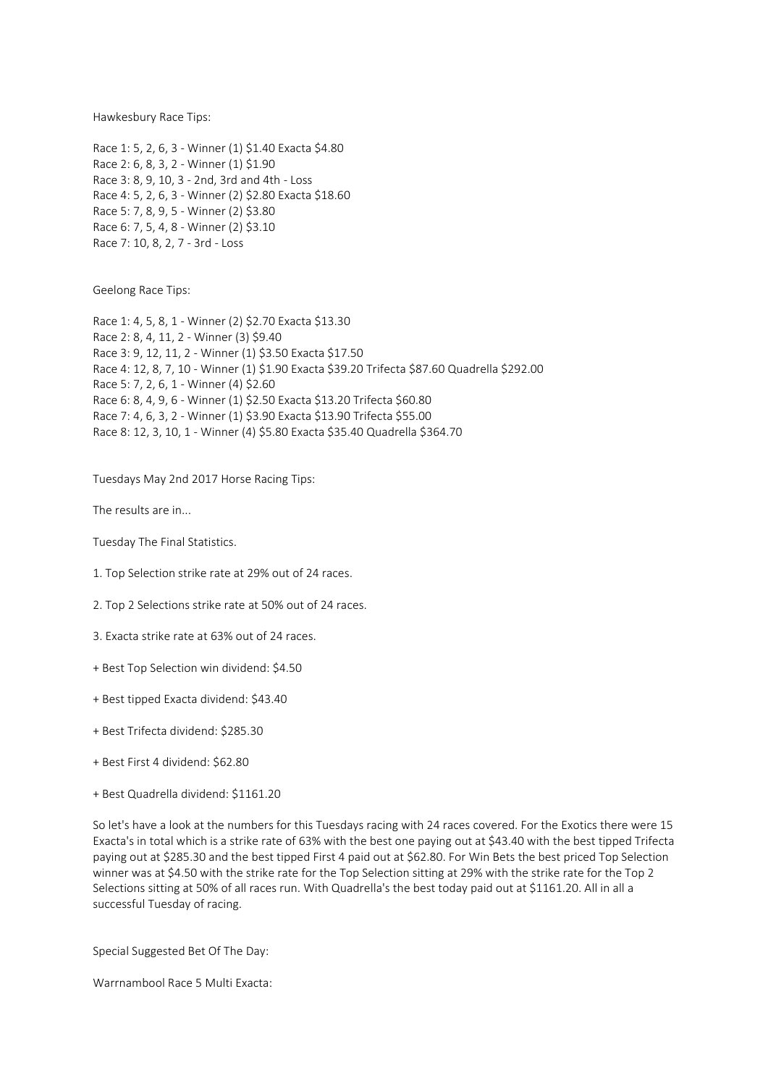Hawkesbury Race Tips:

Race 1: 5, 2, 6, 3 - Winner (1) \$1.40 Exacta \$4.80 Race 2: 6, 8, 3, 2 - Winner (1) \$1.90 Race 3: 8, 9, 10, 3 - 2nd, 3rd and 4th - Loss Race 4: 5, 2, 6, 3 - Winner (2) \$2.80 Exacta \$18.60 Race 5: 7, 8, 9, 5 - Winner (2) \$3.80 Race 6: 7, 5, 4, 8 - Winner (2) \$3.10 Race 7: 10, 8, 2, 7 - 3rd - Loss

Geelong Race Tips:

Race 1: 4, 5, 8, 1 - Winner (2) \$2.70 Exacta \$13.30 Race 2: 8, 4, 11, 2 - Winner (3) \$9.40 Race 3: 9, 12, 11, 2 - Winner (1) \$3.50 Exacta \$17.50 Race 4: 12, 8, 7, 10 - Winner (1) \$1.90 Exacta \$39.20 Trifecta \$87.60 Quadrella \$292.00 Race 5: 7, 2, 6, 1 - Winner (4) \$2.60 Race 6: 8, 4, 9, 6 - Winner (1) \$2.50 Exacta \$13.20 Trifecta \$60.80 Race 7: 4, 6, 3, 2 - Winner (1) \$3.90 Exacta \$13.90 Trifecta \$55.00 Race 8: 12, 3, 10, 1 - Winner (4) \$5.80 Exacta \$35.40 Quadrella \$364.70

Tuesdays May 2nd 2017 Horse Racing Tips:

The results are in...

Tuesday The Final Statistics.

- 1. Top Selection strike rate at 29% out of 24 races.
- 2. Top 2 Selections strike rate at 50% out of 24 races.
- 3. Exacta strike rate at 63% out of 24 races.
- + Best Top Selection win dividend: \$4.50
- + Best tipped Exacta dividend: \$43.40
- + Best Trifecta dividend: \$285.30
- + Best First 4 dividend: \$62.80
- + Best Quadrella dividend: \$1161.20

So let's have a look at the numbers for this Tuesdays racing with 24 races covered. For the Exotics there were 15 Exacta's in total which is a strike rate of 63% with the best one paying out at \$43.40 with the best tipped Trifecta paying out at \$285.30 and the best tipped First 4 paid out at \$62.80. For Win Bets the best priced Top Selection winner was at \$4.50 with the strike rate for the Top Selection sitting at 29% with the strike rate for the Top 2 Selections sitting at 50% of all races run. With Quadrella's the best today paid out at \$1161.20. All in all a successful Tuesday of racing.

Special Suggested Bet Of The Day:

Warrnambool Race 5 Multi Exacta: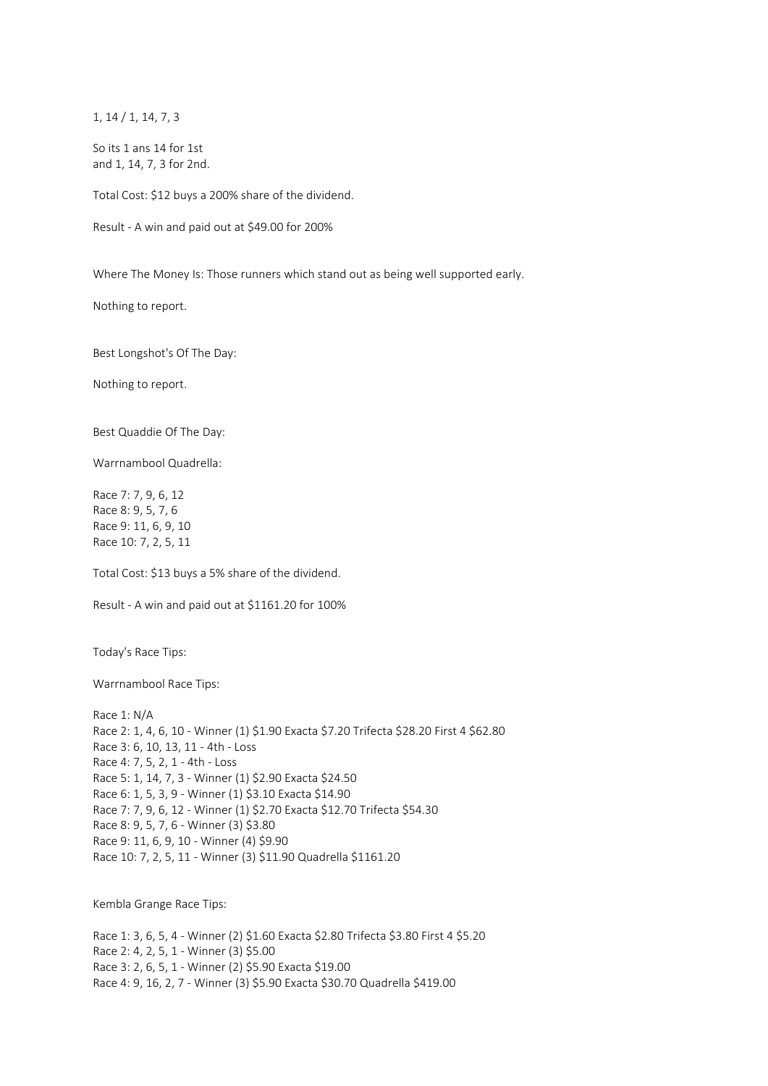1, 14 / 1, 14, 7, 3

So its 1 ans 14 for 1st and 1, 14, 7, 3 for 2nd.

Total Cost: \$12 buys a 200% share of the dividend.

Result - A win and paid out at \$49.00 for 200%

Where The Money Is: Those runners which stand out as being well supported early.

Nothing to report.

Best Longshot's Of The Day:

Nothing to report.

Best Quaddie Of The Day:

Warrnambool Quadrella:

Race 7: 7, 9, 6, 12 Race 8: 9, 5, 7, 6 Race 9: 11, 6, 9, 10 Race 10: 7, 2, 5, 11

Total Cost: \$13 buys a 5% share of the dividend.

Result - A win and paid out at \$1161.20 for 100%

Today's Race Tips:

Warrnambool Race Tips:

Race 1: N/A Race 2: 1, 4, 6, 10 - Winner (1) \$1.90 Exacta \$7.20 Trifecta \$28.20 First 4 \$62.80 Race 3: 6, 10, 13, 11 - 4th - Loss Race 4: 7, 5, 2, 1 - 4th - Loss Race 5: 1, 14, 7, 3 - Winner (1) \$2.90 Exacta \$24.50 Race 6: 1, 5, 3, 9 - Winner (1) \$3.10 Exacta \$14.90 Race 7: 7, 9, 6, 12 - Winner (1) \$2.70 Exacta \$12.70 Trifecta \$54.30 Race 8: 9, 5, 7, 6 - Winner (3) \$3.80 Race 9: 11, 6, 9, 10 - Winner (4) \$9.90 Race 10: 7, 2, 5, 11 - Winner (3) \$11.90 Quadrella \$1161.20

Kembla Grange Race Tips:

Race 1: 3, 6, 5, 4 - Winner (2) \$1.60 Exacta \$2.80 Trifecta \$3.80 First 4 \$5.20 Race 2: 4, 2, 5, 1 - Winner (3) \$5.00 Race 3: 2, 6, 5, 1 - Winner (2) \$5.90 Exacta \$19.00 Race 4: 9, 16, 2, 7 - Winner (3) \$5.90 Exacta \$30.70 Quadrella \$419.00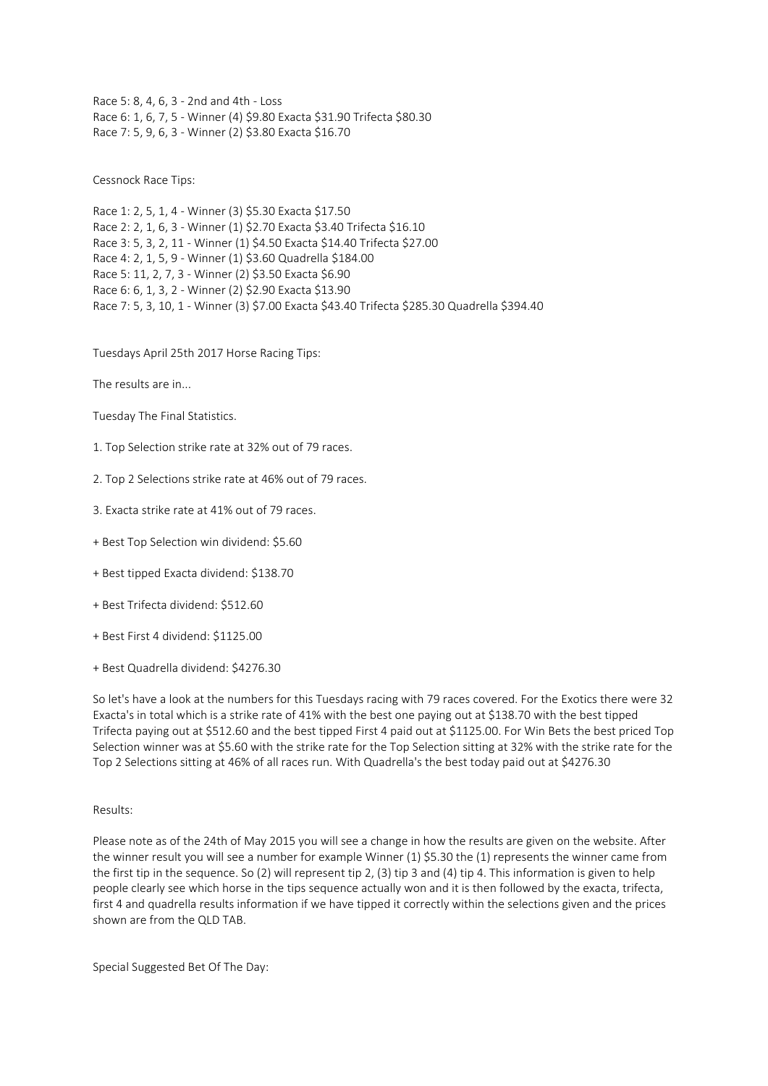Race 5: 8, 4, 6, 3 - 2nd and 4th - Loss Race 6: 1, 6, 7, 5 - Winner (4) \$9.80 Exacta \$31.90 Trifecta \$80.30 Race 7: 5, 9, 6, 3 - Winner (2) \$3.80 Exacta \$16.70

Cessnock Race Tips:

Race 1: 2, 5, 1, 4 - Winner (3) \$5.30 Exacta \$17.50 Race 2: 2, 1, 6, 3 - Winner (1) \$2.70 Exacta \$3.40 Trifecta \$16.10 Race 3: 5, 3, 2, 11 - Winner (1) \$4.50 Exacta \$14.40 Trifecta \$27.00 Race 4: 2, 1, 5, 9 - Winner (1) \$3.60 Quadrella \$184.00 Race 5: 11, 2, 7, 3 - Winner (2) \$3.50 Exacta \$6.90 Race 6: 6, 1, 3, 2 - Winner (2) \$2.90 Exacta \$13.90 Race 7: 5, 3, 10, 1 - Winner (3) \$7.00 Exacta \$43.40 Trifecta \$285.30 Quadrella \$394.40

Tuesdays April 25th 2017 Horse Racing Tips:

The results are in...

Tuesday The Final Statistics.

- 1. Top Selection strike rate at 32% out of 79 races.
- 2. Top 2 Selections strike rate at 46% out of 79 races.
- 3. Exacta strike rate at 41% out of 79 races.
- + Best Top Selection win dividend: \$5.60
- + Best tipped Exacta dividend: \$138.70
- + Best Trifecta dividend: \$512.60
- + Best First 4 dividend: \$1125.00
- + Best Quadrella dividend: \$4276.30

So let's have a look at the numbers for this Tuesdays racing with 79 races covered. For the Exotics there were 32 Exacta's in total which is a strike rate of 41% with the best one paying out at \$138.70 with the best tipped Trifecta paying out at \$512.60 and the best tipped First 4 paid out at \$1125.00. For Win Bets the best priced Top Selection winner was at \$5.60 with the strike rate for the Top Selection sitting at 32% with the strike rate for the Top 2 Selections sitting at 46% of all races run. With Quadrella's the best today paid out at \$4276.30

## Results:

Please note as of the 24th of May 2015 you will see a change in how the results are given on the website. After the winner result you will see a number for example Winner (1) \$5.30 the (1) represents the winner came from the first tip in the sequence. So (2) will represent tip 2, (3) tip 3 and (4) tip 4. This information is given to help people clearly see which horse in the tips sequence actually won and it is then followed by the exacta, trifecta, first 4 and quadrella results information if we have tipped it correctly within the selections given and the prices shown are from the QLD TAB.

Special Suggested Bet Of The Day: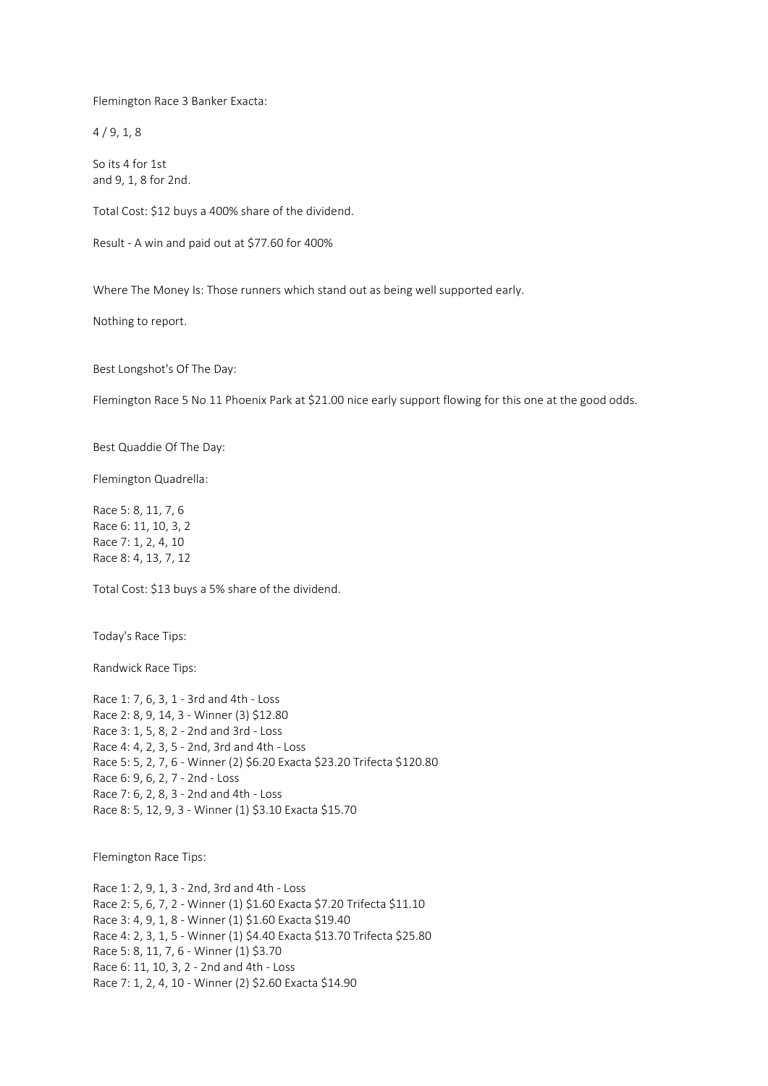Flemington Race 3 Banker Exacta:

 $4/9, 1, 8$ 

So its 4 for 1st and 9, 1, 8 for 2nd.

Total Cost: \$12 buys a 400% share of the dividend.

Result - A win and paid out at \$77.60 for 400%

Where The Money Is: Those runners which stand out as being well supported early.

Nothing to report.

Best Longshot's Of The Day:

Flemington Race 5 No 11 Phoenix Park at \$21.00 nice early support flowing for this one at the good odds.

Best Quaddie Of The Day:

Flemington Quadrella:

Race 5: 8, 11, 7, 6 Race 6: 11, 10, 3, 2 Race 7: 1, 2, 4, 10 Race 8: 4, 13, 7, 12

Total Cost: \$13 buys a 5% share of the dividend.

Today's Race Tips:

Randwick Race Tips:

Race 1: 7, 6, 3, 1 - 3rd and 4th - Loss Race 2: 8, 9, 14, 3 - Winner (3) \$12.80 Race 3: 1, 5, 8, 2 - 2nd and 3rd - Loss Race 4: 4, 2, 3, 5 - 2nd, 3rd and 4th - Loss Race 5: 5, 2, 7, 6 - Winner (2) \$6.20 Exacta \$23.20 Trifecta \$120.80 Race 6: 9, 6, 2, 7 - 2nd - Loss Race 7: 6, 2, 8, 3 - 2nd and 4th - Loss Race 8: 5, 12, 9, 3 - Winner (1) \$3.10 Exacta \$15.70

Flemington Race Tips:

Race 1: 2, 9, 1, 3 - 2nd, 3rd and 4th - Loss Race 2: 5, 6, 7, 2 - Winner (1) \$1.60 Exacta \$7.20 Trifecta \$11.10 Race 3: 4, 9, 1, 8 - Winner (1) \$1.60 Exacta \$19.40 Race 4: 2, 3, 1, 5 - Winner (1) \$4.40 Exacta \$13.70 Trifecta \$25.80 Race 5: 8, 11, 7, 6 - Winner (1) \$3.70 Race 6: 11, 10, 3, 2 - 2nd and 4th - Loss Race 7: 1, 2, 4, 10 - Winner (2) \$2.60 Exacta \$14.90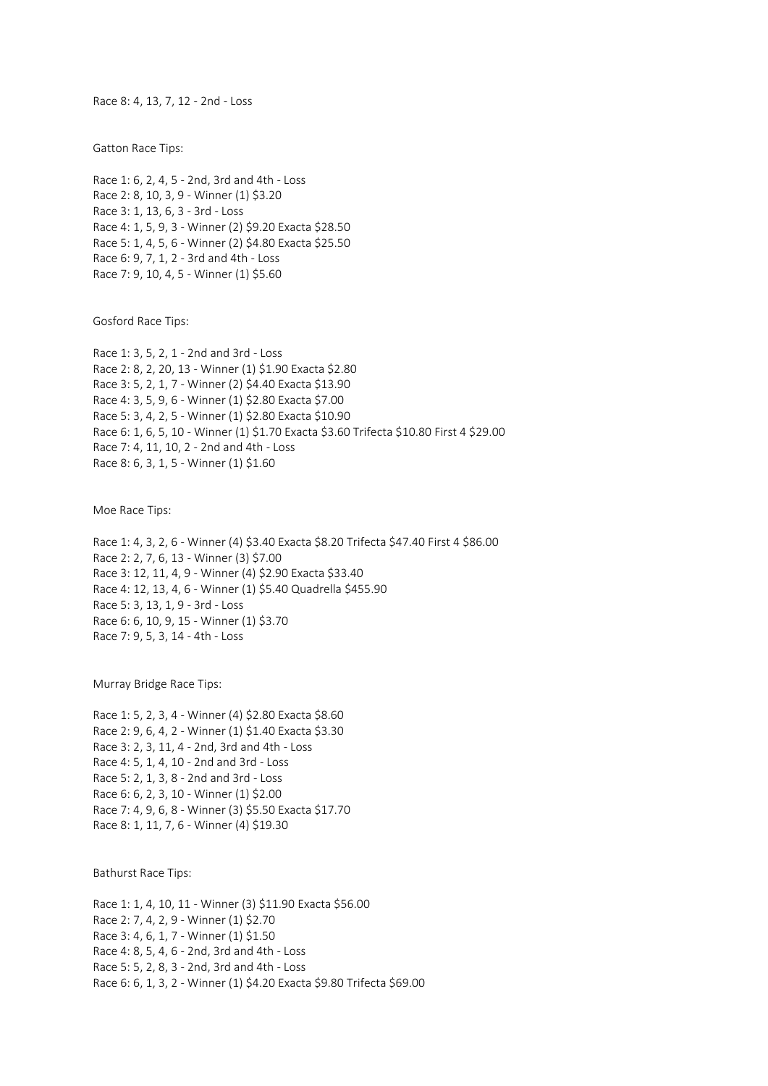Race 8: 4, 13, 7, 12 - 2nd - Loss

Gatton Race Tips:

Race 1: 6, 2, 4, 5 - 2nd, 3rd and 4th - Loss Race 2: 8, 10, 3, 9 - Winner (1) \$3.20 Race 3: 1, 13, 6, 3 - 3rd - Loss Race 4: 1, 5, 9, 3 - Winner (2) \$9.20 Exacta \$28.50 Race 5: 1, 4, 5, 6 - Winner (2) \$4.80 Exacta \$25.50 Race 6: 9, 7, 1, 2 - 3rd and 4th - Loss Race 7: 9, 10, 4, 5 - Winner (1) \$5.60

Gosford Race Tips:

Race 1: 3, 5, 2, 1 - 2nd and 3rd - Loss Race 2: 8, 2, 20, 13 - Winner (1) \$1.90 Exacta \$2.80 Race 3: 5, 2, 1, 7 - Winner (2) \$4.40 Exacta \$13.90 Race 4: 3, 5, 9, 6 - Winner (1) \$2.80 Exacta \$7.00 Race 5: 3, 4, 2, 5 - Winner (1) \$2.80 Exacta \$10.90 Race 6: 1, 6, 5, 10 - Winner (1) \$1.70 Exacta \$3.60 Trifecta \$10.80 First 4 \$29.00 Race 7: 4, 11, 10, 2 - 2nd and 4th - Loss Race 8: 6, 3, 1, 5 - Winner (1) \$1.60

Moe Race Tips:

Race 1: 4, 3, 2, 6 - Winner (4) \$3.40 Exacta \$8.20 Trifecta \$47.40 First 4 \$86.00 Race 2: 2, 7, 6, 13 - Winner (3) \$7.00 Race 3: 12, 11, 4, 9 - Winner (4) \$2.90 Exacta \$33.40 Race 4: 12, 13, 4, 6 - Winner (1) \$5.40 Quadrella \$455.90 Race 5: 3, 13, 1, 9 - 3rd - Loss Race 6: 6, 10, 9, 15 - Winner (1) \$3.70 Race 7: 9, 5, 3, 14 - 4th - Loss

Murray Bridge Race Tips:

Race 1: 5, 2, 3, 4 - Winner (4) \$2.80 Exacta \$8.60 Race 2: 9, 6, 4, 2 - Winner (1) \$1.40 Exacta \$3.30 Race 3: 2, 3, 11, 4 - 2nd, 3rd and 4th - Loss Race 4: 5, 1, 4, 10 - 2nd and 3rd - Loss Race 5: 2, 1, 3, 8 - 2nd and 3rd - Loss Race 6: 6, 2, 3, 10 - Winner (1) \$2.00 Race 7: 4, 9, 6, 8 - Winner (3) \$5.50 Exacta \$17.70 Race 8: 1, 11, 7, 6 - Winner (4) \$19.30

Bathurst Race Tips:

Race 1: 1, 4, 10, 11 - Winner (3) \$11.90 Exacta \$56.00 Race 2: 7, 4, 2, 9 - Winner (1) \$2.70 Race 3: 4, 6, 1, 7 - Winner (1) \$1.50 Race 4: 8, 5, 4, 6 - 2nd, 3rd and 4th - Loss Race 5: 5, 2, 8, 3 - 2nd, 3rd and 4th - Loss Race 6: 6, 1, 3, 2 - Winner (1) \$4.20 Exacta \$9.80 Trifecta \$69.00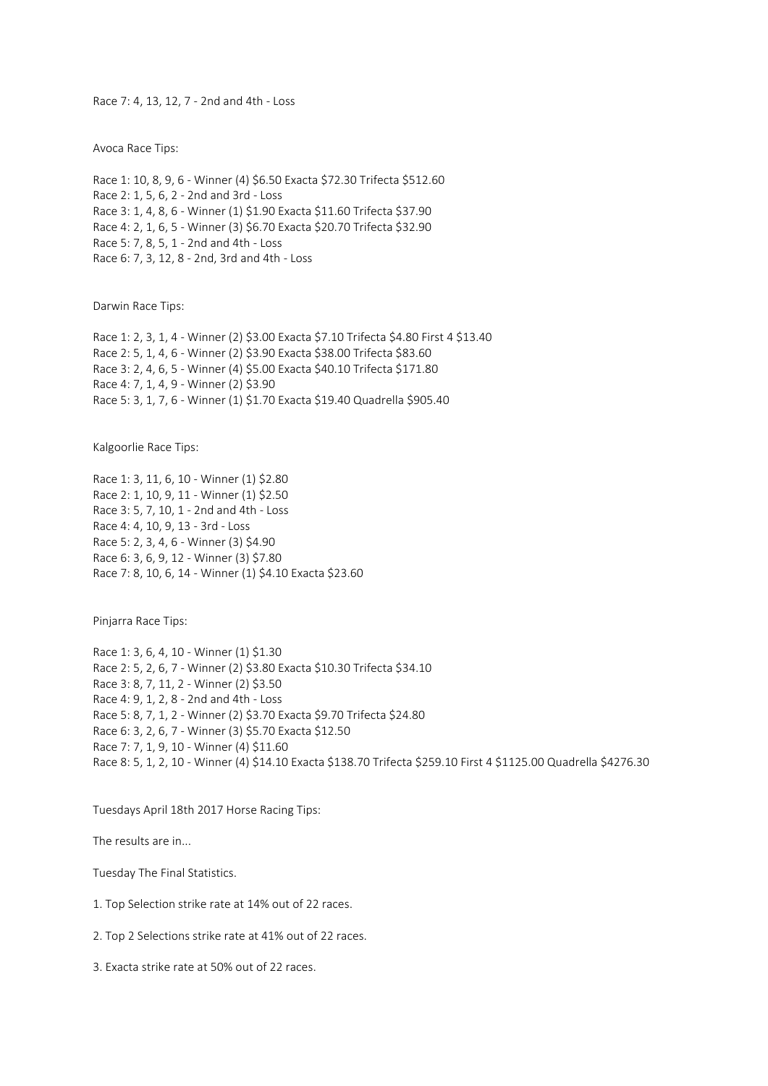Race 7: 4, 13, 12, 7 - 2nd and 4th - Loss

Avoca Race Tips:

Race 1: 10, 8, 9, 6 - Winner (4) \$6.50 Exacta \$72.30 Trifecta \$512.60 Race 2: 1, 5, 6, 2 - 2nd and 3rd - Loss Race 3: 1, 4, 8, 6 - Winner (1) \$1.90 Exacta \$11.60 Trifecta \$37.90 Race 4: 2, 1, 6, 5 - Winner (3) \$6.70 Exacta \$20.70 Trifecta \$32.90 Race 5: 7, 8, 5, 1 - 2nd and 4th - Loss Race 6: 7, 3, 12, 8 - 2nd, 3rd and 4th - Loss

Darwin Race Tips:

Race 1: 2, 3, 1, 4 - Winner (2) \$3.00 Exacta \$7.10 Trifecta \$4.80 First 4 \$13.40 Race 2: 5, 1, 4, 6 - Winner (2) \$3.90 Exacta \$38.00 Trifecta \$83.60 Race 3: 2, 4, 6, 5 - Winner (4) \$5.00 Exacta \$40.10 Trifecta \$171.80 Race 4: 7, 1, 4, 9 - Winner (2) \$3.90 Race 5: 3, 1, 7, 6 - Winner (1) \$1.70 Exacta \$19.40 Quadrella \$905.40

Kalgoorlie Race Tips:

Race 1: 3, 11, 6, 10 - Winner (1) \$2.80 Race 2: 1, 10, 9, 11 - Winner (1) \$2.50 Race 3: 5, 7, 10, 1 - 2nd and 4th - Loss Race 4: 4, 10, 9, 13 - 3rd - Loss Race 5: 2, 3, 4, 6 - Winner (3) \$4.90 Race 6: 3, 6, 9, 12 - Winner (3) \$7.80 Race 7: 8, 10, 6, 14 - Winner (1) \$4.10 Exacta \$23.60

Pinjarra Race Tips:

Race 1: 3, 6, 4, 10 - Winner (1) \$1.30 Race 2: 5, 2, 6, 7 - Winner (2) \$3.80 Exacta \$10.30 Trifecta \$34.10 Race 3: 8, 7, 11, 2 - Winner (2) \$3.50 Race 4: 9, 1, 2, 8 - 2nd and 4th - Loss Race 5: 8, 7, 1, 2 - Winner (2) \$3.70 Exacta \$9.70 Trifecta \$24.80 Race 6: 3, 2, 6, 7 - Winner (3) \$5.70 Exacta \$12.50 Race 7: 7, 1, 9, 10 - Winner (4) \$11.60 Race 8: 5, 1, 2, 10 - Winner (4) \$14.10 Exacta \$138.70 Trifecta \$259.10 First 4 \$1125.00 Quadrella \$4276.30

Tuesdays April 18th 2017 Horse Racing Tips:

The results are in...

Tuesday The Final Statistics.

- 1. Top Selection strike rate at 14% out of 22 races.
- 2. Top 2 Selections strike rate at 41% out of 22 races.

3. Exacta strike rate at 50% out of 22 races.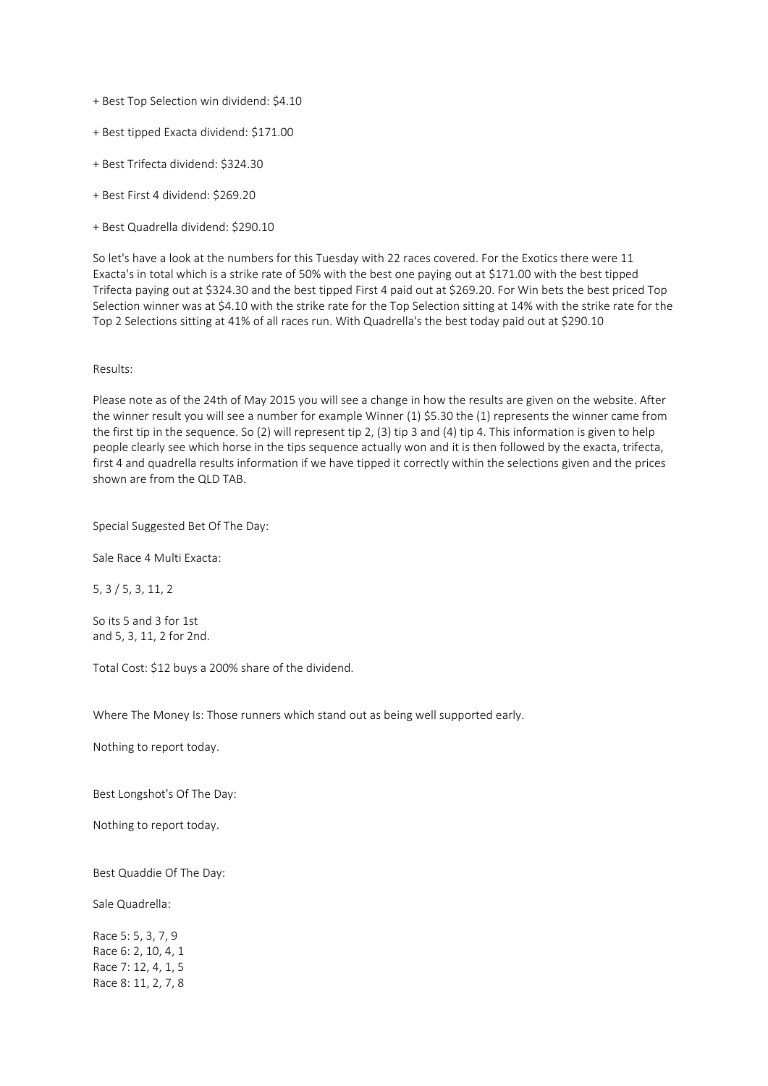- + Best Top Selection win dividend: \$4.10
- + Best tipped Exacta dividend: \$171.00
- + Best Trifecta dividend: \$324.30
- + Best First 4 dividend: \$269.20
- + Best Quadrella dividend: \$290.10

So let's have a look at the numbers for this Tuesday with 22 races covered. For the Exotics there were 11 Exacta's in total which is a strike rate of 50% with the best one paying out at \$171.00 with the best tipped Trifecta paying out at \$324.30 and the best tipped First 4 paid out at \$269.20. For Win bets the best priced Top Selection winner was at \$4.10 with the strike rate for the Top Selection sitting at 14% with the strike rate for the Top 2 Selections sitting at 41% of all races run. With Quadrella's the best today paid out at \$290.10

#### Results:

Please note as of the 24th of May 2015 you will see a change in how the results are given on the website. After the winner result you will see a number for example Winner (1) \$5.30 the (1) represents the winner came from the first tip in the sequence. So (2) will represent tip 2, (3) tip 3 and (4) tip 4. This information is given to help people clearly see which horse in the tips sequence actually won and it is then followed by the exacta, trifecta, first 4 and quadrella results information if we have tipped it correctly within the selections given and the prices shown are from the QLD TAB.

Special Suggested Bet Of The Day:

Sale Race 4 Multi Exacta:

5, 3 / 5, 3, 11, 2

So its 5 and 3 for 1st and 5, 3, 11, 2 for 2nd.

Total Cost: \$12 buys a 200% share of the dividend.

Where The Money Is: Those runners which stand out as being well supported early.

Nothing to report today.

Best Longshot's Of The Day:

Nothing to report today.

Best Quaddie Of The Day:

Sale Quadrella:

Race 5: 5, 3, 7, 9 Race 6: 2, 10, 4, 1 Race 7: 12, 4, 1, 5 Race 8: 11, 2, 7, 8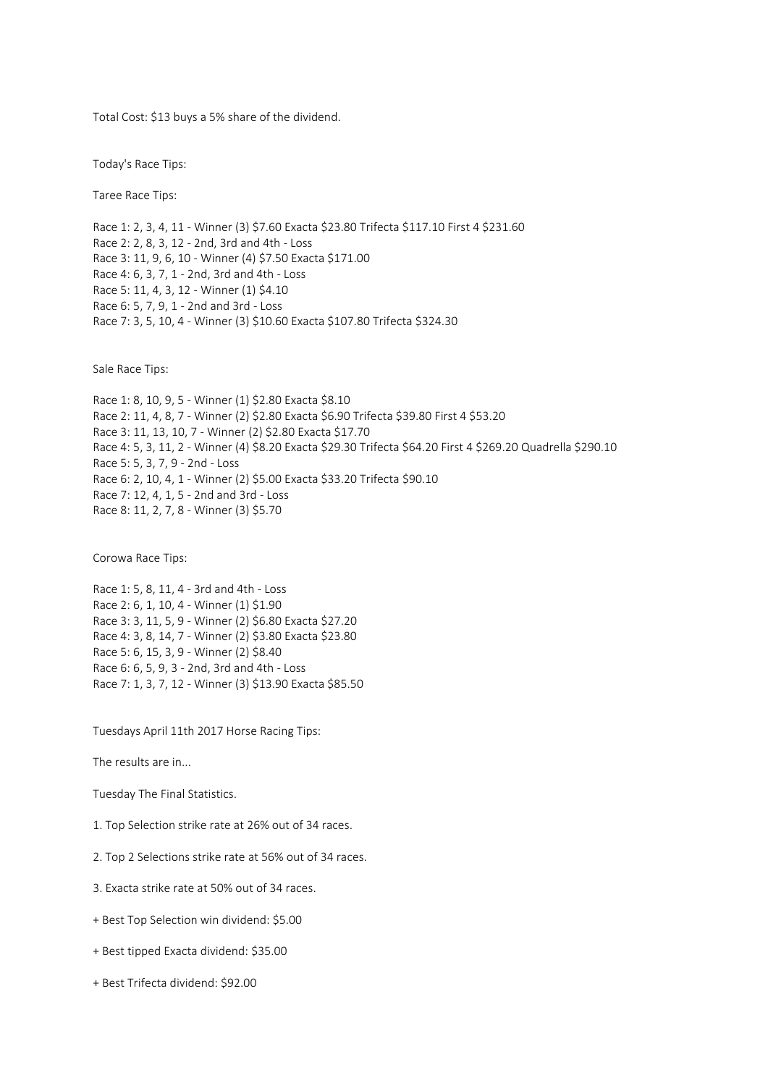Total Cost: \$13 buys a 5% share of the dividend.

Today's Race Tips:

Taree Race Tips:

Race 1: 2, 3, 4, 11 - Winner (3) \$7.60 Exacta \$23.80 Trifecta \$117.10 First 4 \$231.60 Race 2: 2, 8, 3, 12 - 2nd, 3rd and 4th - Loss Race 3: 11, 9, 6, 10 - Winner (4) \$7.50 Exacta \$171.00 Race 4: 6, 3, 7, 1 - 2nd, 3rd and 4th - Loss Race 5: 11, 4, 3, 12 - Winner (1) \$4.10 Race 6: 5, 7, 9, 1 - 2nd and 3rd - Loss Race 7: 3, 5, 10, 4 - Winner (3) \$10.60 Exacta \$107.80 Trifecta \$324.30

Sale Race Tips:

Race 1: 8, 10, 9, 5 - Winner (1) \$2.80 Exacta \$8.10 Race 2: 11, 4, 8, 7 - Winner (2) \$2.80 Exacta \$6.90 Trifecta \$39.80 First 4 \$53.20 Race 3: 11, 13, 10, 7 - Winner (2) \$2.80 Exacta \$17.70 Race 4: 5, 3, 11, 2 - Winner (4) \$8.20 Exacta \$29.30 Trifecta \$64.20 First 4 \$269.20 Quadrella \$290.10 Race 5: 5, 3, 7, 9 - 2nd - Loss Race 6: 2, 10, 4, 1 - Winner (2) \$5.00 Exacta \$33.20 Trifecta \$90.10 Race 7: 12, 4, 1, 5 - 2nd and 3rd - Loss Race 8: 11, 2, 7, 8 - Winner (3) \$5.70

Corowa Race Tips:

Race 1: 5, 8, 11, 4 - 3rd and 4th - Loss Race 2: 6, 1, 10, 4 - Winner (1) \$1.90 Race 3: 3, 11, 5, 9 - Winner (2) \$6.80 Exacta \$27.20 Race 4: 3, 8, 14, 7 - Winner (2) \$3.80 Exacta \$23.80 Race 5: 6, 15, 3, 9 - Winner (2) \$8.40 Race 6: 6, 5, 9, 3 - 2nd, 3rd and 4th - Loss Race 7: 1, 3, 7, 12 - Winner (3) \$13.90 Exacta \$85.50

Tuesdays April 11th 2017 Horse Racing Tips:

The results are in...

Tuesday The Final Statistics.

1. Top Selection strike rate at 26% out of 34 races.

2. Top 2 Selections strike rate at 56% out of 34 races.

3. Exacta strike rate at 50% out of 34 races.

+ Best Top Selection win dividend: \$5.00

+ Best tipped Exacta dividend: \$35.00

+ Best Trifecta dividend: \$92.00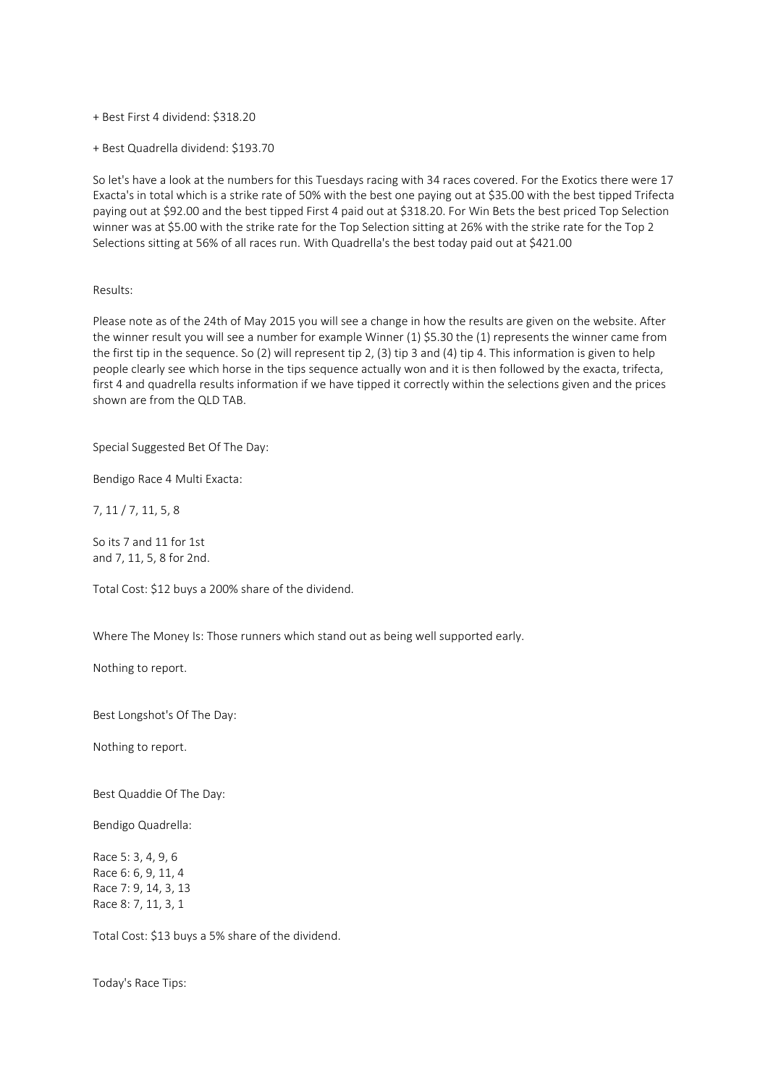+ Best First 4 dividend: \$318.20

+ Best Quadrella dividend: \$193.70

So let's have a look at the numbers for this Tuesdays racing with 34 races covered. For the Exotics there were 17 Exacta's in total which is a strike rate of 50% with the best one paying out at \$35.00 with the best tipped Trifecta paying out at \$92.00 and the best tipped First 4 paid out at \$318.20. For Win Bets the best priced Top Selection winner was at \$5.00 with the strike rate for the Top Selection sitting at 26% with the strike rate for the Top 2 Selections sitting at 56% of all races run. With Quadrella's the best today paid out at \$421.00

### Results:

Please note as of the 24th of May 2015 you will see a change in how the results are given on the website. After the winner result you will see a number for example Winner (1) \$5.30 the (1) represents the winner came from the first tip in the sequence. So (2) will represent tip 2, (3) tip 3 and (4) tip 4. This information is given to help people clearly see which horse in the tips sequence actually won and it is then followed by the exacta, trifecta, first 4 and quadrella results information if we have tipped it correctly within the selections given and the prices shown are from the QLD TAB.

Special Suggested Bet Of The Day:

Bendigo Race 4 Multi Exacta:

7, 11 / 7, 11, 5, 8

So its 7 and 11 for 1st and 7, 11, 5, 8 for 2nd.

Total Cost: \$12 buys a 200% share of the dividend.

Where The Money Is: Those runners which stand out as being well supported early.

Nothing to report.

Best Longshot's Of The Day:

Nothing to report.

Best Quaddie Of The Day:

Bendigo Quadrella:

Race 5: 3, 4, 9, 6 Race 6: 6, 9, 11, 4 Race 7: 9, 14, 3, 13 Race 8: 7, 11, 3, 1

Total Cost: \$13 buys a 5% share of the dividend.

Today's Race Tips: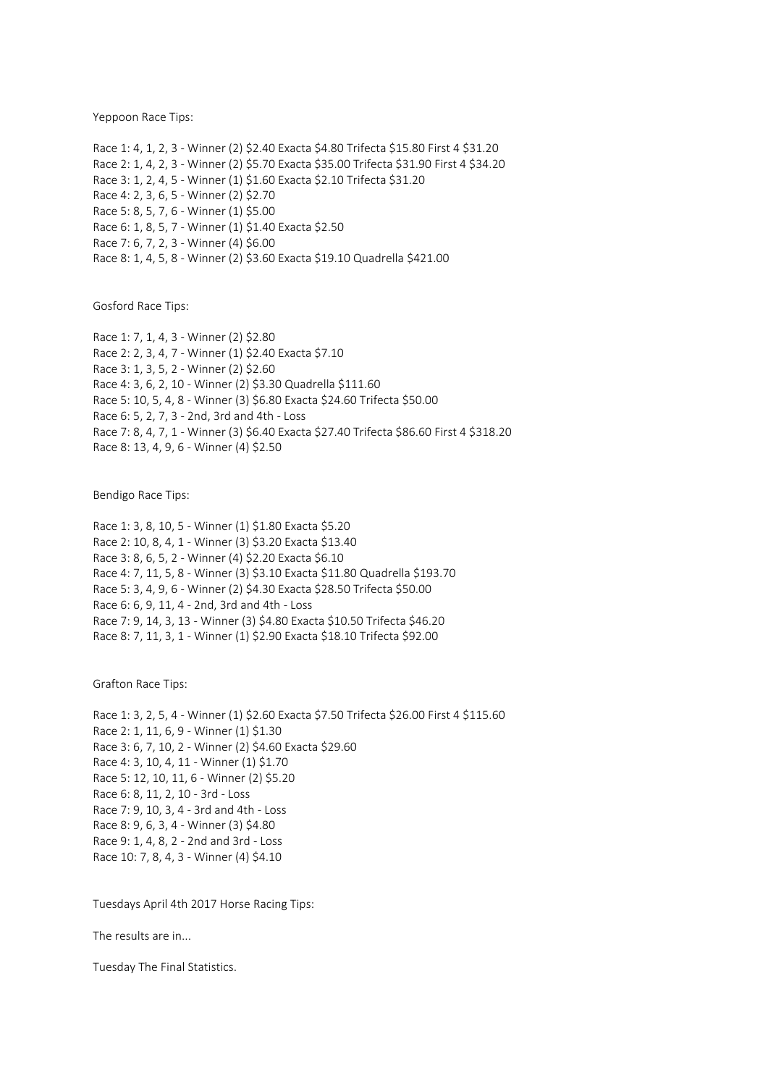Yeppoon Race Tips:

Race 1: 4, 1, 2, 3 - Winner (2) \$2.40 Exacta \$4.80 Trifecta \$15.80 First 4 \$31.20 Race 2: 1, 4, 2, 3 - Winner (2) \$5.70 Exacta \$35.00 Trifecta \$31.90 First 4 \$34.20 Race 3: 1, 2, 4, 5 - Winner (1) \$1.60 Exacta \$2.10 Trifecta \$31.20 Race 4: 2, 3, 6, 5 - Winner (2) \$2.70 Race 5: 8, 5, 7, 6 - Winner (1) \$5.00 Race 6: 1, 8, 5, 7 - Winner (1) \$1.40 Exacta \$2.50 Race 7: 6, 7, 2, 3 - Winner (4) \$6.00 Race 8: 1, 4, 5, 8 - Winner (2) \$3.60 Exacta \$19.10 Quadrella \$421.00

Gosford Race Tips:

Race 1: 7, 1, 4, 3 - Winner (2) \$2.80 Race 2: 2, 3, 4, 7 - Winner (1) \$2.40 Exacta \$7.10 Race 3: 1, 3, 5, 2 - Winner (2) \$2.60 Race 4: 3, 6, 2, 10 - Winner (2) \$3.30 Quadrella \$111.60 Race 5: 10, 5, 4, 8 - Winner (3) \$6.80 Exacta \$24.60 Trifecta \$50.00 Race 6: 5, 2, 7, 3 - 2nd, 3rd and 4th - Loss Race 7: 8, 4, 7, 1 - Winner (3) \$6.40 Exacta \$27.40 Trifecta \$86.60 First 4 \$318.20 Race 8: 13, 4, 9, 6 - Winner (4) \$2.50

Bendigo Race Tips:

Race 1: 3, 8, 10, 5 - Winner (1) \$1.80 Exacta \$5.20 Race 2: 10, 8, 4, 1 - Winner (3) \$3.20 Exacta \$13.40 Race 3: 8, 6, 5, 2 - Winner (4) \$2.20 Exacta \$6.10 Race 4: 7, 11, 5, 8 - Winner (3) \$3.10 Exacta \$11.80 Quadrella \$193.70 Race 5: 3, 4, 9, 6 - Winner (2) \$4.30 Exacta \$28.50 Trifecta \$50.00 Race 6: 6, 9, 11, 4 - 2nd, 3rd and 4th - Loss Race 7: 9, 14, 3, 13 - Winner (3) \$4.80 Exacta \$10.50 Trifecta \$46.20 Race 8: 7, 11, 3, 1 - Winner (1) \$2.90 Exacta \$18.10 Trifecta \$92.00

Grafton Race Tips:

Race 1: 3, 2, 5, 4 - Winner (1) \$2.60 Exacta \$7.50 Trifecta \$26.00 First 4 \$115.60 Race 2: 1, 11, 6, 9 - Winner (1) \$1.30 Race 3: 6, 7, 10, 2 - Winner (2) \$4.60 Exacta \$29.60 Race 4: 3, 10, 4, 11 - Winner (1) \$1.70 Race 5: 12, 10, 11, 6 - Winner (2) \$5.20 Race 6: 8, 11, 2, 10 - 3rd - Loss Race 7: 9, 10, 3, 4 - 3rd and 4th - Loss Race 8: 9, 6, 3, 4 - Winner (3) \$4.80 Race 9: 1, 4, 8, 2 - 2nd and 3rd - Loss Race 10: 7, 8, 4, 3 - Winner (4) \$4.10

Tuesdays April 4th 2017 Horse Racing Tips:

The results are in...

Tuesday The Final Statistics.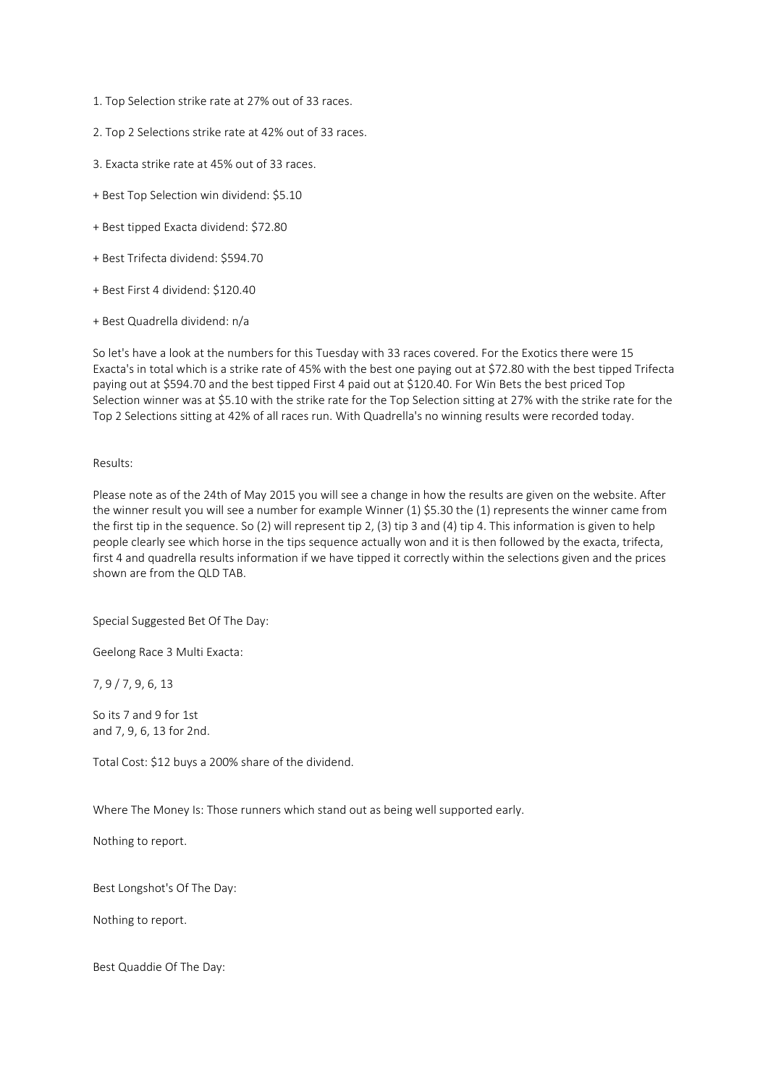- 1. Top Selection strike rate at 27% out of 33 races.
- 2. Top 2 Selections strike rate at 42% out of 33 races.
- 3. Exacta strike rate at 45% out of 33 races.
- + Best Top Selection win dividend: \$5.10
- + Best tipped Exacta dividend: \$72.80
- + Best Trifecta dividend: \$594.70
- + Best First 4 dividend: \$120.40
- + Best Quadrella dividend: n/a

So let's have a look at the numbers for this Tuesday with 33 races covered. For the Exotics there were 15 Exacta's in total which is a strike rate of 45% with the best one paying out at \$72.80 with the best tipped Trifecta paying out at \$594.70 and the best tipped First 4 paid out at \$120.40. For Win Bets the best priced Top Selection winner was at \$5.10 with the strike rate for the Top Selection sitting at 27% with the strike rate for the Top 2 Selections sitting at 42% of all races run. With Quadrella's no winning results were recorded today.

### Results:

Please note as of the 24th of May 2015 you will see a change in how the results are given on the website. After the winner result you will see a number for example Winner (1) \$5.30 the (1) represents the winner came from the first tip in the sequence. So (2) will represent tip 2, (3) tip 3 and (4) tip 4. This information is given to help people clearly see which horse in the tips sequence actually won and it is then followed by the exacta, trifecta, first 4 and quadrella results information if we have tipped it correctly within the selections given and the prices shown are from the QLD TAB.

Special Suggested Bet Of The Day:

Geelong Race 3 Multi Exacta:

7, 9 / 7, 9, 6, 13

So its 7 and 9 for 1st and 7, 9, 6, 13 for 2nd.

Total Cost: \$12 buys a 200% share of the dividend.

Where The Money Is: Those runners which stand out as being well supported early.

Nothing to report.

Best Longshot's Of The Day:

Nothing to report.

Best Quaddie Of The Day: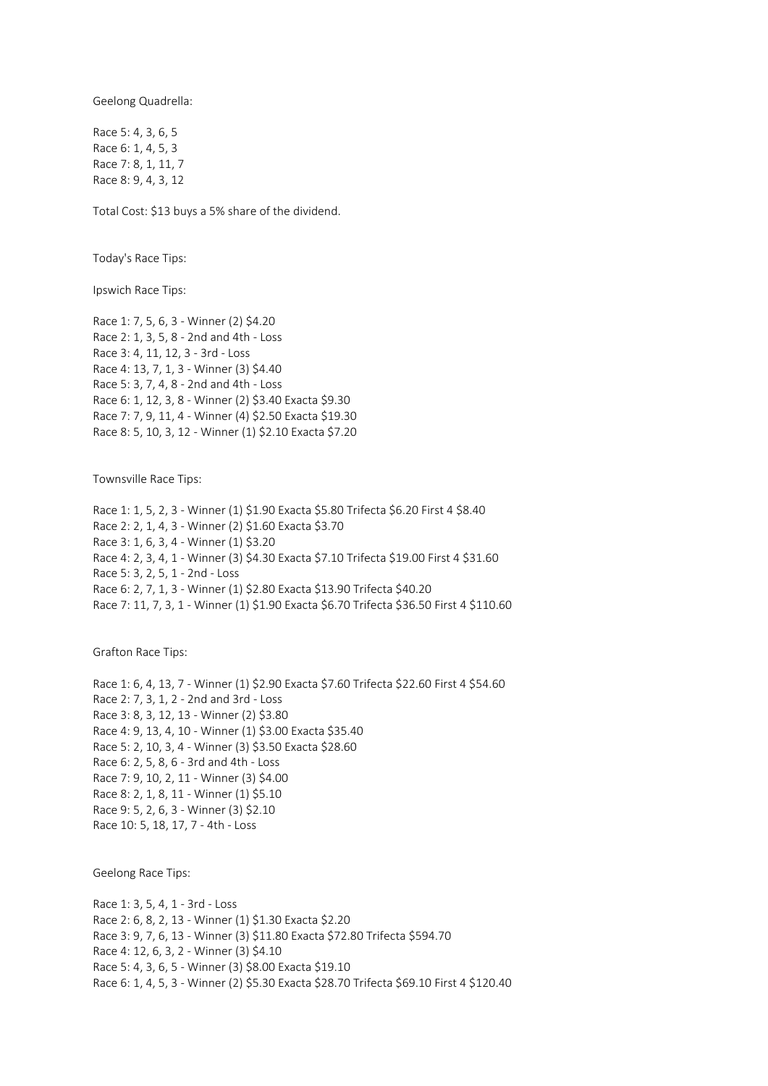Geelong Quadrella:

Race 5: 4, 3, 6, 5 Race 6: 1, 4, 5, 3 Race 7: 8, 1, 11, 7 Race 8: 9, 4, 3, 12

Total Cost: \$13 buys a 5% share of the dividend.

Today's Race Tips:

Ipswich Race Tips:

Race 1: 7, 5, 6, 3 - Winner (2) \$4.20 Race 2: 1, 3, 5, 8 - 2nd and 4th - Loss Race 3: 4, 11, 12, 3 - 3rd - Loss Race 4: 13, 7, 1, 3 - Winner (3) \$4.40 Race 5: 3, 7, 4, 8 - 2nd and 4th - Loss Race 6: 1, 12, 3, 8 - Winner (2) \$3.40 Exacta \$9.30 Race 7: 7, 9, 11, 4 - Winner (4) \$2.50 Exacta \$19.30 Race 8: 5, 10, 3, 12 - Winner (1) \$2.10 Exacta \$7.20

Townsville Race Tips:

Race 1: 1, 5, 2, 3 - Winner (1) \$1.90 Exacta \$5.80 Trifecta \$6.20 First 4 \$8.40 Race 2: 2, 1, 4, 3 - Winner (2) \$1.60 Exacta \$3.70 Race 3: 1, 6, 3, 4 - Winner (1) \$3.20 Race 4: 2, 3, 4, 1 - Winner (3) \$4.30 Exacta \$7.10 Trifecta \$19.00 First 4 \$31.60 Race 5: 3, 2, 5, 1 - 2nd - Loss Race 6: 2, 7, 1, 3 - Winner (1) \$2.80 Exacta \$13.90 Trifecta \$40.20 Race 7: 11, 7, 3, 1 - Winner (1) \$1.90 Exacta \$6.70 Trifecta \$36.50 First 4 \$110.60

Grafton Race Tips:

Race 1: 6, 4, 13, 7 - Winner (1) \$2.90 Exacta \$7.60 Trifecta \$22.60 First 4 \$54.60 Race 2: 7, 3, 1, 2 - 2nd and 3rd - Loss Race 3: 8, 3, 12, 13 - Winner (2) \$3.80 Race 4: 9, 13, 4, 10 - Winner (1) \$3.00 Exacta \$35.40 Race 5: 2, 10, 3, 4 - Winner (3) \$3.50 Exacta \$28.60 Race 6: 2, 5, 8, 6 - 3rd and 4th - Loss Race 7: 9, 10, 2, 11 - Winner (3) \$4.00 Race 8: 2, 1, 8, 11 - Winner (1) \$5.10 Race 9: 5, 2, 6, 3 - Winner (3) \$2.10 Race 10: 5, 18, 17, 7 - 4th - Loss

Geelong Race Tips:

Race 1: 3, 5, 4, 1 - 3rd - Loss Race 2: 6, 8, 2, 13 - Winner (1) \$1.30 Exacta \$2.20 Race 3: 9, 7, 6, 13 - Winner (3) \$11.80 Exacta \$72.80 Trifecta \$594.70 Race 4: 12, 6, 3, 2 - Winner (3) \$4.10 Race 5: 4, 3, 6, 5 - Winner (3) \$8.00 Exacta \$19.10 Race 6: 1, 4, 5, 3 - Winner (2) \$5.30 Exacta \$28.70 Trifecta \$69.10 First 4 \$120.40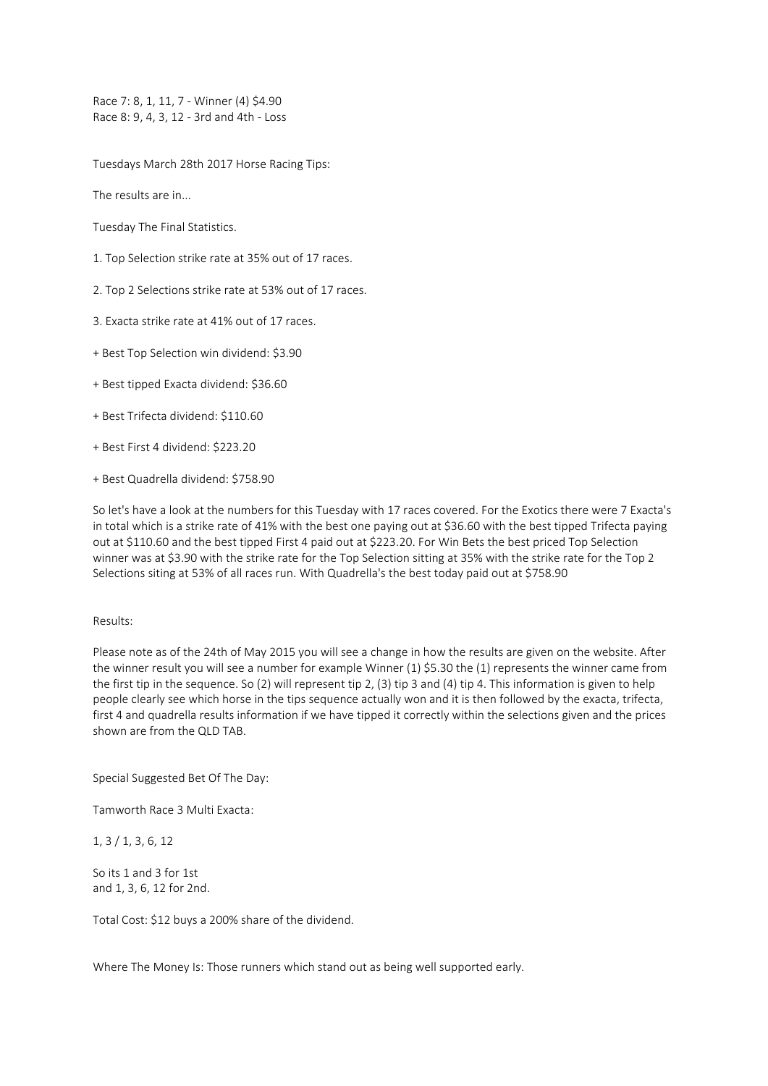Race 7: 8, 1, 11, 7 - Winner (4) \$4.90 Race 8: 9, 4, 3, 12 - 3rd and 4th - Loss

Tuesdays March 28th 2017 Horse Racing Tips:

The results are in...

Tuesday The Final Statistics.

- 1. Top Selection strike rate at 35% out of 17 races.
- 2. Top 2 Selections strike rate at 53% out of 17 races.
- 3. Exacta strike rate at 41% out of 17 races.
- + Best Top Selection win dividend: \$3.90
- + Best tipped Exacta dividend: \$36.60
- + Best Trifecta dividend: \$110.60
- + Best First 4 dividend: \$223.20
- + Best Quadrella dividend: \$758.90

So let's have a look at the numbers for this Tuesday with 17 races covered. For the Exotics there were 7 Exacta's in total which is a strike rate of 41% with the best one paying out at \$36.60 with the best tipped Trifecta paying out at \$110.60 and the best tipped First 4 paid out at \$223.20. For Win Bets the best priced Top Selection winner was at \$3.90 with the strike rate for the Top Selection sitting at 35% with the strike rate for the Top 2 Selections siting at 53% of all races run. With Quadrella's the best today paid out at \$758.90

# Results:

Please note as of the 24th of May 2015 you will see a change in how the results are given on the website. After the winner result you will see a number for example Winner (1) \$5.30 the (1) represents the winner came from the first tip in the sequence. So (2) will represent tip 2, (3) tip 3 and (4) tip 4. This information is given to help people clearly see which horse in the tips sequence actually won and it is then followed by the exacta, trifecta, first 4 and quadrella results information if we have tipped it correctly within the selections given and the prices shown are from the QLD TAB.

Special Suggested Bet Of The Day:

Tamworth Race 3 Multi Exacta:

1, 3 / 1, 3, 6, 12

So its 1 and 3 for 1st and 1, 3, 6, 12 for 2nd.

Total Cost: \$12 buys a 200% share of the dividend.

Where The Money Is: Those runners which stand out as being well supported early.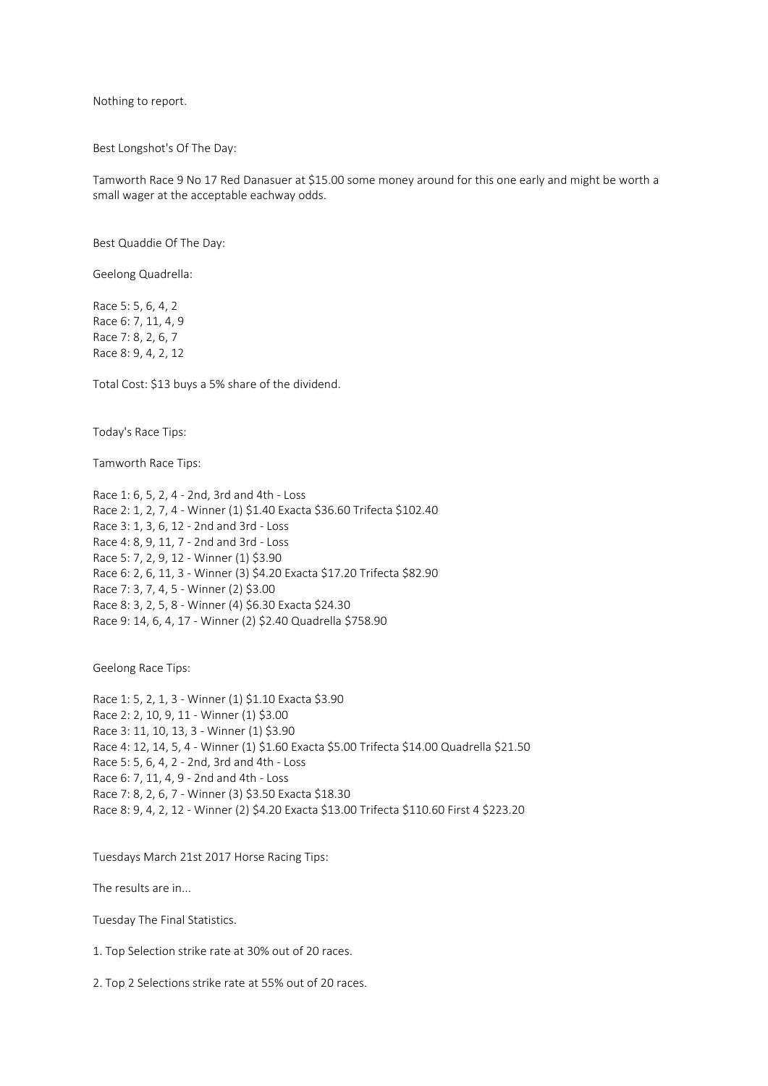Nothing to report.

Best Longshot's Of The Day:

Tamworth Race 9 No 17 Red Danasuer at \$15.00 some money around for this one early and might be worth a small wager at the acceptable eachway odds.

Best Quaddie Of The Day:

Geelong Quadrella:

Race 5: 5, 6, 4, 2 Race 6: 7, 11, 4, 9 Race 7: 8, 2, 6, 7 Race 8: 9, 4, 2, 12

Total Cost: \$13 buys a 5% share of the dividend.

Today's Race Tips:

Tamworth Race Tips:

Race 1: 6, 5, 2, 4 - 2nd, 3rd and 4th - Loss Race 2: 1, 2, 7, 4 - Winner (1) \$1.40 Exacta \$36.60 Trifecta \$102.40 Race 3: 1, 3, 6, 12 - 2nd and 3rd - Loss Race 4: 8, 9, 11, 7 - 2nd and 3rd - Loss Race 5: 7, 2, 9, 12 - Winner (1) \$3.90 Race 6: 2, 6, 11, 3 - Winner (3) \$4.20 Exacta \$17.20 Trifecta \$82.90 Race 7: 3, 7, 4, 5 - Winner (2) \$3.00 Race 8: 3, 2, 5, 8 - Winner (4) \$6.30 Exacta \$24.30 Race 9: 14, 6, 4, 17 - Winner (2) \$2.40 Quadrella \$758.90

Geelong Race Tips:

Race 1: 5, 2, 1, 3 - Winner (1) \$1.10 Exacta \$3.90 Race 2: 2, 10, 9, 11 - Winner (1) \$3.00 Race 3: 11, 10, 13, 3 - Winner (1) \$3.90 Race 4: 12, 14, 5, 4 - Winner (1) \$1.60 Exacta \$5.00 Trifecta \$14.00 Quadrella \$21.50 Race 5: 5, 6, 4, 2 - 2nd, 3rd and 4th - Loss Race 6: 7, 11, 4, 9 - 2nd and 4th - Loss Race 7: 8, 2, 6, 7 - Winner (3) \$3.50 Exacta \$18.30 Race 8: 9, 4, 2, 12 - Winner (2) \$4.20 Exacta \$13.00 Trifecta \$110.60 First 4 \$223.20

Tuesdays March 21st 2017 Horse Racing Tips:

The results are in...

Tuesday The Final Statistics.

1. Top Selection strike rate at 30% out of 20 races.

2. Top 2 Selections strike rate at 55% out of 20 races.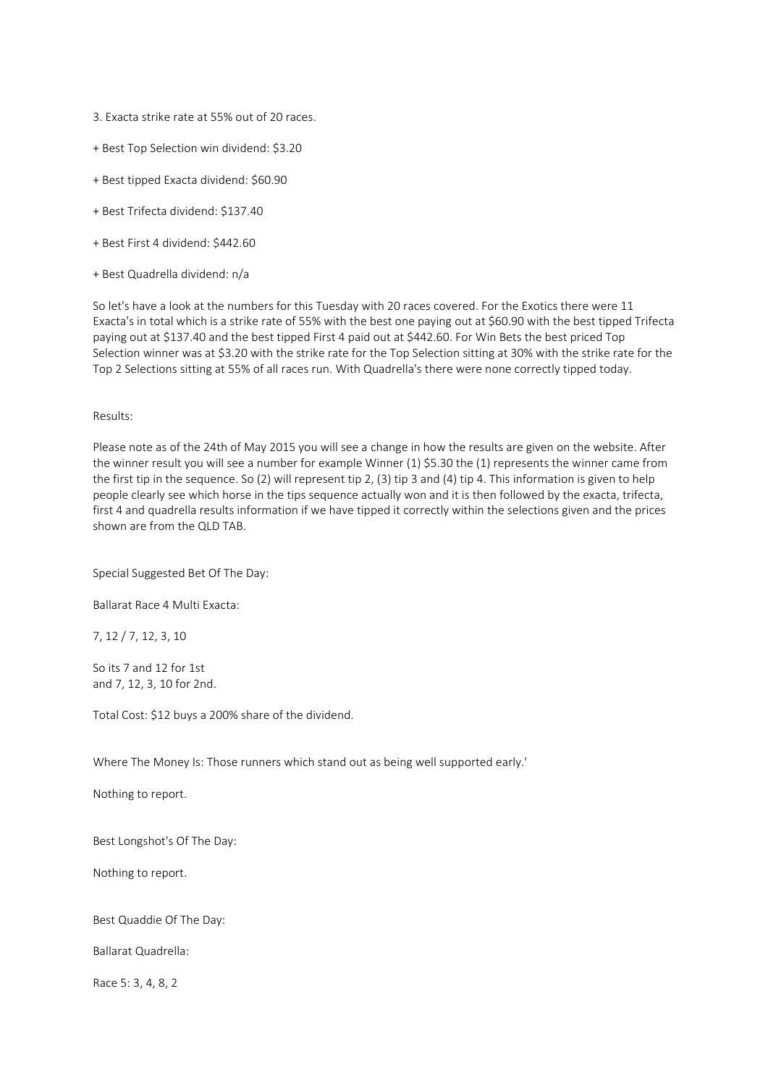- 3. Exacta strike rate at 55% out of 20 races.
- + Best Top Selection win dividend: \$3.20
- + Best tipped Exacta dividend: \$60.90
- + Best Trifecta dividend: \$137.40
- + Best First 4 dividend: \$442.60
- + Best Quadrella dividend: n/a

So let's have a look at the numbers for this Tuesday with 20 races covered. For the Exotics there were 11 Exacta's in total which is a strike rate of 55% with the best one paying out at \$60.90 with the best tipped Trifecta paying out at \$137.40 and the best tipped First 4 paid out at \$442.60. For Win Bets the best priced Top Selection winner was at \$3.20 with the strike rate for the Top Selection sitting at 30% with the strike rate for the Top 2 Selections sitting at 55% of all races run. With Quadrella's there were none correctly tipped today.

# Results:

Please note as of the 24th of May 2015 you will see a change in how the results are given on the website. After the winner result you will see a number for example Winner (1) \$5.30 the (1) represents the winner came from the first tip in the sequence. So (2) will represent tip 2, (3) tip 3 and (4) tip 4. This information is given to help people clearly see which horse in the tips sequence actually won and it is then followed by the exacta, trifecta, first 4 and quadrella results information if we have tipped it correctly within the selections given and the prices shown are from the QLD TAB.

Special Suggested Bet Of The Day:

Ballarat Race 4 Multi Exacta:

7, 12 / 7, 12, 3, 10

So its 7 and 12 for 1st and 7, 12, 3, 10 for 2nd.

Total Cost: \$12 buys a 200% share of the dividend.

Where The Money Is: Those runners which stand out as being well supported early.'

Nothing to report.

Best Longshot's Of The Day:

Nothing to report.

Best Quaddie Of The Day:

Ballarat Quadrella:

Race 5: 3, 4, 8, 2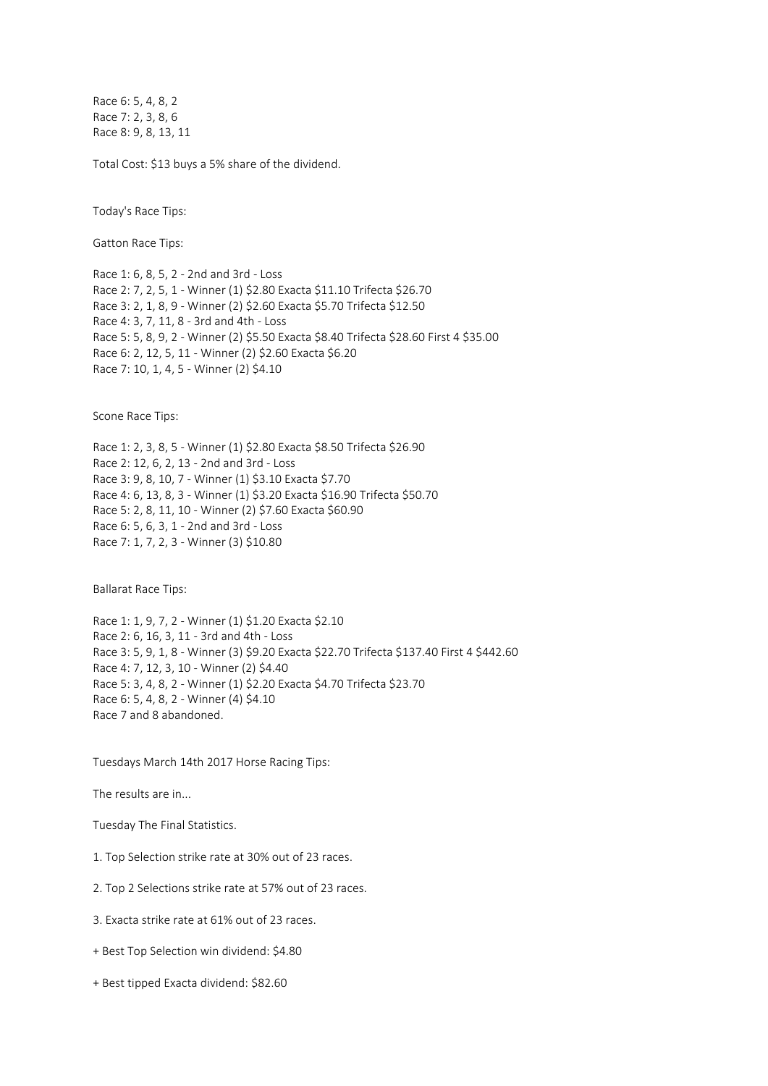Race 6: 5, 4, 8, 2 Race 7: 2, 3, 8, 6 Race 8: 9, 8, 13, 11

Total Cost: \$13 buys a 5% share of the dividend.

Today's Race Tips:

Gatton Race Tips:

Race 1: 6, 8, 5, 2 - 2nd and 3rd - Loss Race 2: 7, 2, 5, 1 - Winner (1) \$2.80 Exacta \$11.10 Trifecta \$26.70 Race 3: 2, 1, 8, 9 - Winner (2) \$2.60 Exacta \$5.70 Trifecta \$12.50 Race 4: 3, 7, 11, 8 - 3rd and 4th - Loss Race 5: 5, 8, 9, 2 - Winner (2) \$5.50 Exacta \$8.40 Trifecta \$28.60 First 4 \$35.00 Race 6: 2, 12, 5, 11 - Winner (2) \$2.60 Exacta \$6.20 Race 7: 10, 1, 4, 5 - Winner (2) \$4.10

Scone Race Tips:

Race 1: 2, 3, 8, 5 - Winner (1) \$2.80 Exacta \$8.50 Trifecta \$26.90 Race 2: 12, 6, 2, 13 - 2nd and 3rd - Loss Race 3: 9, 8, 10, 7 - Winner (1) \$3.10 Exacta \$7.70 Race 4: 6, 13, 8, 3 - Winner (1) \$3.20 Exacta \$16.90 Trifecta \$50.70 Race 5: 2, 8, 11, 10 - Winner (2) \$7.60 Exacta \$60.90 Race 6: 5, 6, 3, 1 - 2nd and 3rd - Loss Race 7: 1, 7, 2, 3 - Winner (3) \$10.80

Ballarat Race Tips:

Race 1: 1, 9, 7, 2 - Winner (1) \$1.20 Exacta \$2.10 Race 2: 6, 16, 3, 11 - 3rd and 4th - Loss Race 3: 5, 9, 1, 8 - Winner (3) \$9.20 Exacta \$22.70 Trifecta \$137.40 First 4 \$442.60 Race 4: 7, 12, 3, 10 - Winner (2) \$4.40 Race 5: 3, 4, 8, 2 - Winner (1) \$2.20 Exacta \$4.70 Trifecta \$23.70 Race 6: 5, 4, 8, 2 - Winner (4) \$4.10 Race 7 and 8 abandoned.

Tuesdays March 14th 2017 Horse Racing Tips:

The results are in...

Tuesday The Final Statistics.

1. Top Selection strike rate at 30% out of 23 races.

2. Top 2 Selections strike rate at 57% out of 23 races.

3. Exacta strike rate at 61% out of 23 races.

+ Best Top Selection win dividend: \$4.80

+ Best tipped Exacta dividend: \$82.60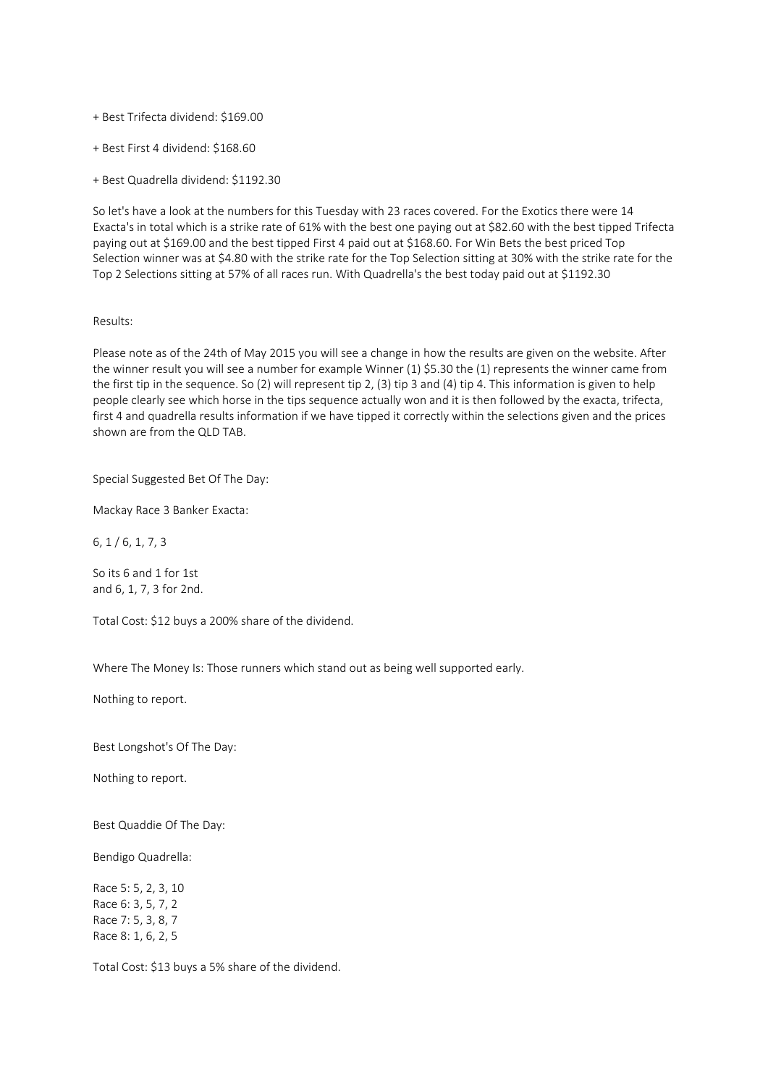- + Best Trifecta dividend: \$169.00
- + Best First 4 dividend: \$168.60
- + Best Quadrella dividend: \$1192.30

So let's have a look at the numbers for this Tuesday with 23 races covered. For the Exotics there were 14 Exacta's in total which is a strike rate of 61% with the best one paying out at \$82.60 with the best tipped Trifecta paying out at \$169.00 and the best tipped First 4 paid out at \$168.60. For Win Bets the best priced Top Selection winner was at \$4.80 with the strike rate for the Top Selection sitting at 30% with the strike rate for the Top 2 Selections sitting at 57% of all races run. With Quadrella's the best today paid out at \$1192.30

### Results:

Please note as of the 24th of May 2015 you will see a change in how the results are given on the website. After the winner result you will see a number for example Winner (1) \$5.30 the (1) represents the winner came from the first tip in the sequence. So (2) will represent tip 2, (3) tip 3 and (4) tip 4. This information is given to help people clearly see which horse in the tips sequence actually won and it is then followed by the exacta, trifecta, first 4 and quadrella results information if we have tipped it correctly within the selections given and the prices shown are from the QLD TAB.

Special Suggested Bet Of The Day:

Mackay Race 3 Banker Exacta:

6, 1 / 6, 1, 7, 3

So its 6 and 1 for 1st and 6, 1, 7, 3 for 2nd.

Total Cost: \$12 buys a 200% share of the dividend.

Where The Money Is: Those runners which stand out as being well supported early.

Nothing to report.

Best Longshot's Of The Day:

Nothing to report.

Best Quaddie Of The Day:

Bendigo Quadrella:

Race 5: 5, 2, 3, 10 Race 6: 3, 5, 7, 2 Race 7: 5, 3, 8, 7 Race 8: 1, 6, 2, 5

Total Cost: \$13 buys a 5% share of the dividend.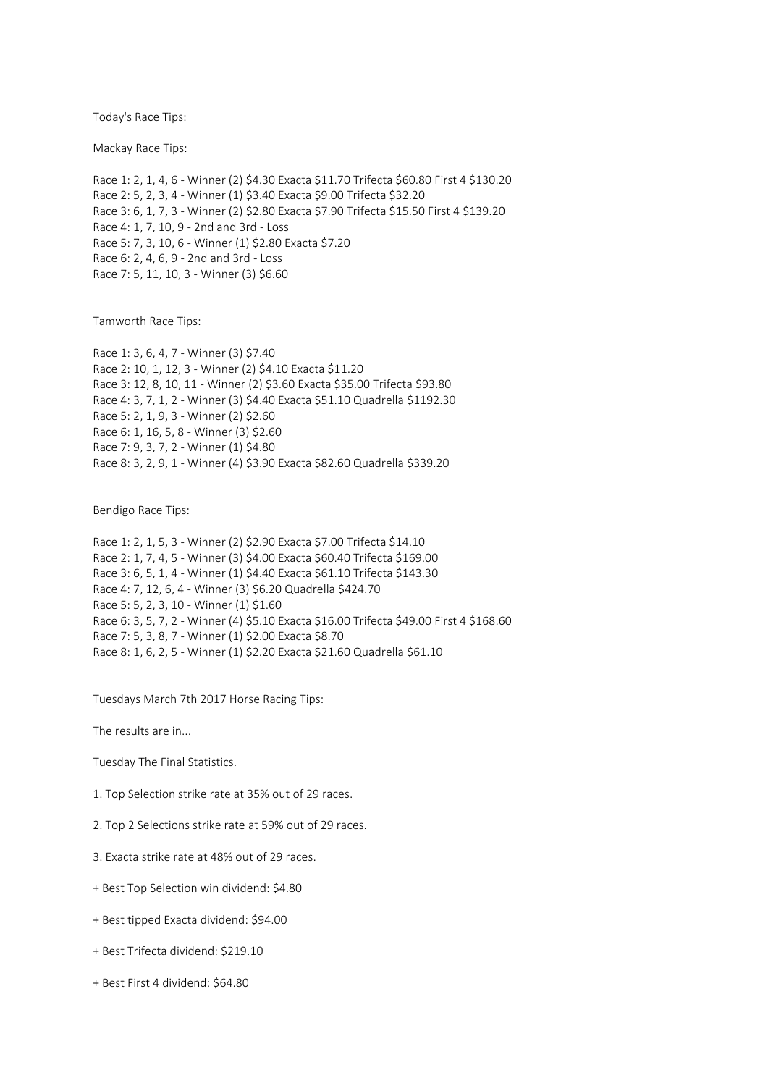Today's Race Tips:

Mackay Race Tips:

Race 1: 2, 1, 4, 6 - Winner (2) \$4.30 Exacta \$11.70 Trifecta \$60.80 First 4 \$130.20 Race 2: 5, 2, 3, 4 - Winner (1) \$3.40 Exacta \$9.00 Trifecta \$32.20 Race 3: 6, 1, 7, 3 - Winner (2) \$2.80 Exacta \$7.90 Trifecta \$15.50 First 4 \$139.20 Race 4: 1, 7, 10, 9 - 2nd and 3rd - Loss Race 5: 7, 3, 10, 6 - Winner (1) \$2.80 Exacta \$7.20 Race 6: 2, 4, 6, 9 - 2nd and 3rd - Loss Race 7: 5, 11, 10, 3 - Winner (3) \$6.60

Tamworth Race Tips:

Race 1: 3, 6, 4, 7 - Winner (3) \$7.40 Race 2: 10, 1, 12, 3 - Winner (2) \$4.10 Exacta \$11.20 Race 3: 12, 8, 10, 11 - Winner (2) \$3.60 Exacta \$35.00 Trifecta \$93.80 Race 4: 3, 7, 1, 2 - Winner (3) \$4.40 Exacta \$51.10 Quadrella \$1192.30 Race 5: 2, 1, 9, 3 - Winner (2) \$2.60 Race 6: 1, 16, 5, 8 - Winner (3) \$2.60 Race 7: 9, 3, 7, 2 - Winner (1) \$4.80 Race 8: 3, 2, 9, 1 - Winner (4) \$3.90 Exacta \$82.60 Quadrella \$339.20

Bendigo Race Tips:

Race 1: 2, 1, 5, 3 - Winner (2) \$2.90 Exacta \$7.00 Trifecta \$14.10 Race 2: 1, 7, 4, 5 - Winner (3) \$4.00 Exacta \$60.40 Trifecta \$169.00 Race 3: 6, 5, 1, 4 - Winner (1) \$4.40 Exacta \$61.10 Trifecta \$143.30 Race 4: 7, 12, 6, 4 - Winner (3) \$6.20 Quadrella \$424.70 Race 5: 5, 2, 3, 10 - Winner (1) \$1.60 Race 6: 3, 5, 7, 2 - Winner (4) \$5.10 Exacta \$16.00 Trifecta \$49.00 First 4 \$168.60 Race 7: 5, 3, 8, 7 - Winner (1) \$2.00 Exacta \$8.70 Race 8: 1, 6, 2, 5 - Winner (1) \$2.20 Exacta \$21.60 Quadrella \$61.10

Tuesdays March 7th 2017 Horse Racing Tips:

The results are in...

Tuesday The Final Statistics.

1. Top Selection strike rate at 35% out of 29 races.

2. Top 2 Selections strike rate at 59% out of 29 races.

3. Exacta strike rate at 48% out of 29 races.

+ Best Top Selection win dividend: \$4.80

+ Best tipped Exacta dividend: \$94.00

+ Best Trifecta dividend: \$219.10

+ Best First 4 dividend: \$64.80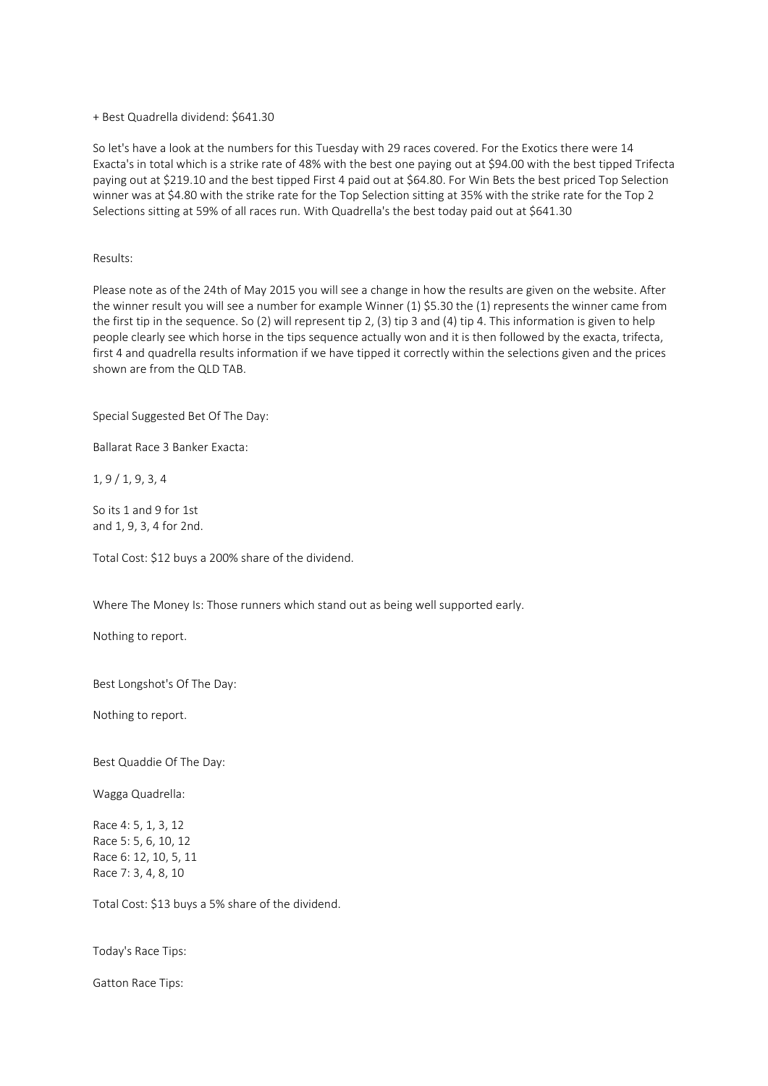+ Best Quadrella dividend: \$641.30

So let's have a look at the numbers for this Tuesday with 29 races covered. For the Exotics there were 14 Exacta's in total which is a strike rate of 48% with the best one paying out at \$94.00 with the best tipped Trifecta paying out at \$219.10 and the best tipped First 4 paid out at \$64.80. For Win Bets the best priced Top Selection winner was at \$4.80 with the strike rate for the Top Selection sitting at 35% with the strike rate for the Top 2 Selections sitting at 59% of all races run. With Quadrella's the best today paid out at \$641.30

Results:

Please note as of the 24th of May 2015 you will see a change in how the results are given on the website. After the winner result you will see a number for example Winner (1) \$5.30 the (1) represents the winner came from the first tip in the sequence. So (2) will represent tip 2, (3) tip 3 and (4) tip 4. This information is given to help people clearly see which horse in the tips sequence actually won and it is then followed by the exacta, trifecta, first 4 and quadrella results information if we have tipped it correctly within the selections given and the prices shown are from the QLD TAB.

Special Suggested Bet Of The Day:

Ballarat Race 3 Banker Exacta:

1, 9 / 1, 9, 3, 4

So its 1 and 9 for 1st and 1, 9, 3, 4 for 2nd.

Total Cost: \$12 buys a 200% share of the dividend.

Where The Money Is: Those runners which stand out as being well supported early.

Nothing to report.

Best Longshot's Of The Day:

Nothing to report.

Best Quaddie Of The Day:

Wagga Quadrella:

Race 4: 5, 1, 3, 12 Race 5: 5, 6, 10, 12 Race 6: 12, 10, 5, 11 Race 7: 3, 4, 8, 10

Total Cost: \$13 buys a 5% share of the dividend.

Today's Race Tips:

Gatton Race Tips: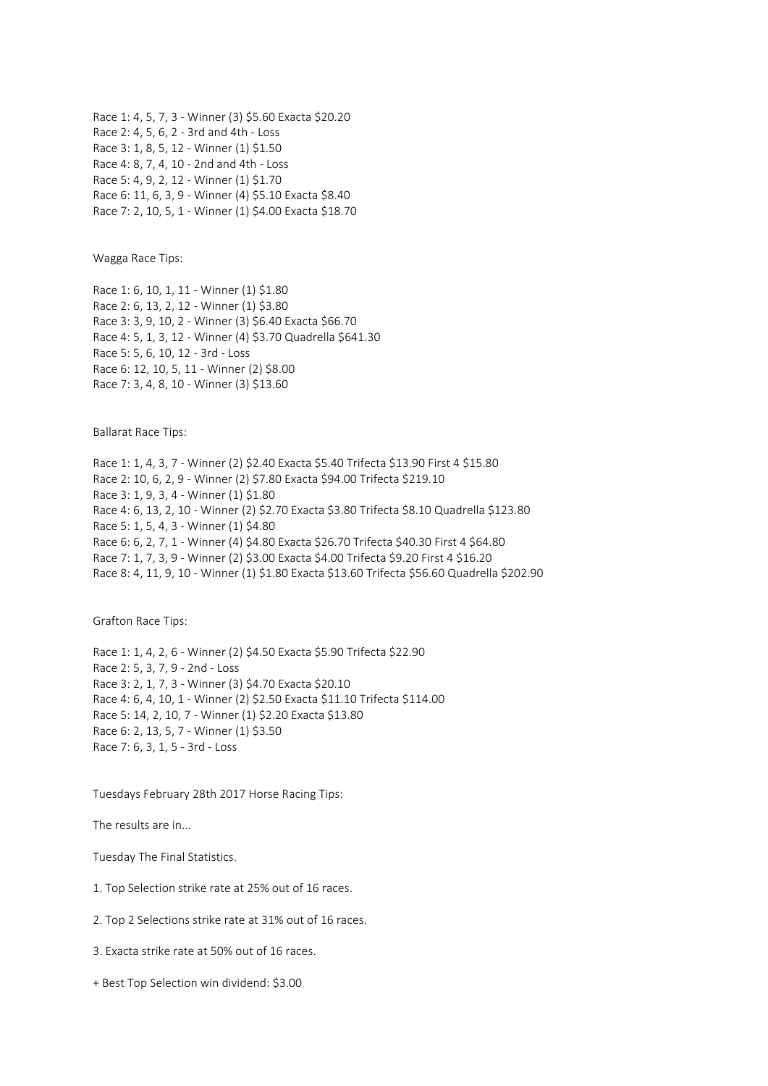Race 1: 4, 5, 7, 3 - Winner (3) \$5.60 Exacta \$20.20 Race 2: 4, 5, 6, 2 - 3rd and 4th - Loss Race 3: 1, 8, 5, 12 - Winner (1) \$1.50 Race 4: 8, 7, 4, 10 - 2nd and 4th - Loss Race 5: 4, 9, 2, 12 - Winner (1) \$1.70 Race 6: 11, 6, 3, 9 - Winner (4) \$5.10 Exacta \$8.40 Race 7: 2, 10, 5, 1 - Winner (1) \$4.00 Exacta \$18.70

Wagga Race Tips:

Race 1: 6, 10, 1, 11 - Winner (1) \$1.80 Race 2: 6, 13, 2, 12 - Winner (1) \$3.80 Race 3: 3, 9, 10, 2 - Winner (3) \$6.40 Exacta \$66.70 Race 4: 5, 1, 3, 12 - Winner (4) \$3.70 Quadrella \$641.30 Race 5: 5, 6, 10, 12 - 3rd - Loss Race 6: 12, 10, 5, 11 - Winner (2) \$8.00 Race 7: 3, 4, 8, 10 - Winner (3) \$13.60

Ballarat Race Tips:

Race 1: 1, 4, 3, 7 - Winner (2) \$2.40 Exacta \$5.40 Trifecta \$13.90 First 4 \$15.80 Race 2: 10, 6, 2, 9 - Winner (2) \$7.80 Exacta \$94.00 Trifecta \$219.10 Race 3: 1, 9, 3, 4 - Winner (1) \$1.80 Race 4: 6, 13, 2, 10 - Winner (2) \$2.70 Exacta \$3.80 Trifecta \$8.10 Quadrella \$123.80 Race 5: 1, 5, 4, 3 - Winner (1) \$4.80 Race 6: 6, 2, 7, 1 - Winner (4) \$4.80 Exacta \$26.70 Trifecta \$40.30 First 4 \$64.80 Race 7: 1, 7, 3, 9 - Winner (2) \$3.00 Exacta \$4.00 Trifecta \$9.20 First 4 \$16.20 Race 8: 4, 11, 9, 10 - Winner (1) \$1.80 Exacta \$13.60 Trifecta \$56.60 Quadrella \$202.90

Grafton Race Tips:

Race 1: 1, 4, 2, 6 - Winner (2) \$4.50 Exacta \$5.90 Trifecta \$22.90 Race 2: 5, 3, 7, 9 - 2nd - Loss Race 3: 2, 1, 7, 3 - Winner (3) \$4.70 Exacta \$20.10 Race 4: 6, 4, 10, 1 - Winner (2) \$2.50 Exacta \$11.10 Trifecta \$114.00 Race 5: 14, 2, 10, 7 - Winner (1) \$2.20 Exacta \$13.80 Race 6: 2, 13, 5, 7 - Winner (1) \$3.50 Race 7: 6, 3, 1, 5 - 3rd - Loss

Tuesdays February 28th 2017 Horse Racing Tips:

The results are in...

Tuesday The Final Statistics.

1. Top Selection strike rate at 25% out of 16 races.

2. Top 2 Selections strike rate at 31% out of 16 races.

3. Exacta strike rate at 50% out of 16 races.

+ Best Top Selection win dividend: \$3.00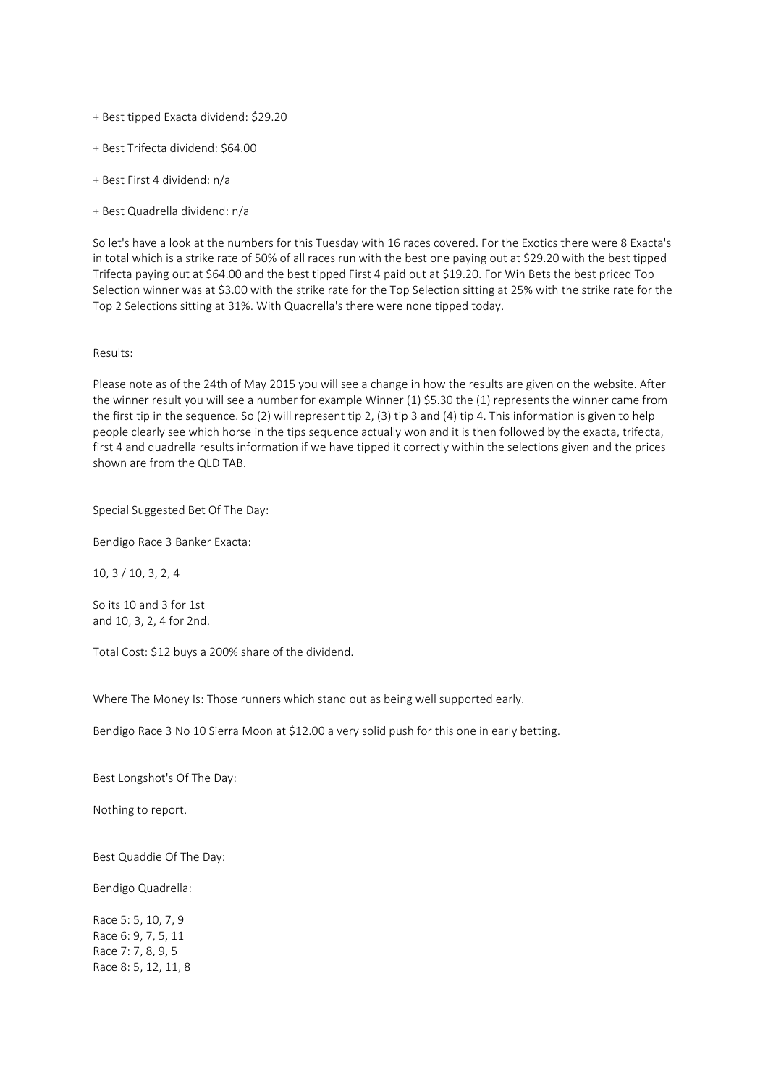- + Best tipped Exacta dividend: \$29.20
- + Best Trifecta dividend: \$64.00
- + Best First 4 dividend: n/a
- + Best Quadrella dividend: n/a

So let's have a look at the numbers for this Tuesday with 16 races covered. For the Exotics there were 8 Exacta's in total which is a strike rate of 50% of all races run with the best one paying out at \$29.20 with the best tipped Trifecta paying out at \$64.00 and the best tipped First 4 paid out at \$19.20. For Win Bets the best priced Top Selection winner was at \$3.00 with the strike rate for the Top Selection sitting at 25% with the strike rate for the Top 2 Selections sitting at 31%. With Quadrella's there were none tipped today.

### Results:

Please note as of the 24th of May 2015 you will see a change in how the results are given on the website. After the winner result you will see a number for example Winner (1) \$5.30 the (1) represents the winner came from the first tip in the sequence. So (2) will represent tip 2, (3) tip 3 and (4) tip 4. This information is given to help people clearly see which horse in the tips sequence actually won and it is then followed by the exacta, trifecta, first 4 and quadrella results information if we have tipped it correctly within the selections given and the prices shown are from the QLD TAB.

### Special Suggested Bet Of The Day:

Bendigo Race 3 Banker Exacta:

10, 3 / 10, 3, 2, 4

So its 10 and 3 for 1st and 10, 3, 2, 4 for 2nd.

Total Cost: \$12 buys a 200% share of the dividend.

Where The Money Is: Those runners which stand out as being well supported early.

Bendigo Race 3 No 10 Sierra Moon at \$12.00 a very solid push for this one in early betting.

Best Longshot's Of The Day:

Nothing to report.

Best Quaddie Of The Day:

Bendigo Quadrella:

Race 5: 5, 10, 7, 9 Race 6: 9, 7, 5, 11 Race 7: 7, 8, 9, 5 Race 8: 5, 12, 11, 8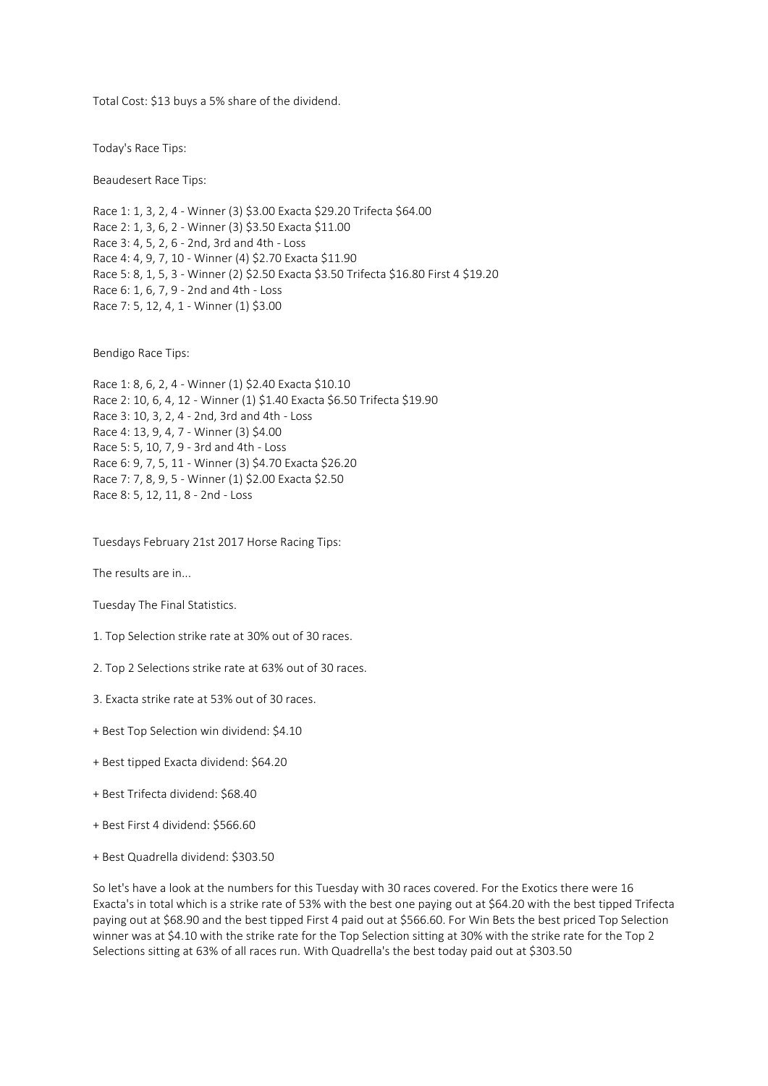Total Cost: \$13 buys a 5% share of the dividend.

Today's Race Tips:

Beaudesert Race Tips:

Race 1: 1, 3, 2, 4 - Winner (3) \$3.00 Exacta \$29.20 Trifecta \$64.00 Race 2: 1, 3, 6, 2 - Winner (3) \$3.50 Exacta \$11.00 Race 3: 4, 5, 2, 6 - 2nd, 3rd and 4th - Loss Race 4: 4, 9, 7, 10 - Winner (4) \$2.70 Exacta \$11.90 Race 5: 8, 1, 5, 3 - Winner (2) \$2.50 Exacta \$3.50 Trifecta \$16.80 First 4 \$19.20 Race 6: 1, 6, 7, 9 - 2nd and 4th - Loss Race 7: 5, 12, 4, 1 - Winner (1) \$3.00

Bendigo Race Tips:

Race 1: 8, 6, 2, 4 - Winner (1) \$2.40 Exacta \$10.10 Race 2: 10, 6, 4, 12 - Winner (1) \$1.40 Exacta \$6.50 Trifecta \$19.90 Race 3: 10, 3, 2, 4 - 2nd, 3rd and 4th - Loss Race 4: 13, 9, 4, 7 - Winner (3) \$4.00 Race 5: 5, 10, 7, 9 - 3rd and 4th - Loss Race 6: 9, 7, 5, 11 - Winner (3) \$4.70 Exacta \$26.20 Race 7: 7, 8, 9, 5 - Winner (1) \$2.00 Exacta \$2.50 Race 8: 5, 12, 11, 8 - 2nd - Loss

Tuesdays February 21st 2017 Horse Racing Tips:

The results are in...

Tuesday The Final Statistics.

1. Top Selection strike rate at 30% out of 30 races.

- 2. Top 2 Selections strike rate at 63% out of 30 races.
- 3. Exacta strike rate at 53% out of 30 races.
- + Best Top Selection win dividend: \$4.10
- + Best tipped Exacta dividend: \$64.20
- + Best Trifecta dividend: \$68.40
- + Best First 4 dividend: \$566.60
- + Best Quadrella dividend: \$303.50

So let's have a look at the numbers for this Tuesday with 30 races covered. For the Exotics there were 16 Exacta's in total which is a strike rate of 53% with the best one paying out at \$64.20 with the best tipped Trifecta paying out at \$68.90 and the best tipped First 4 paid out at \$566.60. For Win Bets the best priced Top Selection winner was at \$4.10 with the strike rate for the Top Selection sitting at 30% with the strike rate for the Top 2 Selections sitting at 63% of all races run. With Quadrella's the best today paid out at \$303.50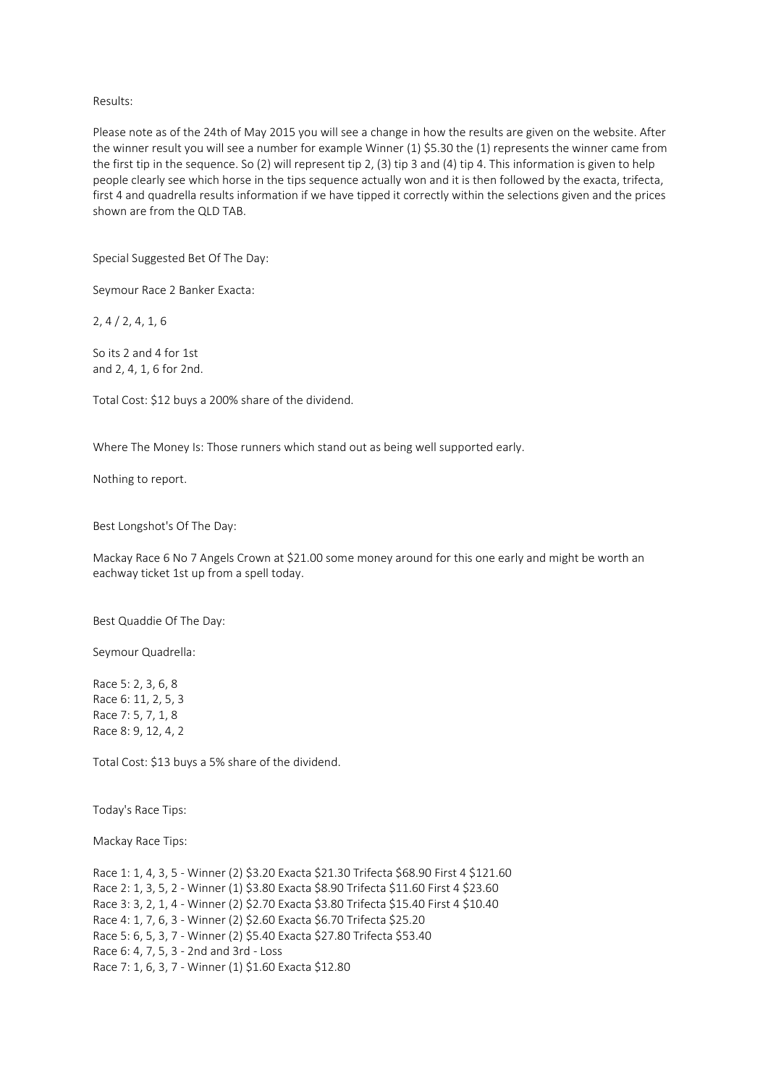### Results:

Please note as of the 24th of May 2015 you will see a change in how the results are given on the website. After the winner result you will see a number for example Winner (1) \$5.30 the (1) represents the winner came from the first tip in the sequence. So (2) will represent tip 2, (3) tip 3 and (4) tip 4. This information is given to help people clearly see which horse in the tips sequence actually won and it is then followed by the exacta, trifecta, first 4 and quadrella results information if we have tipped it correctly within the selections given and the prices shown are from the QLD TAB.

Special Suggested Bet Of The Day:

Seymour Race 2 Banker Exacta:

2, 4 / 2, 4, 1, 6

So its 2 and 4 for 1st and 2, 4, 1, 6 for 2nd.

Total Cost: \$12 buys a 200% share of the dividend.

Where The Money Is: Those runners which stand out as being well supported early.

Nothing to report.

Best Longshot's Of The Day:

Mackay Race 6 No 7 Angels Crown at \$21.00 some money around for this one early and might be worth an eachway ticket 1st up from a spell today.

Best Quaddie Of The Day:

Seymour Quadrella:

Race 5: 2, 3, 6, 8 Race 6: 11, 2, 5, 3 Race 7: 5, 7, 1, 8 Race 8: 9, 12, 4, 2

Total Cost: \$13 buys a 5% share of the dividend.

Today's Race Tips:

Mackay Race Tips:

Race 1: 1, 4, 3, 5 - Winner (2) \$3.20 Exacta \$21.30 Trifecta \$68.90 First 4 \$121.60 Race 2: 1, 3, 5, 2 - Winner (1) \$3.80 Exacta \$8.90 Trifecta \$11.60 First 4 \$23.60 Race 3: 3, 2, 1, 4 - Winner (2) \$2.70 Exacta \$3.80 Trifecta \$15.40 First 4 \$10.40 Race 4: 1, 7, 6, 3 - Winner (2) \$2.60 Exacta \$6.70 Trifecta \$25.20 Race 5: 6, 5, 3, 7 - Winner (2) \$5.40 Exacta \$27.80 Trifecta \$53.40 Race 6: 4, 7, 5, 3 - 2nd and 3rd - Loss Race 7: 1, 6, 3, 7 - Winner (1) \$1.60 Exacta \$12.80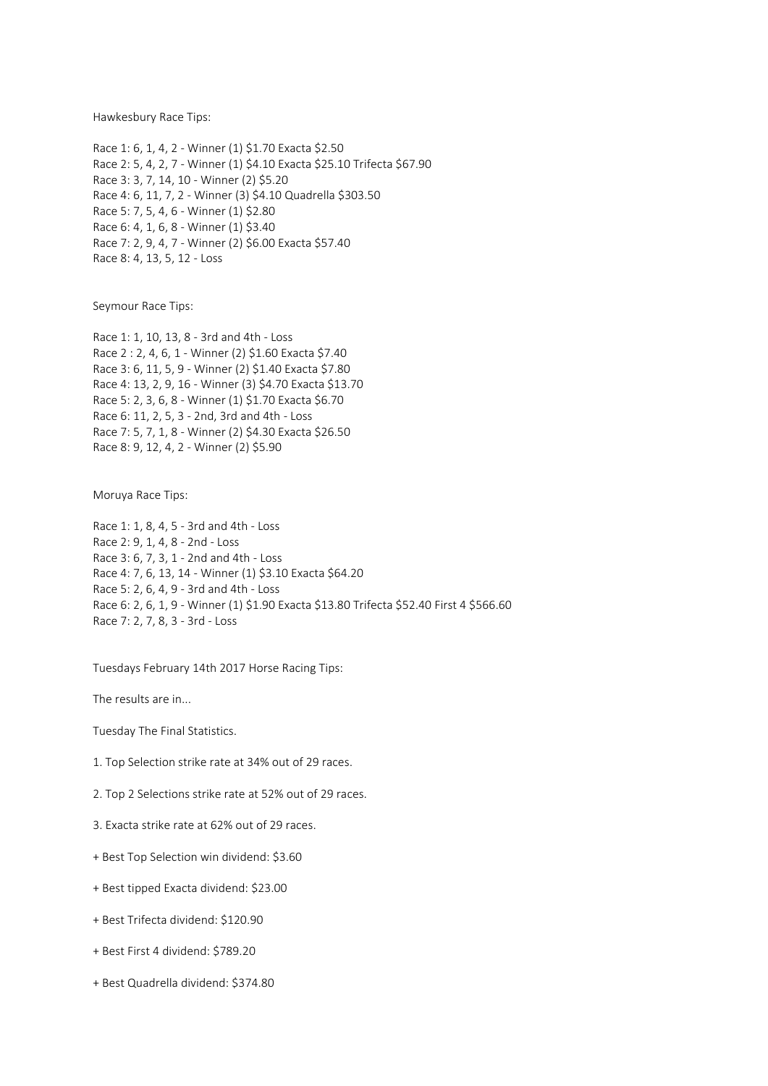Hawkesbury Race Tips:

Race 1: 6, 1, 4, 2 - Winner (1) \$1.70 Exacta \$2.50 Race 2: 5, 4, 2, 7 - Winner (1) \$4.10 Exacta \$25.10 Trifecta \$67.90 Race 3: 3, 7, 14, 10 - Winner (2) \$5.20 Race 4: 6, 11, 7, 2 - Winner (3) \$4.10 Quadrella \$303.50 Race 5: 7, 5, 4, 6 - Winner (1) \$2.80 Race 6: 4, 1, 6, 8 - Winner (1) \$3.40 Race 7: 2, 9, 4, 7 - Winner (2) \$6.00 Exacta \$57.40 Race 8: 4, 13, 5, 12 - Loss

Seymour Race Tips:

Race 1: 1, 10, 13, 8 - 3rd and 4th - Loss Race 2 : 2, 4, 6, 1 - Winner (2) \$1.60 Exacta \$7.40 Race 3: 6, 11, 5, 9 - Winner (2) \$1.40 Exacta \$7.80 Race 4: 13, 2, 9, 16 - Winner (3) \$4.70 Exacta \$13.70 Race 5: 2, 3, 6, 8 - Winner (1) \$1.70 Exacta \$6.70 Race 6: 11, 2, 5, 3 - 2nd, 3rd and 4th - Loss Race 7: 5, 7, 1, 8 - Winner (2) \$4.30 Exacta \$26.50 Race 8: 9, 12, 4, 2 - Winner (2) \$5.90

Moruya Race Tips:

Race 1: 1, 8, 4, 5 - 3rd and 4th - Loss Race 2: 9, 1, 4, 8 - 2nd - Loss Race 3: 6, 7, 3, 1 - 2nd and 4th - Loss Race 4: 7, 6, 13, 14 - Winner (1) \$3.10 Exacta \$64.20 Race 5: 2, 6, 4, 9 - 3rd and 4th - Loss Race 6: 2, 6, 1, 9 - Winner (1) \$1.90 Exacta \$13.80 Trifecta \$52.40 First 4 \$566.60 Race 7: 2, 7, 8, 3 - 3rd - Loss

Tuesdays February 14th 2017 Horse Racing Tips:

The results are in...

Tuesday The Final Statistics.

- 1. Top Selection strike rate at 34% out of 29 races.
- 2. Top 2 Selections strike rate at 52% out of 29 races.
- 3. Exacta strike rate at 62% out of 29 races.
- + Best Top Selection win dividend: \$3.60
- + Best tipped Exacta dividend: \$23.00
- + Best Trifecta dividend: \$120.90
- + Best First 4 dividend: \$789.20
- + Best Quadrella dividend: \$374.80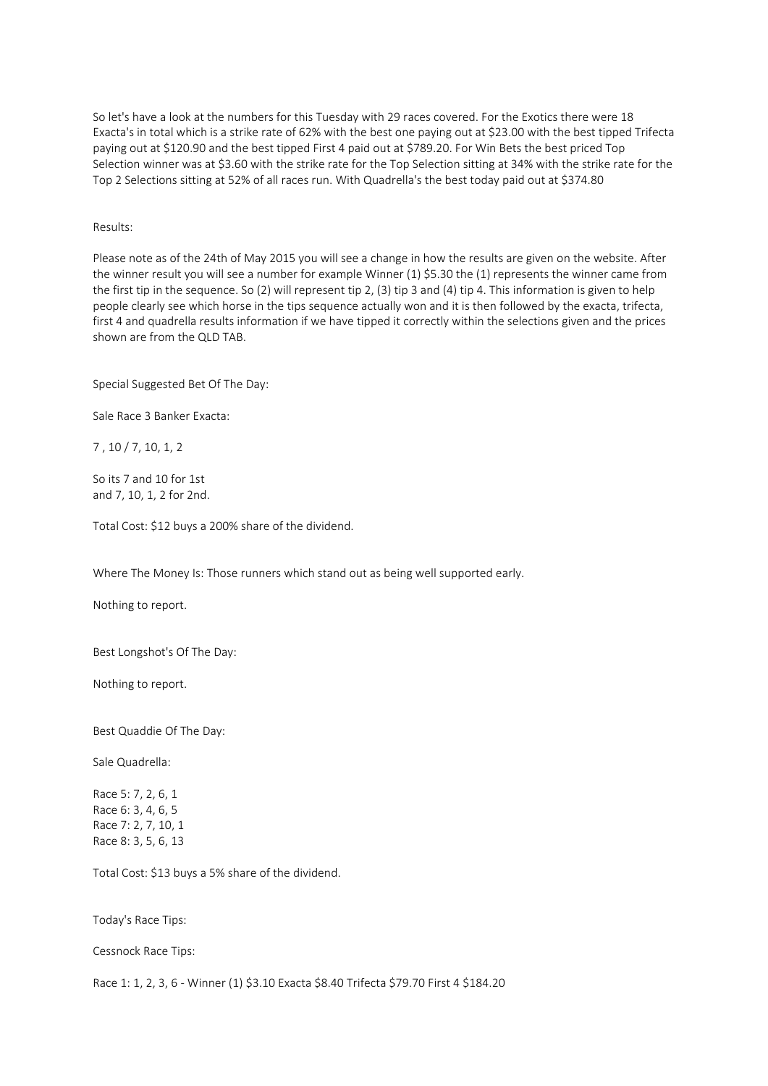So let's have a look at the numbers for this Tuesday with 29 races covered. For the Exotics there were 18 Exacta's in total which is a strike rate of 62% with the best one paying out at \$23.00 with the best tipped Trifecta paying out at \$120.90 and the best tipped First 4 paid out at \$789.20. For Win Bets the best priced Top Selection winner was at \$3.60 with the strike rate for the Top Selection sitting at 34% with the strike rate for the Top 2 Selections sitting at 52% of all races run. With Quadrella's the best today paid out at \$374.80

Results:

Please note as of the 24th of May 2015 you will see a change in how the results are given on the website. After the winner result you will see a number for example Winner (1) \$5.30 the (1) represents the winner came from the first tip in the sequence. So (2) will represent tip 2, (3) tip 3 and (4) tip 4. This information is given to help people clearly see which horse in the tips sequence actually won and it is then followed by the exacta, trifecta, first 4 and quadrella results information if we have tipped it correctly within the selections given and the prices shown are from the QLD TAB.

Special Suggested Bet Of The Day:

Sale Race 3 Banker Exacta:

7 , 10 / 7, 10, 1, 2

So its 7 and 10 for 1st and 7, 10, 1, 2 for 2nd.

Total Cost: \$12 buys a 200% share of the dividend.

Where The Money Is: Those runners which stand out as being well supported early.

Nothing to report.

Best Longshot's Of The Day:

Nothing to report.

Best Quaddie Of The Day:

Sale Quadrella:

Race 5: 7, 2, 6, 1 Race 6: 3, 4, 6, 5 Race 7: 2, 7, 10, 1 Race 8: 3, 5, 6, 13

Total Cost: \$13 buys a 5% share of the dividend.

Today's Race Tips:

Cessnock Race Tips:

Race 1: 1, 2, 3, 6 - Winner (1) \$3.10 Exacta \$8.40 Trifecta \$79.70 First 4 \$184.20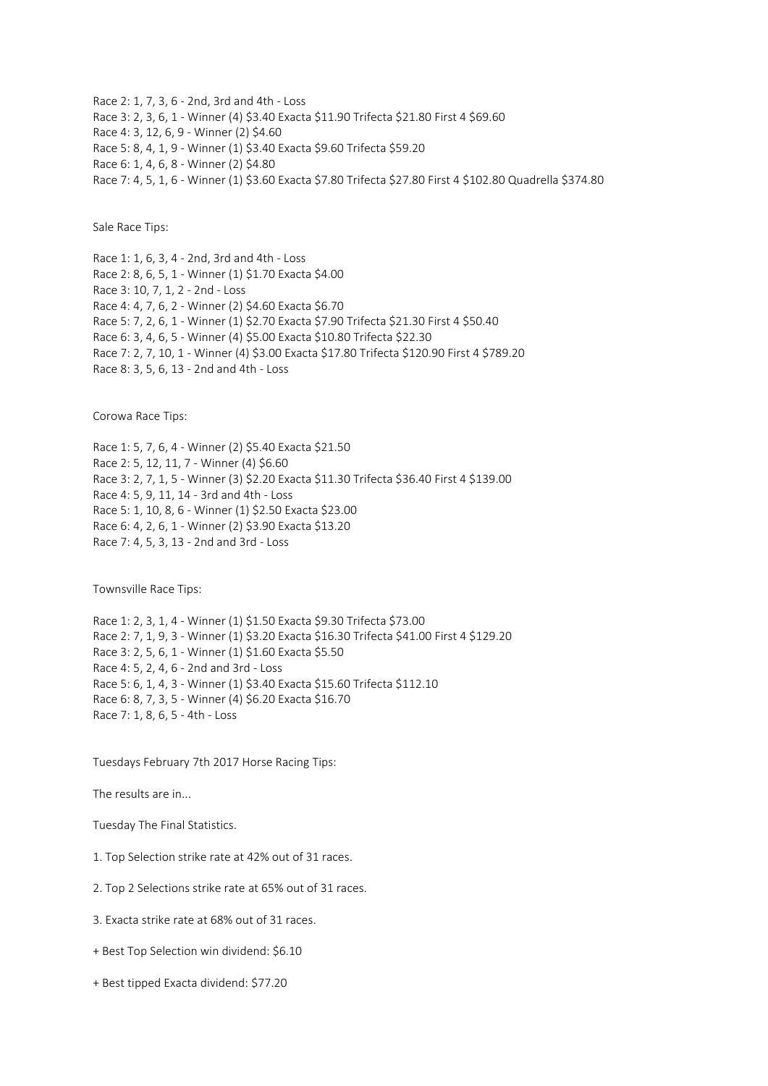Race 2: 1, 7, 3, 6 - 2nd, 3rd and 4th - Loss Race 3: 2, 3, 6, 1 - Winner (4) \$3.40 Exacta \$11.90 Trifecta \$21.80 First 4 \$69.60 Race 4: 3, 12, 6, 9 - Winner (2) \$4.60 Race 5: 8, 4, 1, 9 - Winner (1) \$3.40 Exacta \$9.60 Trifecta \$59.20 Race 6: 1, 4, 6, 8 - Winner (2) \$4.80 Race 7: 4, 5, 1, 6 - Winner (1) \$3.60 Exacta \$7.80 Trifecta \$27.80 First 4 \$102.80 Quadrella \$374.80

Sale Race Tips:

Race 1: 1, 6, 3, 4 - 2nd, 3rd and 4th - Loss Race 2: 8, 6, 5, 1 - Winner (1) \$1.70 Exacta \$4.00 Race 3: 10, 7, 1, 2 - 2nd - Loss Race 4: 4, 7, 6, 2 - Winner (2) \$4.60 Exacta \$6.70 Race 5: 7, 2, 6, 1 - Winner (1) \$2.70 Exacta \$7.90 Trifecta \$21.30 First 4 \$50.40 Race 6: 3, 4, 6, 5 - Winner (4) \$5.00 Exacta \$10.80 Trifecta \$22.30 Race 7: 2, 7, 10, 1 - Winner (4) \$3.00 Exacta \$17.80 Trifecta \$120.90 First 4 \$789.20 Race 8: 3, 5, 6, 13 - 2nd and 4th - Loss

Corowa Race Tips:

Race 1: 5, 7, 6, 4 - Winner (2) \$5.40 Exacta \$21.50 Race 2: 5, 12, 11, 7 - Winner (4) \$6.60 Race 3: 2, 7, 1, 5 - Winner (3) \$2.20 Exacta \$11.30 Trifecta \$36.40 First 4 \$139.00 Race 4: 5, 9, 11, 14 - 3rd and 4th - Loss Race 5: 1, 10, 8, 6 - Winner (1) \$2.50 Exacta \$23.00 Race 6: 4, 2, 6, 1 - Winner (2) \$3.90 Exacta \$13.20 Race 7: 4, 5, 3, 13 - 2nd and 3rd - Loss

Townsville Race Tips:

Race 1: 2, 3, 1, 4 - Winner (1) \$1.50 Exacta \$9.30 Trifecta \$73.00 Race 2: 7, 1, 9, 3 - Winner (1) \$3.20 Exacta \$16.30 Trifecta \$41.00 First 4 \$129.20 Race 3: 2, 5, 6, 1 - Winner (1) \$1.60 Exacta \$5.50 Race 4: 5, 2, 4, 6 - 2nd and 3rd - Loss Race 5: 6, 1, 4, 3 - Winner (1) \$3.40 Exacta \$15.60 Trifecta \$112.10 Race 6: 8, 7, 3, 5 - Winner (4) \$6.20 Exacta \$16.70 Race 7: 1, 8, 6, 5 - 4th - Loss

Tuesdays February 7th 2017 Horse Racing Tips:

The results are in...

Tuesday The Final Statistics.

1. Top Selection strike rate at 42% out of 31 races.

2. Top 2 Selections strike rate at 65% out of 31 races.

3. Exacta strike rate at 68% out of 31 races.

+ Best Top Selection win dividend: \$6.10

+ Best tipped Exacta dividend: \$77.20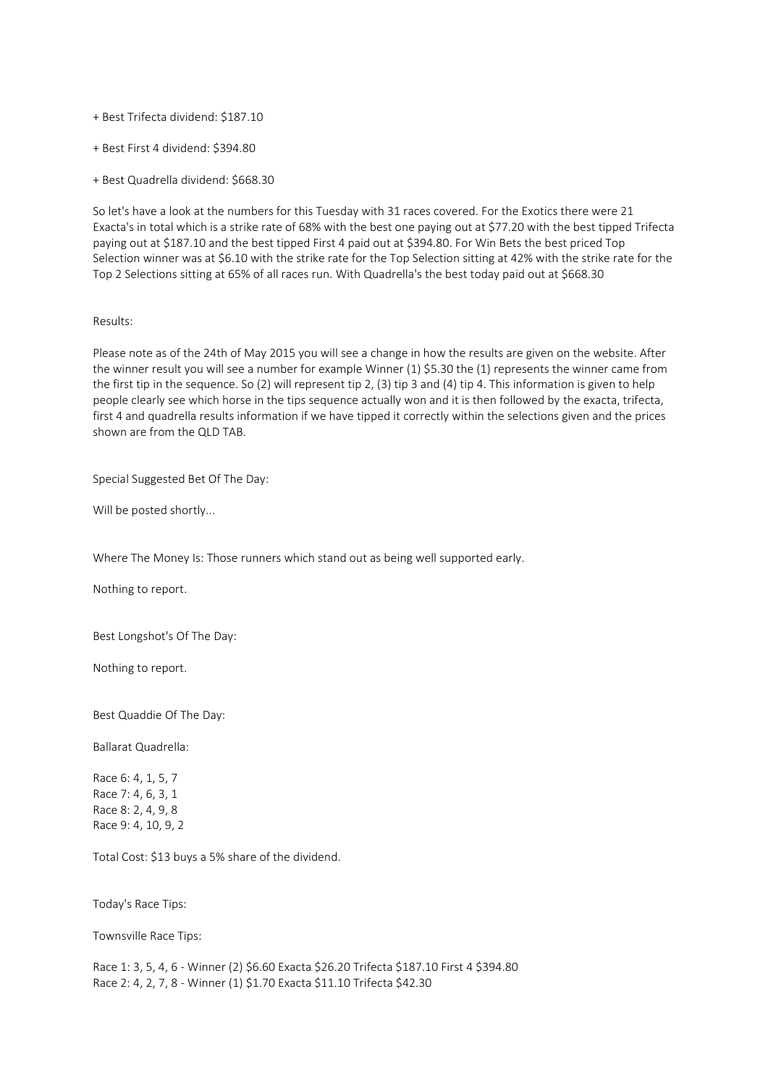+ Best Trifecta dividend: \$187.10

+ Best First 4 dividend: \$394.80

+ Best Quadrella dividend: \$668.30

So let's have a look at the numbers for this Tuesday with 31 races covered. For the Exotics there were 21 Exacta's in total which is a strike rate of 68% with the best one paying out at \$77.20 with the best tipped Trifecta paying out at \$187.10 and the best tipped First 4 paid out at \$394.80. For Win Bets the best priced Top Selection winner was at \$6.10 with the strike rate for the Top Selection sitting at 42% with the strike rate for the Top 2 Selections sitting at 65% of all races run. With Quadrella's the best today paid out at \$668.30

#### Results:

Please note as of the 24th of May 2015 you will see a change in how the results are given on the website. After the winner result you will see a number for example Winner (1) \$5.30 the (1) represents the winner came from the first tip in the sequence. So (2) will represent tip 2, (3) tip 3 and (4) tip 4. This information is given to help people clearly see which horse in the tips sequence actually won and it is then followed by the exacta, trifecta, first 4 and quadrella results information if we have tipped it correctly within the selections given and the prices shown are from the QLD TAB.

Special Suggested Bet Of The Day:

Will be posted shortly...

Where The Money Is: Those runners which stand out as being well supported early.

Nothing to report.

Best Longshot's Of The Day:

Nothing to report.

Best Quaddie Of The Day:

Ballarat Quadrella:

Race 6: 4, 1, 5, 7 Race 7: 4, 6, 3, 1 Race 8: 2, 4, 9, 8 Race 9: 4, 10, 9, 2

Total Cost: \$13 buys a 5% share of the dividend.

Today's Race Tips:

Townsville Race Tips:

Race 1: 3, 5, 4, 6 - Winner (2) \$6.60 Exacta \$26.20 Trifecta \$187.10 First 4 \$394.80 Race 2: 4, 2, 7, 8 - Winner (1) \$1.70 Exacta \$11.10 Trifecta \$42.30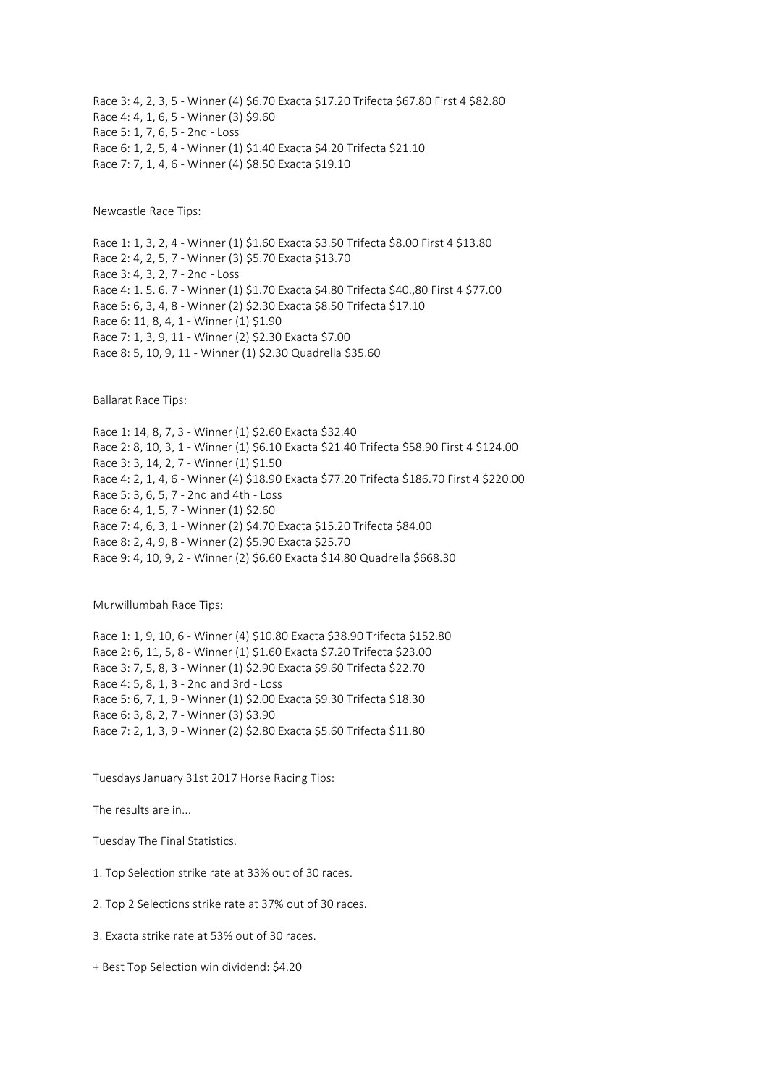Race 3: 4, 2, 3, 5 - Winner (4) \$6.70 Exacta \$17.20 Trifecta \$67.80 First 4 \$82.80 Race 4: 4, 1, 6, 5 - Winner (3) \$9.60 Race 5: 1, 7, 6, 5 - 2nd - Loss Race 6: 1, 2, 5, 4 - Winner (1) \$1.40 Exacta \$4.20 Trifecta \$21.10 Race 7: 7, 1, 4, 6 - Winner (4) \$8.50 Exacta \$19.10

Newcastle Race Tips:

Race 1: 1, 3, 2, 4 - Winner (1) \$1.60 Exacta \$3.50 Trifecta \$8.00 First 4 \$13.80 Race 2: 4, 2, 5, 7 - Winner (3) \$5.70 Exacta \$13.70 Race 3: 4, 3, 2, 7 - 2nd - Loss Race 4: 1. 5. 6. 7 - Winner (1) \$1.70 Exacta \$4.80 Trifecta \$40.,80 First 4 \$77.00 Race 5: 6, 3, 4, 8 - Winner (2) \$2.30 Exacta \$8.50 Trifecta \$17.10 Race 6: 11, 8, 4, 1 - Winner (1) \$1.90 Race 7: 1, 3, 9, 11 - Winner (2) \$2.30 Exacta \$7.00 Race 8: 5, 10, 9, 11 - Winner (1) \$2.30 Quadrella \$35.60

Ballarat Race Tips:

Race 1: 14, 8, 7, 3 - Winner (1) \$2.60 Exacta \$32.40 Race 2: 8, 10, 3, 1 - Winner (1) \$6.10 Exacta \$21.40 Trifecta \$58.90 First 4 \$124.00 Race 3: 3, 14, 2, 7 - Winner (1) \$1.50 Race 4: 2, 1, 4, 6 - Winner (4) \$18.90 Exacta \$77.20 Trifecta \$186.70 First 4 \$220.00 Race 5: 3, 6, 5, 7 - 2nd and 4th - Loss Race 6: 4, 1, 5, 7 - Winner (1) \$2.60 Race 7: 4, 6, 3, 1 - Winner (2) \$4.70 Exacta \$15.20 Trifecta \$84.00 Race 8: 2, 4, 9, 8 - Winner (2) \$5.90 Exacta \$25.70 Race 9: 4, 10, 9, 2 - Winner (2) \$6.60 Exacta \$14.80 Quadrella \$668.30

Murwillumbah Race Tips:

Race 1: 1, 9, 10, 6 - Winner (4) \$10.80 Exacta \$38.90 Trifecta \$152.80 Race 2: 6, 11, 5, 8 - Winner (1) \$1.60 Exacta \$7.20 Trifecta \$23.00 Race 3: 7, 5, 8, 3 - Winner (1) \$2.90 Exacta \$9.60 Trifecta \$22.70 Race 4: 5, 8, 1, 3 - 2nd and 3rd - Loss Race 5: 6, 7, 1, 9 - Winner (1) \$2.00 Exacta \$9.30 Trifecta \$18.30 Race 6: 3, 8, 2, 7 - Winner (3) \$3.90 Race 7: 2, 1, 3, 9 - Winner (2) \$2.80 Exacta \$5.60 Trifecta \$11.80

Tuesdays January 31st 2017 Horse Racing Tips:

The results are in...

Tuesday The Final Statistics.

1. Top Selection strike rate at 33% out of 30 races.

2. Top 2 Selections strike rate at 37% out of 30 races.

3. Exacta strike rate at 53% out of 30 races.

+ Best Top Selection win dividend: \$4.20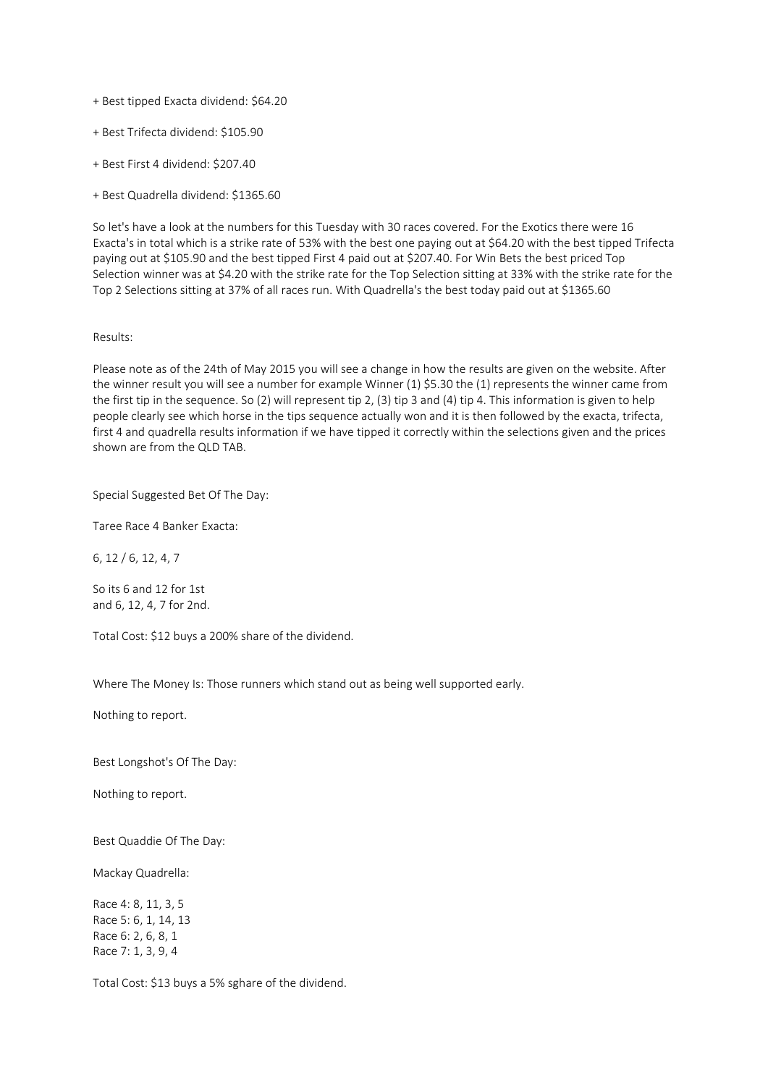- + Best tipped Exacta dividend: \$64.20
- + Best Trifecta dividend: \$105.90
- + Best First 4 dividend: \$207.40
- + Best Quadrella dividend: \$1365.60

So let's have a look at the numbers for this Tuesday with 30 races covered. For the Exotics there were 16 Exacta's in total which is a strike rate of 53% with the best one paying out at \$64.20 with the best tipped Trifecta paying out at \$105.90 and the best tipped First 4 paid out at \$207.40. For Win Bets the best priced Top Selection winner was at \$4.20 with the strike rate for the Top Selection sitting at 33% with the strike rate for the Top 2 Selections sitting at 37% of all races run. With Quadrella's the best today paid out at \$1365.60

# Results:

Please note as of the 24th of May 2015 you will see a change in how the results are given on the website. After the winner result you will see a number for example Winner (1) \$5.30 the (1) represents the winner came from the first tip in the sequence. So (2) will represent tip 2, (3) tip 3 and (4) tip 4. This information is given to help people clearly see which horse in the tips sequence actually won and it is then followed by the exacta, trifecta, first 4 and quadrella results information if we have tipped it correctly within the selections given and the prices shown are from the QLD TAB.

# Special Suggested Bet Of The Day:

Taree Race 4 Banker Exacta:

6, 12 / 6, 12, 4, 7

So its 6 and 12 for 1st and 6, 12, 4, 7 for 2nd.

Total Cost: \$12 buys a 200% share of the dividend.

Where The Money Is: Those runners which stand out as being well supported early.

Nothing to report.

Best Longshot's Of The Day:

Nothing to report.

Best Quaddie Of The Day:

Mackay Quadrella:

Race 4: 8, 11, 3, 5 Race 5: 6, 1, 14, 13 Race 6: 2, 6, 8, 1 Race 7: 1, 3, 9, 4

Total Cost: \$13 buys a 5% sghare of the dividend.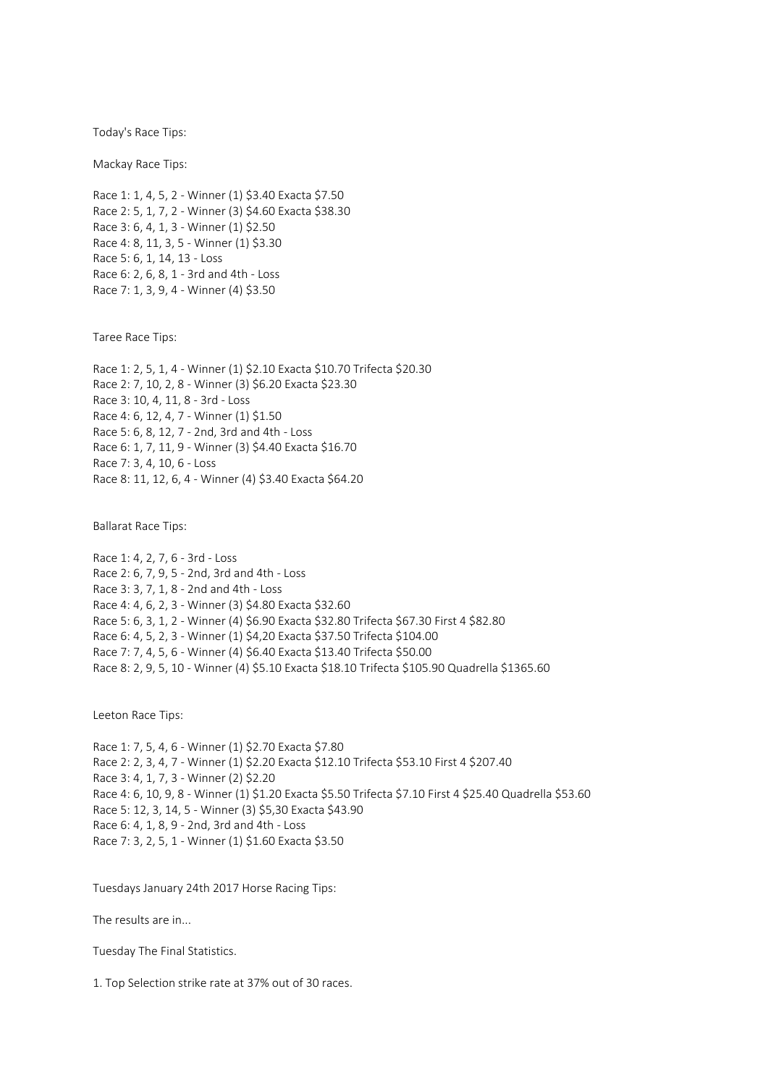Today's Race Tips:

Mackay Race Tips:

Race 1: 1, 4, 5, 2 - Winner (1) \$3.40 Exacta \$7.50 Race 2: 5, 1, 7, 2 - Winner (3) \$4.60 Exacta \$38.30 Race 3: 6, 4, 1, 3 - Winner (1) \$2.50 Race 4: 8, 11, 3, 5 - Winner (1) \$3.30 Race 5: 6, 1, 14, 13 - Loss Race 6: 2, 6, 8, 1 - 3rd and 4th - Loss Race 7: 1, 3, 9, 4 - Winner (4) \$3.50

Taree Race Tips:

Race 1: 2, 5, 1, 4 - Winner (1) \$2.10 Exacta \$10.70 Trifecta \$20.30 Race 2: 7, 10, 2, 8 - Winner (3) \$6.20 Exacta \$23.30 Race 3: 10, 4, 11, 8 - 3rd - Loss Race 4: 6, 12, 4, 7 - Winner (1) \$1.50 Race 5: 6, 8, 12, 7 - 2nd, 3rd and 4th - Loss Race 6: 1, 7, 11, 9 - Winner (3) \$4.40 Exacta \$16.70 Race 7: 3, 4, 10, 6 - Loss Race 8: 11, 12, 6, 4 - Winner (4) \$3.40 Exacta \$64.20

Ballarat Race Tips:

Race 1: 4, 2, 7, 6 - 3rd - Loss Race 2: 6, 7, 9, 5 - 2nd, 3rd and 4th - Loss Race 3: 3, 7, 1, 8 - 2nd and 4th - Loss Race 4: 4, 6, 2, 3 - Winner (3) \$4.80 Exacta \$32.60 Race 5: 6, 3, 1, 2 - Winner (4) \$6.90 Exacta \$32.80 Trifecta \$67.30 First 4 \$82.80 Race 6: 4, 5, 2, 3 - Winner (1) \$4,20 Exacta \$37.50 Trifecta \$104.00 Race 7: 7, 4, 5, 6 - Winner (4) \$6.40 Exacta \$13.40 Trifecta \$50.00 Race 8: 2, 9, 5, 10 - Winner (4) \$5.10 Exacta \$18.10 Trifecta \$105.90 Quadrella \$1365.60

Leeton Race Tips:

Race 1: 7, 5, 4, 6 - Winner (1) \$2.70 Exacta \$7.80 Race 2: 2, 3, 4, 7 - Winner (1) \$2.20 Exacta \$12.10 Trifecta \$53.10 First 4 \$207.40 Race 3: 4, 1, 7, 3 - Winner (2) \$2.20 Race 4: 6, 10, 9, 8 - Winner (1) \$1.20 Exacta \$5.50 Trifecta \$7.10 First 4 \$25.40 Quadrella \$53.60 Race 5: 12, 3, 14, 5 - Winner (3) \$5,30 Exacta \$43.90 Race 6: 4, 1, 8, 9 - 2nd, 3rd and 4th - Loss Race 7: 3, 2, 5, 1 - Winner (1) \$1.60 Exacta \$3.50

Tuesdays January 24th 2017 Horse Racing Tips:

The results are in...

Tuesday The Final Statistics.

1. Top Selection strike rate at 37% out of 30 races.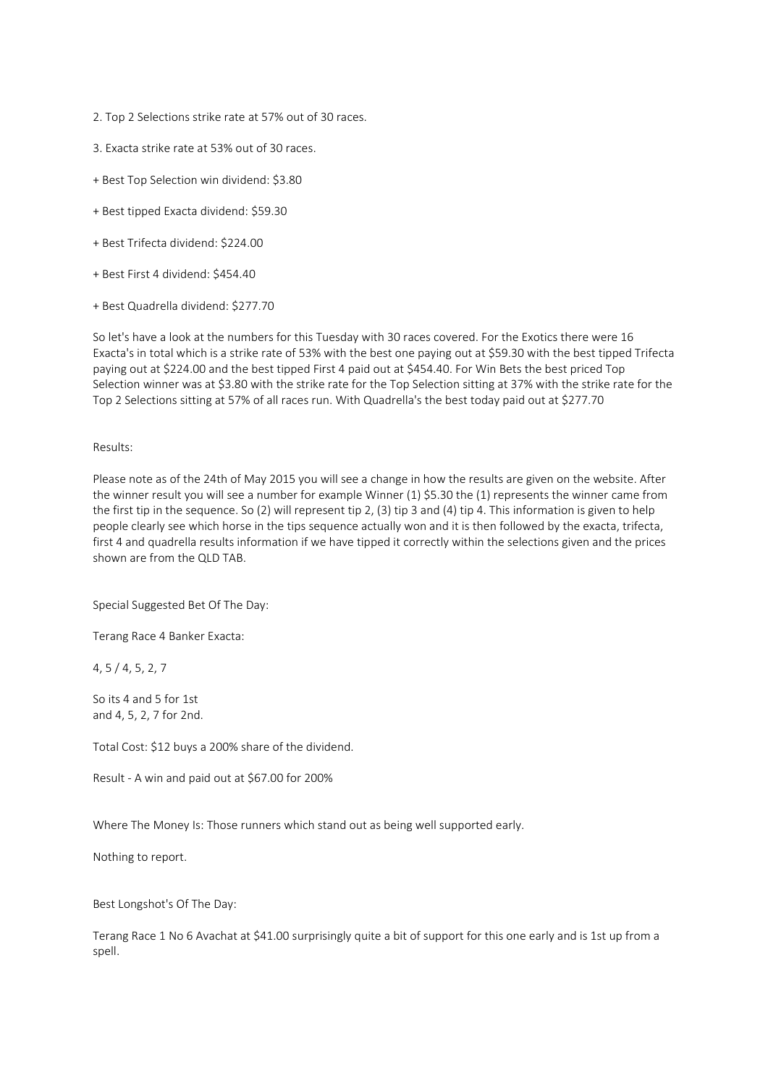- 2. Top 2 Selections strike rate at 57% out of 30 races.
- 3. Exacta strike rate at 53% out of 30 races.
- + Best Top Selection win dividend: \$3.80
- + Best tipped Exacta dividend: \$59.30
- + Best Trifecta dividend: \$224.00
- + Best First 4 dividend: \$454.40
- + Best Quadrella dividend: \$277.70

So let's have a look at the numbers for this Tuesday with 30 races covered. For the Exotics there were 16 Exacta's in total which is a strike rate of 53% with the best one paying out at \$59.30 with the best tipped Trifecta paying out at \$224.00 and the best tipped First 4 paid out at \$454.40. For Win Bets the best priced Top Selection winner was at \$3.80 with the strike rate for the Top Selection sitting at 37% with the strike rate for the Top 2 Selections sitting at 57% of all races run. With Quadrella's the best today paid out at \$277.70

### Results:

Please note as of the 24th of May 2015 you will see a change in how the results are given on the website. After the winner result you will see a number for example Winner (1) \$5.30 the (1) represents the winner came from the first tip in the sequence. So (2) will represent tip 2, (3) tip 3 and (4) tip 4. This information is given to help people clearly see which horse in the tips sequence actually won and it is then followed by the exacta, trifecta, first 4 and quadrella results information if we have tipped it correctly within the selections given and the prices shown are from the QLD TAB.

Special Suggested Bet Of The Day:

Terang Race 4 Banker Exacta:

4, 5 / 4, 5, 2, 7

So its 4 and 5 for 1st and 4, 5, 2, 7 for 2nd.

Total Cost: \$12 buys a 200% share of the dividend.

Result - A win and paid out at \$67.00 for 200%

Where The Money Is: Those runners which stand out as being well supported early.

Nothing to report.

Best Longshot's Of The Day:

Terang Race 1 No 6 Avachat at \$41.00 surprisingly quite a bit of support for this one early and is 1st up from a spell.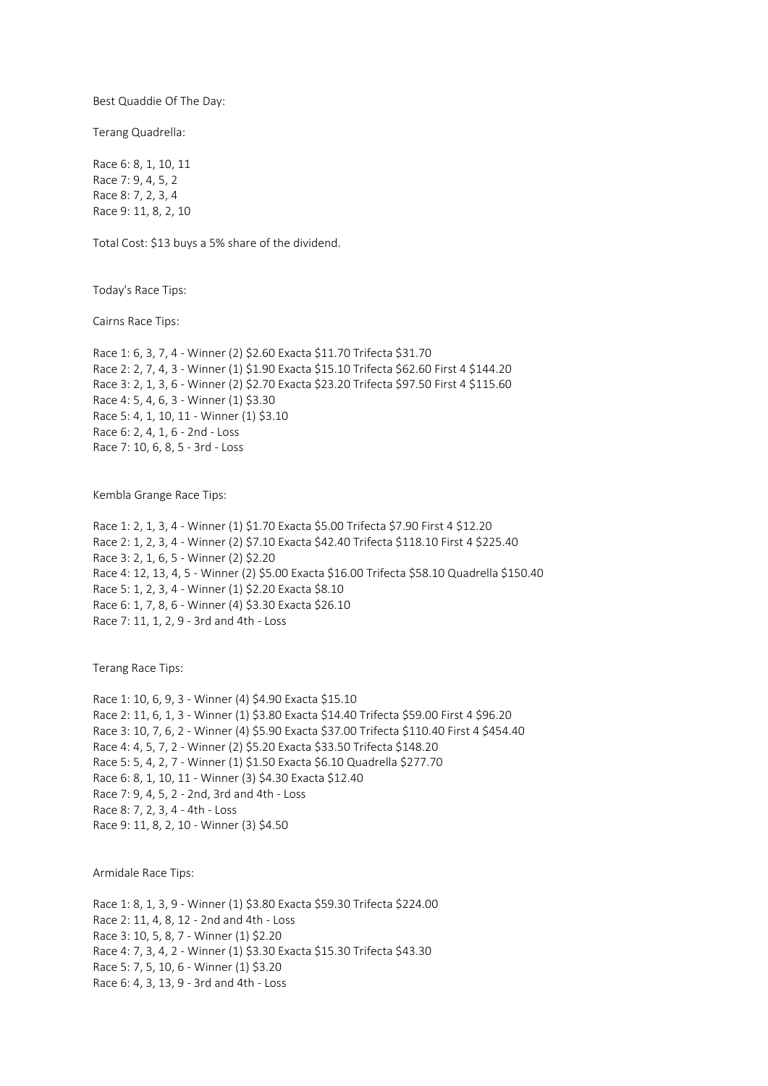Best Quaddie Of The Day:

Terang Quadrella:

Race 6: 8, 1, 10, 11 Race 7: 9, 4, 5, 2 Race 8: 7, 2, 3, 4 Race 9: 11, 8, 2, 10

Total Cost: \$13 buys a 5% share of the dividend.

Today's Race Tips:

Cairns Race Tips:

Race 1: 6, 3, 7, 4 - Winner (2) \$2.60 Exacta \$11.70 Trifecta \$31.70 Race 2: 2, 7, 4, 3 - Winner (1) \$1.90 Exacta \$15.10 Trifecta \$62.60 First 4 \$144.20 Race 3: 2, 1, 3, 6 - Winner (2) \$2.70 Exacta \$23.20 Trifecta \$97.50 First 4 \$115.60 Race 4: 5, 4, 6, 3 - Winner (1) \$3.30 Race 5: 4, 1, 10, 11 - Winner (1) \$3.10 Race 6: 2, 4, 1, 6 - 2nd - Loss Race 7: 10, 6, 8, 5 - 3rd - Loss

Kembla Grange Race Tips:

Race 1: 2, 1, 3, 4 - Winner (1) \$1.70 Exacta \$5.00 Trifecta \$7.90 First 4 \$12.20 Race 2: 1, 2, 3, 4 - Winner (2) \$7.10 Exacta \$42.40 Trifecta \$118.10 First 4 \$225.40 Race 3: 2, 1, 6, 5 - Winner (2) \$2.20 Race 4: 12, 13, 4, 5 - Winner (2) \$5.00 Exacta \$16.00 Trifecta \$58.10 Quadrella \$150.40 Race 5: 1, 2, 3, 4 - Winner (1) \$2.20 Exacta \$8.10 Race 6: 1, 7, 8, 6 - Winner (4) \$3.30 Exacta \$26.10 Race 7: 11, 1, 2, 9 - 3rd and 4th - Loss

Terang Race Tips:

Race 1: 10, 6, 9, 3 - Winner (4) \$4.90 Exacta \$15.10 Race 2: 11, 6, 1, 3 - Winner (1) \$3.80 Exacta \$14.40 Trifecta \$59.00 First 4 \$96.20 Race 3: 10, 7, 6, 2 - Winner (4) \$5.90 Exacta \$37.00 Trifecta \$110.40 First 4 \$454.40 Race 4: 4, 5, 7, 2 - Winner (2) \$5.20 Exacta \$33.50 Trifecta \$148.20 Race 5: 5, 4, 2, 7 - Winner (1) \$1.50 Exacta \$6.10 Quadrella \$277.70 Race 6: 8, 1, 10, 11 - Winner (3) \$4.30 Exacta \$12.40 Race 7: 9, 4, 5, 2 - 2nd, 3rd and 4th - Loss Race 8: 7, 2, 3, 4 - 4th - Loss Race 9: 11, 8, 2, 10 - Winner (3) \$4.50

Armidale Race Tips:

Race 1: 8, 1, 3, 9 - Winner (1) \$3.80 Exacta \$59.30 Trifecta \$224.00 Race 2: 11, 4, 8, 12 - 2nd and 4th - Loss Race 3: 10, 5, 8, 7 - Winner (1) \$2.20 Race 4: 7, 3, 4, 2 - Winner (1) \$3.30 Exacta \$15.30 Trifecta \$43.30 Race 5: 7, 5, 10, 6 - Winner (1) \$3.20 Race 6: 4, 3, 13, 9 - 3rd and 4th - Loss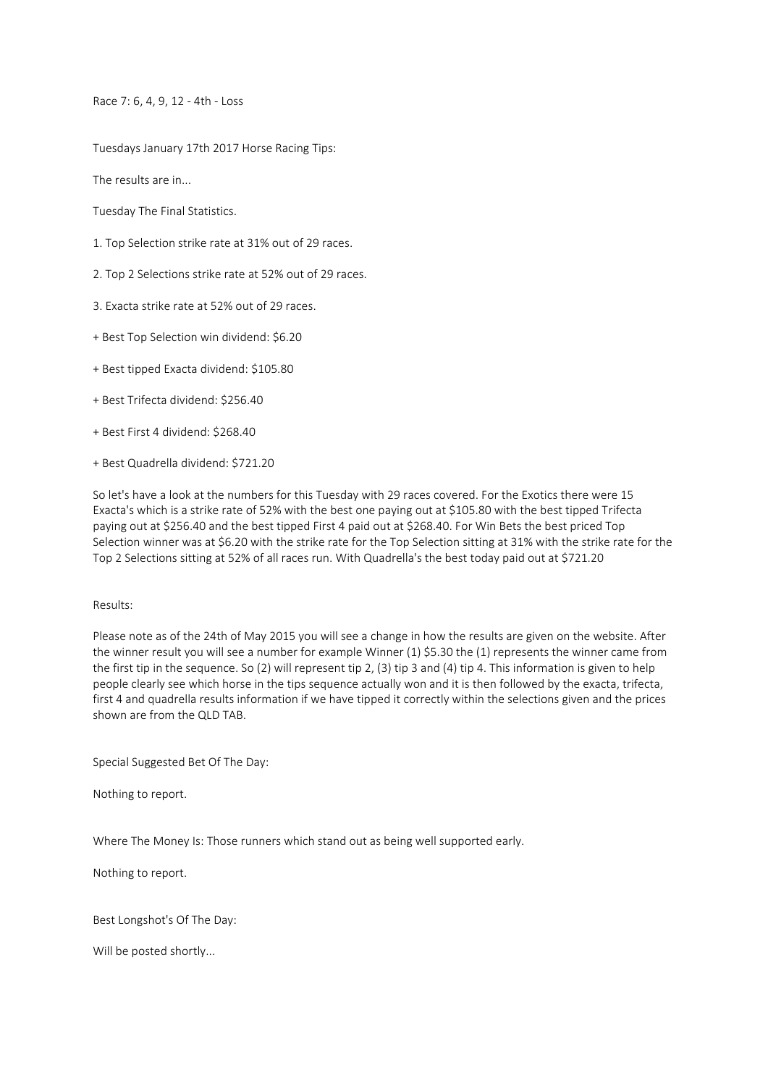Race 7: 6, 4, 9, 12 - 4th - Loss

Tuesdays January 17th 2017 Horse Racing Tips:

The results are in...

Tuesday The Final Statistics.

- 1. Top Selection strike rate at 31% out of 29 races.
- 2. Top 2 Selections strike rate at 52% out of 29 races.
- 3. Exacta strike rate at 52% out of 29 races.
- + Best Top Selection win dividend: \$6.20
- + Best tipped Exacta dividend: \$105.80
- + Best Trifecta dividend: \$256.40
- + Best First 4 dividend: \$268.40
- + Best Quadrella dividend: \$721.20

So let's have a look at the numbers for this Tuesday with 29 races covered. For the Exotics there were 15 Exacta's which is a strike rate of 52% with the best one paying out at \$105.80 with the best tipped Trifecta paying out at \$256.40 and the best tipped First 4 paid out at \$268.40. For Win Bets the best priced Top Selection winner was at \$6.20 with the strike rate for the Top Selection sitting at 31% with the strike rate for the Top 2 Selections sitting at 52% of all races run. With Quadrella's the best today paid out at \$721.20

# Results:

Please note as of the 24th of May 2015 you will see a change in how the results are given on the website. After the winner result you will see a number for example Winner (1) \$5.30 the (1) represents the winner came from the first tip in the sequence. So (2) will represent tip 2, (3) tip 3 and (4) tip 4. This information is given to help people clearly see which horse in the tips sequence actually won and it is then followed by the exacta, trifecta, first 4 and quadrella results information if we have tipped it correctly within the selections given and the prices shown are from the QLD TAB.

Special Suggested Bet Of The Day:

Nothing to report.

Where The Money Is: Those runners which stand out as being well supported early.

Nothing to report.

Best Longshot's Of The Day:

Will be posted shortly...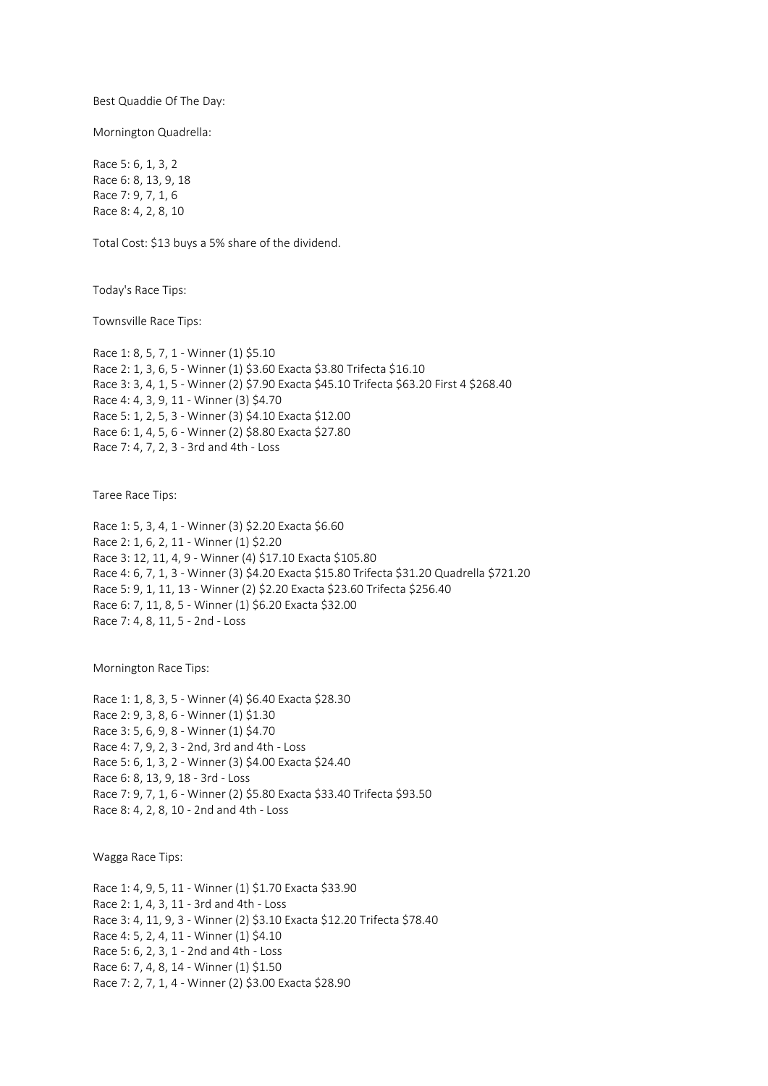Best Quaddie Of The Day:

Mornington Quadrella:

Race 5: 6, 1, 3, 2 Race 6: 8, 13, 9, 18 Race 7: 9, 7, 1, 6 Race 8: 4, 2, 8, 10

Total Cost: \$13 buys a 5% share of the dividend.

Today's Race Tips:

Townsville Race Tips:

Race 1: 8, 5, 7, 1 - Winner (1) \$5.10 Race 2: 1, 3, 6, 5 - Winner (1) \$3.60 Exacta \$3.80 Trifecta \$16.10 Race 3: 3, 4, 1, 5 - Winner (2) \$7.90 Exacta \$45.10 Trifecta \$63.20 First 4 \$268.40 Race 4: 4, 3, 9, 11 - Winner (3) \$4.70 Race 5: 1, 2, 5, 3 - Winner (3) \$4.10 Exacta \$12.00 Race 6: 1, 4, 5, 6 - Winner (2) \$8.80 Exacta \$27.80 Race 7: 4, 7, 2, 3 - 3rd and 4th - Loss

Taree Race Tips:

Race 1: 5, 3, 4, 1 - Winner (3) \$2.20 Exacta \$6.60 Race 2: 1, 6, 2, 11 - Winner (1) \$2.20 Race 3: 12, 11, 4, 9 - Winner (4) \$17.10 Exacta \$105.80 Race 4: 6, 7, 1, 3 - Winner (3) \$4.20 Exacta \$15.80 Trifecta \$31.20 Quadrella \$721.20 Race 5: 9, 1, 11, 13 - Winner (2) \$2.20 Exacta \$23.60 Trifecta \$256.40 Race 6: 7, 11, 8, 5 - Winner (1) \$6.20 Exacta \$32.00 Race 7: 4, 8, 11, 5 - 2nd - Loss

Mornington Race Tips:

Race 1: 1, 8, 3, 5 - Winner (4) \$6.40 Exacta \$28.30 Race 2: 9, 3, 8, 6 - Winner (1) \$1.30 Race 3: 5, 6, 9, 8 - Winner (1) \$4.70 Race 4: 7, 9, 2, 3 - 2nd, 3rd and 4th - Loss Race 5: 6, 1, 3, 2 - Winner (3) \$4.00 Exacta \$24.40 Race 6: 8, 13, 9, 18 - 3rd - Loss Race 7: 9, 7, 1, 6 - Winner (2) \$5.80 Exacta \$33.40 Trifecta \$93.50 Race 8: 4, 2, 8, 10 - 2nd and 4th - Loss

Wagga Race Tips:

Race 1: 4, 9, 5, 11 - Winner (1) \$1.70 Exacta \$33.90 Race 2: 1, 4, 3, 11 - 3rd and 4th - Loss Race 3: 4, 11, 9, 3 - Winner (2) \$3.10 Exacta \$12.20 Trifecta \$78.40 Race 4: 5, 2, 4, 11 - Winner (1) \$4.10 Race 5: 6, 2, 3, 1 - 2nd and 4th - Loss Race 6: 7, 4, 8, 14 - Winner (1) \$1.50 Race 7: 2, 7, 1, 4 - Winner (2) \$3.00 Exacta \$28.90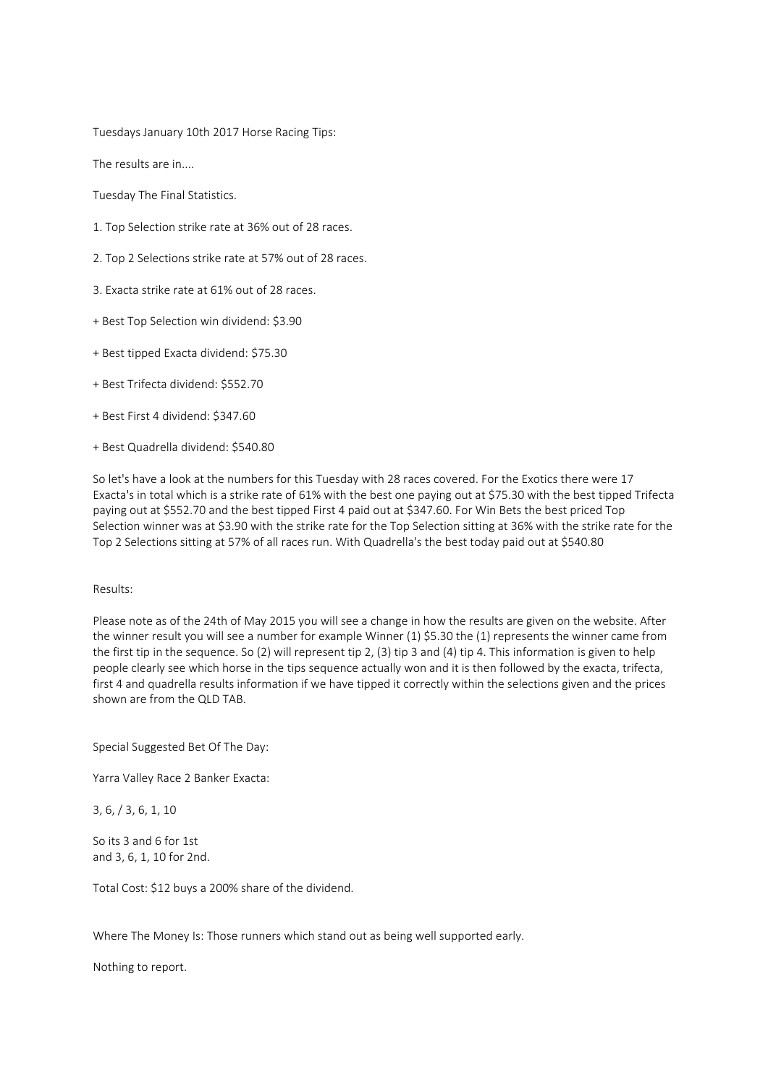Tuesdays January 10th 2017 Horse Racing Tips:

The results are in....

Tuesday The Final Statistics.

- 1. Top Selection strike rate at 36% out of 28 races.
- 2. Top 2 Selections strike rate at 57% out of 28 races.
- 3. Exacta strike rate at 61% out of 28 races.
- + Best Top Selection win dividend: \$3.90
- + Best tipped Exacta dividend: \$75.30
- + Best Trifecta dividend: \$552.70
- + Best First 4 dividend: \$347.60
- + Best Quadrella dividend: \$540.80

So let's have a look at the numbers for this Tuesday with 28 races covered. For the Exotics there were 17 Exacta's in total which is a strike rate of 61% with the best one paying out at \$75.30 with the best tipped Trifecta paying out at \$552.70 and the best tipped First 4 paid out at \$347.60. For Win Bets the best priced Top Selection winner was at \$3.90 with the strike rate for the Top Selection sitting at 36% with the strike rate for the Top 2 Selections sitting at 57% of all races run. With Quadrella's the best today paid out at \$540.80

### Results:

Please note as of the 24th of May 2015 you will see a change in how the results are given on the website. After the winner result you will see a number for example Winner (1) \$5.30 the (1) represents the winner came from the first tip in the sequence. So (2) will represent tip 2, (3) tip 3 and (4) tip 4. This information is given to help people clearly see which horse in the tips sequence actually won and it is then followed by the exacta, trifecta, first 4 and quadrella results information if we have tipped it correctly within the selections given and the prices shown are from the QLD TAB.

Special Suggested Bet Of The Day:

Yarra Valley Race 2 Banker Exacta:

3, 6, / 3, 6, 1, 10

So its 3 and 6 for 1st and 3, 6, 1, 10 for 2nd.

Total Cost: \$12 buys a 200% share of the dividend.

Where The Money Is: Those runners which stand out as being well supported early.

Nothing to report.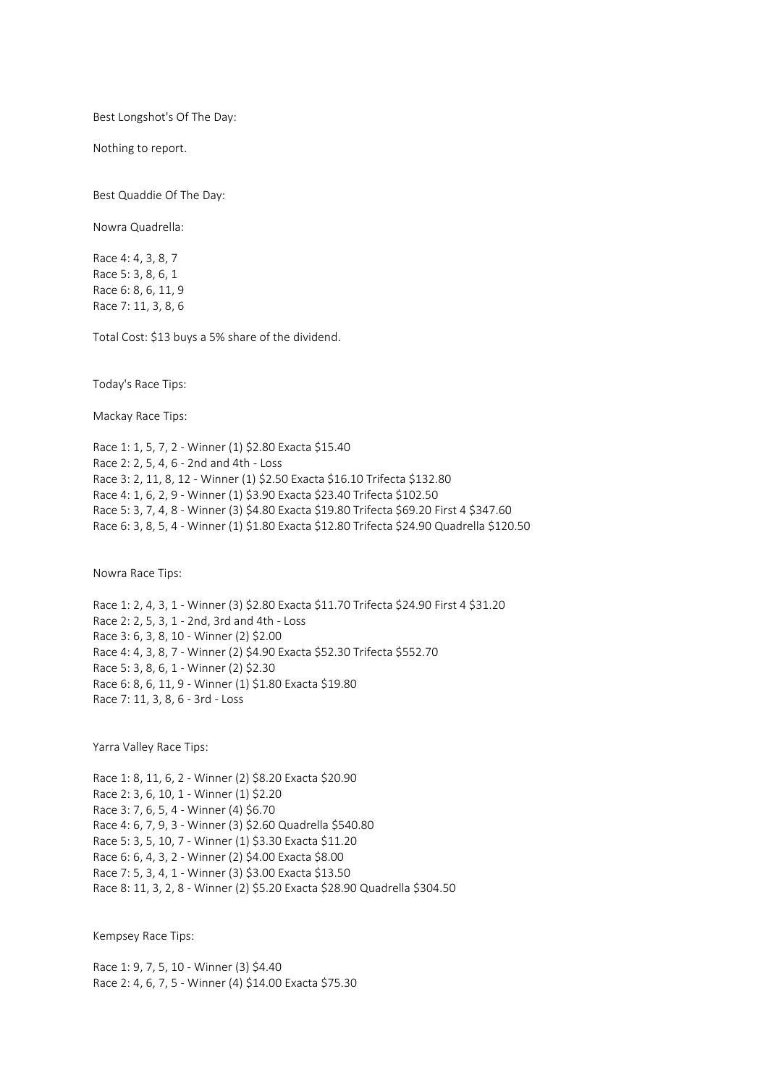Best Longshot's Of The Day:

Nothing to report.

Best Quaddie Of The Day:

Nowra Quadrella:

Race 4: 4, 3, 8, 7 Race 5: 3, 8, 6, 1 Race 6: 8, 6, 11, 9 Race 7: 11, 3, 8, 6

Total Cost: \$13 buys a 5% share of the dividend.

Today's Race Tips:

Mackay Race Tips:

Race 1: 1, 5, 7, 2 - Winner (1) \$2.80 Exacta \$15.40 Race 2: 2, 5, 4, 6 - 2nd and 4th - Loss Race 3: 2, 11, 8, 12 - Winner (1) \$2.50 Exacta \$16.10 Trifecta \$132.80 Race 4: 1, 6, 2, 9 - Winner (1) \$3.90 Exacta \$23.40 Trifecta \$102.50 Race 5: 3, 7, 4, 8 - Winner (3) \$4.80 Exacta \$19.80 Trifecta \$69.20 First 4 \$347.60 Race 6: 3, 8, 5, 4 - Winner (1) \$1.80 Exacta \$12.80 Trifecta \$24.90 Quadrella \$120.50

Nowra Race Tips:

Race 1: 2, 4, 3, 1 - Winner (3) \$2.80 Exacta \$11.70 Trifecta \$24.90 First 4 \$31.20 Race 2: 2, 5, 3, 1 - 2nd, 3rd and 4th - Loss Race 3: 6, 3, 8, 10 - Winner (2) \$2.00 Race 4: 4, 3, 8, 7 - Winner (2) \$4.90 Exacta \$52.30 Trifecta \$552.70 Race 5: 3, 8, 6, 1 - Winner (2) \$2.30 Race 6: 8, 6, 11, 9 - Winner (1) \$1.80 Exacta \$19.80 Race 7: 11, 3, 8, 6 - 3rd - Loss

Yarra Valley Race Tips:

Race 1: 8, 11, 6, 2 - Winner (2) \$8.20 Exacta \$20.90 Race 2: 3, 6, 10, 1 - Winner (1) \$2.20 Race 3: 7, 6, 5, 4 - Winner (4) \$6.70 Race 4: 6, 7, 9, 3 - Winner (3) \$2.60 Quadrella \$540.80 Race 5: 3, 5, 10, 7 - Winner (1) \$3.30 Exacta \$11.20 Race 6: 6, 4, 3, 2 - Winner (2) \$4.00 Exacta \$8.00 Race 7: 5, 3, 4, 1 - Winner (3) \$3.00 Exacta \$13.50 Race 8: 11, 3, 2, 8 - Winner (2) \$5.20 Exacta \$28.90 Quadrella \$304.50

Kempsey Race Tips:

Race 1: 9, 7, 5, 10 - Winner (3) \$4.40 Race 2: 4, 6, 7, 5 - Winner (4) \$14.00 Exacta \$75.30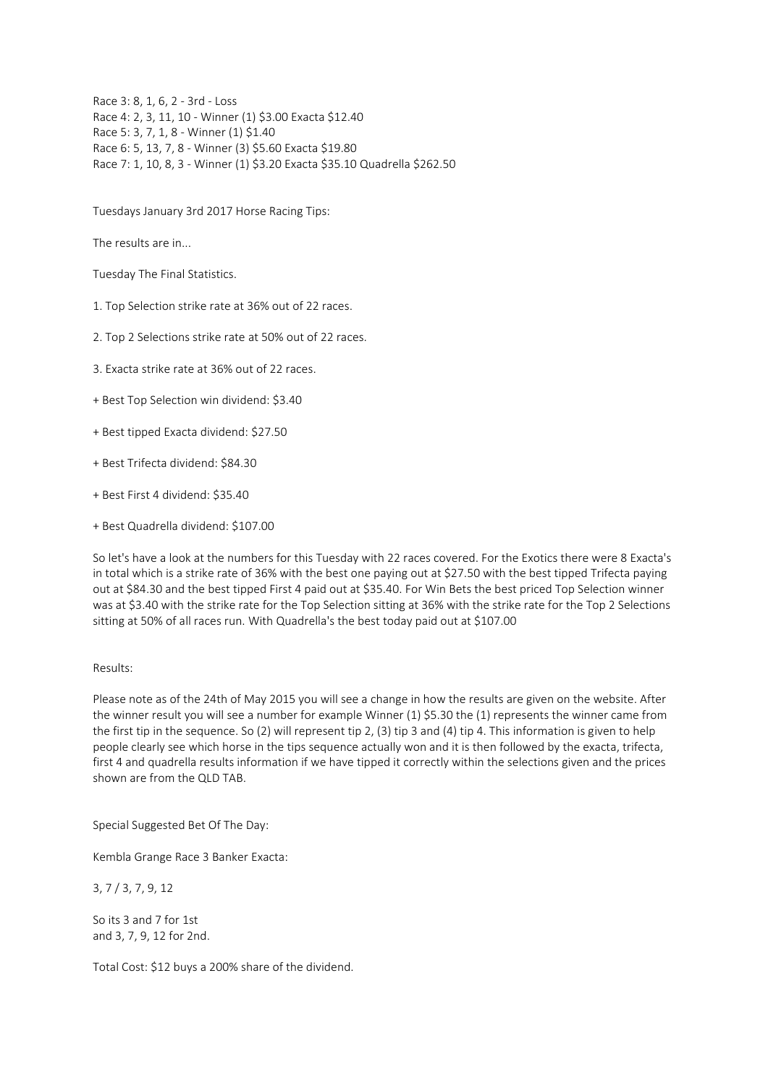Race 3: 8, 1, 6, 2 - 3rd - Loss Race 4: 2, 3, 11, 10 - Winner (1) \$3.00 Exacta \$12.40 Race 5: 3, 7, 1, 8 - Winner (1) \$1.40 Race 6: 5, 13, 7, 8 - Winner (3) \$5.60 Exacta \$19.80 Race 7: 1, 10, 8, 3 - Winner (1) \$3.20 Exacta \$35.10 Quadrella \$262.50

Tuesdays January 3rd 2017 Horse Racing Tips:

The results are in...

Tuesday The Final Statistics.

1. Top Selection strike rate at 36% out of 22 races.

2. Top 2 Selections strike rate at 50% out of 22 races.

3. Exacta strike rate at 36% out of 22 races.

- + Best Top Selection win dividend: \$3.40
- + Best tipped Exacta dividend: \$27.50
- + Best Trifecta dividend: \$84.30
- + Best First 4 dividend: \$35.40
- + Best Quadrella dividend: \$107.00

So let's have a look at the numbers for this Tuesday with 22 races covered. For the Exotics there were 8 Exacta's in total which is a strike rate of 36% with the best one paying out at \$27.50 with the best tipped Trifecta paying out at \$84.30 and the best tipped First 4 paid out at \$35.40. For Win Bets the best priced Top Selection winner was at \$3.40 with the strike rate for the Top Selection sitting at 36% with the strike rate for the Top 2 Selections sitting at 50% of all races run. With Quadrella's the best today paid out at \$107.00

### Results:

Please note as of the 24th of May 2015 you will see a change in how the results are given on the website. After the winner result you will see a number for example Winner (1) \$5.30 the (1) represents the winner came from the first tip in the sequence. So (2) will represent tip 2, (3) tip 3 and (4) tip 4. This information is given to help people clearly see which horse in the tips sequence actually won and it is then followed by the exacta, trifecta, first 4 and quadrella results information if we have tipped it correctly within the selections given and the prices shown are from the QLD TAB.

Special Suggested Bet Of The Day:

Kembla Grange Race 3 Banker Exacta:

3, 7 / 3, 7, 9, 12

So its 3 and 7 for 1st and 3, 7, 9, 12 for 2nd.

Total Cost: \$12 buys a 200% share of the dividend.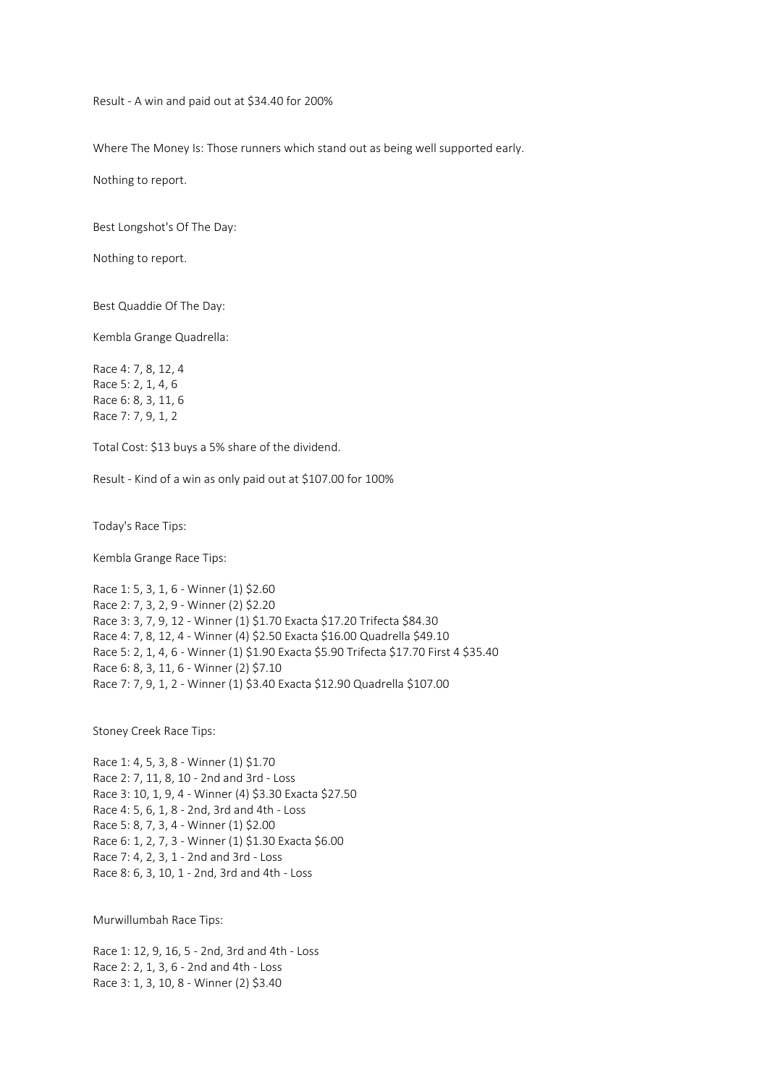Result - A win and paid out at \$34.40 for 200%

Where The Money Is: Those runners which stand out as being well supported early.

Nothing to report.

Best Longshot's Of The Day:

Nothing to report.

Best Quaddie Of The Day:

Kembla Grange Quadrella:

Race 4: 7, 8, 12, 4 Race 5: 2, 1, 4, 6 Race 6: 8, 3, 11, 6 Race 7: 7, 9, 1, 2

Total Cost: \$13 buys a 5% share of the dividend.

Result - Kind of a win as only paid out at \$107.00 for 100%

Today's Race Tips:

Kembla Grange Race Tips:

Race 1: 5, 3, 1, 6 - Winner (1) \$2.60 Race 2: 7, 3, 2, 9 - Winner (2) \$2.20 Race 3: 3, 7, 9, 12 - Winner (1) \$1.70 Exacta \$17.20 Trifecta \$84.30 Race 4: 7, 8, 12, 4 - Winner (4) \$2.50 Exacta \$16.00 Quadrella \$49.10 Race 5: 2, 1, 4, 6 - Winner (1) \$1.90 Exacta \$5.90 Trifecta \$17.70 First 4 \$35.40 Race 6: 8, 3, 11, 6 - Winner (2) \$7.10 Race 7: 7, 9, 1, 2 - Winner (1) \$3.40 Exacta \$12.90 Quadrella \$107.00

Stoney Creek Race Tips:

Race 1: 4, 5, 3, 8 - Winner (1) \$1.70 Race 2: 7, 11, 8, 10 - 2nd and 3rd - Loss Race 3: 10, 1, 9, 4 - Winner (4) \$3.30 Exacta \$27.50 Race 4: 5, 6, 1, 8 - 2nd, 3rd and 4th - Loss Race 5: 8, 7, 3, 4 - Winner (1) \$2.00 Race 6: 1, 2, 7, 3 - Winner (1) \$1.30 Exacta \$6.00 Race 7: 4, 2, 3, 1 - 2nd and 3rd - Loss Race 8: 6, 3, 10, 1 - 2nd, 3rd and 4th - Loss

Murwillumbah Race Tips:

Race 1: 12, 9, 16, 5 - 2nd, 3rd and 4th - Loss Race 2: 2, 1, 3, 6 - 2nd and 4th - Loss Race 3: 1, 3, 10, 8 - Winner (2) \$3.40